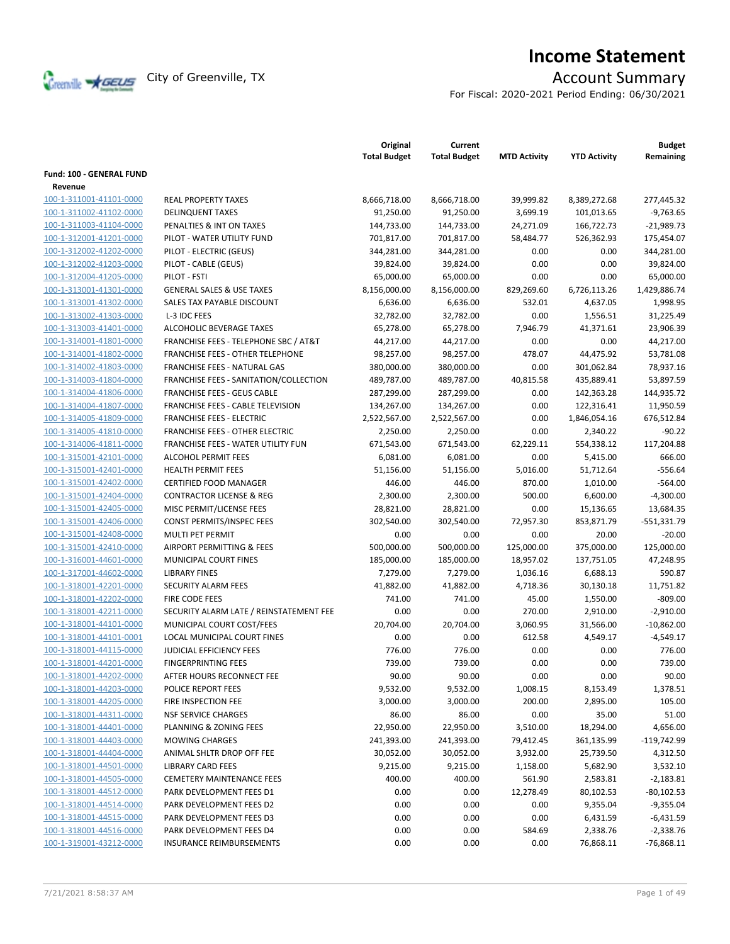

# **Income Statement**

For Fiscal: 2020-2021 Period Ending: 06/30/2021

|                          |                                                  | Original<br><b>Total Budget</b> | Current<br><b>Total Budget</b> | <b>MTD Activity</b> | <b>YTD Activity</b> | <b>Budget</b><br>Remaining |
|--------------------------|--------------------------------------------------|---------------------------------|--------------------------------|---------------------|---------------------|----------------------------|
| Fund: 100 - GENERAL FUND |                                                  |                                 |                                |                     |                     |                            |
| Revenue                  |                                                  |                                 |                                |                     |                     |                            |
| 100-1-311001-41101-0000  | <b>REAL PROPERTY TAXES</b>                       | 8,666,718.00                    | 8,666,718.00                   | 39,999.82           | 8,389,272.68        | 277,445.32                 |
| 100-1-311002-41102-0000  | <b>DELINQUENT TAXES</b>                          | 91,250.00                       | 91,250.00                      | 3,699.19            | 101,013.65          | $-9,763.65$                |
| 100-1-311003-41104-0000  | PENALTIES & INT ON TAXES                         | 144,733.00                      | 144,733.00                     | 24,271.09           | 166,722.73          | $-21,989.73$               |
| 100-1-312001-41201-0000  | PILOT - WATER UTILITY FUND                       | 701,817.00                      | 701,817.00                     | 58,484.77           | 526,362.93          | 175,454.07                 |
| 100-1-312002-41202-0000  | PILOT - ELECTRIC (GEUS)                          | 344,281.00                      | 344,281.00                     | 0.00                | 0.00                | 344,281.00                 |
| 100-1-312002-41203-0000  | PILOT - CABLE (GEUS)                             | 39,824.00                       | 39,824.00                      | 0.00                | 0.00                | 39,824.00                  |
| 100-1-312004-41205-0000  | PILOT - FSTI                                     | 65,000.00                       | 65,000.00                      | 0.00                | 0.00                | 65,000.00                  |
| 100-1-313001-41301-0000  | <b>GENERAL SALES &amp; USE TAXES</b>             | 8,156,000.00                    | 8,156,000.00                   | 829,269.60          | 6,726,113.26        | 1,429,886.74               |
| 100-1-313001-41302-0000  | SALES TAX PAYABLE DISCOUNT                       | 6,636.00                        | 6,636.00                       | 532.01              | 4,637.05            | 1,998.95                   |
| 100-1-313002-41303-0000  | L-3 IDC FEES                                     | 32,782.00                       | 32,782.00                      | 0.00                | 1,556.51            | 31,225.49                  |
| 100-1-313003-41401-0000  | ALCOHOLIC BEVERAGE TAXES                         | 65,278.00                       | 65,278.00                      | 7,946.79            | 41,371.61           | 23,906.39                  |
| 100-1-314001-41801-0000  | <b>FRANCHISE FEES - TELEPHONE SBC / AT&amp;T</b> | 44,217.00                       | 44,217.00                      | 0.00                | 0.00                | 44,217.00                  |
| 100-1-314001-41802-0000  | <b>FRANCHISE FEES - OTHER TELEPHONE</b>          | 98,257.00                       | 98,257.00                      | 478.07              | 44,475.92           | 53,781.08                  |
| 100-1-314002-41803-0000  | <b>FRANCHISE FEES - NATURAL GAS</b>              | 380,000.00                      | 380,000.00                     | 0.00                | 301,062.84          | 78,937.16                  |
| 100-1-314003-41804-0000  | FRANCHISE FEES - SANITATION/COLLECTION           | 489,787.00                      | 489,787.00                     | 40,815.58           | 435,889.41          | 53,897.59                  |
| 100-1-314004-41806-0000  | <b>FRANCHISE FEES - GEUS CABLE</b>               |                                 |                                | 0.00                |                     |                            |
|                          | FRANCHISE FEES - CABLE TELEVISION                | 287,299.00                      | 287,299.00                     | 0.00                | 142,363.28          | 144,935.72<br>11,950.59    |
| 100-1-314004-41807-0000  | <b>FRANCHISE FEES - ELECTRIC</b>                 | 134,267.00                      | 134,267.00                     |                     | 122,316.41          |                            |
| 100-1-314005-41809-0000  |                                                  | 2,522,567.00                    | 2,522,567.00                   | 0.00                | 1,846,054.16        | 676,512.84                 |
| 100-1-314005-41810-0000  | <b>FRANCHISE FEES - OTHER ELECTRIC</b>           | 2,250.00                        | 2,250.00                       | 0.00                | 2,340.22            | $-90.22$                   |
| 100-1-314006-41811-0000  | <b>FRANCHISE FEES - WATER UTILITY FUN</b>        | 671,543.00                      | 671,543.00                     | 62,229.11           | 554,338.12          | 117,204.88                 |
| 100-1-315001-42101-0000  | <b>ALCOHOL PERMIT FEES</b>                       | 6,081.00                        | 6,081.00                       | 0.00                | 5,415.00            | 666.00                     |
| 100-1-315001-42401-0000  | <b>HEALTH PERMIT FEES</b>                        | 51,156.00                       | 51,156.00                      | 5,016.00            | 51,712.64           | $-556.64$                  |
| 100-1-315001-42402-0000  | <b>CERTIFIED FOOD MANAGER</b>                    | 446.00                          | 446.00                         | 870.00              | 1,010.00            | $-564.00$                  |
| 100-1-315001-42404-0000  | <b>CONTRACTOR LICENSE &amp; REG</b>              | 2,300.00                        | 2,300.00                       | 500.00              | 6,600.00            | $-4,300.00$                |
| 100-1-315001-42405-0000  | MISC PERMIT/LICENSE FEES                         | 28,821.00                       | 28,821.00                      | 0.00                | 15,136.65           | 13,684.35                  |
| 100-1-315001-42406-0000  | CONST PERMITS/INSPEC FEES                        | 302,540.00                      | 302,540.00                     | 72,957.30           | 853,871.79          | $-551,331.79$              |
| 100-1-315001-42408-0000  | MULTI PET PERMIT                                 | 0.00                            | 0.00                           | 0.00                | 20.00               | $-20.00$                   |
| 100-1-315001-42410-0000  | AIRPORT PERMITTING & FEES                        | 500,000.00                      | 500,000.00                     | 125,000.00          | 375,000.00          | 125,000.00                 |
| 100-1-316001-44601-0000  | MUNICIPAL COURT FINES                            | 185,000.00                      | 185,000.00                     | 18,957.02           | 137,751.05          | 47,248.95                  |
| 100-1-317001-44602-0000  | <b>LIBRARY FINES</b>                             | 7,279.00                        | 7,279.00                       | 1,036.16            | 6,688.13            | 590.87                     |
| 100-1-318001-42201-0000  | <b>SECURITY ALARM FEES</b>                       | 41,882.00                       | 41,882.00                      | 4,718.36            | 30,130.18           | 11,751.82                  |
| 100-1-318001-42202-0000  | <b>FIRE CODE FEES</b>                            | 741.00                          | 741.00                         | 45.00               | 1,550.00            | $-809.00$                  |
| 100-1-318001-42211-0000  | SECURITY ALARM LATE / REINSTATEMENT FEE          | 0.00                            | 0.00                           | 270.00              | 2,910.00            | $-2,910.00$                |
| 100-1-318001-44101-0000  | MUNICIPAL COURT COST/FEES                        | 20,704.00                       | 20.704.00                      | 3,060.95            | 31,566.00           | $-10,862.00$               |
| 100-1-318001-44101-0001  | LOCAL MUNICIPAL COURT FINES                      | 0.00                            | 0.00                           | 612.58              | 4,549.17            | $-4,549.17$                |
| 100-1-318001-44115-0000  | <b>JUDICIAL EFFICIENCY FEES</b>                  | 776.00                          | 776.00                         | 0.00                | 0.00                | 776.00                     |
| 100-1-318001-44201-0000  | <b>FINGERPRINTING FEES</b>                       | 739.00                          | 739.00                         | 0.00                | 0.00                | 739.00                     |
| 100-1-318001-44202-0000  | AFTER HOURS RECONNECT FEE                        | 90.00                           | 90.00                          | 0.00                | 0.00                | 90.00                      |
| 100-1-318001-44203-0000  | POLICE REPORT FEES                               | 9,532.00                        | 9,532.00                       | 1,008.15            | 8,153.49            | 1,378.51                   |
| 100-1-318001-44205-0000  | FIRE INSPECTION FEE                              | 3,000.00                        | 3,000.00                       | 200.00              | 2,895.00            | 105.00                     |
| 100-1-318001-44311-0000  | <b>NSF SERVICE CHARGES</b>                       | 86.00                           | 86.00                          | 0.00                | 35.00               | 51.00                      |
| 100-1-318001-44401-0000  | PLANNING & ZONING FEES                           | 22,950.00                       | 22,950.00                      | 3,510.00            | 18,294.00           | 4,656.00                   |
| 100-1-318001-44403-0000  | <b>MOWING CHARGES</b>                            | 241,393.00                      | 241,393.00                     | 79,412.45           | 361,135.99          | $-119,742.99$              |
| 100-1-318001-44404-0000  | ANIMAL SHLTR DROP OFF FEE                        | 30,052.00                       | 30,052.00                      | 3,932.00            | 25,739.50           | 4,312.50                   |
| 100-1-318001-44501-0000  | <b>LIBRARY CARD FEES</b>                         | 9,215.00                        | 9,215.00                       | 1,158.00            | 5,682.90            | 3,532.10                   |
| 100-1-318001-44505-0000  | <b>CEMETERY MAINTENANCE FEES</b>                 | 400.00                          | 400.00                         | 561.90              | 2,583.81            | $-2,183.81$                |
| 100-1-318001-44512-0000  | PARK DEVELOPMENT FEES D1                         | 0.00                            | 0.00                           | 12,278.49           | 80,102.53           | $-80,102.53$               |
| 100-1-318001-44514-0000  | PARK DEVELOPMENT FEES D2                         | 0.00                            | 0.00                           | 0.00                | 9,355.04            | $-9,355.04$                |
| 100-1-318001-44515-0000  | PARK DEVELOPMENT FEES D3                         | 0.00                            | 0.00                           | 0.00                | 6,431.59            | $-6,431.59$                |
| 100-1-318001-44516-0000  | PARK DEVELOPMENT FEES D4                         | 0.00                            | 0.00                           | 584.69              | 2,338.76            | $-2,338.76$                |
| 100-1-319001-43212-0000  | <b>INSURANCE REIMBURSEMENTS</b>                  | 0.00                            | 0.00                           | 0.00                | 76,868.11           | $-76,868.11$               |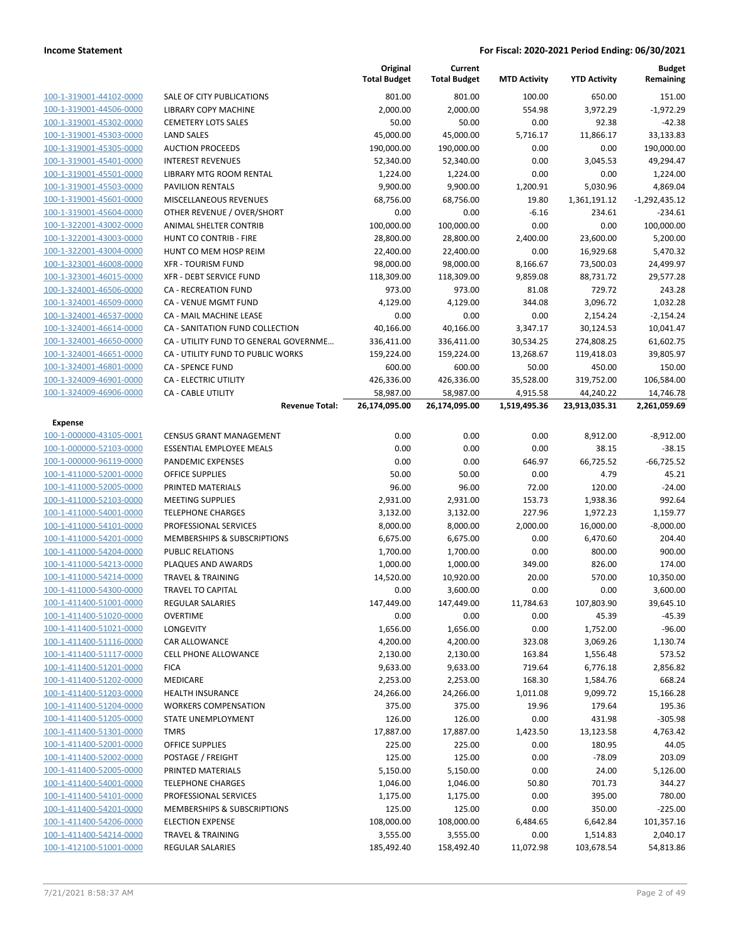|                                                    |                                                        | Original<br><b>Total Budget</b> | Current<br><b>Total Budget</b> | <b>MTD Activity</b> | <b>YTD Activity</b>  | <b>Budget</b><br>Remaining |
|----------------------------------------------------|--------------------------------------------------------|---------------------------------|--------------------------------|---------------------|----------------------|----------------------------|
| 100-1-319001-44102-0000                            | SALE OF CITY PUBLICATIONS                              | 801.00                          | 801.00                         | 100.00              | 650.00               | 151.00                     |
| 100-1-319001-44506-0000                            | LIBRARY COPY MACHINE                                   | 2,000.00                        | 2,000.00                       | 554.98              | 3,972.29             | $-1,972.29$                |
| 100-1-319001-45302-0000                            | <b>CEMETERY LOTS SALES</b>                             | 50.00                           | 50.00                          | 0.00                | 92.38                | $-42.38$                   |
| 100-1-319001-45303-0000                            | <b>LAND SALES</b>                                      | 45,000.00                       | 45,000.00                      | 5,716.17            | 11,866.17            | 33,133.83                  |
| 100-1-319001-45305-0000                            | <b>AUCTION PROCEEDS</b>                                | 190,000.00                      | 190,000.00                     | 0.00                | 0.00                 | 190,000.00                 |
| 100-1-319001-45401-0000                            | <b>INTEREST REVENUES</b>                               | 52,340.00                       | 52,340.00                      | 0.00                | 3,045.53             | 49,294.47                  |
| 100-1-319001-45501-0000                            | LIBRARY MTG ROOM RENTAL                                | 1,224.00                        | 1,224.00                       | 0.00                | 0.00                 | 1,224.00                   |
| 100-1-319001-45503-0000                            | <b>PAVILION RENTALS</b>                                | 9,900.00                        | 9,900.00                       | 1,200.91            | 5,030.96             | 4,869.04                   |
| 100-1-319001-45601-0000                            | MISCELLANEOUS REVENUES                                 | 68,756.00                       | 68,756.00                      | 19.80               | 1,361,191.12         | $-1,292,435.12$            |
| 100-1-319001-45604-0000                            | OTHER REVENUE / OVER/SHORT                             | 0.00                            | 0.00                           | $-6.16$             | 234.61               | $-234.61$                  |
| 100-1-322001-43002-0000                            | ANIMAL SHELTER CONTRIB                                 | 100,000.00                      | 100,000.00                     | 0.00                | 0.00                 | 100,000.00                 |
| 100-1-322001-43003-0000                            | HUNT CO CONTRIB - FIRE                                 | 28,800.00                       | 28,800.00                      | 2,400.00            | 23,600.00            | 5,200.00                   |
| 100-1-322001-43004-0000                            | HUNT CO MEM HOSP REIM                                  | 22,400.00                       | 22,400.00                      | 0.00                | 16,929.68            | 5,470.32                   |
| 100-1-323001-46008-0000                            | <b>XFR - TOURISM FUND</b>                              | 98,000.00                       | 98,000.00                      | 8,166.67            | 73,500.03            | 24,499.97                  |
| 100-1-323001-46015-0000                            | <b>XFR - DEBT SERVICE FUND</b>                         | 118,309.00                      | 118,309.00                     | 9,859.08            | 88,731.72            | 29,577.28                  |
| 100-1-324001-46506-0000                            | <b>CA - RECREATION FUND</b>                            | 973.00                          | 973.00                         | 81.08               | 729.72               | 243.28                     |
| 100-1-324001-46509-0000                            | CA - VENUE MGMT FUND                                   | 4,129.00                        | 4,129.00                       | 344.08              | 3,096.72             | 1,032.28                   |
| 100-1-324001-46537-0000                            | CA - MAIL MACHINE LEASE                                | 0.00                            | 0.00                           | 0.00                | 2,154.24             | $-2,154.24$                |
| 100-1-324001-46614-0000                            | CA - SANITATION FUND COLLECTION                        | 40,166.00                       | 40,166.00                      | 3,347.17            | 30,124.53            | 10,041.47                  |
| 100-1-324001-46650-0000                            | CA - UTILITY FUND TO GENERAL GOVERNME                  | 336,411.00                      | 336,411.00                     | 30,534.25           | 274,808.25           | 61,602.75                  |
| 100-1-324001-46651-0000                            | CA - UTILITY FUND TO PUBLIC WORKS                      | 159,224.00                      | 159,224.00                     | 13,268.67           | 119,418.03           | 39,805.97                  |
| 100-1-324001-46801-0000                            | <b>CA - SPENCE FUND</b>                                | 600.00                          | 600.00                         | 50.00               | 450.00               | 150.00                     |
| 100-1-324009-46901-0000                            | CA - ELECTRIC UTILITY                                  | 426,336.00                      | 426,336.00                     | 35,528.00           | 319,752.00           | 106,584.00                 |
| 100-1-324009-46906-0000                            | <b>CA - CABLE UTILITY</b>                              | 58,987.00                       | 58,987.00                      | 4,915.58            | 44,240.22            | 14,746.78                  |
|                                                    | <b>Revenue Total:</b>                                  | 26,174,095.00                   | 26,174,095.00                  | 1,519,495.36        | 23,913,035.31        | 2,261,059.69               |
| <b>Expense</b>                                     |                                                        |                                 |                                |                     |                      |                            |
| 100-1-000000-43105-0001                            | <b>CENSUS GRANT MANAGEMENT</b>                         | 0.00                            | 0.00                           | 0.00                | 8,912.00             | $-8,912.00$                |
| 100-1-000000-52103-0000                            | <b>ESSENTIAL EMPLOYEE MEALS</b>                        | 0.00                            | 0.00                           | 0.00                | 38.15                | $-38.15$                   |
| 100-1-000000-96119-0000                            | PANDEMIC EXPENSES                                      | 0.00                            | 0.00                           | 646.97              | 66,725.52            | $-66,725.52$               |
| 100-1-411000-52001-0000                            | <b>OFFICE SUPPLIES</b>                                 | 50.00                           | 50.00                          | 0.00                | 4.79                 | 45.21                      |
| 100-1-411000-52005-0000                            | PRINTED MATERIALS                                      | 96.00                           | 96.00                          | 72.00               | 120.00               | $-24.00$                   |
| 100-1-411000-52103-0000                            | <b>MEETING SUPPLIES</b>                                | 2,931.00                        | 2,931.00                       | 153.73              | 1,938.36             | 992.64                     |
| 100-1-411000-54001-0000                            | <b>TELEPHONE CHARGES</b>                               | 3,132.00                        | 3,132.00                       | 227.96              | 1,972.23             | 1,159.77                   |
| 100-1-411000-54101-0000                            | PROFESSIONAL SERVICES                                  | 8,000.00                        | 8,000.00                       | 2,000.00            | 16,000.00            | $-8,000.00$                |
| 100-1-411000-54201-0000                            | MEMBERSHIPS & SUBSCRIPTIONS                            | 6,675.00                        | 6,675.00                       | 0.00                | 6,470.60             | 204.40                     |
| 100-1-411000-54204-0000                            | <b>PUBLIC RELATIONS</b>                                | 1,700.00                        | 1,700.00                       | 0.00                | 800.00               | 900.00                     |
| 100-1-411000-54213-0000                            | PLAQUES AND AWARDS                                     | 1,000.00                        | 1,000.00                       | 349.00              | 826.00               | 174.00                     |
| 100-1-411000-54214-0000                            | <b>TRAVEL &amp; TRAINING</b>                           | 14,520.00                       | 10,920.00                      | 20.00               | 570.00               | 10,350.00                  |
| 100-1-411000-54300-0000                            | <b>TRAVEL TO CAPITAL</b>                               | 0.00                            | 3,600.00                       | 0.00                | 0.00                 | 3,600.00                   |
| 100-1-411400-51001-0000                            | REGULAR SALARIES                                       | 147,449.00                      | 147,449.00                     | 11,784.63           | 107,803.90           | 39,645.10                  |
| 100-1-411400-51020-0000                            | <b>OVERTIME</b>                                        | 0.00                            | 0.00                           | 0.00                | 45.39                | -45.39                     |
| 100-1-411400-51021-0000                            | <b>LONGEVITY</b>                                       | 1,656.00                        | 1,656.00                       | 0.00                | 1,752.00             | $-96.00$                   |
| 100-1-411400-51116-0000                            | CAR ALLOWANCE                                          | 4,200.00                        | 4,200.00                       | 323.08              | 3,069.26             | 1,130.74                   |
| 100-1-411400-51117-0000                            | <b>CELL PHONE ALLOWANCE</b>                            | 2,130.00                        | 2,130.00                       | 163.84              | 1,556.48             | 573.52                     |
| 100-1-411400-51201-0000                            | <b>FICA</b>                                            | 9,633.00                        | 9,633.00                       | 719.64              | 6,776.18             | 2,856.82                   |
| 100-1-411400-51202-0000<br>100-1-411400-51203-0000 | MEDICARE                                               | 2,253.00                        | 2,253.00                       | 168.30              | 1,584.76<br>9,099.72 | 668.24                     |
| 100-1-411400-51204-0000                            | <b>HEALTH INSURANCE</b><br><b>WORKERS COMPENSATION</b> | 24,266.00<br>375.00             | 24,266.00<br>375.00            | 1,011.08<br>19.96   | 179.64               | 15,166.28<br>195.36        |
| 100-1-411400-51205-0000                            | STATE UNEMPLOYMENT                                     | 126.00                          | 126.00                         | 0.00                | 431.98               | $-305.98$                  |
| 100-1-411400-51301-0000                            | <b>TMRS</b>                                            | 17,887.00                       | 17,887.00                      |                     |                      | 4,763.42                   |
|                                                    | <b>OFFICE SUPPLIES</b>                                 |                                 |                                | 1,423.50            | 13,123.58            |                            |
| 100-1-411400-52001-0000<br>100-1-411400-52002-0000 | POSTAGE / FREIGHT                                      | 225.00<br>125.00                | 225.00<br>125.00               | 0.00<br>0.00        | 180.95<br>$-78.09$   | 44.05<br>203.09            |
| 100-1-411400-52005-0000                            | PRINTED MATERIALS                                      | 5,150.00                        | 5,150.00                       | 0.00                | 24.00                | 5,126.00                   |
| 100-1-411400-54001-0000                            | <b>TELEPHONE CHARGES</b>                               | 1,046.00                        | 1,046.00                       | 50.80               | 701.73               | 344.27                     |
|                                                    |                                                        |                                 |                                |                     |                      |                            |
| 100-1-411400-54101-0000<br>100-1-411400-54201-0000 | PROFESSIONAL SERVICES<br>MEMBERSHIPS & SUBSCRIPTIONS   | 1,175.00                        | 1,175.00                       | 0.00                | 395.00               | 780.00<br>$-225.00$        |
| 100-1-411400-54206-0000                            | <b>ELECTION EXPENSE</b>                                | 125.00                          | 125.00                         | 0.00                | 350.00               |                            |
| 100-1-411400-54214-0000                            | <b>TRAVEL &amp; TRAINING</b>                           | 108,000.00<br>3,555.00          | 108,000.00<br>3,555.00         | 6,484.65<br>0.00    | 6,642.84             | 101,357.16<br>2,040.17     |
| 100-1-412100-51001-0000                            | REGULAR SALARIES                                       | 185,492.40                      | 158,492.40                     | 11,072.98           | 1,514.83             | 54,813.86                  |
|                                                    |                                                        |                                 |                                |                     | 103,678.54           |                            |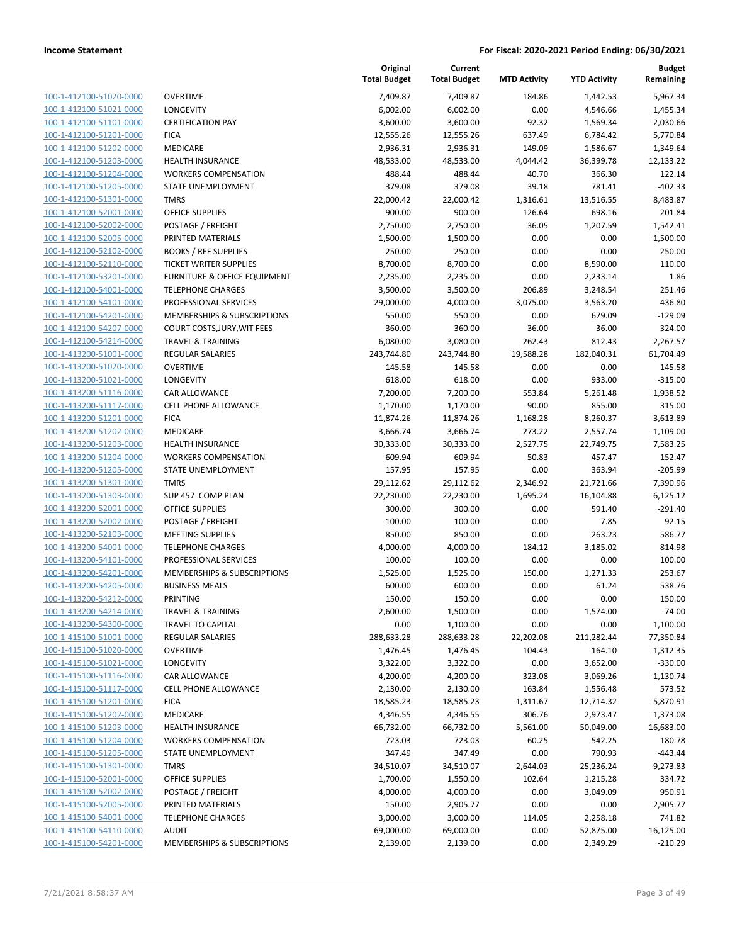| 100-1-412100-51020-0000        |
|--------------------------------|
| 100-1-412100-51021-0000        |
| 100-1-412100-51101-0000        |
| 100-1-412100-51201-0000        |
| 100-1-412100-51202-0000        |
| 100-1-412100-51203-0000        |
| 100-1-412100-51204-0000        |
| 100-1-412100-51205-0000        |
| 100-1-412100-51301-0000        |
| 100-1-412100-52001-0000        |
| 100-1-412100-52002-0000        |
| 100-1-412100-52005-0000        |
| 100-1-412100-52102-0000        |
| 100-1-412100-52110-0000        |
| 100-1-412100-53201-0000        |
| 100-1-412100-54001-0000        |
| 100-1-412100-54101-0000        |
| 100-1-412100-54201-0000        |
| 100-1-412100-54207-0000        |
| 100-1-412100-54214-0000        |
| 100-1-413200-51001-0000        |
| 100-1-413200-51020-0000        |
| 100-1-413200-51021-0000        |
| 100-1-413200-51116-0000        |
| 100-1-413200-51117-0000        |
| 100-1-413200-51201-0000        |
| 100-1-413200-51202-0000        |
| 100-1-413200-51203-0000        |
| 100-1-413200-51204-0000        |
| 100-1-413200-51205-0000        |
| 100-1-413200-51301-0000        |
| 100-1-413200-51303-0000        |
| 100-1-413200-52001-0000        |
| 100-1-413200-52002-0000        |
| 100-1-413200-52103-0000        |
| 100-1-413200-54001-0000        |
| 100-1-413200-54101-0000        |
| 100-1-413200-54201-0000        |
| 100-1-413200-54205-0000        |
| 100-1-413200-54212-0000        |
| <u>100-1-413200-54214-0000</u> |
| <u>100-1-413200-54300-0000</u> |
| 100-1-415100-51001-0000        |
| 100-1-415100-51020-0000        |
| 100-1-415100-51021-0000        |
| <u>100-1-415100-51116-0000</u> |
| 100-1-415100-51117-0000        |
| 100-1-415100-51201-0000        |
| 100-1-415100-51202-0000        |
| 100-1-415100-51203-0000        |
| <u>100-1-415100-51204-0000</u> |
| 100-1-415100-51205-0000        |
| 100-1-415100-51301-0000        |
| 100-1-415100-52001-0000        |
| 100-1-415100-52002-0000        |
| <u>100-1-415100-52005-0000</u> |
| 100-1-415100-54001-0000        |
| <u>100-1-415100-54110-0000</u> |
| 100-1-415100-54201-0000        |

|                         |                               | Original<br><b>Total Budget</b> | Current<br><b>Total Budget</b> | <b>MTD Activity</b> | <b>YTD Activity</b> | Budget<br>Remaining |
|-------------------------|-------------------------------|---------------------------------|--------------------------------|---------------------|---------------------|---------------------|
| 100-1-412100-51020-0000 | <b>OVERTIME</b>               | 7,409.87                        | 7,409.87                       | 184.86              | 1,442.53            | 5,967.34            |
| 100-1-412100-51021-0000 | <b>LONGEVITY</b>              | 6,002.00                        | 6,002.00                       | 0.00                | 4,546.66            | 1,455.34            |
| 100-1-412100-51101-0000 | <b>CERTIFICATION PAY</b>      | 3,600.00                        | 3,600.00                       | 92.32               | 1,569.34            | 2,030.66            |
| 100-1-412100-51201-0000 | <b>FICA</b>                   | 12,555.26                       | 12,555.26                      | 637.49              | 6,784.42            | 5,770.84            |
| 100-1-412100-51202-0000 | <b>MEDICARE</b>               | 2,936.31                        | 2,936.31                       | 149.09              | 1,586.67            | 1,349.64            |
| 100-1-412100-51203-0000 | <b>HEALTH INSURANCE</b>       | 48,533.00                       | 48,533.00                      | 4,044.42            | 36,399.78           | 12,133.22           |
| 100-1-412100-51204-0000 | <b>WORKERS COMPENSATION</b>   | 488.44                          | 488.44                         | 40.70               | 366.30              | 122.14              |
| 100-1-412100-51205-0000 | STATE UNEMPLOYMENT            | 379.08                          | 379.08                         | 39.18               | 781.41              | $-402.33$           |
| 100-1-412100-51301-0000 | <b>TMRS</b>                   | 22,000.42                       | 22,000.42                      | 1,316.61            | 13,516.55           | 8,483.87            |
| 100-1-412100-52001-0000 | OFFICE SUPPLIES               | 900.00                          | 900.00                         | 126.64              | 698.16              | 201.84              |
| 100-1-412100-52002-0000 | POSTAGE / FREIGHT             | 2,750.00                        | 2,750.00                       | 36.05               | 1,207.59            | 1,542.41            |
| 100-1-412100-52005-0000 | PRINTED MATERIALS             | 1,500.00                        | 1,500.00                       | 0.00                | 0.00                | 1,500.00            |
| 100-1-412100-52102-0000 | <b>BOOKS / REF SUPPLIES</b>   | 250.00                          | 250.00                         | 0.00                | 0.00                | 250.00              |
| 100-1-412100-52110-0000 | <b>TICKET WRITER SUPPLIES</b> | 8,700.00                        | 8,700.00                       | 0.00                | 8,590.00            | 110.00              |
| 100-1-412100-53201-0000 | FURNITURE & OFFICE EQUIPMENT  | 2,235.00                        | 2,235.00                       | 0.00                | 2,233.14            | 1.86                |
| 100-1-412100-54001-0000 | <b>TELEPHONE CHARGES</b>      | 3,500.00                        | 3,500.00                       | 206.89              | 3,248.54            | 251.46              |
| 100-1-412100-54101-0000 | PROFESSIONAL SERVICES         | 29,000.00                       | 4,000.00                       | 3,075.00            | 3,563.20            | 436.80              |
| 100-1-412100-54201-0000 | MEMBERSHIPS & SUBSCRIPTIONS   | 550.00                          | 550.00                         | 0.00                | 679.09              | $-129.09$           |
| 100-1-412100-54207-0000 | COURT COSTS, JURY, WIT FEES   | 360.00                          | 360.00                         | 36.00               | 36.00               | 324.00              |
| 100-1-412100-54214-0000 | <b>TRAVEL &amp; TRAINING</b>  | 6,080.00                        | 3,080.00                       | 262.43              | 812.43              | 2,267.57            |
| 100-1-413200-51001-0000 | REGULAR SALARIES              | 243,744.80                      | 243,744.80                     | 19,588.28           | 182,040.31          | 61,704.49           |
| 100-1-413200-51020-0000 | <b>OVERTIME</b>               | 145.58                          | 145.58                         | 0.00                | 0.00                | 145.58              |
| 100-1-413200-51021-0000 | LONGEVITY                     | 618.00                          | 618.00                         | 0.00                | 933.00              | $-315.00$           |
| 100-1-413200-51116-0000 | <b>CAR ALLOWANCE</b>          | 7,200.00                        | 7,200.00                       | 553.84              | 5,261.48            | 1,938.52            |
| 100-1-413200-51117-0000 | <b>CELL PHONE ALLOWANCE</b>   | 1,170.00                        | 1,170.00                       | 90.00               | 855.00              | 315.00              |
| 100-1-413200-51201-0000 | <b>FICA</b>                   | 11,874.26                       | 11,874.26                      | 1,168.28            | 8,260.37            | 3,613.89            |
| 100-1-413200-51202-0000 | MEDICARE                      | 3,666.74                        | 3,666.74                       | 273.22              | 2,557.74            | 1,109.00            |
| 100-1-413200-51203-0000 | <b>HEALTH INSURANCE</b>       | 30,333.00                       | 30,333.00                      | 2,527.75            | 22,749.75           | 7,583.25            |
| 100-1-413200-51204-0000 | <b>WORKERS COMPENSATION</b>   | 609.94                          | 609.94                         | 50.83               | 457.47              | 152.47              |
| 100-1-413200-51205-0000 | STATE UNEMPLOYMENT            | 157.95                          | 157.95                         | 0.00                | 363.94              | $-205.99$           |
| 100-1-413200-51301-0000 | <b>TMRS</b>                   | 29,112.62                       | 29,112.62                      | 2,346.92            | 21,721.66           | 7,390.96            |
| 100-1-413200-51303-0000 | SUP 457 COMP PLAN             | 22,230.00                       | 22,230.00                      | 1,695.24            | 16,104.88           | 6,125.12            |
| 100-1-413200-52001-0000 | OFFICE SUPPLIES               | 300.00                          | 300.00                         | 0.00                | 591.40              | $-291.40$           |
| 100-1-413200-52002-0000 | POSTAGE / FREIGHT             | 100.00                          | 100.00                         | 0.00                | 7.85                | 92.15               |
| 100-1-413200-52103-0000 | <b>MEETING SUPPLIES</b>       | 850.00                          | 850.00                         | 0.00                | 263.23              | 586.77              |
| 100-1-413200-54001-0000 | <b>TELEPHONE CHARGES</b>      | 4,000.00                        | 4,000.00                       | 184.12              | 3,185.02            | 814.98              |
| 100-1-413200-54101-0000 | PROFESSIONAL SERVICES         | 100.00                          | 100.00                         | 0.00                | 0.00                | 100.00              |
| 100-1-413200-54201-0000 | MEMBERSHIPS & SUBSCRIPTIONS   | 1,525.00                        | 1,525.00                       | 150.00              | 1,271.33            | 253.67              |
| 100-1-413200-54205-0000 | <b>BUSINESS MEALS</b>         | 600.00                          | 600.00                         | 0.00                | 61.24               | 538.76              |
| 100-1-413200-54212-0000 | PRINTING                      | 150.00                          | 150.00                         | 0.00                | 0.00                | 150.00              |
| 100-1-413200-54214-0000 | <b>TRAVEL &amp; TRAINING</b>  | 2,600.00                        | 1,500.00                       | 0.00                | 1,574.00            | $-74.00$            |
| 100-1-413200-54300-0000 | TRAVEL TO CAPITAL             | 0.00                            | 1,100.00                       | 0.00                | 0.00                | 1,100.00            |
| 100-1-415100-51001-0000 | <b>REGULAR SALARIES</b>       | 288,633.28                      | 288,633.28                     | 22,202.08           | 211,282.44          | 77,350.84           |
| 100-1-415100-51020-0000 | <b>OVERTIME</b>               | 1,476.45                        | 1,476.45                       | 104.43              | 164.10              | 1,312.35            |
| 100-1-415100-51021-0000 | LONGEVITY                     | 3,322.00                        | 3,322.00                       | 0.00                | 3,652.00            | $-330.00$           |
| 100-1-415100-51116-0000 | CAR ALLOWANCE                 | 4,200.00                        | 4,200.00                       | 323.08              | 3,069.26            | 1,130.74            |
| 100-1-415100-51117-0000 | <b>CELL PHONE ALLOWANCE</b>   | 2,130.00                        | 2,130.00                       | 163.84              | 1,556.48            | 573.52              |
| 100-1-415100-51201-0000 | <b>FICA</b>                   | 18,585.23                       | 18,585.23                      | 1,311.67            | 12,714.32           | 5,870.91            |
| 100-1-415100-51202-0000 | MEDICARE                      | 4,346.55                        | 4,346.55                       | 306.76              | 2,973.47            | 1,373.08            |
| 100-1-415100-51203-0000 | HEALTH INSURANCE              | 66,732.00                       | 66,732.00                      | 5,561.00            | 50,049.00           | 16,683.00           |
| 100-1-415100-51204-0000 | <b>WORKERS COMPENSATION</b>   | 723.03                          | 723.03                         | 60.25               | 542.25              | 180.78              |
| 100-1-415100-51205-0000 | STATE UNEMPLOYMENT            | 347.49                          | 347.49                         | 0.00                | 790.93              | $-443.44$           |
| 100-1-415100-51301-0000 | <b>TMRS</b>                   | 34,510.07                       | 34,510.07                      | 2,644.03            | 25,236.24           | 9,273.83            |
| 100-1-415100-52001-0000 | <b>OFFICE SUPPLIES</b>        | 1,700.00                        | 1,550.00                       | 102.64              | 1,215.28            | 334.72              |
| 100-1-415100-52002-0000 | POSTAGE / FREIGHT             | 4,000.00                        | 4,000.00                       | 0.00                | 3,049.09            | 950.91              |
| 100-1-415100-52005-0000 | PRINTED MATERIALS             | 150.00                          | 2,905.77                       | 0.00                | 0.00                | 2,905.77            |
| 100-1-415100-54001-0000 | <b>TELEPHONE CHARGES</b>      | 3,000.00                        | 3,000.00                       | 114.05              | 2,258.18            | 741.82              |
| 100-1-415100-54110-0000 | <b>AUDIT</b>                  | 69,000.00                       | 69,000.00                      | 0.00                | 52,875.00           | 16,125.00           |
| 100-1-415100-54201-0000 | MEMBERSHIPS & SUBSCRIPTIONS   | 2,139.00                        | 2,139.00                       | 0.00                | 2,349.29            | $-210.29$           |
|                         |                               |                                 |                                |                     |                     |                     |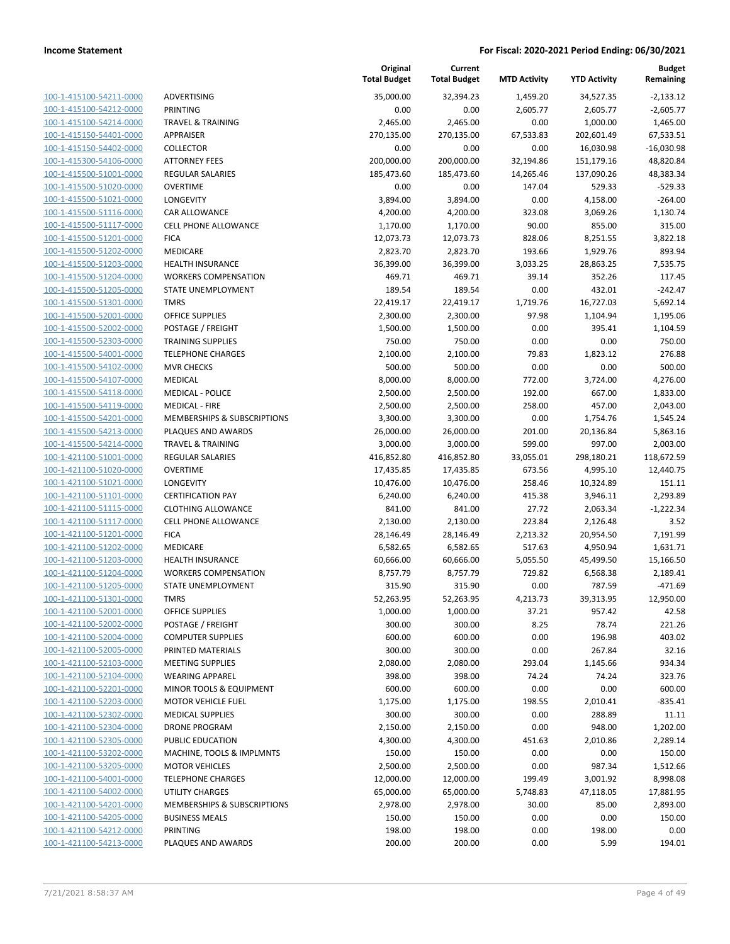| 100-1-415100-54211-0000        |
|--------------------------------|
| 100-1-415100-54212-0000        |
| 100-1-415100-54214-0000        |
| 100-1-415150-54401-0000        |
| 100-1-415150-54402-0000        |
| 100-1-415300-54106-0000        |
| 100-1-415500-51001-0000        |
| 100-1-415500-51020-0000        |
| 100-1-415500-51021-0000        |
| 100-1-415500-51116-0000        |
| 100-1-415500-51117-0000        |
| 100-1-415500-51201-0000        |
| 100-1-415500-51202-0000        |
| 100-1-415500-51203-0000        |
| <u>100-1-415500-51204-0000</u> |
| 100-1-415500-51205-0000        |
| 100-1-415500-51301-0000        |
| 100-1-415500-52001-0000        |
| 100-1-415500-52002-0000        |
| 100-1-415500-52303-0000        |
| 100-1-415500-54001-0000        |
| 100-1-415500-54102-0000        |
| 100-1-415500-54107-0000        |
| 100-1-415500-54118-0000        |
|                                |
| 100-1-415500-54119-0000        |
| 100-1-415500-54201-0000        |
| 100-1-415500-54213-0000        |
| 100-1-415500-54214-0000        |
| 100-1-421100-51001-0000        |
| 100-1-421100-51020-0000        |
| 100-1-421100-51021-0000        |
| 100-1-421100-51101-0000        |
| 100-1-421100-51115-0000        |
| <u>100-1-421100-51117-0000</u> |
| 100-1-421100-51201-0000        |
| 100-1-421100-51202-0000        |
| 100-1-421100-51203-0000        |
| 100-1-421100-51204-0000        |
| 100-1-421100-51205-0000        |
| 100-1-421100-51301-0000        |
| 100-1-421100-52001-0000        |
| <u>100-1-421100-52002-0000</u> |
| 100-1-421100-52004-0000        |
| 100-1-421100-52005-0000        |
| <u>100-1-421100-52103-0000</u> |
| 100-1-421100-52104-0000        |
| 100-1-421100-52201-0000        |
| 100-1-421100-52203-0000        |
| 100-1-421100-52302-0000        |
| 100-1-421100-52304-0000        |
| <u>100-1-421100-52305-0000</u> |
| 100-1-421100-53202-0000        |
| 100-1-421100-53205-0000        |
| 100-1-421100-54001-0000        |
| <u>100-1-421100-54002-0000</u> |
| <u>100-1-421100-54201-0000</u> |
| <u>100-1-421100-54205-0000</u> |
| 100-1-421100-54212-0000        |
| <u>100-1-421100-54213-0000</u> |
|                                |

|                         |                              | Original<br><b>Total Budget</b> | Current<br><b>Total Budget</b> | <b>MTD Activity</b> | <b>YTD Activity</b> | <b>Budget</b><br>Remaining |
|-------------------------|------------------------------|---------------------------------|--------------------------------|---------------------|---------------------|----------------------------|
| 100-1-415100-54211-0000 | <b>ADVERTISING</b>           | 35,000.00                       | 32,394.23                      | 1,459.20            | 34,527.35           | $-2,133.12$                |
| 100-1-415100-54212-0000 | PRINTING                     | 0.00                            | 0.00                           | 2,605.77            | 2,605.77            | $-2,605.77$                |
| 100-1-415100-54214-0000 | <b>TRAVEL &amp; TRAINING</b> | 2,465.00                        | 2,465.00                       | 0.00                | 1,000.00            | 1,465.00                   |
| 100-1-415150-54401-0000 | APPRAISER                    | 270,135.00                      | 270,135.00                     | 67,533.83           | 202,601.49          | 67,533.51                  |
| 100-1-415150-54402-0000 | <b>COLLECTOR</b>             | 0.00                            | 0.00                           | 0.00                | 16,030.98           | $-16,030.98$               |
| 100-1-415300-54106-0000 | <b>ATTORNEY FEES</b>         | 200,000.00                      | 200,000.00                     | 32,194.86           | 151,179.16          | 48,820.84                  |
| 100-1-415500-51001-0000 | <b>REGULAR SALARIES</b>      | 185,473.60                      | 185,473.60                     | 14,265.46           | 137,090.26          | 48,383.34                  |
| 100-1-415500-51020-0000 | <b>OVERTIME</b>              | 0.00                            | 0.00                           | 147.04              | 529.33              | $-529.33$                  |
| 100-1-415500-51021-0000 | LONGEVITY                    | 3,894.00                        | 3,894.00                       | 0.00                | 4,158.00            | $-264.00$                  |
| 100-1-415500-51116-0000 | CAR ALLOWANCE                | 4,200.00                        | 4,200.00                       | 323.08              | 3,069.26            | 1,130.74                   |
| 100-1-415500-51117-0000 | <b>CELL PHONE ALLOWANCE</b>  | 1,170.00                        | 1,170.00                       | 90.00               | 855.00              | 315.00                     |
| 100-1-415500-51201-0000 | <b>FICA</b>                  | 12,073.73                       | 12,073.73                      | 828.06              | 8,251.55            | 3,822.18                   |
| 100-1-415500-51202-0000 | <b>MEDICARE</b>              | 2,823.70                        | 2,823.70                       | 193.66              | 1,929.76            | 893.94                     |
| 100-1-415500-51203-0000 | <b>HEALTH INSURANCE</b>      | 36,399.00                       | 36,399.00                      | 3,033.25            | 28,863.25           | 7,535.75                   |
| 100-1-415500-51204-0000 | <b>WORKERS COMPENSATION</b>  | 469.71                          | 469.71                         | 39.14               | 352.26              | 117.45                     |
| 100-1-415500-51205-0000 | STATE UNEMPLOYMENT           | 189.54                          | 189.54                         | 0.00                | 432.01              | $-242.47$                  |
| 100-1-415500-51301-0000 | <b>TMRS</b>                  | 22,419.17                       | 22,419.17                      | 1,719.76            | 16,727.03           | 5,692.14                   |
| 100-1-415500-52001-0000 | <b>OFFICE SUPPLIES</b>       | 2,300.00                        | 2,300.00                       | 97.98               | 1,104.94            | 1,195.06                   |
| 100-1-415500-52002-0000 | POSTAGE / FREIGHT            | 1,500.00                        | 1,500.00                       | 0.00                | 395.41              | 1,104.59                   |
| 100-1-415500-52303-0000 | <b>TRAINING SUPPLIES</b>     | 750.00                          | 750.00                         | 0.00                | 0.00                | 750.00                     |
| 100-1-415500-54001-0000 | <b>TELEPHONE CHARGES</b>     | 2,100.00                        | 2,100.00                       | 79.83               | 1,823.12            | 276.88                     |
| 100-1-415500-54102-0000 | <b>MVR CHECKS</b>            | 500.00                          | 500.00                         | 0.00                | 0.00                | 500.00                     |
| 100-1-415500-54107-0000 | <b>MEDICAL</b>               | 8,000.00                        | 8,000.00                       | 772.00              | 3,724.00            | 4,276.00                   |
| 100-1-415500-54118-0000 | <b>MEDICAL - POLICE</b>      | 2,500.00                        | 2,500.00                       | 192.00              | 667.00              | 1,833.00                   |
| 100-1-415500-54119-0000 | <b>MEDICAL - FIRE</b>        | 2,500.00                        | 2,500.00                       | 258.00              | 457.00              | 2,043.00                   |
| 100-1-415500-54201-0000 | MEMBERSHIPS & SUBSCRIPTIONS  | 3,300.00                        | 3,300.00                       | 0.00                | 1,754.76            | 1,545.24                   |
| 100-1-415500-54213-0000 | PLAQUES AND AWARDS           | 26,000.00                       | 26,000.00                      | 201.00              | 20,136.84           | 5,863.16                   |
| 100-1-415500-54214-0000 | <b>TRAVEL &amp; TRAINING</b> | 3,000.00                        | 3,000.00                       | 599.00              | 997.00              | 2,003.00                   |
| 100-1-421100-51001-0000 | <b>REGULAR SALARIES</b>      | 416,852.80                      | 416,852.80                     | 33,055.01           | 298,180.21          | 118,672.59                 |
| 100-1-421100-51020-0000 | <b>OVERTIME</b>              | 17,435.85                       | 17,435.85                      | 673.56              | 4,995.10            | 12,440.75                  |
| 100-1-421100-51021-0000 | LONGEVITY                    | 10,476.00                       | 10,476.00                      | 258.46              | 10,324.89           | 151.11                     |
| 100-1-421100-51101-0000 | <b>CERTIFICATION PAY</b>     | 6,240.00                        | 6,240.00                       | 415.38              | 3,946.11            | 2,293.89                   |
| 100-1-421100-51115-0000 | <b>CLOTHING ALLOWANCE</b>    | 841.00                          | 841.00                         | 27.72               | 2,063.34            | $-1,222.34$                |
| 100-1-421100-51117-0000 | <b>CELL PHONE ALLOWANCE</b>  | 2,130.00                        | 2,130.00                       | 223.84              | 2,126.48            | 3.52                       |
| 100-1-421100-51201-0000 | <b>FICA</b>                  | 28,146.49                       | 28,146.49                      | 2,213.32            | 20,954.50           | 7,191.99                   |
| 100-1-421100-51202-0000 | MEDICARE                     | 6,582.65                        | 6,582.65                       | 517.63              | 4,950.94            | 1,631.71                   |
| 100-1-421100-51203-0000 | <b>HEALTH INSURANCE</b>      | 60,666.00                       | 60,666.00                      | 5,055.50            | 45,499.50           | 15,166.50                  |
| 100-1-421100-51204-0000 | <b>WORKERS COMPENSATION</b>  | 8,757.79                        | 8,757.79                       | 729.82              | 6,568.38            | 2,189.41                   |
| 100-1-421100-51205-0000 | STATE UNEMPLOYMENT           | 315.90                          | 315.90                         | 0.00                | 787.59              | $-471.69$                  |
| 100-1-421100-51301-0000 | TMRS                         | 52,263.95                       | 52,263.95                      | 4,213.73            | 39,313.95           | 12,950.00                  |
| 100-1-421100-52001-0000 | <b>OFFICE SUPPLIES</b>       | 1,000.00                        | 1,000.00                       | 37.21               | 957.42              | 42.58                      |
| 100-1-421100-52002-0000 | POSTAGE / FREIGHT            | 300.00                          | 300.00                         | 8.25                | 78.74               | 221.26                     |
| 100-1-421100-52004-0000 | <b>COMPUTER SUPPLIES</b>     | 600.00                          | 600.00                         | 0.00                | 196.98              | 403.02                     |
| 100-1-421100-52005-0000 | PRINTED MATERIALS            | 300.00                          | 300.00                         | 0.00                | 267.84              | 32.16                      |
| 100-1-421100-52103-0000 | <b>MEETING SUPPLIES</b>      | 2,080.00                        | 2,080.00                       | 293.04              | 1,145.66            | 934.34                     |
| 100-1-421100-52104-0000 | <b>WEARING APPAREL</b>       | 398.00                          | 398.00                         | 74.24               | 74.24               | 323.76                     |
| 100-1-421100-52201-0000 | MINOR TOOLS & EQUIPMENT      | 600.00                          | 600.00                         | 0.00                | 0.00                | 600.00                     |
| 100-1-421100-52203-0000 | <b>MOTOR VEHICLE FUEL</b>    | 1,175.00                        | 1,175.00                       | 198.55              | 2,010.41            | $-835.41$                  |
| 100-1-421100-52302-0000 | <b>MEDICAL SUPPLIES</b>      | 300.00                          | 300.00                         | 0.00                | 288.89              | 11.11                      |
| 100-1-421100-52304-0000 | <b>DRONE PROGRAM</b>         | 2,150.00                        | 2,150.00                       | 0.00                | 948.00              | 1,202.00                   |
| 100-1-421100-52305-0000 | PUBLIC EDUCATION             | 4,300.00                        | 4,300.00                       | 451.63              | 2,010.86            | 2,289.14                   |
| 100-1-421100-53202-0000 | MACHINE, TOOLS & IMPLMNTS    | 150.00                          | 150.00                         | 0.00                | 0.00                | 150.00                     |
| 100-1-421100-53205-0000 | <b>MOTOR VEHICLES</b>        | 2,500.00                        | 2,500.00                       | 0.00                | 987.34              | 1,512.66                   |
| 100-1-421100-54001-0000 | <b>TELEPHONE CHARGES</b>     | 12,000.00                       | 12,000.00                      | 199.49              | 3,001.92            | 8,998.08                   |
| 100-1-421100-54002-0000 | <b>UTILITY CHARGES</b>       | 65,000.00                       | 65,000.00                      | 5,748.83            | 47,118.05           | 17,881.95                  |
| 100-1-421100-54201-0000 | MEMBERSHIPS & SUBSCRIPTIONS  | 2,978.00                        | 2,978.00                       | 30.00               | 85.00               | 2,893.00                   |
| 100-1-421100-54205-0000 | <b>BUSINESS MEALS</b>        | 150.00                          | 150.00                         | 0.00                | 0.00                | 150.00                     |
| 100-1-421100-54212-0000 | PRINTING                     | 198.00                          | 198.00                         | 0.00                | 198.00              | 0.00                       |
| 100-1-421100-54213-0000 | PLAQUES AND AWARDS           | 200.00                          | 200.00                         | 0.00                | 5.99                | 194.01                     |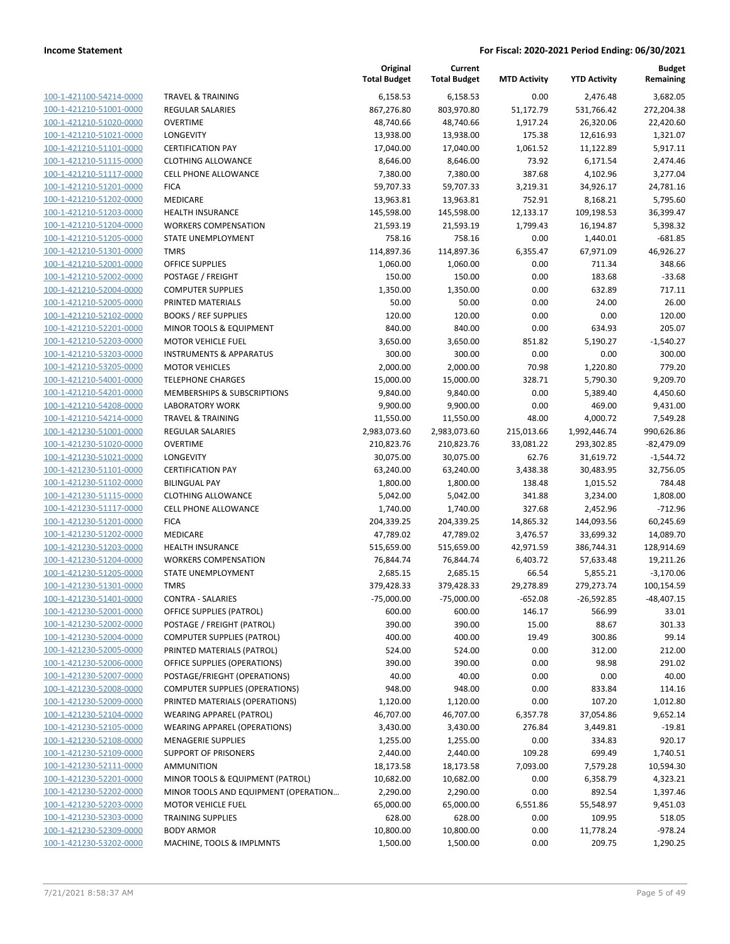| 100-1-421100-54214-0000                                          |
|------------------------------------------------------------------|
| 100-1-421210-51001-0000                                          |
| 100-1-421210-51020-0000                                          |
| 100-1-421210-51021-0000                                          |
| 100-1-421210-51101-0000                                          |
| 100-1-421210-51115-0000                                          |
| 100-1-421210-51117-0000                                          |
| 100-1-421210-51201-0000                                          |
|                                                                  |
| 100-1-421210-51202-0000                                          |
| 100-1-421210-51203-0000                                          |
| 100-1-421210-51204-0000                                          |
| 100-1-421210-51205-0000                                          |
| 100-1-421210-51301-0000                                          |
| 100-1-421210-52001-0000                                          |
| 100-1-421210-52002-0000                                          |
| 100-1-421210-52004-0000                                          |
| 100-1-421210-52005-0000                                          |
| 100-1-421210-52102-0000                                          |
| 100-1-421210-52201-0000                                          |
| 100-1-421210-52203-0000                                          |
| 100-1-421210-53203-0000                                          |
|                                                                  |
| 100-1-421210-53205-0000                                          |
| 100-1-421210-54001-0000                                          |
| 100-1-421210-54201-0000                                          |
| 100-1-421210-54208-0000                                          |
| 100-1-421210-54214-0000                                          |
| 100-1-421230-51001-0000                                          |
| 100-1-421230-51020-0000                                          |
| 100-1-421230-51021-0000                                          |
| 100-1-421230-51101-0000                                          |
| 100-1-421230-51102-0000                                          |
| 100-1-421230-51115-0000                                          |
| 100-1-421230-51117-0000                                          |
|                                                                  |
| 100-1-421230-51201-0000                                          |
| 100-1-421230-51202-0000                                          |
| 100-1-421230-51203-0000                                          |
| 100-1-421230-51204-0000                                          |
| 100-1-421230-51205-0000                                          |
| 100-1-421230-51301-0000                                          |
| 100-1-421230-51401-0000                                          |
| 100-1-421230-52001-0000                                          |
| 100-1-421230-52002-0000                                          |
| <u>100-1-421230-52004-0000</u>                                   |
| 100-1-421230-52005-0000                                          |
| 100-1-421230-52006-0000                                          |
| 100-1-421230-52007-0000                                          |
|                                                                  |
| 100-1-421230-52008-0000                                          |
| 100-1-421230-52009-0000                                          |
| 100-1-421230-52104-0000                                          |
| 100-1-421230-52105-0000                                          |
| 100-1-421230-52108-0000                                          |
| 100-1-421230-52109-0000                                          |
|                                                                  |
| <u>100-1-421230-52111-0000</u>                                   |
| <u>100-1-421230-52201-0000</u>                                   |
|                                                                  |
| 100-1-421230-52202-0000                                          |
| <u>100-1-421230-52203-0000</u>                                   |
| 100-1-421230-52303-0000                                          |
| <u>100-1-421230-52309-0000</u><br><u>100-1-421230-53202-0000</u> |

|                         |                                       | Original<br><b>Total Budget</b> | Current<br><b>Total Budget</b> | <b>MTD Activity</b> | <b>YTD Activity</b> | <b>Budget</b><br>Remaining |
|-------------------------|---------------------------------------|---------------------------------|--------------------------------|---------------------|---------------------|----------------------------|
| 100-1-421100-54214-0000 | <b>TRAVEL &amp; TRAINING</b>          | 6,158.53                        | 6,158.53                       | 0.00                | 2,476.48            | 3,682.05                   |
| 100-1-421210-51001-0000 | REGULAR SALARIES                      | 867,276.80                      | 803,970.80                     | 51,172.79           | 531,766.42          | 272,204.38                 |
| 100-1-421210-51020-0000 | <b>OVERTIME</b>                       | 48,740.66                       | 48,740.66                      | 1,917.24            | 26,320.06           | 22,420.60                  |
| 100-1-421210-51021-0000 | <b>LONGEVITY</b>                      | 13,938.00                       | 13,938.00                      | 175.38              | 12,616.93           | 1,321.07                   |
| 100-1-421210-51101-0000 | <b>CERTIFICATION PAY</b>              | 17,040.00                       | 17,040.00                      | 1,061.52            | 11,122.89           | 5,917.11                   |
| 100-1-421210-51115-0000 | <b>CLOTHING ALLOWANCE</b>             | 8,646.00                        | 8,646.00                       | 73.92               | 6,171.54            | 2,474.46                   |
| 100-1-421210-51117-0000 | CELL PHONE ALLOWANCE                  | 7,380.00                        | 7,380.00                       | 387.68              | 4,102.96            | 3,277.04                   |
| 100-1-421210-51201-0000 | <b>FICA</b>                           | 59,707.33                       | 59,707.33                      | 3,219.31            | 34,926.17           | 24,781.16                  |
| 100-1-421210-51202-0000 | MEDICARE                              | 13,963.81                       | 13,963.81                      | 752.91              | 8,168.21            | 5,795.60                   |
| 100-1-421210-51203-0000 | <b>HEALTH INSURANCE</b>               | 145,598.00                      | 145,598.00                     | 12,133.17           | 109,198.53          | 36,399.47                  |
| 100-1-421210-51204-0000 | <b>WORKERS COMPENSATION</b>           | 21,593.19                       | 21,593.19                      | 1,799.43            | 16,194.87           | 5,398.32                   |
| 100-1-421210-51205-0000 | STATE UNEMPLOYMENT                    | 758.16                          | 758.16                         | 0.00                | 1,440.01            | $-681.85$                  |
| 100-1-421210-51301-0000 | <b>TMRS</b>                           | 114,897.36                      | 114,897.36                     | 6,355.47            | 67,971.09           | 46,926.27                  |
| 100-1-421210-52001-0000 | <b>OFFICE SUPPLIES</b>                | 1,060.00                        | 1,060.00                       | 0.00                | 711.34              | 348.66                     |
| 100-1-421210-52002-0000 | POSTAGE / FREIGHT                     | 150.00                          | 150.00                         | 0.00                | 183.68              | $-33.68$                   |
| 100-1-421210-52004-0000 | <b>COMPUTER SUPPLIES</b>              | 1,350.00                        | 1,350.00                       | 0.00                | 632.89              | 717.11                     |
| 100-1-421210-52005-0000 | PRINTED MATERIALS                     | 50.00                           | 50.00                          | 0.00                | 24.00               | 26.00                      |
| 100-1-421210-52102-0000 | <b>BOOKS / REF SUPPLIES</b>           | 120.00                          | 120.00                         | 0.00                | 0.00                | 120.00                     |
| 100-1-421210-52201-0000 | MINOR TOOLS & EQUIPMENT               | 840.00                          | 840.00                         | 0.00                | 634.93              | 205.07                     |
| 100-1-421210-52203-0000 | <b>MOTOR VEHICLE FUEL</b>             | 3,650.00                        | 3,650.00                       | 851.82              | 5,190.27            | $-1,540.27$                |
| 100-1-421210-53203-0000 | <b>INSTRUMENTS &amp; APPARATUS</b>    | 300.00                          | 300.00                         | 0.00                | 0.00                | 300.00                     |
| 100-1-421210-53205-0000 | <b>MOTOR VEHICLES</b>                 | 2,000.00                        | 2,000.00                       | 70.98               | 1,220.80            | 779.20                     |
| 100-1-421210-54001-0000 | <b>TELEPHONE CHARGES</b>              | 15,000.00                       | 15,000.00                      | 328.71              | 5,790.30            | 9,209.70                   |
| 100-1-421210-54201-0000 | MEMBERSHIPS & SUBSCRIPTIONS           | 9,840.00                        | 9,840.00                       | 0.00                | 5,389.40            | 4,450.60                   |
| 100-1-421210-54208-0000 | <b>LABORATORY WORK</b>                | 9,900.00                        | 9,900.00                       | 0.00                | 469.00              | 9,431.00                   |
| 100-1-421210-54214-0000 | <b>TRAVEL &amp; TRAINING</b>          | 11,550.00                       | 11,550.00                      | 48.00               | 4,000.72            | 7,549.28                   |
| 100-1-421230-51001-0000 | REGULAR SALARIES                      | 2,983,073.60                    | 2,983,073.60                   | 215,013.66          | 1,992,446.74        | 990,626.86                 |
| 100-1-421230-51020-0000 | <b>OVERTIME</b>                       | 210,823.76                      | 210,823.76                     | 33,081.22           | 293,302.85          | $-82,479.09$               |
| 100-1-421230-51021-0000 | LONGEVITY                             | 30,075.00                       | 30,075.00                      | 62.76               | 31,619.72           | $-1,544.72$                |
| 100-1-421230-51101-0000 | <b>CERTIFICATION PAY</b>              | 63,240.00                       | 63,240.00                      | 3,438.38            | 30,483.95           | 32,756.05                  |
| 100-1-421230-51102-0000 | <b>BILINGUAL PAY</b>                  | 1,800.00                        | 1,800.00                       | 138.48              | 1,015.52            | 784.48                     |
| 100-1-421230-51115-0000 | <b>CLOTHING ALLOWANCE</b>             | 5,042.00                        | 5,042.00                       | 341.88              | 3,234.00            | 1,808.00                   |
| 100-1-421230-51117-0000 | CELL PHONE ALLOWANCE                  | 1,740.00                        | 1,740.00                       | 327.68              | 2,452.96            | $-712.96$                  |
| 100-1-421230-51201-0000 | <b>FICA</b>                           | 204,339.25                      | 204,339.25                     | 14,865.32           | 144,093.56          | 60,245.69                  |
| 100-1-421230-51202-0000 | MEDICARE                              | 47,789.02                       | 47,789.02                      | 3,476.57            | 33,699.32           | 14,089.70                  |
| 100-1-421230-51203-0000 | <b>HEALTH INSURANCE</b>               | 515,659.00                      | 515,659.00                     | 42,971.59           | 386,744.31          | 128,914.69                 |
| 100-1-421230-51204-0000 | <b>WORKERS COMPENSATION</b>           | 76,844.74                       | 76,844.74                      | 6,403.72            | 57,633.48           | 19,211.26                  |
| 100-1-421230-51205-0000 | STATE UNEMPLOYMENT                    | 2,685.15                        | 2,685.15                       | 66.54               | 5,855.21            | $-3,170.06$                |
| 100-1-421230-51301-0000 | <b>TMRS</b>                           | 379,428.33                      | 379,428.33                     | 29,278.89           | 279,273.74          | 100,154.59                 |
| 100-1-421230-51401-0000 | <b>CONTRA - SALARIES</b>              | -75,000.00                      | -75,000.00                     | -652.08             | -26,592.85          | -48,407.15                 |
| 100-1-421230-52001-0000 | OFFICE SUPPLIES (PATROL)              | 600.00                          | 600.00                         | 146.17              | 566.99              | 33.01                      |
| 100-1-421230-52002-0000 | POSTAGE / FREIGHT (PATROL)            | 390.00                          | 390.00                         | 15.00               | 88.67               | 301.33                     |
| 100-1-421230-52004-0000 | <b>COMPUTER SUPPLIES (PATROL)</b>     | 400.00                          | 400.00                         | 19.49               | 300.86              | 99.14                      |
| 100-1-421230-52005-0000 | PRINTED MATERIALS (PATROL)            | 524.00                          | 524.00                         | 0.00                | 312.00              | 212.00                     |
| 100-1-421230-52006-0000 | OFFICE SUPPLIES (OPERATIONS)          | 390.00                          | 390.00                         | 0.00                | 98.98               | 291.02                     |
| 100-1-421230-52007-0000 | POSTAGE/FRIEGHT (OPERATIONS)          | 40.00                           | 40.00                          | 0.00                | 0.00                | 40.00                      |
| 100-1-421230-52008-0000 | <b>COMPUTER SUPPLIES (OPERATIONS)</b> | 948.00                          | 948.00                         | 0.00                | 833.84              | 114.16                     |
| 100-1-421230-52009-0000 | PRINTED MATERIALS (OPERATIONS)        | 1,120.00                        | 1,120.00                       | 0.00                | 107.20              | 1,012.80                   |
| 100-1-421230-52104-0000 | <b>WEARING APPAREL (PATROL)</b>       | 46,707.00                       | 46,707.00                      | 6,357.78            | 37,054.86           | 9,652.14                   |
| 100-1-421230-52105-0000 | <b>WEARING APPAREL (OPERATIONS)</b>   | 3,430.00                        | 3,430.00                       | 276.84              | 3,449.81            | $-19.81$                   |
| 100-1-421230-52108-0000 | <b>MENAGERIE SUPPLIES</b>             | 1,255.00                        | 1,255.00                       | 0.00                | 334.83              | 920.17                     |
| 100-1-421230-52109-0000 | SUPPORT OF PRISONERS                  | 2,440.00                        | 2,440.00                       | 109.28              | 699.49              | 1,740.51                   |
| 100-1-421230-52111-0000 | <b>AMMUNITION</b>                     | 18,173.58                       | 18,173.58                      | 7,093.00            | 7,579.28            | 10,594.30                  |
| 100-1-421230-52201-0000 | MINOR TOOLS & EQUIPMENT (PATROL)      | 10,682.00                       | 10,682.00                      | 0.00                | 6,358.79            | 4,323.21                   |
| 100-1-421230-52202-0000 | MINOR TOOLS AND EQUIPMENT (OPERATION  | 2,290.00                        | 2,290.00                       | 0.00                | 892.54              | 1,397.46                   |
| 100-1-421230-52203-0000 | <b>MOTOR VEHICLE FUEL</b>             | 65,000.00                       | 65,000.00                      | 6,551.86            | 55,548.97           | 9,451.03                   |
| 100-1-421230-52303-0000 | <b>TRAINING SUPPLIES</b>              | 628.00                          | 628.00                         | 0.00                | 109.95              | 518.05                     |
| 100-1-421230-52309-0000 | <b>BODY ARMOR</b>                     | 10,800.00                       | 10,800.00                      | 0.00                | 11,778.24           | $-978.24$                  |
| 100-1-421230-53202-0000 | MACHINE, TOOLS & IMPLMNTS             | 1,500.00                        | 1,500.00                       | 0.00                | 209.75              | 1,290.25                   |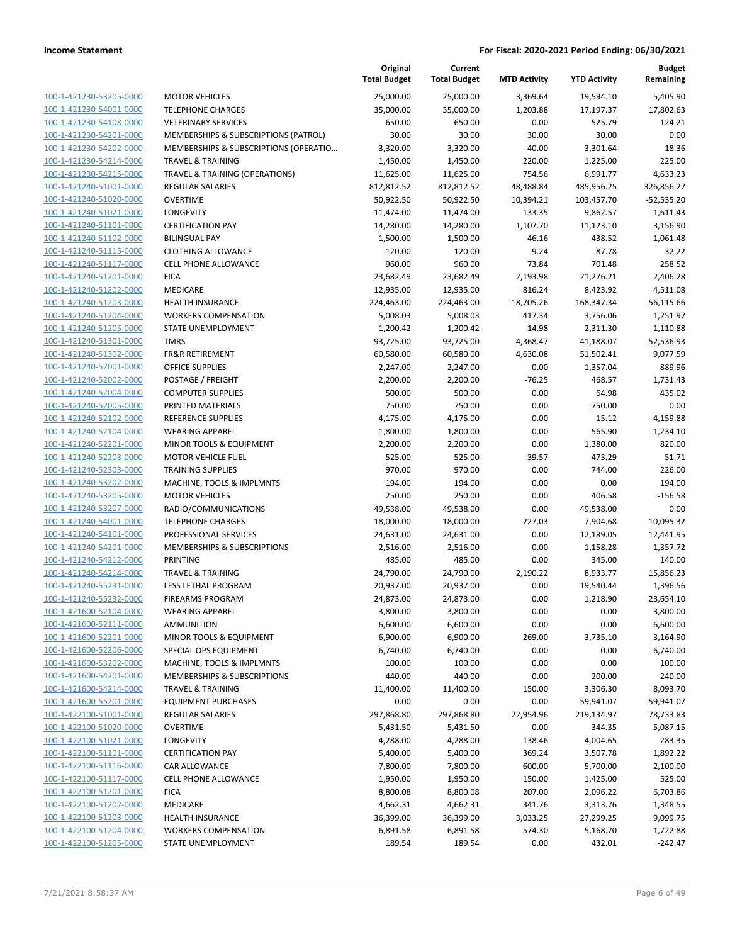|                                                    |                                               | Original<br><b>Total Budget</b> | Current<br><b>Total Budget</b> | <b>MTD Activity</b> | <b>YTD Activity</b> | <b>Budget</b><br>Remaining |
|----------------------------------------------------|-----------------------------------------------|---------------------------------|--------------------------------|---------------------|---------------------|----------------------------|
| 100-1-421230-53205-0000                            | <b>MOTOR VEHICLES</b>                         | 25,000.00                       | 25,000.00                      | 3,369.64            | 19,594.10           | 5,405.90                   |
| 100-1-421230-54001-0000                            | <b>TELEPHONE CHARGES</b>                      | 35,000.00                       | 35,000.00                      | 1,203.88            | 17,197.37           | 17,802.63                  |
| 100-1-421230-54108-0000                            | <b>VETERINARY SERVICES</b>                    | 650.00                          | 650.00                         | 0.00                | 525.79              | 124.21                     |
| 100-1-421230-54201-0000                            | MEMBERSHIPS & SUBSCRIPTIONS (PATROL)          | 30.00                           | 30.00                          | 30.00               | 30.00               | 0.00                       |
| 100-1-421230-54202-0000                            | MEMBERSHIPS & SUBSCRIPTIONS (OPERATIO         | 3,320.00                        | 3,320.00                       | 40.00               | 3,301.64            | 18.36                      |
| 100-1-421230-54214-0000                            | <b>TRAVEL &amp; TRAINING</b>                  | 1,450.00                        | 1,450.00                       | 220.00              | 1,225.00            | 225.00                     |
| 100-1-421230-54215-0000                            | TRAVEL & TRAINING (OPERATIONS)                | 11,625.00                       | 11,625.00                      | 754.56              | 6,991.77            | 4,633.23                   |
| 100-1-421240-51001-0000                            | REGULAR SALARIES                              | 812,812.52                      | 812,812.52                     | 48,488.84           | 485,956.25          | 326,856.27                 |
| 100-1-421240-51020-0000                            | <b>OVERTIME</b>                               | 50,922.50                       | 50,922.50                      | 10,394.21           | 103,457.70          | $-52,535.20$               |
| 100-1-421240-51021-0000                            | LONGEVITY                                     | 11,474.00                       | 11,474.00                      | 133.35              | 9,862.57            | 1,611.43                   |
| 100-1-421240-51101-0000                            | <b>CERTIFICATION PAY</b>                      | 14,280.00                       | 14,280.00                      | 1,107.70            | 11,123.10           | 3,156.90                   |
| 100-1-421240-51102-0000                            | <b>BILINGUAL PAY</b>                          | 1,500.00                        | 1,500.00                       | 46.16               | 438.52              | 1,061.48                   |
| 100-1-421240-51115-0000                            | <b>CLOTHING ALLOWANCE</b>                     | 120.00                          | 120.00                         | 9.24                | 87.78               | 32.22                      |
| 100-1-421240-51117-0000                            | <b>CELL PHONE ALLOWANCE</b>                   | 960.00                          | 960.00                         | 73.84               | 701.48              | 258.52                     |
| 100-1-421240-51201-0000                            | <b>FICA</b>                                   | 23,682.49                       | 23,682.49                      | 2,193.98            | 21,276.21           | 2,406.28                   |
| 100-1-421240-51202-0000                            | MEDICARE                                      | 12,935.00                       | 12,935.00                      | 816.24              | 8,423.92            | 4,511.08                   |
| 100-1-421240-51203-0000                            | <b>HEALTH INSURANCE</b>                       | 224,463.00                      | 224,463.00                     | 18,705.26           | 168,347.34          | 56,115.66                  |
| 100-1-421240-51204-0000                            | <b>WORKERS COMPENSATION</b>                   | 5,008.03                        | 5,008.03                       | 417.34              | 3,756.06            | 1,251.97                   |
| 100-1-421240-51205-0000                            | <b>STATE UNEMPLOYMENT</b>                     | 1,200.42                        | 1,200.42                       | 14.98               | 2,311.30            | $-1,110.88$                |
| 100-1-421240-51301-0000                            | <b>TMRS</b>                                   | 93,725.00                       | 93,725.00                      | 4,368.47            | 41,188.07           | 52,536.93                  |
| 100-1-421240-51302-0000                            | <b>FR&amp;R RETIREMENT</b>                    | 60,580.00                       | 60,580.00                      | 4,630.08            | 51,502.41           | 9,077.59                   |
| 100-1-421240-52001-0000                            | OFFICE SUPPLIES                               | 2,247.00                        | 2,247.00                       | 0.00                | 1,357.04            | 889.96                     |
| 100-1-421240-52002-0000                            | POSTAGE / FREIGHT                             | 2,200.00                        | 2,200.00                       | $-76.25$            | 468.57              | 1,731.43                   |
| 100-1-421240-52004-0000                            | <b>COMPUTER SUPPLIES</b><br>PRINTED MATERIALS | 500.00                          | 500.00                         | 0.00                | 64.98               | 435.02                     |
| 100-1-421240-52005-0000                            |                                               | 750.00                          | 750.00                         | 0.00                | 750.00              | 0.00                       |
| 100-1-421240-52102-0000<br>100-1-421240-52104-0000 | REFERENCE SUPPLIES<br><b>WEARING APPAREL</b>  | 4,175.00<br>1,800.00            | 4,175.00<br>1,800.00           | 0.00<br>0.00        | 15.12<br>565.90     | 4,159.88<br>1,234.10       |
| 100-1-421240-52201-0000                            | MINOR TOOLS & EQUIPMENT                       | 2,200.00                        | 2,200.00                       | 0.00                | 1,380.00            | 820.00                     |
| 100-1-421240-52203-0000                            | <b>MOTOR VEHICLE FUEL</b>                     | 525.00                          | 525.00                         | 39.57               | 473.29              | 51.71                      |
| 100-1-421240-52303-0000                            | <b>TRAINING SUPPLIES</b>                      | 970.00                          | 970.00                         | 0.00                | 744.00              | 226.00                     |
| 100-1-421240-53202-0000                            | MACHINE, TOOLS & IMPLMNTS                     | 194.00                          | 194.00                         | 0.00                | 0.00                | 194.00                     |
| 100-1-421240-53205-0000                            | <b>MOTOR VEHICLES</b>                         | 250.00                          | 250.00                         | 0.00                | 406.58              | $-156.58$                  |
| 100-1-421240-53207-0000                            | RADIO/COMMUNICATIONS                          | 49,538.00                       | 49,538.00                      | 0.00                | 49,538.00           | 0.00                       |
| 100-1-421240-54001-0000                            | <b>TELEPHONE CHARGES</b>                      | 18,000.00                       | 18,000.00                      | 227.03              | 7,904.68            | 10,095.32                  |
| 100-1-421240-54101-0000                            | PROFESSIONAL SERVICES                         | 24,631.00                       | 24,631.00                      | 0.00                | 12,189.05           | 12,441.95                  |
| 100-1-421240-54201-0000                            | MEMBERSHIPS & SUBSCRIPTIONS                   | 2,516.00                        | 2,516.00                       | 0.00                | 1,158.28            | 1,357.72                   |
| 100-1-421240-54212-0000                            | PRINTING                                      | 485.00                          | 485.00                         | 0.00                | 345.00              | 140.00                     |
| 100-1-421240-54214-0000                            | <b>TRAVEL &amp; TRAINING</b>                  | 24,790.00                       | 24,790.00                      | 2,190.22            | 8,933.77            | 15,856.23                  |
| 100-1-421240-55231-0000                            | LESS LETHAL PROGRAM                           | 20,937.00                       | 20,937.00                      | 0.00                | 19,540.44           | 1,396.56                   |
| 100-1-421240-55232-0000                            | <b>FIREARMS PROGRAM</b>                       | 24,873.00                       | 24,873.00                      | 0.00                | 1,218.90            | 23,654.10                  |
| 100-1-421600-52104-0000                            | <b>WEARING APPAREL</b>                        | 3,800.00                        | 3,800.00                       | 0.00                | 0.00                | 3,800.00                   |
| 100-1-421600-52111-0000                            | <b>AMMUNITION</b>                             | 6,600.00                        | 6,600.00                       | 0.00                | 0.00                | 6,600.00                   |
| 100-1-421600-52201-0000                            | MINOR TOOLS & EQUIPMENT                       | 6,900.00                        | 6,900.00                       | 269.00              | 3,735.10            | 3,164.90                   |
| 100-1-421600-52206-0000                            | SPECIAL OPS EQUIPMENT                         | 6,740.00                        | 6,740.00                       | 0.00                | 0.00                | 6,740.00                   |
| 100-1-421600-53202-0000                            | MACHINE, TOOLS & IMPLMNTS                     | 100.00                          | 100.00                         | 0.00                | 0.00                | 100.00                     |
| 100-1-421600-54201-0000                            | MEMBERSHIPS & SUBSCRIPTIONS                   | 440.00                          | 440.00                         | 0.00                | 200.00              | 240.00                     |
| 100-1-421600-54214-0000                            | <b>TRAVEL &amp; TRAINING</b>                  | 11,400.00                       | 11,400.00                      | 150.00              | 3,306.30            | 8,093.70                   |
| 100-1-421600-55201-0000                            | <b>EQUIPMENT PURCHASES</b>                    | 0.00                            | 0.00                           | 0.00                | 59,941.07           | $-59,941.07$               |
| 100-1-422100-51001-0000                            | <b>REGULAR SALARIES</b>                       | 297,868.80                      | 297,868.80                     | 22,954.96           | 219,134.97          | 78,733.83                  |
| 100-1-422100-51020-0000                            | <b>OVERTIME</b>                               | 5,431.50                        | 5,431.50                       | 0.00                | 344.35              | 5,087.15                   |
| 100-1-422100-51021-0000                            | LONGEVITY                                     | 4,288.00                        | 4,288.00                       | 138.46              | 4,004.65            | 283.35                     |
| 100-1-422100-51101-0000                            | <b>CERTIFICATION PAY</b>                      | 5,400.00                        | 5,400.00                       | 369.24              | 3,507.78            | 1,892.22                   |
| 100-1-422100-51116-0000                            | CAR ALLOWANCE                                 | 7,800.00                        | 7,800.00                       | 600.00              | 5,700.00            | 2,100.00                   |
| 100-1-422100-51117-0000                            | <b>CELL PHONE ALLOWANCE</b>                   | 1,950.00                        | 1,950.00                       | 150.00              | 1,425.00            | 525.00                     |
| 100-1-422100-51201-0000                            | <b>FICA</b>                                   | 8,800.08                        | 8,800.08                       | 207.00              | 2,096.22            | 6,703.86                   |
| 100-1-422100-51202-0000                            | MEDICARE                                      | 4,662.31                        | 4,662.31                       | 341.76              | 3,313.76            | 1,348.55                   |
| 100-1-422100-51203-0000                            | <b>HEALTH INSURANCE</b>                       | 36,399.00                       | 36,399.00                      | 3,033.25            | 27,299.25           | 9,099.75                   |
| 100-1-422100-51204-0000                            | <b>WORKERS COMPENSATION</b>                   | 6,891.58                        | 6,891.58                       | 574.30              | 5,168.70            | 1,722.88                   |
| 100-1-422100-51205-0000                            | STATE UNEMPLOYMENT                            | 189.54                          | 189.54                         | 0.00                | 432.01              | $-242.47$                  |
|                                                    |                                               |                                 |                                |                     |                     |                            |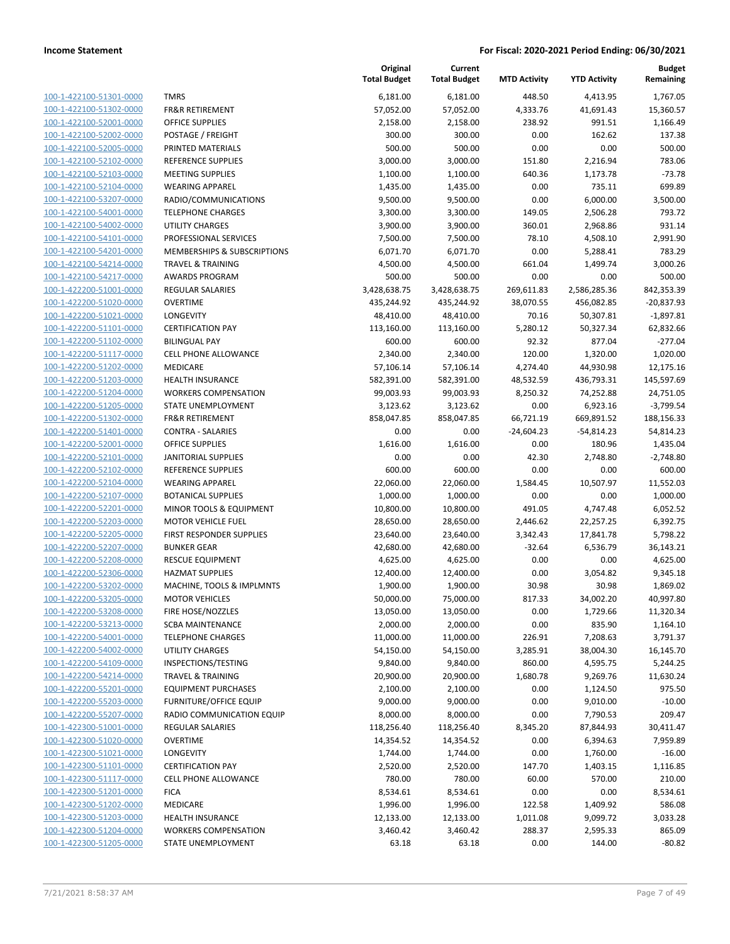100-1-422100-51301-0000 100-1-422100-51302-0000 100-1-422100-52001-0000 100-1-422100-52002-0000 100-1-422100-52005-0000 PRINTED MATERIALS 500.00 500.00 0.00 0.00 500.00 100-1-422100-52102-0000 100-1-422100-52103-0000 100-1-422100-52104-0000 100-1-422100-53207-0000 100-1-422100-54001-0000 100-1-422100-54002-0000 100-1-422100-54101-0000 100-1-422100-54201-0000 100-1-422100-54214-0000 100-1-422100-54217-0000 100-1-422200-51001-0000 100-1-422200-51020-0000 100-1-422200-51021-0000 100-1-422200-51101-0000 100-1-422200-51102-0000 BILINGUAL PAY 600.00 600.00 92.32 877.04 -277.04 100-1-422200-51117-0000 100-1-422200-51202-0000 100-1-422200-51203-0000 100-1-422200-51204-0000 100-1-422200-51205-0000 100-1-422200-51302-0000 100-1-422200-51401-0000 100-1-422200-52001-0000 100-1-422200-52101-0000 100-1-422200-52102-0000 REFERENCE SUPPLIES 600.00 600.00 0.00 0.00 600.00 100-1-422200-52104-0000 100-1-422200-52107-0000 100-1-422200-52201-0000 100-1-422200-52203-0000 100-1-422200-52205-0000 100-1-422200-52207-0000 100-1-422200-52208-0000 100-1-422200-52306-0000 100-1-422200-53202-0000 100-1-422200-53205-0000 100-1-422200-53208-0000 100-1-422200-53213-0000 100-1-422200-54001-0000 100-1-422200-54002-0000 100-1-422200-54109-0000 100-1-422200-54214-0000 100-1-422200-55201-0000 100-1-422200-55203-0000 100-1-422200-55207-0000 100-1-422300-51001-0000 100-1-422300-51020-0000 100-1-422300-51021-0000 100-1-422300-51101-0000 100-1-422300-51117-0000 100-1-422300-51201-0000 100-1-422300-51202-0000 MEDICARE 1,996.00 1,996.00 122.58 1,409.92 586.08 100-1-422300-51203-0000 100-1-422300-51204-0000 100-1-422300-51205-0000

|                               | Original            | Current             |                     |                     | <b>Budget</b> |
|-------------------------------|---------------------|---------------------|---------------------|---------------------|---------------|
|                               | <b>Total Budget</b> | <b>Total Budget</b> | <b>MTD Activity</b> | <b>YTD Activity</b> | Remaining     |
| <b>TMRS</b>                   | 6,181.00            | 6,181.00            | 448.50              | 4,413.95            | 1,767.05      |
| <b>FR&amp;R RETIREMENT</b>    | 57,052.00           | 57,052.00           | 4,333.76            | 41,691.43           | 15,360.57     |
| <b>OFFICE SUPPLIES</b>        | 2,158.00            | 2,158.00            | 238.92              | 991.51              | 1,166.49      |
| POSTAGE / FREIGHT             | 300.00              | 300.00              | 0.00                | 162.62              | 137.38        |
| PRINTED MATERIALS             | 500.00              | 500.00              | 0.00                | 0.00                | 500.00        |
| REFERENCE SUPPLIES            | 3,000.00            | 3,000.00            | 151.80              | 2,216.94            | 783.06        |
| <b>MEETING SUPPLIES</b>       | 1,100.00            | 1,100.00            | 640.36              | 1,173.78            | $-73.78$      |
| <b>WEARING APPAREL</b>        | 1,435.00            | 1,435.00            | 0.00                | 735.11              | 699.89        |
| RADIO/COMMUNICATIONS          | 9,500.00            | 9,500.00            | 0.00                | 6,000.00            | 3,500.00      |
| <b>TELEPHONE CHARGES</b>      | 3,300.00            | 3,300.00            | 149.05              | 2,506.28            | 793.72        |
| <b>UTILITY CHARGES</b>        | 3,900.00            | 3,900.00            | 360.01              | 2,968.86            | 931.14        |
| PROFESSIONAL SERVICES         | 7,500.00            | 7,500.00            | 78.10               | 4,508.10            | 2,991.90      |
| MEMBERSHIPS & SUBSCRIPTIONS   | 6,071.70            | 6,071.70            | 0.00                | 5,288.41            | 783.29        |
| <b>TRAVEL &amp; TRAINING</b>  | 4,500.00            | 4,500.00            | 661.04              | 1,499.74            | 3,000.26      |
| <b>AWARDS PROGRAM</b>         | 500.00              | 500.00              | 0.00                | 0.00                | 500.00        |
| <b>REGULAR SALARIES</b>       | 3,428,638.75        | 3,428,638.75        | 269,611.83          | 2,586,285.36        | 842,353.39    |
| <b>OVERTIME</b>               | 435,244.92          | 435,244.92          | 38,070.55           | 456,082.85          | $-20,837.93$  |
| <b>LONGEVITY</b>              | 48,410.00           | 48,410.00           | 70.16               | 50,307.81           | $-1,897.81$   |
| <b>CERTIFICATION PAY</b>      | 113,160.00          | 113,160.00          | 5,280.12            | 50,327.34           | 62,832.66     |
| <b>BILINGUAL PAY</b>          | 600.00              | 600.00              | 92.32               | 877.04              | $-277.04$     |
| CELL PHONE ALLOWANCE          | 2,340.00            | 2,340.00            | 120.00              | 1,320.00            | 1,020.00      |
| MEDICARE                      | 57,106.14           | 57,106.14           | 4,274.40            | 44,930.98           | 12,175.16     |
| <b>HEALTH INSURANCE</b>       | 582,391.00          | 582,391.00          | 48,532.59           | 436,793.31          | 145,597.69    |
| <b>WORKERS COMPENSATION</b>   | 99,003.93           | 99,003.93           | 8,250.32            | 74,252.88           | 24,751.05     |
| STATE UNEMPLOYMENT            | 3,123.62            | 3,123.62            | 0.00                | 6,923.16            | $-3,799.54$   |
| <b>FR&amp;R RETIREMENT</b>    | 858,047.85          | 858,047.85          | 66,721.19           | 669,891.52          | 188,156.33    |
| <b>CONTRA - SALARIES</b>      | 0.00                | 0.00                | $-24,604.23$        | $-54,814.23$        | 54,814.23     |
| OFFICE SUPPLIES               | 1,616.00            | 1,616.00            | 0.00                | 180.96              | 1,435.04      |
| <b>JANITORIAL SUPPLIES</b>    | 0.00                | 0.00                | 42.30               | 2,748.80            | $-2,748.80$   |
| <b>REFERENCE SUPPLIES</b>     | 600.00              | 600.00              | 0.00                | 0.00                | 600.00        |
| <b>WEARING APPAREL</b>        | 22,060.00           | 22,060.00           | 1,584.45            | 10,507.97           | 11,552.03     |
| <b>BOTANICAL SUPPLIES</b>     | 1,000.00            | 1,000.00            | 0.00                | 0.00                | 1,000.00      |
| MINOR TOOLS & EQUIPMENT       | 10,800.00           | 10,800.00           | 491.05              | 4,747.48            | 6,052.52      |
| <b>MOTOR VEHICLE FUEL</b>     | 28,650.00           | 28,650.00           | 2,446.62            | 22,257.25           | 6,392.75      |
| FIRST RESPONDER SUPPLIES      | 23,640.00           | 23,640.00           | 3,342.43            | 17,841.78           | 5,798.22      |
| <b>BUNKER GEAR</b>            | 42,680.00           | 42,680.00           | $-32.64$            | 6,536.79            | 36,143.21     |
| <b>RESCUE EQUIPMENT</b>       | 4,625.00            | 4,625.00            | 0.00                | 0.00                | 4,625.00      |
| <b>HAZMAT SUPPLIES</b>        | 12,400.00           | 12,400.00           | 0.00                | 3,054.82            | 9,345.18      |
| MACHINE, TOOLS & IMPLMNTS     | 1,900.00            | 1,900.00            | 30.98               | 30.98               | 1,869.02      |
| <b>MOTOR VEHICLES</b>         | 50,000.00           | 75,000.00           | 817.33              | 34,002.20           | 40,997.80     |
| FIRE HOSE/NOZZLES             | 13,050.00           | 13,050.00           | 0.00                | 1,729.66            | 11,320.34     |
| <b>SCBA MAINTENANCE</b>       | 2,000.00            | 2,000.00            | 0.00                | 835.90              | 1,164.10      |
| <b>TELEPHONE CHARGES</b>      | 11,000.00           | 11,000.00           | 226.91              | 7,208.63            | 3,791.37      |
| UTILITY CHARGES               | 54,150.00           | 54,150.00           | 3,285.91            | 38,004.30           | 16,145.70     |
| INSPECTIONS/TESTING           | 9,840.00            | 9,840.00            | 860.00              | 4,595.75            | 5,244.25      |
| <b>TRAVEL &amp; TRAINING</b>  | 20,900.00           | 20,900.00           | 1,680.78            | 9,269.76            | 11,630.24     |
| <b>EQUIPMENT PURCHASES</b>    | 2,100.00            | 2,100.00            | 0.00                | 1,124.50            | 975.50        |
| <b>FURNITURE/OFFICE EQUIP</b> | 9,000.00            | 9,000.00            | 0.00                | 9,010.00            | $-10.00$      |
| RADIO COMMUNICATION EQUIP     | 8,000.00            | 8,000.00            | 0.00                | 7,790.53            | 209.47        |
| <b>REGULAR SALARIES</b>       | 118,256.40          | 118,256.40          | 8,345.20            | 87,844.93           | 30,411.47     |
| OVERTIME                      | 14,354.52           | 14,354.52           | 0.00                | 6,394.63            | 7,959.89      |
| LONGEVITY                     | 1,744.00            | 1,744.00            | 0.00                | 1,760.00            | $-16.00$      |
| <b>CERTIFICATION PAY</b>      | 2,520.00            | 2,520.00            | 147.70              | 1,403.15            | 1,116.85      |
| CELL PHONE ALLOWANCE          | 780.00              | 780.00              | 60.00               | 570.00              | 210.00        |
| <b>FICA</b>                   | 8,534.61            | 8,534.61            | 0.00                | 0.00                | 8,534.61      |
| MEDICARE                      | 1,996.00            | 1,996.00            | 122.58              | 1,409.92            | 586.08        |
| <b>HEALTH INSURANCE</b>       | 12,133.00           | 12,133.00           | 1,011.08            | 9,099.72            | 3,033.28      |
| <b>WORKERS COMPENSATION</b>   | 3,460.42            | 3,460.42            | 288.37              | 2,595.33            | 865.09        |
| STATE UNEMPLOYMENT            | 63.18               | 63.18               | 0.00                | 144.00              | $-80.82$      |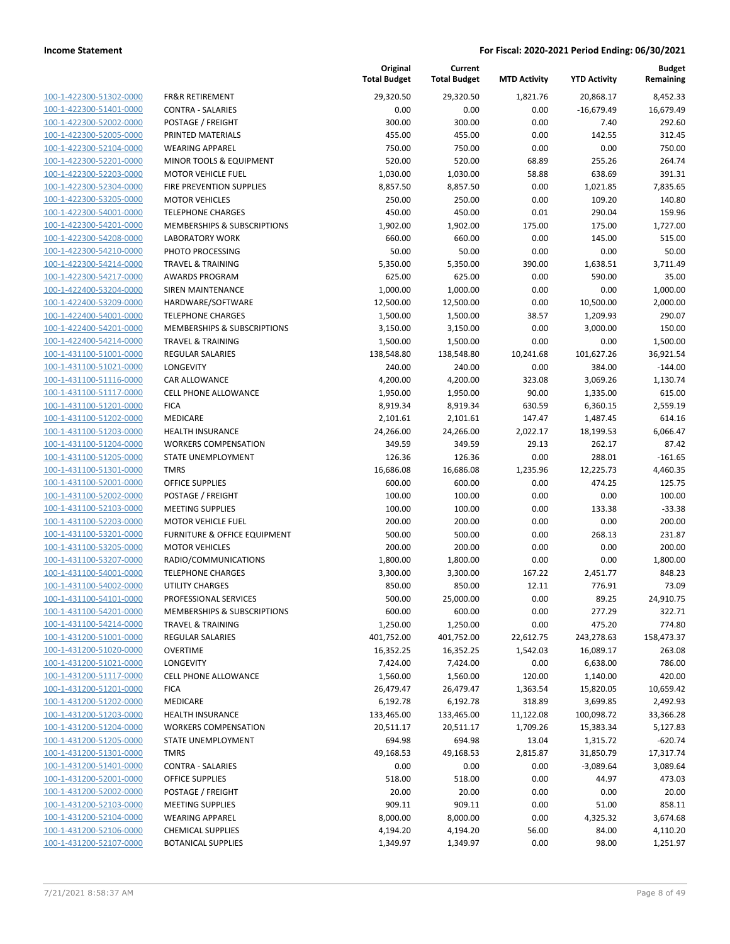| 100-1-422300-51302-0000        |
|--------------------------------|
| 100-1-422300-51401-0000        |
| 100-1-422300-52002-0000        |
| 100-1-422300-52005-0000        |
| 100-1-422300-52104-0000        |
| 100-1-422300-52201-0000        |
| 100-1-422300-52203-0000        |
| 100-1-422300-52304-0000        |
| 100-1-422300-53205-0000        |
| 100-1-422300-54001-0000        |
| 100-1-422300-54201-0000        |
| 100-1-422300-54208-0000        |
| 100-1-422300-54210-0000        |
| 100-1-422300-54214-0000        |
| 100-1-422300-54217-0000        |
| 100-1-422400-53204-0000        |
| 100-1-422400-53209-0000        |
| 100-1-422400-54001-0000        |
| 100-1-422400-54201-0000        |
| 100-1-422400-54214-0000        |
| 100-1-431100-51001-0000        |
| 100-1-431100-51021-0000        |
| 100-1-431100-51116-0000        |
| 100-1-431100-51117-0000        |
| 100-1-431100-51201-0000        |
| 100-1-431100-51202-0000        |
| 100-1-431100-51203-0000        |
| 100-1-431100-51204-0000        |
| 100-1-431100-51205-0000        |
| 100-1-431100-51301-0000        |
| 100-1-431100-52001-0000        |
| 100-1-431100-52002-0000        |
| 100-1-431100-52103-0000        |
| 100-1-431100-52203-0000        |
| 100-1-431100-53201-0000        |
| 100-1-431100-53205-0000        |
| 100-1-431100-53207-0000        |
| 100-1-431100-54001-0000        |
| 100-1-431100-54002-0000        |
| 100-1-431100-54101-0000        |
| 100-1-431100-54201-0000        |
| 100-1-431100-54214-0000        |
| <u>100-1-431200-51001-0000</u> |
| <u>100-1-431200-51020-0000</u> |
| 100-1-431200-51021-0000        |
| 100-1-431200-51117-0000        |
| 100-1-431200-51201-0000        |
| <u>100-1-431200-51202-0000</u> |
| <u>100-1-431200-51203-0000</u> |
| 100-1-431200-51204-0000        |
| 100-1-431200-51205-0000        |
| <u>100-1-431200-51301-0000</u> |
| 100-1-431200-51401-0000        |
| <u>100-1-431200-52001-0000</u> |
| 100-1-431200-52002-0000        |
| <u>100-1-431200-52103-0000</u> |
| 100-1-431200-52104-0000        |
| <u>100-1-431200-52106-0000</u> |
| <u>100-1-431200-52107-0000</u> |
|                                |

|                         |                              | Original<br><b>Total Budget</b> | Current<br><b>Total Budget</b> | <b>MTD Activity</b> | <b>YTD Activity</b> | <b>Budget</b><br>Remaining |
|-------------------------|------------------------------|---------------------------------|--------------------------------|---------------------|---------------------|----------------------------|
| 100-1-422300-51302-0000 | <b>FR&amp;R RETIREMENT</b>   | 29,320.50                       | 29,320.50                      | 1,821.76            | 20,868.17           | 8,452.33                   |
| 100-1-422300-51401-0000 | <b>CONTRA - SALARIES</b>     | 0.00                            | 0.00                           | 0.00                | $-16,679.49$        | 16,679.49                  |
| 100-1-422300-52002-0000 | POSTAGE / FREIGHT            | 300.00                          | 300.00                         | 0.00                | 7.40                | 292.60                     |
| 100-1-422300-52005-0000 | PRINTED MATERIALS            | 455.00                          | 455.00                         | 0.00                | 142.55              | 312.45                     |
| 100-1-422300-52104-0000 | <b>WEARING APPAREL</b>       | 750.00                          | 750.00                         | 0.00                | 0.00                | 750.00                     |
| 100-1-422300-52201-0000 | MINOR TOOLS & EQUIPMENT      | 520.00                          | 520.00                         | 68.89               | 255.26              | 264.74                     |
| 100-1-422300-52203-0000 | <b>MOTOR VEHICLE FUEL</b>    | 1,030.00                        | 1,030.00                       | 58.88               | 638.69              | 391.31                     |
| 100-1-422300-52304-0000 | FIRE PREVENTION SUPPLIES     | 8,857.50                        | 8,857.50                       | 0.00                | 1,021.85            | 7,835.65                   |
| 100-1-422300-53205-0000 | <b>MOTOR VEHICLES</b>        | 250.00                          | 250.00                         | 0.00                | 109.20              | 140.80                     |
| 100-1-422300-54001-0000 | <b>TELEPHONE CHARGES</b>     | 450.00                          | 450.00                         | 0.01                | 290.04              | 159.96                     |
| 100-1-422300-54201-0000 | MEMBERSHIPS & SUBSCRIPTIONS  | 1,902.00                        | 1,902.00                       | 175.00              | 175.00              | 1,727.00                   |
| 100-1-422300-54208-0000 | <b>LABORATORY WORK</b>       | 660.00                          | 660.00                         | 0.00                | 145.00              | 515.00                     |
| 100-1-422300-54210-0000 | PHOTO PROCESSING             | 50.00                           | 50.00                          | 0.00                | 0.00                | 50.00                      |
| 100-1-422300-54214-0000 | <b>TRAVEL &amp; TRAINING</b> | 5,350.00                        | 5,350.00                       | 390.00              | 1,638.51            | 3,711.49                   |
| 100-1-422300-54217-0000 | AWARDS PROGRAM               | 625.00                          | 625.00                         | 0.00                | 590.00              | 35.00                      |
| 100-1-422400-53204-0000 | SIREN MAINTENANCE            | 1,000.00                        | 1,000.00                       | 0.00                | 0.00                | 1,000.00                   |
| 100-1-422400-53209-0000 | HARDWARE/SOFTWARE            | 12,500.00                       | 12,500.00                      | 0.00                | 10,500.00           | 2,000.00                   |
| 100-1-422400-54001-0000 | <b>TELEPHONE CHARGES</b>     | 1,500.00                        | 1,500.00                       | 38.57               | 1,209.93            | 290.07                     |
| 100-1-422400-54201-0000 | MEMBERSHIPS & SUBSCRIPTIONS  | 3,150.00                        | 3,150.00                       | 0.00                | 3,000.00            | 150.00                     |
| 100-1-422400-54214-0000 | <b>TRAVEL &amp; TRAINING</b> | 1,500.00                        | 1,500.00                       | 0.00                | 0.00                | 1,500.00                   |
| 100-1-431100-51001-0000 | <b>REGULAR SALARIES</b>      | 138,548.80                      | 138,548.80                     | 10,241.68           | 101,627.26          | 36,921.54                  |
| 100-1-431100-51021-0000 | LONGEVITY                    | 240.00                          | 240.00                         | 0.00                | 384.00              | $-144.00$                  |
| 100-1-431100-51116-0000 | <b>CAR ALLOWANCE</b>         | 4,200.00                        | 4,200.00                       | 323.08              | 3,069.26            | 1,130.74                   |
| 100-1-431100-51117-0000 | <b>CELL PHONE ALLOWANCE</b>  | 1,950.00                        | 1,950.00                       | 90.00               | 1,335.00            | 615.00                     |
| 100-1-431100-51201-0000 | <b>FICA</b>                  | 8,919.34                        | 8,919.34                       | 630.59              | 6,360.15            | 2,559.19                   |
| 100-1-431100-51202-0000 | MEDICARE                     | 2,101.61                        | 2,101.61                       | 147.47              | 1,487.45            | 614.16                     |
| 100-1-431100-51203-0000 | HEALTH INSURANCE             | 24,266.00                       | 24,266.00                      | 2,022.17            | 18,199.53           | 6,066.47                   |
| 100-1-431100-51204-0000 | <b>WORKERS COMPENSATION</b>  | 349.59                          | 349.59                         | 29.13               | 262.17              | 87.42                      |
| 100-1-431100-51205-0000 | STATE UNEMPLOYMENT           | 126.36                          | 126.36                         | 0.00                | 288.01              | $-161.65$                  |
| 100-1-431100-51301-0000 | <b>TMRS</b>                  | 16,686.08                       | 16,686.08                      | 1,235.96            | 12,225.73           | 4,460.35                   |
| 100-1-431100-52001-0000 | <b>OFFICE SUPPLIES</b>       | 600.00                          | 600.00                         | 0.00                | 474.25              | 125.75                     |
| 100-1-431100-52002-0000 | POSTAGE / FREIGHT            | 100.00                          | 100.00                         | 0.00                | 0.00                | 100.00                     |
| 100-1-431100-52103-0000 | <b>MEETING SUPPLIES</b>      | 100.00                          | 100.00                         | 0.00                | 133.38              | $-33.38$                   |
| 100-1-431100-52203-0000 | <b>MOTOR VEHICLE FUEL</b>    | 200.00                          | 200.00                         | 0.00                | 0.00                | 200.00                     |
| 100-1-431100-53201-0000 | FURNITURE & OFFICE EQUIPMENT | 500.00                          | 500.00                         | 0.00                | 268.13              | 231.87                     |
| 100-1-431100-53205-0000 | <b>MOTOR VEHICLES</b>        | 200.00                          | 200.00                         | 0.00                | 0.00                | 200.00                     |
| 100-1-431100-53207-0000 | RADIO/COMMUNICATIONS         | 1,800.00                        | 1,800.00                       | 0.00                | 0.00                | 1,800.00                   |
| 100-1-431100-54001-0000 | <b>TELEPHONE CHARGES</b>     | 3,300.00                        | 3,300.00                       | 167.22              | 2,451.77            | 848.23                     |
| 100-1-431100-54002-0000 | UTILITY CHARGES              | 850.00                          | 850.00                         | 12.11               | 776.91              | 73.09                      |
| 100-1-431100-54101-0000 | PROFESSIONAL SERVICES        | 500.00                          | 25,000.00                      | 0.00                | 89.25               | 24,910.75                  |
| 100-1-431100-54201-0000 | MEMBERSHIPS & SUBSCRIPTIONS  | 600.00                          | 600.00                         | 0.00                | 277.29              | 322.71                     |
| 100-1-431100-54214-0000 | <b>TRAVEL &amp; TRAINING</b> | 1,250.00                        | 1,250.00                       | 0.00                | 475.20              | 774.80                     |
| 100-1-431200-51001-0000 | <b>REGULAR SALARIES</b>      | 401,752.00                      | 401,752.00                     | 22,612.75           | 243,278.63          | 158,473.37                 |
| 100-1-431200-51020-0000 | <b>OVERTIME</b>              | 16,352.25                       | 16,352.25                      | 1,542.03            | 16,089.17           | 263.08                     |
| 100-1-431200-51021-0000 | LONGEVITY                    | 7,424.00                        | 7,424.00                       | 0.00                | 6,638.00            | 786.00                     |
| 100-1-431200-51117-0000 | <b>CELL PHONE ALLOWANCE</b>  | 1,560.00                        | 1,560.00                       | 120.00              | 1,140.00            | 420.00                     |
| 100-1-431200-51201-0000 | <b>FICA</b>                  | 26,479.47                       | 26,479.47                      | 1,363.54            | 15,820.05           | 10,659.42                  |
| 100-1-431200-51202-0000 | MEDICARE                     | 6,192.78                        | 6,192.78                       | 318.89              | 3,699.85            | 2,492.93                   |
| 100-1-431200-51203-0000 | HEALTH INSURANCE             | 133,465.00                      | 133,465.00                     | 11,122.08           | 100,098.72          | 33,366.28                  |
| 100-1-431200-51204-0000 | <b>WORKERS COMPENSATION</b>  | 20,511.17                       | 20,511.17                      | 1,709.26            | 15,383.34           | 5,127.83                   |
| 100-1-431200-51205-0000 | STATE UNEMPLOYMENT           | 694.98                          | 694.98                         | 13.04               | 1,315.72            | $-620.74$                  |
| 100-1-431200-51301-0000 | <b>TMRS</b>                  | 49,168.53                       | 49,168.53                      | 2,815.87            | 31,850.79           | 17,317.74                  |
| 100-1-431200-51401-0000 | CONTRA - SALARIES            | 0.00                            | 0.00                           | 0.00                | $-3,089.64$         | 3,089.64                   |
| 100-1-431200-52001-0000 | <b>OFFICE SUPPLIES</b>       | 518.00                          | 518.00                         | 0.00                | 44.97               | 473.03                     |
| 100-1-431200-52002-0000 | POSTAGE / FREIGHT            | 20.00                           | 20.00                          | 0.00                | 0.00                | 20.00                      |
| 100-1-431200-52103-0000 | <b>MEETING SUPPLIES</b>      | 909.11                          | 909.11                         | 0.00                | 51.00               | 858.11                     |
| 100-1-431200-52104-0000 | <b>WEARING APPAREL</b>       | 8,000.00                        | 8,000.00                       | 0.00                | 4,325.32            | 3,674.68                   |
| 100-1-431200-52106-0000 | <b>CHEMICAL SUPPLIES</b>     | 4,194.20                        | 4,194.20                       | 56.00               | 84.00               | 4,110.20                   |
| 100-1-431200-52107-0000 | <b>BOTANICAL SUPPLIES</b>    | 1,349.97                        | 1,349.97                       | 0.00                | 98.00               | 1,251.97                   |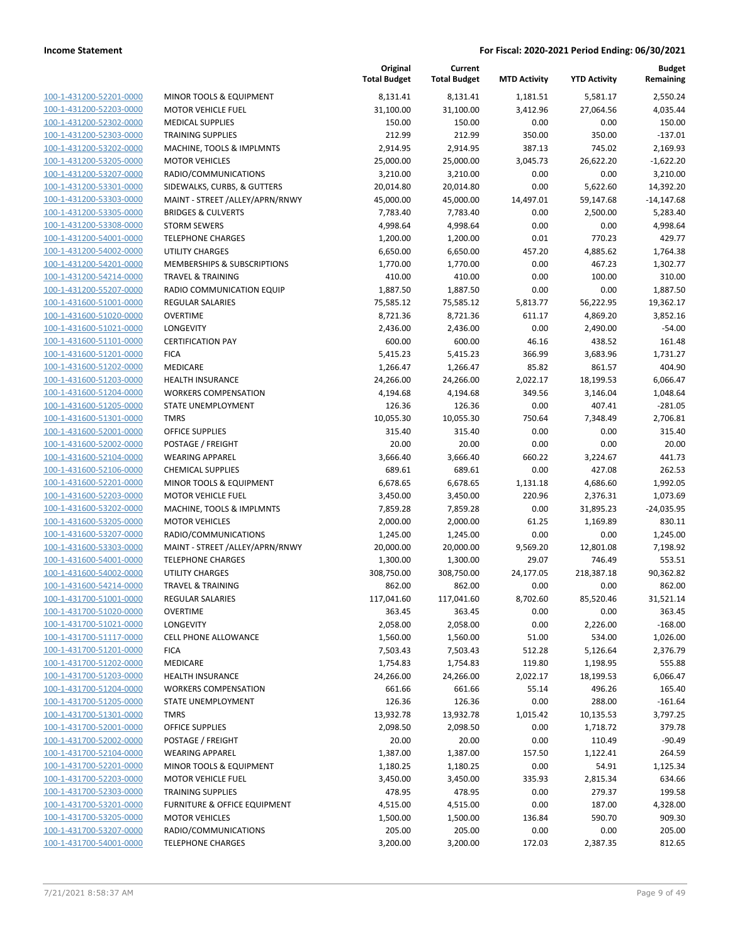|                                                    |                                                    | Original<br><b>Total Budget</b> | Current<br><b>Total Budget</b> | <b>MTD Activity</b> | <b>YTD Activity</b>   | <b>Budget</b><br>Remaining |
|----------------------------------------------------|----------------------------------------------------|---------------------------------|--------------------------------|---------------------|-----------------------|----------------------------|
| 100-1-431200-52201-0000                            | MINOR TOOLS & EQUIPMENT                            | 8,131.41                        | 8,131.41                       | 1,181.51            | 5,581.17              | 2,550.24                   |
| 100-1-431200-52203-0000                            | <b>MOTOR VEHICLE FUEL</b>                          | 31,100.00                       | 31,100.00                      | 3,412.96            | 27,064.56             | 4,035.44                   |
| 100-1-431200-52302-0000                            | <b>MEDICAL SUPPLIES</b>                            | 150.00                          | 150.00                         | 0.00                | 0.00                  | 150.00                     |
| 100-1-431200-52303-0000                            | <b>TRAINING SUPPLIES</b>                           | 212.99                          | 212.99                         | 350.00              | 350.00                | $-137.01$                  |
| 100-1-431200-53202-0000                            | MACHINE, TOOLS & IMPLMNTS                          | 2,914.95                        | 2,914.95                       | 387.13              | 745.02                | 2,169.93                   |
| 100-1-431200-53205-0000                            | <b>MOTOR VEHICLES</b>                              | 25,000.00                       | 25,000.00                      | 3,045.73            | 26,622.20             | $-1,622.20$                |
| 100-1-431200-53207-0000                            | RADIO/COMMUNICATIONS                               | 3,210.00                        | 3,210.00                       | 0.00                | 0.00                  | 3,210.00                   |
| 100-1-431200-53301-0000                            | SIDEWALKS, CURBS, & GUTTERS                        | 20,014.80                       | 20,014.80                      | 0.00                | 5,622.60              | 14,392.20                  |
| 100-1-431200-53303-0000                            | MAINT - STREET /ALLEY/APRN/RNWY                    | 45,000.00                       | 45,000.00                      | 14,497.01           | 59,147.68             | $-14,147.68$               |
| 100-1-431200-53305-0000                            | <b>BRIDGES &amp; CULVERTS</b>                      | 7,783.40                        | 7,783.40                       | 0.00                | 2,500.00              | 5,283.40                   |
| 100-1-431200-53308-0000                            | <b>STORM SEWERS</b>                                | 4,998.64                        | 4,998.64                       | 0.00                | 0.00                  | 4,998.64                   |
| 100-1-431200-54001-0000                            | <b>TELEPHONE CHARGES</b>                           | 1,200.00                        | 1,200.00                       | 0.01                | 770.23                | 429.77                     |
| 100-1-431200-54002-0000                            | <b>UTILITY CHARGES</b>                             | 6,650.00                        | 6,650.00                       | 457.20              | 4,885.62              | 1,764.38                   |
| 100-1-431200-54201-0000                            | MEMBERSHIPS & SUBSCRIPTIONS                        | 1,770.00                        | 1,770.00                       | 0.00                | 467.23                | 1,302.77                   |
| 100-1-431200-54214-0000                            | <b>TRAVEL &amp; TRAINING</b>                       | 410.00                          | 410.00                         | 0.00                | 100.00                | 310.00                     |
| 100-1-431200-55207-0000                            | RADIO COMMUNICATION EQUIP                          | 1,887.50                        | 1,887.50                       | 0.00                | 0.00                  | 1,887.50                   |
| 100-1-431600-51001-0000                            | <b>REGULAR SALARIES</b>                            | 75,585.12                       | 75,585.12                      | 5,813.77            | 56,222.95             | 19,362.17                  |
| 100-1-431600-51020-0000                            | <b>OVERTIME</b>                                    | 8,721.36                        | 8,721.36                       | 611.17              | 4,869.20              | 3,852.16                   |
| 100-1-431600-51021-0000                            | <b>LONGEVITY</b>                                   | 2,436.00                        | 2,436.00                       | 0.00                | 2,490.00              | -54.00                     |
| 100-1-431600-51101-0000                            | <b>CERTIFICATION PAY</b>                           | 600.00                          | 600.00                         | 46.16               | 438.52                | 161.48                     |
| 100-1-431600-51201-0000                            | <b>FICA</b>                                        | 5,415.23                        | 5,415.23                       | 366.99              | 3,683.96              | 1,731.27                   |
| 100-1-431600-51202-0000                            | MEDICARE                                           | 1,266.47                        | 1,266.47                       | 85.82               | 861.57                | 404.90                     |
| 100-1-431600-51203-0000                            | <b>HEALTH INSURANCE</b>                            | 24,266.00                       | 24,266.00                      | 2,022.17            | 18,199.53             | 6,066.47                   |
| 100-1-431600-51204-0000                            | <b>WORKERS COMPENSATION</b>                        | 4,194.68                        | 4,194.68                       | 349.56              | 3,146.04              | 1,048.64                   |
| 100-1-431600-51205-0000                            | <b>STATE UNEMPLOYMENT</b>                          | 126.36                          | 126.36                         | 0.00                | 407.41                | $-281.05$                  |
| 100-1-431600-51301-0000                            | <b>TMRS</b>                                        | 10,055.30                       | 10,055.30                      | 750.64              | 7,348.49              | 2,706.81                   |
| 100-1-431600-52001-0000                            | OFFICE SUPPLIES                                    | 315.40                          | 315.40                         | 0.00                | 0.00                  | 315.40                     |
| 100-1-431600-52002-0000                            | POSTAGE / FREIGHT                                  | 20.00                           | 20.00                          | 0.00                | 0.00                  | 20.00                      |
| 100-1-431600-52104-0000<br>100-1-431600-52106-0000 | <b>WEARING APPAREL</b><br><b>CHEMICAL SUPPLIES</b> | 3,666.40<br>689.61              | 3,666.40<br>689.61             | 660.22<br>0.00      | 3,224.67<br>427.08    | 441.73<br>262.53           |
| 100-1-431600-52201-0000                            | MINOR TOOLS & EQUIPMENT                            | 6,678.65                        | 6,678.65                       | 1,131.18            | 4,686.60              | 1,992.05                   |
| 100-1-431600-52203-0000                            | <b>MOTOR VEHICLE FUEL</b>                          | 3,450.00                        | 3,450.00                       | 220.96              | 2,376.31              | 1,073.69                   |
| 100-1-431600-53202-0000                            | MACHINE, TOOLS & IMPLMNTS                          | 7,859.28                        | 7,859.28                       | 0.00                | 31,895.23             | $-24,035.95$               |
| 100-1-431600-53205-0000                            | <b>MOTOR VEHICLES</b>                              | 2,000.00                        | 2,000.00                       | 61.25               | 1,169.89              | 830.11                     |
| 100-1-431600-53207-0000                            | RADIO/COMMUNICATIONS                               | 1,245.00                        | 1,245.00                       | 0.00                | 0.00                  | 1,245.00                   |
| 100-1-431600-53303-0000                            | MAINT - STREET / ALLEY/APRN/RNWY                   | 20,000.00                       | 20,000.00                      | 9,569.20            | 12,801.08             | 7,198.92                   |
| 100-1-431600-54001-0000                            | <b>TELEPHONE CHARGES</b>                           | 1,300.00                        | 1,300.00                       | 29.07               | 746.49                | 553.51                     |
| 100-1-431600-54002-0000                            | UTILITY CHARGES                                    | 308,750.00                      | 308,750.00                     | 24,177.05           | 218,387.18            | 90,362.82                  |
| 100-1-431600-54214-0000                            | <b>TRAVEL &amp; TRAINING</b>                       | 862.00                          | 862.00                         | 0.00                | 0.00                  | 862.00                     |
| 100-1-431700-51001-0000                            | <b>REGULAR SALARIES</b>                            | 117,041.60                      | 117,041.60                     | 8,702.60            | 85,520.46             | 31,521.14                  |
| 100-1-431700-51020-0000                            | <b>OVERTIME</b>                                    | 363.45                          | 363.45                         | 0.00                | 0.00                  | 363.45                     |
| 100-1-431700-51021-0000                            | LONGEVITY                                          | 2,058.00                        | 2,058.00                       | 0.00                | 2,226.00              | $-168.00$                  |
| 100-1-431700-51117-0000                            | <b>CELL PHONE ALLOWANCE</b>                        | 1,560.00                        | 1,560.00                       | 51.00               | 534.00                | 1,026.00                   |
| 100-1-431700-51201-0000                            | <b>FICA</b>                                        | 7,503.43                        | 7,503.43                       | 512.28              | 5,126.64              | 2,376.79                   |
| 100-1-431700-51202-0000                            | MEDICARE                                           | 1,754.83                        | 1,754.83                       | 119.80              | 1,198.95              | 555.88                     |
| 100-1-431700-51203-0000                            | <b>HEALTH INSURANCE</b>                            | 24,266.00                       | 24,266.00                      | 2,022.17            | 18,199.53             | 6,066.47                   |
| 100-1-431700-51204-0000                            | <b>WORKERS COMPENSATION</b>                        | 661.66                          | 661.66                         | 55.14               | 496.26                | 165.40                     |
| 100-1-431700-51205-0000                            | STATE UNEMPLOYMENT                                 | 126.36                          | 126.36                         | 0.00                | 288.00                | $-161.64$                  |
| 100-1-431700-51301-0000<br>100-1-431700-52001-0000 | <b>TMRS</b><br><b>OFFICE SUPPLIES</b>              | 13,932.78<br>2,098.50           | 13,932.78<br>2,098.50          | 1,015.42<br>0.00    | 10,135.53<br>1,718.72 | 3,797.25<br>379.78         |
| 100-1-431700-52002-0000                            | POSTAGE / FREIGHT                                  | 20.00                           | 20.00                          | 0.00                | 110.49                | $-90.49$                   |
| 100-1-431700-52104-0000                            | <b>WEARING APPAREL</b>                             | 1,387.00                        | 1,387.00                       | 157.50              | 1,122.41              | 264.59                     |
| 100-1-431700-52201-0000                            | <b>MINOR TOOLS &amp; EQUIPMENT</b>                 | 1,180.25                        | 1,180.25                       | 0.00                | 54.91                 | 1,125.34                   |
| 100-1-431700-52203-0000                            | <b>MOTOR VEHICLE FUEL</b>                          | 3,450.00                        | 3,450.00                       | 335.93              | 2,815.34              | 634.66                     |
| 100-1-431700-52303-0000                            | <b>TRAINING SUPPLIES</b>                           | 478.95                          | 478.95                         | 0.00                | 279.37                | 199.58                     |
| 100-1-431700-53201-0000                            | FURNITURE & OFFICE EQUIPMENT                       | 4,515.00                        | 4,515.00                       | 0.00                | 187.00                | 4,328.00                   |
| 100-1-431700-53205-0000                            | <b>MOTOR VEHICLES</b>                              | 1,500.00                        | 1,500.00                       | 136.84              | 590.70                | 909.30                     |
| 100-1-431700-53207-0000                            | RADIO/COMMUNICATIONS                               | 205.00                          | 205.00                         | 0.00                | 0.00                  | 205.00                     |
| 100-1-431700-54001-0000                            | <b>TELEPHONE CHARGES</b>                           | 3,200.00                        | 3,200.00                       | 172.03              | 2,387.35              | 812.65                     |
|                                                    |                                                    |                                 |                                |                     |                       |                            |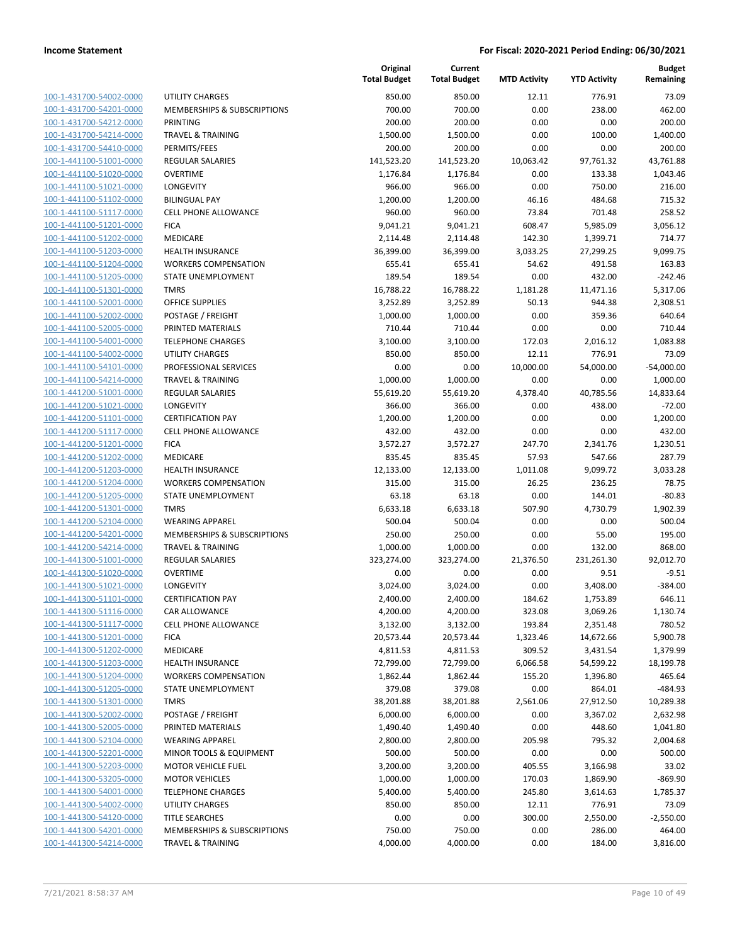| 100-1-431700-54002-0000        |
|--------------------------------|
| 100-1-431700-54201-0000        |
| 100-1-431700-54212-0000        |
| <u>100-1-431700-54214-0000</u> |
| 100-1-431700-54410-0000        |
| 100-1-441100-51001-0000        |
| 100-1-441100-51020-0000        |
| 100-1-441100-51021-0000        |
| 100-1-441100-51102-0000        |
| 100-1-441100-51117-0000        |
| 100-1-441100-51201-0000        |
| 100-1-441100-51202-0000        |
| 100-1-441100-51203-0000        |
| <u>100-1-441100-51204-0000</u> |
| 100-1-441100-51205-0000        |
| 100-1-441100-51301-0000        |
| 100-1-441100-52001-0000        |
| 100-1-441100-52002-0000        |
| 100-1-441100-52005-0000        |
| 100-1-441100-54001-0000        |
| 100-1-441100-54002-0000        |
| 100-1-441100-54101-0000        |
| 100-1-441100-54214-0000        |
| 100-1-441200-51001-0000        |
| 100-1-441200-51021-0000        |
| 100-1-441200-51101-0000        |
| 100-1-441200-51117-0000        |
| 100-1-441200-51201-0000        |
| 100-1-441200-51202-0000        |
| 100-1-441200-51203-0000        |
| 100-1-441200-51204-0000        |
| 100-1-441200-51205-0000        |
| 100-1-441200-51301-0000        |
| 100-1-441200-52104-0000        |
| 100-1-441200-54201-0000        |
| 100-1-441200-54214-0000        |
| 100-1-441300-51001-0000        |
| 100-1-441300-51020-0000        |
| <u>100-1-441300-51021-0000</u> |
| 100-1-441300-51101-0000        |
| 100-1-441300-51116-0000        |
| 100-1-441300-51117-0000        |
| 100-1-441300-51201-0000        |
| 100-1-441300-51202-0000        |
| 100-1-441300-51203-0000        |
| 100-1-441300-51204-0000        |
| 100-1-441300-51205-0000        |
| 100-1-441300-51301-0000        |
| <u>100-1-441300-52002-0000</u> |
| <u>100-1-441300-52005-0000</u> |
| 100-1-441300-52104-0000        |
| 100-1-441300-52201-0000        |
| <u>100-1-441300-52203-0000</u> |
| <u>100-1-441300-53205-0000</u> |
| 100-1-441300-54001-0000        |
| 100-1-441300-54002-0000        |
| 100-1-441300-54120-0000        |
| <u>100-1-441300-54201-0000</u> |
| <u>100-1-441300-54214-0000</u> |
|                                |

|                                                    |                              | Original<br><b>Total Budget</b> | Current<br><b>Total Budget</b> | <b>MTD Activity</b> | <b>YTD Activity</b> | <b>Budget</b><br>Remaining |
|----------------------------------------------------|------------------------------|---------------------------------|--------------------------------|---------------------|---------------------|----------------------------|
| 100-1-431700-54002-0000                            | <b>UTILITY CHARGES</b>       | 850.00                          | 850.00                         | 12.11               | 776.91              | 73.09                      |
| 100-1-431700-54201-0000                            | MEMBERSHIPS & SUBSCRIPTIONS  | 700.00                          | 700.00                         | 0.00                | 238.00              | 462.00                     |
| 100-1-431700-54212-0000                            | PRINTING                     | 200.00                          | 200.00                         | 0.00                | 0.00                | 200.00                     |
| 100-1-431700-54214-0000                            | <b>TRAVEL &amp; TRAINING</b> | 1,500.00                        | 1,500.00                       | 0.00                | 100.00              | 1,400.00                   |
| 100-1-431700-54410-0000                            | PERMITS/FEES                 | 200.00                          | 200.00                         | 0.00                | 0.00                | 200.00                     |
| 100-1-441100-51001-0000                            | REGULAR SALARIES             | 141,523.20                      | 141,523.20                     | 10,063.42           | 97,761.32           | 43,761.88                  |
| 100-1-441100-51020-0000                            | <b>OVERTIME</b>              | 1,176.84                        | 1,176.84                       | 0.00                | 133.38              | 1,043.46                   |
| 100-1-441100-51021-0000                            | LONGEVITY                    | 966.00                          | 966.00                         | 0.00                | 750.00              | 216.00                     |
| 100-1-441100-51102-0000                            | <b>BILINGUAL PAY</b>         | 1,200.00                        | 1,200.00                       | 46.16               | 484.68              | 715.32                     |
| 100-1-441100-51117-0000                            | <b>CELL PHONE ALLOWANCE</b>  | 960.00                          | 960.00                         | 73.84               | 701.48              | 258.52                     |
| 100-1-441100-51201-0000                            | <b>FICA</b>                  | 9,041.21                        | 9,041.21                       | 608.47              | 5,985.09            | 3,056.12                   |
| 100-1-441100-51202-0000                            | MEDICARE                     | 2,114.48                        | 2,114.48                       | 142.30              | 1,399.71            | 714.77                     |
| 100-1-441100-51203-0000                            | <b>HEALTH INSURANCE</b>      | 36,399.00                       | 36,399.00                      | 3,033.25            | 27,299.25           | 9,099.75                   |
| 100-1-441100-51204-0000                            | <b>WORKERS COMPENSATION</b>  | 655.41                          | 655.41                         | 54.62               | 491.58              | 163.83                     |
| 100-1-441100-51205-0000                            | STATE UNEMPLOYMENT           | 189.54                          | 189.54                         | 0.00                | 432.00              | $-242.46$                  |
| 100-1-441100-51301-0000                            | TMRS                         | 16,788.22                       | 16,788.22                      | 1,181.28            | 11,471.16           | 5,317.06                   |
| 100-1-441100-52001-0000                            | <b>OFFICE SUPPLIES</b>       | 3,252.89                        | 3,252.89                       | 50.13               | 944.38              | 2,308.51                   |
| 100-1-441100-52002-0000                            | POSTAGE / FREIGHT            | 1,000.00                        | 1,000.00                       | 0.00                | 359.36              | 640.64                     |
| 100-1-441100-52005-0000                            | PRINTED MATERIALS            | 710.44                          | 710.44                         | 0.00                | 0.00                | 710.44                     |
| 100-1-441100-54001-0000                            | <b>TELEPHONE CHARGES</b>     | 3,100.00                        | 3,100.00                       | 172.03              | 2,016.12            | 1,083.88                   |
| 100-1-441100-54002-0000                            | <b>UTILITY CHARGES</b>       | 850.00                          | 850.00                         | 12.11               | 776.91              | 73.09                      |
| 100-1-441100-54101-0000                            | PROFESSIONAL SERVICES        | 0.00                            | 0.00                           | 10,000.00           | 54,000.00           | $-54,000.00$               |
| 100-1-441100-54214-0000                            | <b>TRAVEL &amp; TRAINING</b> | 1,000.00                        | 1,000.00                       | 0.00                | 0.00                | 1,000.00                   |
| 100-1-441200-51001-0000                            | <b>REGULAR SALARIES</b>      | 55,619.20                       | 55,619.20                      | 4,378.40            | 40,785.56           | 14,833.64                  |
| 100-1-441200-51021-0000                            | LONGEVITY                    | 366.00                          | 366.00                         | 0.00                | 438.00              | $-72.00$                   |
| 100-1-441200-51101-0000                            | <b>CERTIFICATION PAY</b>     | 1,200.00                        | 1,200.00                       | 0.00                | 0.00                | 1,200.00                   |
| 100-1-441200-51117-0000                            | CELL PHONE ALLOWANCE         | 432.00                          | 432.00                         | 0.00                | 0.00                | 432.00                     |
| 100-1-441200-51201-0000<br>100-1-441200-51202-0000 | <b>FICA</b><br>MEDICARE      | 3,572.27<br>835.45              | 3,572.27<br>835.45             | 247.70<br>57.93     | 2,341.76<br>547.66  | 1,230.51<br>287.79         |
| 100-1-441200-51203-0000                            | <b>HEALTH INSURANCE</b>      | 12,133.00                       | 12,133.00                      | 1,011.08            | 9,099.72            | 3,033.28                   |
| 100-1-441200-51204-0000                            | <b>WORKERS COMPENSATION</b>  | 315.00                          | 315.00                         | 26.25               | 236.25              | 78.75                      |
| 100-1-441200-51205-0000                            | STATE UNEMPLOYMENT           | 63.18                           | 63.18                          | 0.00                | 144.01              | $-80.83$                   |
| 100-1-441200-51301-0000                            | <b>TMRS</b>                  | 6,633.18                        | 6,633.18                       | 507.90              | 4,730.79            | 1,902.39                   |
| 100-1-441200-52104-0000                            | <b>WEARING APPAREL</b>       | 500.04                          | 500.04                         | 0.00                | 0.00                | 500.04                     |
| 100-1-441200-54201-0000                            | MEMBERSHIPS & SUBSCRIPTIONS  | 250.00                          | 250.00                         | 0.00                | 55.00               | 195.00                     |
| 100-1-441200-54214-0000                            | <b>TRAVEL &amp; TRAINING</b> | 1,000.00                        | 1,000.00                       | 0.00                | 132.00              | 868.00                     |
| 100-1-441300-51001-0000                            | REGULAR SALARIES             | 323,274.00                      | 323,274.00                     | 21,376.50           | 231,261.30          | 92,012.70                  |
| 100-1-441300-51020-0000                            | <b>OVERTIME</b>              | 0.00                            | 0.00                           | 0.00                | 9.51                | $-9.51$                    |
| 100-1-441300-51021-0000                            | LONGEVITY                    | 3,024.00                        | 3,024.00                       | 0.00                | 3,408.00            | $-384.00$                  |
| 100-1-441300-51101-0000                            | <b>CERTIFICATION PAY</b>     | 2,400.00                        | 2,400.00                       | 184.62              | 1,753.89            | 646.11                     |
| 100-1-441300-51116-0000                            | CAR ALLOWANCE                | 4,200.00                        | 4,200.00                       | 323.08              | 3,069.26            | 1,130.74                   |
| 100-1-441300-51117-0000                            | CELL PHONE ALLOWANCE         | 3,132.00                        | 3,132.00                       | 193.84              | 2,351.48            | 780.52                     |
| 100-1-441300-51201-0000                            | <b>FICA</b>                  | 20,573.44                       | 20,573.44                      | 1,323.46            | 14,672.66           | 5,900.78                   |
| 100-1-441300-51202-0000                            | MEDICARE                     | 4,811.53                        | 4,811.53                       | 309.52              | 3,431.54            | 1,379.99                   |
| 100-1-441300-51203-0000                            | <b>HEALTH INSURANCE</b>      | 72,799.00                       | 72,799.00                      | 6,066.58            | 54,599.22           | 18,199.78                  |
| 100-1-441300-51204-0000                            | <b>WORKERS COMPENSATION</b>  | 1,862.44                        | 1,862.44                       | 155.20              | 1,396.80            | 465.64                     |
| 100-1-441300-51205-0000                            | STATE UNEMPLOYMENT           | 379.08                          | 379.08                         | 0.00                | 864.01              | $-484.93$                  |
| 100-1-441300-51301-0000                            | <b>TMRS</b>                  | 38,201.88                       | 38,201.88                      | 2,561.06            | 27,912.50           | 10,289.38                  |
| 100-1-441300-52002-0000                            | POSTAGE / FREIGHT            | 6,000.00                        | 6,000.00                       | 0.00                | 3,367.02            | 2,632.98                   |
| 100-1-441300-52005-0000                            | PRINTED MATERIALS            | 1,490.40                        | 1,490.40                       | 0.00                | 448.60              | 1,041.80                   |
| 100-1-441300-52104-0000                            | <b>WEARING APPAREL</b>       | 2,800.00                        | 2,800.00                       | 205.98              | 795.32              | 2,004.68                   |
| 100-1-441300-52201-0000                            | MINOR TOOLS & EQUIPMENT      | 500.00                          | 500.00                         | 0.00                | 0.00                | 500.00                     |
| 100-1-441300-52203-0000                            | <b>MOTOR VEHICLE FUEL</b>    | 3,200.00                        | 3,200.00                       | 405.55              | 3,166.98            | 33.02                      |
| 100-1-441300-53205-0000                            | <b>MOTOR VEHICLES</b>        | 1,000.00                        | 1,000.00                       | 170.03              | 1,869.90            | $-869.90$                  |
| 100-1-441300-54001-0000                            | <b>TELEPHONE CHARGES</b>     | 5,400.00                        | 5,400.00                       | 245.80              | 3,614.63            | 1,785.37                   |
| 100-1-441300-54002-0000                            | UTILITY CHARGES              | 850.00                          | 850.00                         | 12.11               | 776.91              | 73.09                      |
| 100-1-441300-54120-0000                            | <b>TITLE SEARCHES</b>        | 0.00                            | 0.00                           | 300.00              | 2,550.00            | $-2,550.00$                |
| 100-1-441300-54201-0000                            | MEMBERSHIPS & SUBSCRIPTIONS  | 750.00                          | 750.00                         | 0.00                | 286.00              | 464.00                     |
| 100-1-441300-54214-0000                            | <b>TRAVEL &amp; TRAINING</b> | 4,000.00                        | 4,000.00                       | 0.00                | 184.00              | 3,816.00                   |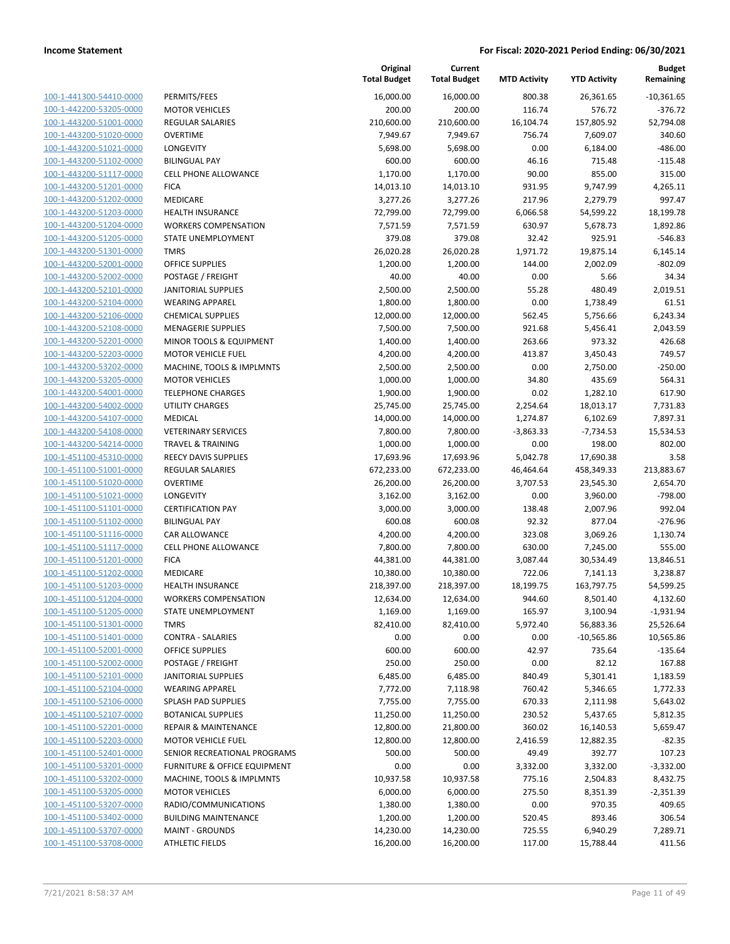| PERMITS/FEES            | 100-1-441300-54410-0000        |
|-------------------------|--------------------------------|
| <b>MOTOR VEHIO</b>      | 100-1-442200-53205-0000        |
| <b>REGULAR SAL</b>      | 100-1-443200-51001-0000        |
| OVERTIME                | 100-1-443200-51020-0000        |
| <b>LONGEVITY</b>        | 100-1-443200-51021-0000        |
| <b>BILINGUAL PA</b>     | 100-1-443200-51102-0000        |
| <b>CELL PHONE A</b>     | 100-1-443200-51117-0000        |
| <b>FICA</b>             | 100-1-443200-51201-0000        |
| <b>MEDICARE</b>         |                                |
| <b>HEALTH INSUR</b>     | 100-1-443200-51202-0000        |
|                         | 100-1-443200-51203-0000        |
| <b>WORKERS COI</b>      | 100-1-443200-51204-0000        |
| <b>STATE UNEMF</b>      | 100-1-443200-51205-0000        |
| <b>TMRS</b>             | 100-1-443200-51301-0000        |
| <b>OFFICE SUPPL</b>     | 100-1-443200-52001-0000        |
| POSTAGE / FR            | <u>100-1-443200-52002-0000</u> |
| <b>JANITORIAL SI</b>    | 100-1-443200-52101-0000        |
| <b>WEARING APF</b>      | 100-1-443200-52104-0000        |
| CHEMICAL SU             | 100-1-443200-52106-0000        |
| <b>MENAGERIE S</b>      | 100-1-443200-52108-0000        |
| MINOR TOOLS             | 100-1-443200-52201-0000        |
| <b>MOTOR VEHIO</b>      | 100-1-443200-52203-0000        |
| MACHINE, TO             | 100-1-443200-53202-0000        |
| <b>MOTOR VEHIO</b>      | 100-1-443200-53205-0000        |
| <b>TELEPHONE C</b>      | 100-1-443200-54001-0000        |
| UTILITY CHAR            | <u>100-1-443200-54002-0000</u> |
| MEDICAL                 | 100-1-443200-54107-0000        |
| <b>VETERINARY S</b>     | 100-1-443200-54108-0000        |
| <b>TRAVEL &amp; TRA</b> | 100-1-443200-54214-0000        |
| <b>REECY DAVIS 9</b>    | 100-1-451100-45310-0000        |
| REGULAR SAL             | 100-1-451100-51001-0000        |
| OVERTIME                | 100-1-451100-51020-0000        |
| <b>LONGEVITY</b>        | 100-1-451100-51021-0000        |
| <b>CERTIFICATIO</b>     | 100-1-451100-51101-0000        |
| <b>BILINGUAL PA</b>     | 100-1-451100-51102-0000        |
| CAR ALLOWAI             | 100-1-451100-51116-0000        |
| <b>CELL PHONE A</b>     | 100-1-451100-51117-0000        |
| <b>FICA</b>             | 100-1-451100-51201-0000        |
| <b>MEDICARE</b>         | 100-1-451100-51202-0000        |
| <b>HEALTH INSUR</b>     | 100-1-451100-51203-0000        |
| <b>WORKERS COI</b>      | 100-1-451100-51204-0000        |
| <b>STATE UNEMF</b>      | 100-1-451100-51205-0000        |
| TMRS                    | 100-1-451100-51301-0000        |
| CONTRA - SAL            | 100-1-451100-51401-0000        |
| OFFICE SUPPL            | 100-1-451100-52001-0000        |
| POSTAGE / FR            | 100-1-451100-52002-0000        |
|                         |                                |
| <b>JANITORIAL SU</b>    | 100-1-451100-52101-0000        |
| <b>WEARING APF</b>      | 100-1-451100-52104-0000        |
| SPLASH PAD S            | 100-1-451100-52106-0000        |
| <b>BOTANICAL SU</b>     | 100-1-451100-52107-0000        |
| <b>REPAIR &amp; MAI</b> | 100-1-451100-52201-0000        |
| <b>MOTOR VEHIC</b>      | 100-1-451100-52203-0000        |
| <b>SENIOR RECRE</b>     | 100-1-451100-52401-0000        |
| <b>FURNITURE &amp;</b>  | 100-1-451100-53201-0000        |
| MACHINE, TO             | 100-1-451100-53202-0000        |
| <b>MOTOR VEHIC</b>      | <u>100-1-451100-53205-0000</u> |
| RADIO/COMN              | 100-1-451100-53207-0000        |
| <b>BUILDING MA</b>      | 100-1-451100-53402-0000        |
| <b>MAINT - GROU</b>     | 100-1-451100-53707-0000        |
| <b>ATHLETIC FIEL</b>    | 100-1-451100-53708-0000        |
|                         |                                |

|                                                    |                                       | Original<br><b>Total Budget</b> | Current<br><b>Total Budget</b> | <b>MTD Activity</b> | <b>YTD Activity</b> | <b>Budget</b><br>Remaining |
|----------------------------------------------------|---------------------------------------|---------------------------------|--------------------------------|---------------------|---------------------|----------------------------|
| 100-1-441300-54410-0000                            | PERMITS/FEES                          | 16,000.00                       | 16,000.00                      | 800.38              | 26,361.65           | $-10,361.65$               |
| 100-1-442200-53205-0000                            | <b>MOTOR VEHICLES</b>                 | 200.00                          | 200.00                         | 116.74              | 576.72              | $-376.72$                  |
| 100-1-443200-51001-0000                            | <b>REGULAR SALARIES</b>               | 210,600.00                      | 210,600.00                     | 16,104.74           | 157,805.92          | 52,794.08                  |
| 100-1-443200-51020-0000                            | <b>OVERTIME</b>                       | 7,949.67                        | 7,949.67                       | 756.74              | 7,609.07            | 340.60                     |
| 100-1-443200-51021-0000                            | LONGEVITY                             | 5,698.00                        | 5,698.00                       | 0.00                | 6,184.00            | $-486.00$                  |
| 100-1-443200-51102-0000                            | <b>BILINGUAL PAY</b>                  | 600.00                          | 600.00                         | 46.16               | 715.48              | $-115.48$                  |
| 100-1-443200-51117-0000                            | CELL PHONE ALLOWANCE                  | 1,170.00                        | 1,170.00                       | 90.00               | 855.00              | 315.00                     |
| 100-1-443200-51201-0000                            | <b>FICA</b>                           | 14,013.10                       | 14,013.10                      | 931.95              | 9,747.99            | 4,265.11                   |
| 100-1-443200-51202-0000                            | MEDICARE                              | 3,277.26                        | 3,277.26                       | 217.96              | 2,279.79            | 997.47                     |
| 100-1-443200-51203-0000                            | <b>HEALTH INSURANCE</b>               | 72,799.00                       | 72,799.00                      | 6,066.58            | 54,599.22           | 18,199.78                  |
| 100-1-443200-51204-0000                            | <b>WORKERS COMPENSATION</b>           | 7,571.59                        | 7,571.59                       | 630.97              | 5,678.73            | 1,892.86                   |
| 100-1-443200-51205-0000                            | STATE UNEMPLOYMENT                    | 379.08                          | 379.08                         | 32.42               | 925.91              | $-546.83$                  |
| 100-1-443200-51301-0000                            | <b>TMRS</b>                           | 26,020.28                       | 26,020.28                      | 1,971.72            | 19,875.14           | 6,145.14                   |
| 100-1-443200-52001-0000                            | <b>OFFICE SUPPLIES</b>                | 1,200.00                        | 1,200.00                       | 144.00              | 2,002.09            | $-802.09$                  |
| 100-1-443200-52002-0000                            | POSTAGE / FREIGHT                     | 40.00                           | 40.00                          | 0.00                | 5.66                | 34.34                      |
| 100-1-443200-52101-0000                            | <b>JANITORIAL SUPPLIES</b>            | 2,500.00                        | 2,500.00                       | 55.28               | 480.49              | 2,019.51                   |
| 100-1-443200-52104-0000                            | <b>WEARING APPAREL</b>                | 1,800.00                        | 1,800.00                       | 0.00                | 1,738.49            | 61.51                      |
| 100-1-443200-52106-0000                            | <b>CHEMICAL SUPPLIES</b>              | 12,000.00                       | 12,000.00                      | 562.45              | 5,756.66            | 6,243.34                   |
| 100-1-443200-52108-0000                            | <b>MENAGERIE SUPPLIES</b>             | 7,500.00                        | 7,500.00                       | 921.68              | 5,456.41            | 2,043.59                   |
| 100-1-443200-52201-0000                            | MINOR TOOLS & EQUIPMENT               | 1,400.00                        | 1,400.00                       | 263.66              | 973.32              | 426.68                     |
| 100-1-443200-52203-0000                            | <b>MOTOR VEHICLE FUEL</b>             | 4,200.00                        | 4,200.00                       | 413.87              | 3,450.43            | 749.57                     |
| 100-1-443200-53202-0000                            | MACHINE, TOOLS & IMPLMNTS             | 2,500.00                        | 2,500.00                       | 0.00                | 2,750.00            | $-250.00$                  |
| 100-1-443200-53205-0000                            | <b>MOTOR VEHICLES</b>                 | 1,000.00                        | 1,000.00                       | 34.80               | 435.69              | 564.31                     |
| 100-1-443200-54001-0000                            | <b>TELEPHONE CHARGES</b>              | 1,900.00                        | 1,900.00                       | 0.02                | 1,282.10            | 617.90                     |
| 100-1-443200-54002-0000                            | <b>UTILITY CHARGES</b>                | 25,745.00                       | 25,745.00                      | 2,254.64            | 18,013.17           | 7,731.83                   |
| 100-1-443200-54107-0000                            | MEDICAL                               | 14,000.00                       | 14,000.00                      | 1,274.87            | 6,102.69            | 7,897.31                   |
| 100-1-443200-54108-0000                            | <b>VETERINARY SERVICES</b>            | 7,800.00                        | 7,800.00                       | $-3,863.33$         | $-7,734.53$         | 15,534.53                  |
| 100-1-443200-54214-0000                            | <b>TRAVEL &amp; TRAINING</b>          | 1,000.00                        | 1,000.00                       | 0.00                | 198.00              | 802.00                     |
| 100-1-451100-45310-0000                            | <b>REECY DAVIS SUPPLIES</b>           | 17,693.96                       | 17,693.96                      | 5,042.78            | 17,690.38           | 3.58                       |
| 100-1-451100-51001-0000                            | <b>REGULAR SALARIES</b>               | 672,233.00                      | 672,233.00                     | 46,464.64           | 458,349.33          | 213,883.67                 |
| 100-1-451100-51020-0000                            | <b>OVERTIME</b>                       | 26,200.00                       | 26,200.00                      | 3,707.53            | 23,545.30           | 2,654.70                   |
| 100-1-451100-51021-0000                            | LONGEVITY<br><b>CERTIFICATION PAY</b> | 3,162.00                        | 3,162.00                       | 0.00                | 3,960.00            | $-798.00$<br>992.04        |
| 100-1-451100-51101-0000<br>100-1-451100-51102-0000 | <b>BILINGUAL PAY</b>                  | 3,000.00<br>600.08              | 3,000.00<br>600.08             | 138.48<br>92.32     | 2,007.96<br>877.04  | $-276.96$                  |
| 100-1-451100-51116-0000                            | CAR ALLOWANCE                         | 4,200.00                        | 4,200.00                       | 323.08              | 3,069.26            | 1,130.74                   |
| 100-1-451100-51117-0000                            | <b>CELL PHONE ALLOWANCE</b>           | 7,800.00                        | 7,800.00                       | 630.00              | 7,245.00            | 555.00                     |
| 100-1-451100-51201-0000                            | <b>FICA</b>                           | 44,381.00                       | 44,381.00                      | 3,087.44            | 30,534.49           | 13,846.51                  |
| 100-1-451100-51202-0000                            | MEDICARE                              | 10,380.00                       | 10,380.00                      | 722.06              | 7,141.13            | 3,238.87                   |
| 100-1-451100-51203-0000                            | <b>HEALTH INSURANCE</b>               | 218,397.00                      | 218,397.00                     | 18,199.75           | 163,797.75          | 54,599.25                  |
| 100-1-451100-51204-0000                            | <b>WORKERS COMPENSATION</b>           | 12,634.00                       | 12,634.00                      | 944.60              | 8,501.40            | 4,132.60                   |
| 100-1-451100-51205-0000                            | STATE UNEMPLOYMENT                    | 1,169.00                        | 1,169.00                       | 165.97              | 3,100.94            | $-1,931.94$                |
| 100-1-451100-51301-0000                            | <b>TMRS</b>                           | 82,410.00                       | 82,410.00                      | 5,972.40            | 56,883.36           | 25,526.64                  |
| 100-1-451100-51401-0000                            | <b>CONTRA - SALARIES</b>              | 0.00                            | 0.00                           | 0.00                | $-10,565.86$        | 10,565.86                  |
| 100-1-451100-52001-0000                            | OFFICE SUPPLIES                       | 600.00                          | 600.00                         | 42.97               | 735.64              | $-135.64$                  |
| 100-1-451100-52002-0000                            | POSTAGE / FREIGHT                     | 250.00                          | 250.00                         | 0.00                | 82.12               | 167.88                     |
| 100-1-451100-52101-0000                            | <b>JANITORIAL SUPPLIES</b>            | 6,485.00                        | 6,485.00                       | 840.49              | 5,301.41            | 1,183.59                   |
| 100-1-451100-52104-0000                            | <b>WEARING APPAREL</b>                | 7,772.00                        | 7,118.98                       | 760.42              | 5,346.65            | 1,772.33                   |
| 100-1-451100-52106-0000                            | SPLASH PAD SUPPLIES                   | 7,755.00                        | 7,755.00                       | 670.33              | 2,111.98            | 5,643.02                   |
| 100-1-451100-52107-0000                            | <b>BOTANICAL SUPPLIES</b>             | 11,250.00                       | 11,250.00                      | 230.52              | 5,437.65            | 5,812.35                   |
| 100-1-451100-52201-0000                            | <b>REPAIR &amp; MAINTENANCE</b>       | 12,800.00                       | 21,800.00                      | 360.02              | 16,140.53           | 5,659.47                   |
| 100-1-451100-52203-0000                            | <b>MOTOR VEHICLE FUEL</b>             | 12,800.00                       | 12,800.00                      | 2,416.59            | 12,882.35           | $-82.35$                   |
| 100-1-451100-52401-0000                            | SENIOR RECREATIONAL PROGRAMS          | 500.00                          | 500.00                         | 49.49               | 392.77              | 107.23                     |
| 100-1-451100-53201-0000                            | FURNITURE & OFFICE EQUIPMENT          | 0.00                            | 0.00                           | 3,332.00            | 3,332.00            | $-3,332.00$                |
| 100-1-451100-53202-0000                            | MACHINE, TOOLS & IMPLMNTS             | 10,937.58                       | 10,937.58                      | 775.16              | 2,504.83            | 8,432.75                   |
| 100-1-451100-53205-0000                            | <b>MOTOR VEHICLES</b>                 | 6,000.00                        | 6,000.00                       | 275.50              | 8,351.39            | $-2,351.39$                |
| 100-1-451100-53207-0000                            | RADIO/COMMUNICATIONS                  | 1,380.00                        | 1,380.00                       | 0.00                | 970.35              | 409.65                     |
| 100-1-451100-53402-0000                            | <b>BUILDING MAINTENANCE</b>           | 1,200.00                        | 1,200.00                       | 520.45              | 893.46              | 306.54                     |
| 100-1-451100-53707-0000                            | <b>MAINT - GROUNDS</b>                | 14,230.00                       | 14,230.00                      | 725.55              | 6,940.29            | 7,289.71                   |
| 100-1-451100-53708-0000                            | <b>ATHLETIC FIELDS</b>                | 16,200.00                       | 16,200.00                      | 117.00              | 15,788.44           | 411.56                     |
|                                                    |                                       |                                 |                                |                     |                     |                            |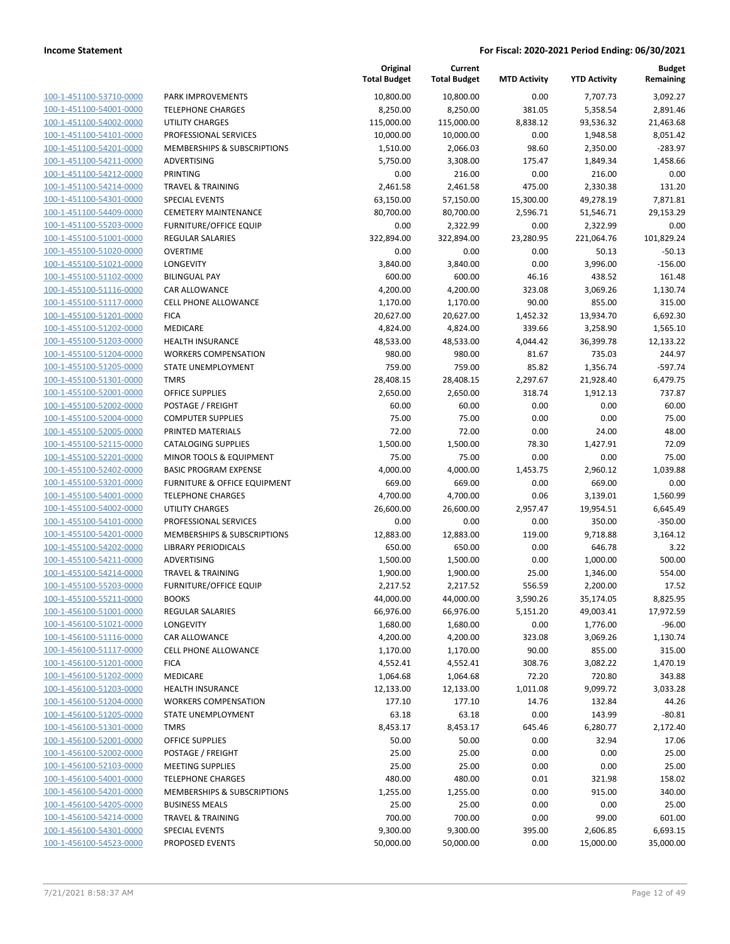|                                                    |                                                                    | Original<br><b>Total Budget</b> | Current<br><b>Total Budget</b> | <b>MTD Activity</b> | <b>YTD Activity</b> | <b>Budget</b><br>Remaining |
|----------------------------------------------------|--------------------------------------------------------------------|---------------------------------|--------------------------------|---------------------|---------------------|----------------------------|
| 100-1-451100-53710-0000                            | PARK IMPROVEMENTS                                                  | 10,800.00                       | 10,800.00                      | 0.00                | 7,707.73            | 3,092.27                   |
| 100-1-451100-54001-0000                            | <b>TELEPHONE CHARGES</b>                                           | 8,250.00                        | 8,250.00                       | 381.05              | 5,358.54            | 2,891.46                   |
| 100-1-451100-54002-0000                            | <b>UTILITY CHARGES</b>                                             | 115,000.00                      | 115,000.00                     | 8,838.12            | 93,536.32           | 21,463.68                  |
| 100-1-451100-54101-0000                            | PROFESSIONAL SERVICES                                              | 10,000.00                       | 10,000.00                      | 0.00                | 1,948.58            | 8,051.42                   |
| 100-1-451100-54201-0000                            | MEMBERSHIPS & SUBSCRIPTIONS                                        | 1,510.00                        | 2,066.03                       | 98.60               | 2,350.00            | $-283.97$                  |
| 100-1-451100-54211-0000                            | ADVERTISING                                                        | 5,750.00                        | 3,308.00                       | 175.47              | 1,849.34            | 1,458.66                   |
| 100-1-451100-54212-0000                            | <b>PRINTING</b>                                                    | 0.00                            | 216.00                         | 0.00                | 216.00              | 0.00                       |
| 100-1-451100-54214-0000                            | <b>TRAVEL &amp; TRAINING</b>                                       | 2,461.58                        | 2,461.58                       | 475.00              | 2,330.38            | 131.20                     |
| 100-1-451100-54301-0000                            | <b>SPECIAL EVENTS</b>                                              | 63,150.00                       | 57,150.00                      | 15,300.00           | 49,278.19           | 7,871.81                   |
| 100-1-451100-54409-0000                            | <b>CEMETERY MAINTENANCE</b>                                        | 80,700.00                       | 80,700.00                      | 2,596.71            | 51,546.71           | 29,153.29                  |
| 100-1-451100-55203-0000                            | <b>FURNITURE/OFFICE EQUIP</b>                                      | 0.00                            | 2,322.99                       | 0.00                | 2,322.99            | 0.00                       |
| 100-1-455100-51001-0000                            | <b>REGULAR SALARIES</b>                                            | 322,894.00                      | 322,894.00                     | 23,280.95           | 221,064.76          | 101,829.24                 |
| 100-1-455100-51020-0000                            | <b>OVERTIME</b>                                                    | 0.00                            | 0.00                           | 0.00                | 50.13               | $-50.13$                   |
| 100-1-455100-51021-0000                            | LONGEVITY                                                          | 3,840.00                        | 3,840.00                       | 0.00                | 3,996.00            | $-156.00$                  |
| 100-1-455100-51102-0000                            | <b>BILINGUAL PAY</b>                                               | 600.00                          | 600.00                         | 46.16               | 438.52              | 161.48                     |
| 100-1-455100-51116-0000                            | CAR ALLOWANCE                                                      | 4,200.00                        | 4,200.00                       | 323.08              | 3,069.26            | 1,130.74                   |
| 100-1-455100-51117-0000                            | <b>CELL PHONE ALLOWANCE</b>                                        | 1,170.00                        | 1,170.00                       | 90.00               | 855.00              | 315.00                     |
| 100-1-455100-51201-0000                            | <b>FICA</b>                                                        | 20,627.00                       | 20,627.00                      | 1,452.32            | 13,934.70           | 6,692.30                   |
| 100-1-455100-51202-0000                            | MEDICARE                                                           | 4,824.00                        | 4,824.00                       | 339.66              | 3,258.90            | 1,565.10                   |
| 100-1-455100-51203-0000                            | <b>HEALTH INSURANCE</b>                                            | 48,533.00                       | 48,533.00                      | 4,044.42            | 36,399.78           | 12,133.22                  |
| 100-1-455100-51204-0000                            | <b>WORKERS COMPENSATION</b>                                        | 980.00                          | 980.00                         | 81.67               | 735.03              | 244.97                     |
| 100-1-455100-51205-0000                            | STATE UNEMPLOYMENT                                                 | 759.00                          | 759.00                         | 85.82               | 1,356.74            | $-597.74$                  |
| 100-1-455100-51301-0000                            | <b>TMRS</b>                                                        | 28,408.15                       | 28,408.15                      | 2,297.67            | 21,928.40           | 6,479.75                   |
| 100-1-455100-52001-0000                            | <b>OFFICE SUPPLIES</b>                                             | 2,650.00                        | 2,650.00                       | 318.74              | 1,912.13            | 737.87                     |
| 100-1-455100-52002-0000                            | POSTAGE / FREIGHT                                                  | 60.00                           | 60.00                          | 0.00                | 0.00                | 60.00                      |
| 100-1-455100-52004-0000                            | <b>COMPUTER SUPPLIES</b>                                           | 75.00                           | 75.00                          | 0.00                | 0.00                | 75.00                      |
| 100-1-455100-52005-0000                            | PRINTED MATERIALS                                                  | 72.00                           | 72.00                          | 0.00                | 24.00               | 48.00                      |
| 100-1-455100-52115-0000                            | <b>CATALOGING SUPPLIES</b>                                         | 1,500.00                        | 1,500.00                       | 78.30               | 1,427.91            | 72.09                      |
| 100-1-455100-52201-0000<br>100-1-455100-52402-0000 | <b>MINOR TOOLS &amp; EQUIPMENT</b><br><b>BASIC PROGRAM EXPENSE</b> | 75.00<br>4,000.00               | 75.00<br>4,000.00              | 0.00<br>1,453.75    | 0.00<br>2,960.12    | 75.00<br>1,039.88          |
| 100-1-455100-53201-0000                            | <b>FURNITURE &amp; OFFICE EQUIPMENT</b>                            | 669.00                          | 669.00                         | 0.00                | 669.00              | 0.00                       |
| 100-1-455100-54001-0000                            | <b>TELEPHONE CHARGES</b>                                           | 4,700.00                        | 4,700.00                       | 0.06                | 3,139.01            | 1,560.99                   |
| 100-1-455100-54002-0000                            | <b>UTILITY CHARGES</b>                                             | 26,600.00                       | 26,600.00                      | 2,957.47            | 19,954.51           | 6,645.49                   |
| 100-1-455100-54101-0000                            | PROFESSIONAL SERVICES                                              | 0.00                            | 0.00                           | 0.00                | 350.00              | $-350.00$                  |
| 100-1-455100-54201-0000                            | MEMBERSHIPS & SUBSCRIPTIONS                                        | 12,883.00                       | 12,883.00                      | 119.00              | 9,718.88            | 3,164.12                   |
| 100-1-455100-54202-0000                            | <b>LIBRARY PERIODICALS</b>                                         | 650.00                          | 650.00                         | 0.00                | 646.78              | 3.22                       |
| 100-1-455100-54211-0000                            | ADVERTISING                                                        | 1,500.00                        | 1,500.00                       | 0.00                | 1,000.00            | 500.00                     |
| 100-1-455100-54214-0000                            | <b>TRAVEL &amp; TRAINING</b>                                       | 1,900.00                        | 1,900.00                       | 25.00               | 1,346.00            | 554.00                     |
| 100-1-455100-55203-0000                            | <b>FURNITURE/OFFICE EQUIP</b>                                      | 2,217.52                        | 2,217.52                       | 556.59              | 2,200.00            | 17.52                      |
| 100-1-455100-55211-0000                            | <b>BOOKS</b>                                                       | 44,000.00                       | 44,000.00                      | 3,590.26            | 35,174.05           | 8,825.95                   |
| 100-1-456100-51001-0000                            | REGULAR SALARIES                                                   | 66,976.00                       | 66,976.00                      | 5,151.20            | 49,003.41           | 17,972.59                  |
| 100-1-456100-51021-0000                            | LONGEVITY                                                          | 1,680.00                        | 1,680.00                       | 0.00                | 1,776.00            | $-96.00$                   |
| 100-1-456100-51116-0000                            | CAR ALLOWANCE                                                      | 4,200.00                        | 4,200.00                       | 323.08              | 3,069.26            | 1,130.74                   |
| 100-1-456100-51117-0000                            | <b>CELL PHONE ALLOWANCE</b>                                        | 1,170.00                        | 1,170.00                       | 90.00               | 855.00              | 315.00                     |
| 100-1-456100-51201-0000                            | <b>FICA</b>                                                        | 4,552.41                        | 4,552.41                       | 308.76              | 3,082.22            | 1,470.19                   |
| 100-1-456100-51202-0000                            | MEDICARE                                                           | 1,064.68                        | 1,064.68                       | 72.20               | 720.80              | 343.88                     |
| 100-1-456100-51203-0000                            | <b>HEALTH INSURANCE</b>                                            | 12,133.00                       | 12,133.00                      | 1,011.08            | 9,099.72            | 3,033.28                   |
| 100-1-456100-51204-0000                            | <b>WORKERS COMPENSATION</b>                                        | 177.10                          | 177.10                         | 14.76               | 132.84              | 44.26                      |
| 100-1-456100-51205-0000                            | STATE UNEMPLOYMENT                                                 | 63.18                           | 63.18                          | 0.00                | 143.99              | $-80.81$                   |
| 100-1-456100-51301-0000                            | <b>TMRS</b>                                                        | 8,453.17                        | 8,453.17                       | 645.46              | 6,280.77            | 2,172.40                   |
| 100-1-456100-52001-0000                            | <b>OFFICE SUPPLIES</b>                                             | 50.00                           | 50.00                          | 0.00                | 32.94               | 17.06                      |
| 100-1-456100-52002-0000                            | POSTAGE / FREIGHT                                                  | 25.00                           | 25.00                          | 0.00                | 0.00                | 25.00                      |
| 100-1-456100-52103-0000                            | <b>MEETING SUPPLIES</b>                                            | 25.00                           | 25.00                          | 0.00                | 0.00                | 25.00                      |
| 100-1-456100-54001-0000                            | <b>TELEPHONE CHARGES</b>                                           | 480.00                          | 480.00                         | 0.01                | 321.98              | 158.02                     |
| 100-1-456100-54201-0000                            | MEMBERSHIPS & SUBSCRIPTIONS                                        | 1,255.00                        | 1,255.00                       | 0.00                | 915.00              | 340.00                     |
| 100-1-456100-54205-0000                            | <b>BUSINESS MEALS</b>                                              | 25.00                           | 25.00                          | 0.00                | 0.00                | 25.00                      |
| 100-1-456100-54214-0000                            | <b>TRAVEL &amp; TRAINING</b>                                       | 700.00                          | 700.00                         | 0.00                | 99.00               | 601.00                     |
| 100-1-456100-54301-0000                            | <b>SPECIAL EVENTS</b>                                              | 9,300.00                        | 9,300.00                       | 395.00              | 2,606.85            | 6,693.15                   |
| 100-1-456100-54523-0000                            | PROPOSED EVENTS                                                    | 50,000.00                       | 50,000.00                      | 0.00                | 15,000.00           | 35,000.00                  |
|                                                    |                                                                    |                                 |                                |                     |                     |                            |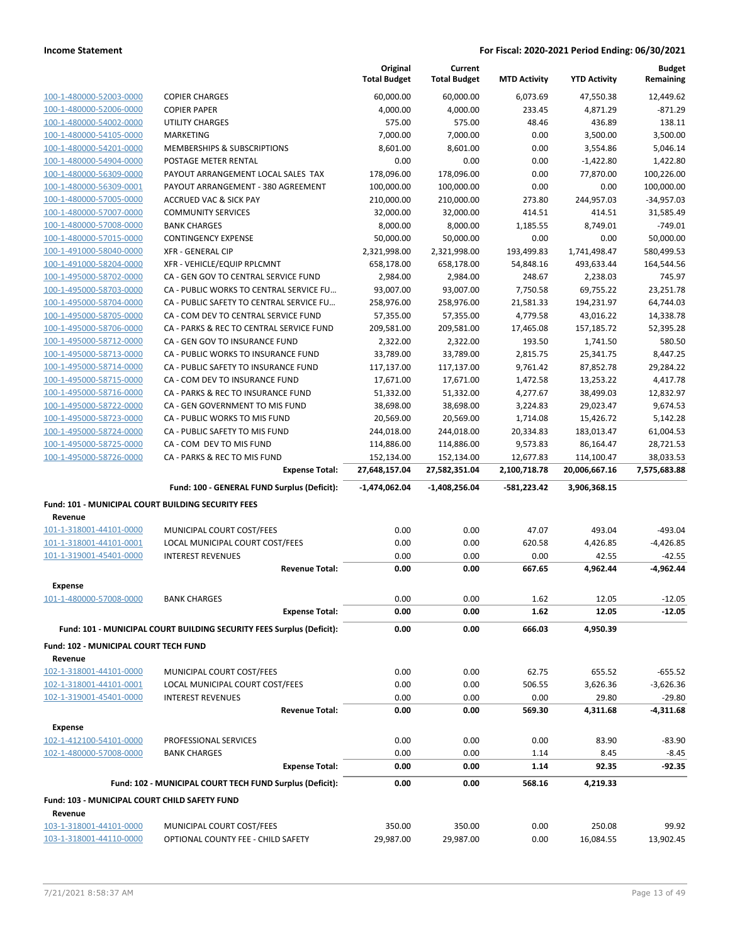|                                                    |                                                                                   | Original<br><b>Total Budget</b> | Current<br><b>Total Budget</b> | <b>MTD Activity</b>       | <b>YTD Activity</b>         | <b>Budget</b><br>Remaining |
|----------------------------------------------------|-----------------------------------------------------------------------------------|---------------------------------|--------------------------------|---------------------------|-----------------------------|----------------------------|
| 100-1-480000-52003-0000                            | <b>COPIER CHARGES</b>                                                             | 60,000.00                       | 60,000.00                      | 6,073.69                  | 47,550.38                   | 12,449.62                  |
| 100-1-480000-52006-0000                            | <b>COPIER PAPER</b>                                                               | 4,000.00                        | 4,000.00                       | 233.45                    | 4,871.29                    | $-871.29$                  |
| 100-1-480000-54002-0000                            | UTILITY CHARGES                                                                   | 575.00                          | 575.00                         | 48.46                     | 436.89                      | 138.11                     |
| 100-1-480000-54105-0000                            | <b>MARKETING</b>                                                                  | 7,000.00                        | 7,000.00                       | 0.00                      | 3,500.00                    | 3,500.00                   |
| 100-1-480000-54201-0000                            | MEMBERSHIPS & SUBSCRIPTIONS                                                       | 8,601.00                        | 8,601.00                       | 0.00                      | 3,554.86                    | 5,046.14                   |
| 100-1-480000-54904-0000                            | POSTAGE METER RENTAL                                                              | 0.00                            | 0.00                           | 0.00                      | $-1,422.80$                 | 1,422.80                   |
| 100-1-480000-56309-0000                            | PAYOUT ARRANGEMENT LOCAL SALES TAX                                                | 178,096.00                      | 178,096.00                     | 0.00                      | 77,870.00                   | 100,226.00                 |
| 100-1-480000-56309-0001                            | PAYOUT ARRANGEMENT - 380 AGREEMENT                                                | 100,000.00                      | 100,000.00                     | 0.00                      | 0.00                        | 100,000.00                 |
| 100-1-480000-57005-0000                            | <b>ACCRUED VAC &amp; SICK PAY</b>                                                 | 210,000.00                      | 210,000.00                     | 273.80                    | 244,957.03                  | $-34,957.03$               |
| 100-1-480000-57007-0000                            | <b>COMMUNITY SERVICES</b>                                                         | 32,000.00                       | 32,000.00                      | 414.51                    | 414.51                      | 31,585.49                  |
| 100-1-480000-57008-0000                            | <b>BANK CHARGES</b>                                                               | 8,000.00                        | 8,000.00                       | 1.185.55                  | 8,749.01                    | $-749.01$                  |
| 100-1-480000-57015-0000                            | <b>CONTINGENCY EXPENSE</b>                                                        | 50,000.00                       | 50,000.00                      | 0.00                      | 0.00                        | 50,000.00                  |
| 100-1-491000-58040-0000                            | <b>XFR - GENERAL CIP</b>                                                          | 2,321,998.00                    | 2,321,998.00                   | 193,499.83                | 1,741,498.47                | 580,499.53                 |
| 100-1-491000-58204-0000                            | XFR - VEHICLE/EQUIP RPLCMNT                                                       | 658,178.00                      | 658,178.00                     | 54,848.16                 | 493,633.44                  | 164,544.56                 |
| 100-1-495000-58702-0000                            | CA - GEN GOV TO CENTRAL SERVICE FUND                                              | 2,984.00                        | 2,984.00                       | 248.67                    | 2,238.03                    | 745.97                     |
| 100-1-495000-58703-0000                            | CA - PUBLIC WORKS TO CENTRAL SERVICE FU                                           | 93,007.00                       | 93,007.00                      | 7,750.58                  | 69,755.22                   | 23,251.78                  |
| 100-1-495000-58704-0000                            | CA - PUBLIC SAFETY TO CENTRAL SERVICE FU                                          | 258,976.00                      | 258,976.00                     | 21,581.33                 | 194,231.97                  | 64,744.03                  |
| 100-1-495000-58705-0000                            | CA - COM DEV TO CENTRAL SERVICE FUND                                              | 57,355.00                       | 57,355.00                      | 4.779.58                  | 43,016.22                   | 14,338.78                  |
| 100-1-495000-58706-0000                            | CA - PARKS & REC TO CENTRAL SERVICE FUND                                          | 209,581.00                      | 209,581.00                     | 17,465.08                 | 157,185.72                  | 52,395.28                  |
| 100-1-495000-58712-0000                            | CA - GEN GOV TO INSURANCE FUND                                                    | 2,322.00                        | 2,322.00                       | 193.50                    | 1,741.50                    | 580.50                     |
| 100-1-495000-58713-0000                            | CA - PUBLIC WORKS TO INSURANCE FUND                                               | 33,789.00                       | 33,789.00                      | 2,815.75                  | 25,341.75                   | 8,447.25                   |
| 100-1-495000-58714-0000                            | CA - PUBLIC SAFETY TO INSURANCE FUND                                              | 117,137.00                      | 117,137.00                     | 9,761.42                  | 87,852.78                   | 29,284.22                  |
| 100-1-495000-58715-0000                            | CA - COM DEV TO INSURANCE FUND                                                    | 17,671.00                       | 17,671.00                      | 1,472.58                  | 13,253.22                   | 4,417.78                   |
| 100-1-495000-58716-0000                            | CA - PARKS & REC TO INSURANCE FUND<br>CA - GEN GOVERNMENT TO MIS FUND             | 51,332.00                       | 51,332.00                      | 4,277.67                  | 38,499.03                   | 12,832.97                  |
| 100-1-495000-58722-0000<br>100-1-495000-58723-0000 | CA - PUBLIC WORKS TO MIS FUND                                                     | 38,698.00<br>20,569.00          | 38,698.00<br>20,569.00         | 3,224.83<br>1,714.08      | 29,023.47<br>15,426.72      | 9,674.53<br>5,142.28       |
| 100-1-495000-58724-0000                            | CA - PUBLIC SAFETY TO MIS FUND                                                    | 244,018.00                      | 244,018.00                     | 20,334.83                 | 183,013.47                  | 61,004.53                  |
| 100-1-495000-58725-0000                            | CA - COM DEV TO MIS FUND                                                          | 114,886.00                      | 114,886.00                     | 9,573.83                  | 86,164.47                   | 28,721.53                  |
|                                                    |                                                                                   |                                 |                                |                           |                             |                            |
|                                                    |                                                                                   |                                 |                                |                           |                             |                            |
| 100-1-495000-58726-0000                            | CA - PARKS & REC TO MIS FUND<br><b>Expense Total:</b>                             | 152,134.00<br>27,648,157.04     | 152,134.00<br>27,582,351.04    | 12,677.83<br>2,100,718.78 | 114,100.47<br>20,006,667.16 | 38,033.53<br>7,575,683.88  |
|                                                    | Fund: 100 - GENERAL FUND Surplus (Deficit):                                       | $-1,474,062.04$                 | $-1,408,256.04$                | -581,223.42               | 3,906,368.15                |                            |
| Fund: 101 - MUNICIPAL COURT BUILDING SECURITY FEES |                                                                                   |                                 |                                |                           |                             |                            |
| Revenue                                            |                                                                                   |                                 |                                |                           |                             |                            |
| 101-1-318001-44101-0000                            | MUNICIPAL COURT COST/FEES                                                         | 0.00                            | 0.00                           | 47.07                     | 493.04                      | $-493.04$                  |
| 101-1-318001-44101-0001                            | LOCAL MUNICIPAL COURT COST/FEES                                                   | 0.00                            | 0.00                           | 620.58                    | 4,426.85                    | $-4,426.85$                |
| 101-1-319001-45401-0000                            | <b>INTEREST REVENUES</b><br><b>Revenue Total:</b>                                 | 0.00<br>0.00                    | 0.00<br>0.00                   | 0.00<br>667.65            | 42.55<br>4,962.44           | $-42.55$<br>$-4,962.44$    |
| Expense                                            |                                                                                   |                                 |                                |                           |                             |                            |
| 101-1-480000-57008-0000                            | <b>BANK CHARGES</b>                                                               | 0.00                            | 0.00                           | 1.62                      | 12.05                       | $-12.05$                   |
|                                                    | <b>Expense Total:</b>                                                             | 0.00                            | 0.00                           | 1.62                      | 12.05                       | $-12.05$                   |
|                                                    | Fund: 101 - MUNICIPAL COURT BUILDING SECURITY FEES Surplus (Deficit):             | 0.00                            | 0.00                           | 666.03                    | 4,950.39                    |                            |
| Fund: 102 - MUNICIPAL COURT TECH FUND              |                                                                                   |                                 |                                |                           |                             |                            |
| Revenue                                            |                                                                                   |                                 |                                |                           |                             |                            |
| 102-1-318001-44101-0000                            | MUNICIPAL COURT COST/FEES                                                         | 0.00                            | 0.00                           | 62.75                     | 655.52                      | $-655.52$                  |
| 102-1-318001-44101-0001                            | LOCAL MUNICIPAL COURT COST/FEES                                                   | 0.00                            | 0.00                           | 506.55                    | 3,626.36                    | $-3,626.36$                |
| 102-1-319001-45401-0000                            | <b>INTEREST REVENUES</b>                                                          | 0.00                            | 0.00                           | 0.00                      | 29.80                       | -29.80                     |
|                                                    | <b>Revenue Total:</b>                                                             | 0.00                            | 0.00                           | 569.30                    | 4,311.68                    | $-4,311.68$                |
| <b>Expense</b>                                     |                                                                                   |                                 |                                |                           |                             |                            |
| 102-1-412100-54101-0000                            | PROFESSIONAL SERVICES                                                             | 0.00                            | 0.00                           | 0.00                      | 83.90                       | $-83.90$                   |
| 102-1-480000-57008-0000                            | <b>BANK CHARGES</b>                                                               | 0.00                            | 0.00                           | 1.14                      | 8.45                        | $-8.45$                    |
|                                                    | <b>Expense Total:</b><br>Fund: 102 - MUNICIPAL COURT TECH FUND Surplus (Deficit): | 0.00<br>0.00                    | 0.00<br>0.00                   | 1.14<br>568.16            | 92.35<br>4,219.33           | $-92.35$                   |
| Fund: 103 - MUNICIPAL COURT CHILD SAFETY FUND      |                                                                                   |                                 |                                |                           |                             |                            |
| Revenue                                            |                                                                                   |                                 |                                |                           |                             |                            |
| 103-1-318001-44101-0000                            | MUNICIPAL COURT COST/FEES                                                         | 350.00                          | 350.00                         | 0.00                      | 250.08                      | 99.92                      |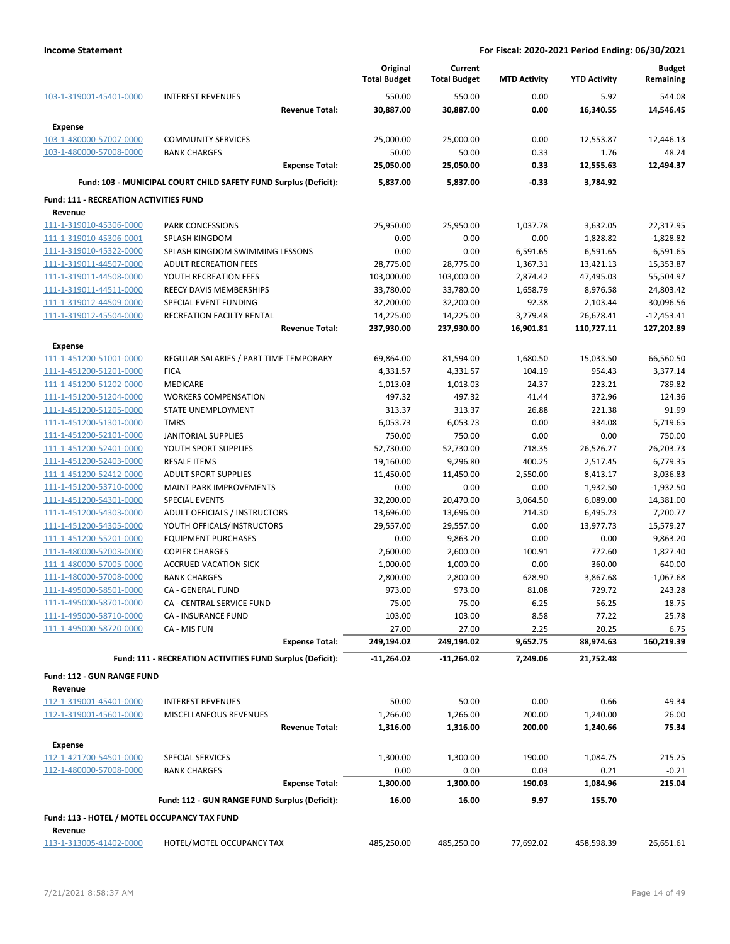|                                               |                                                                  | Original<br><b>Total Budget</b> | Current<br><b>Total Budget</b> | <b>MTD Activity</b> | <b>YTD Activity</b> | <b>Budget</b><br>Remaining |
|-----------------------------------------------|------------------------------------------------------------------|---------------------------------|--------------------------------|---------------------|---------------------|----------------------------|
| 103-1-319001-45401-0000                       | <b>INTEREST REVENUES</b>                                         | 550.00                          | 550.00                         | 0.00                | 5.92                | 544.08                     |
|                                               | <b>Revenue Total:</b>                                            | 30,887.00                       | 30,887.00                      | 0.00                | 16,340.55           | 14,546.45                  |
| <b>Expense</b>                                |                                                                  |                                 |                                |                     |                     |                            |
| 103-1-480000-57007-0000                       | <b>COMMUNITY SERVICES</b>                                        | 25,000.00                       | 25,000.00                      | 0.00                | 12,553.87           | 12,446.13                  |
| 103-1-480000-57008-0000                       | <b>BANK CHARGES</b>                                              | 50.00                           | 50.00                          | 0.33                | 1.76                | 48.24                      |
|                                               | <b>Expense Total:</b>                                            | 25,050.00                       | 25,050.00                      | 0.33                | 12,555.63           | 12,494.37                  |
|                                               |                                                                  |                                 |                                |                     |                     |                            |
|                                               | Fund: 103 - MUNICIPAL COURT CHILD SAFETY FUND Surplus (Deficit): | 5.837.00                        | 5,837.00                       | -0.33               | 3,784.92            |                            |
| <b>Fund: 111 - RECREATION ACTIVITIES FUND</b> |                                                                  |                                 |                                |                     |                     |                            |
| Revenue                                       |                                                                  |                                 |                                |                     |                     |                            |
| 111-1-319010-45306-0000                       | <b>PARK CONCESSIONS</b>                                          | 25,950.00                       | 25,950.00                      | 1,037.78            | 3,632.05            | 22,317.95                  |
| 111-1-319010-45306-0001                       | <b>SPLASH KINGDOM</b>                                            | 0.00                            | 0.00                           | 0.00                | 1,828.82            | $-1,828.82$                |
| 111-1-319010-45322-0000                       | SPLASH KINGDOM SWIMMING LESSONS                                  | 0.00                            | 0.00                           | 6,591.65            | 6,591.65            | $-6,591.65$                |
| 111-1-319011-44507-0000                       | <b>ADULT RECREATION FEES</b>                                     | 28,775.00                       | 28,775.00                      | 1,367.31            | 13,421.13           | 15,353.87                  |
| 111-1-319011-44508-0000                       | YOUTH RECREATION FEES                                            | 103,000.00                      | 103,000.00                     | 2,874.42            | 47,495.03           | 55,504.97                  |
| 111-1-319011-44511-0000                       | REECY DAVIS MEMBERSHIPS                                          | 33,780.00                       | 33,780.00                      | 1,658.79            | 8,976.58            | 24,803.42                  |
| 111-1-319012-44509-0000                       | SPECIAL EVENT FUNDING                                            | 32,200.00                       | 32,200.00                      | 92.38               | 2,103.44            | 30,096.56                  |
| 111-1-319012-45504-0000                       | RECREATION FACILTY RENTAL                                        | 14,225.00                       | 14,225.00                      | 3,279.48            | 26,678.41           | $-12,453.41$               |
|                                               | <b>Revenue Total:</b>                                            | 237,930.00                      | 237,930.00                     | 16,901.81           | 110,727.11          | 127,202.89                 |
| Expense                                       |                                                                  |                                 |                                |                     |                     |                            |
| 111-1-451200-51001-0000                       | REGULAR SALARIES / PART TIME TEMPORARY                           | 69,864.00                       | 81,594.00                      | 1,680.50            | 15,033.50           | 66,560.50                  |
| 111-1-451200-51201-0000                       | <b>FICA</b>                                                      | 4,331.57                        | 4,331.57                       | 104.19              | 954.43              | 3,377.14                   |
| 111-1-451200-51202-0000                       | <b>MEDICARE</b>                                                  | 1,013.03                        | 1,013.03                       | 24.37               | 223.21              | 789.82                     |
| 111-1-451200-51204-0000                       | <b>WORKERS COMPENSATION</b>                                      | 497.32                          | 497.32                         | 41.44               | 372.96              | 124.36                     |
| 111-1-451200-51205-0000                       | STATE UNEMPLOYMENT                                               | 313.37                          | 313.37                         | 26.88               | 221.38              | 91.99                      |
| 111-1-451200-51301-0000                       | <b>TMRS</b>                                                      | 6,053.73                        | 6,053.73                       | 0.00                | 334.08              | 5,719.65                   |
| 111-1-451200-52101-0000                       | JANITORIAL SUPPLIES                                              | 750.00                          | 750.00                         | 0.00                | 0.00                | 750.00                     |
| 111-1-451200-52401-0000                       | YOUTH SPORT SUPPLIES                                             | 52,730.00                       | 52,730.00                      | 718.35              | 26,526.27           | 26,203.73                  |
| 111-1-451200-52403-0000                       | <b>RESALE ITEMS</b>                                              | 19,160.00                       | 9,296.80                       | 400.25              | 2,517.45            | 6,779.35                   |
| 111-1-451200-52412-0000                       | <b>ADULT SPORT SUPPLIES</b>                                      | 11,450.00                       | 11,450.00                      | 2,550.00            | 8,413.17            | 3,036.83                   |
| 111-1-451200-53710-0000                       | <b>MAINT PARK IMPROVEMENTS</b>                                   | 0.00                            | 0.00                           | 0.00                | 1,932.50            | $-1,932.50$                |
| 111-1-451200-54301-0000                       | <b>SPECIAL EVENTS</b>                                            | 32,200.00                       | 20,470.00                      | 3,064.50            | 6,089.00            | 14,381.00                  |
| 111-1-451200-54303-0000                       | ADULT OFFICIALS / INSTRUCTORS                                    | 13,696.00                       | 13,696.00                      | 214.30              | 6,495.23            | 7,200.77                   |
| 111-1-451200-54305-0000                       | YOUTH OFFICALS/INSTRUCTORS                                       | 29,557.00                       | 29,557.00                      | 0.00                | 13,977.73           | 15,579.27                  |
| 111-1-451200-55201-0000                       | <b>EQUIPMENT PURCHASES</b>                                       | 0.00                            | 9,863.20                       | 0.00                | 0.00                | 9,863.20                   |
| 111-1-480000-52003-0000                       | <b>COPIER CHARGES</b>                                            | 2,600.00                        | 2,600.00                       | 100.91              | 772.60              | 1,827.40                   |
| 111-1-480000-57005-0000                       | <b>ACCRUED VACATION SICK</b>                                     | 1,000.00                        | 1,000.00                       | 0.00                | 360.00              | 640.00                     |
| 111-1-480000-57008-0000                       | <b>BANK CHARGES</b>                                              | 2,800.00                        | 2,800.00                       | 628.90              | 3,867.68            | $-1,067.68$                |
| 111-1-495000-58501-0000                       | CA - GENERAL FUND                                                | 973.00                          | 973.00                         | 81.08               | 729.72              | 243.28                     |
| 111-1-495000-58701-0000                       | CA - CENTRAL SERVICE FUND                                        | 75.00                           | 75.00                          | 6.25                | 56.25               | 18.75                      |
| 111-1-495000-58710-0000                       | <b>CA - INSURANCE FUND</b>                                       | 103.00                          | 103.00                         | 8.58                | 77.22               | 25.78                      |
| 111-1-495000-58720-0000                       | CA - MIS FUN                                                     | 27.00                           | 27.00                          | 2.25                | 20.25               | 6.75                       |
|                                               | <b>Expense Total:</b>                                            | 249,194.02                      | 249,194.02                     | 9,652.75            | 88,974.63           | 160,219.39                 |
|                                               | Fund: 111 - RECREATION ACTIVITIES FUND Surplus (Deficit):        | -11,264.02                      | -11,264.02                     | 7,249.06            | 21,752.48           |                            |
|                                               |                                                                  |                                 |                                |                     |                     |                            |
| Fund: 112 - GUN RANGE FUND                    |                                                                  |                                 |                                |                     |                     |                            |
| Revenue                                       |                                                                  |                                 |                                |                     |                     |                            |
| 112-1-319001-45401-0000                       | <b>INTEREST REVENUES</b>                                         | 50.00                           | 50.00                          | 0.00                | 0.66                | 49.34                      |
| 112-1-319001-45601-0000                       | MISCELLANEOUS REVENUES                                           | 1,266.00                        | 1,266.00                       | 200.00              | 1,240.00            | 26.00                      |
|                                               | <b>Revenue Total:</b>                                            | 1,316.00                        | 1,316.00                       | 200.00              | 1,240.66            | 75.34                      |
| <b>Expense</b>                                |                                                                  |                                 |                                |                     |                     |                            |
| 112-1-421700-54501-0000                       | SPECIAL SERVICES                                                 | 1,300.00                        | 1,300.00                       | 190.00              | 1,084.75            | 215.25                     |
| 112-1-480000-57008-0000                       | <b>BANK CHARGES</b>                                              | 0.00                            | 0.00                           | 0.03                | 0.21                | $-0.21$                    |
|                                               | <b>Expense Total:</b>                                            | 1,300.00                        | 1,300.00                       | 190.03              | 1,084.96            | 215.04                     |
|                                               | Fund: 112 - GUN RANGE FUND Surplus (Deficit):                    | 16.00                           | 16.00                          | 9.97                | 155.70              |                            |
|                                               |                                                                  |                                 |                                |                     |                     |                            |
| Fund: 113 - HOTEL / MOTEL OCCUPANCY TAX FUND  |                                                                  |                                 |                                |                     |                     |                            |
| Revenue                                       |                                                                  |                                 |                                |                     |                     |                            |
| 113-1-313005-41402-0000                       | HOTEL/MOTEL OCCUPANCY TAX                                        | 485,250.00                      | 485,250.00                     | 77,692.02           | 458,598.39          | 26,651.61                  |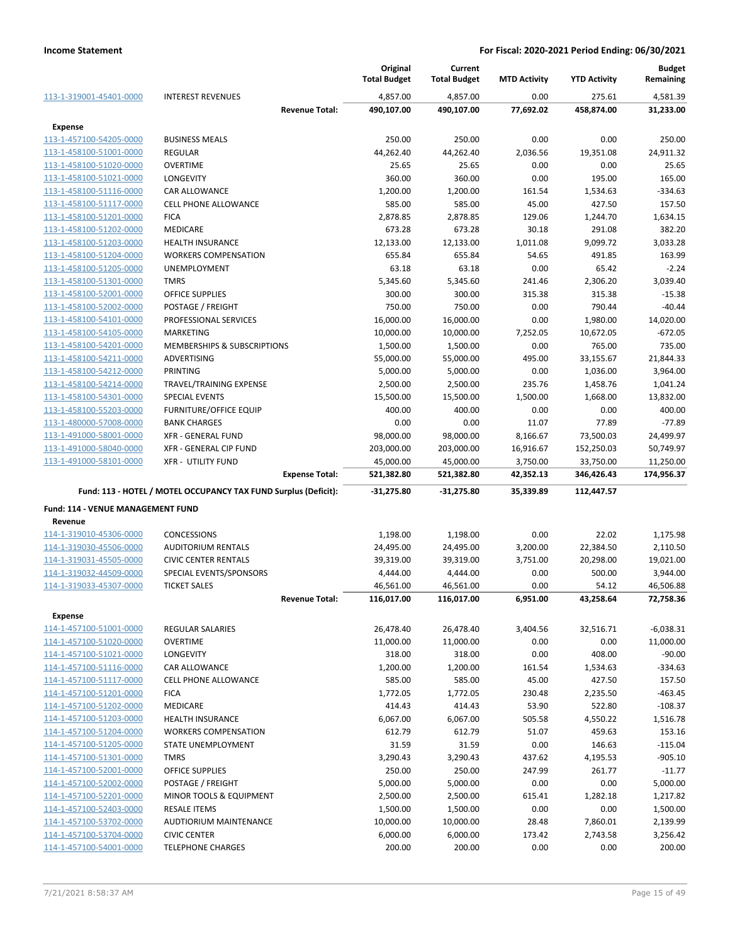|                                                    |                                                                 |                       | Original<br><b>Total Budget</b> | Current<br><b>Total Budget</b> | <b>MTD Activity</b> | <b>YTD Activity</b>   | <b>Budget</b><br>Remaining |
|----------------------------------------------------|-----------------------------------------------------------------|-----------------------|---------------------------------|--------------------------------|---------------------|-----------------------|----------------------------|
| 113-1-319001-45401-0000                            | <b>INTEREST REVENUES</b>                                        |                       | 4,857.00                        | 4,857.00                       | 0.00                | 275.61                | 4,581.39                   |
|                                                    |                                                                 | <b>Revenue Total:</b> | 490,107.00                      | 490,107.00                     | 77,692.02           | 458,874.00            | 31,233.00                  |
| Expense                                            |                                                                 |                       |                                 |                                |                     |                       |                            |
| 113-1-457100-54205-0000                            | <b>BUSINESS MEALS</b>                                           |                       | 250.00                          | 250.00                         | 0.00                | 0.00                  | 250.00                     |
| 113-1-458100-51001-0000                            | <b>REGULAR</b>                                                  |                       | 44,262.40                       | 44,262.40                      | 2,036.56            | 19,351.08             | 24,911.32                  |
| 113-1-458100-51020-0000                            | <b>OVERTIME</b>                                                 |                       | 25.65                           | 25.65                          | 0.00                | 0.00                  | 25.65                      |
| 113-1-458100-51021-0000                            | <b>LONGEVITY</b>                                                |                       | 360.00                          | 360.00                         | 0.00                | 195.00                | 165.00                     |
| 113-1-458100-51116-0000                            | <b>CAR ALLOWANCE</b>                                            |                       | 1,200.00                        | 1,200.00                       | 161.54              | 1,534.63              | $-334.63$                  |
| 113-1-458100-51117-0000                            | <b>CELL PHONE ALLOWANCE</b>                                     |                       | 585.00                          | 585.00                         | 45.00               | 427.50                | 157.50                     |
| 113-1-458100-51201-0000                            | <b>FICA</b>                                                     |                       | 2,878.85                        | 2,878.85                       | 129.06              | 1,244.70              | 1,634.15                   |
| 113-1-458100-51202-0000                            | <b>MEDICARE</b>                                                 |                       | 673.28                          | 673.28                         | 30.18               | 291.08                | 382.20                     |
| 113-1-458100-51203-0000                            | <b>HEALTH INSURANCE</b>                                         |                       | 12,133.00                       | 12,133.00                      | 1,011.08            | 9,099.72              | 3,033.28                   |
| 113-1-458100-51204-0000                            | <b>WORKERS COMPENSATION</b>                                     |                       | 655.84                          | 655.84                         | 54.65               | 491.85                | 163.99                     |
| 113-1-458100-51205-0000                            | UNEMPLOYMENT                                                    |                       | 63.18                           | 63.18                          | 0.00                | 65.42                 | $-2.24$                    |
| 113-1-458100-51301-0000                            | <b>TMRS</b>                                                     |                       | 5,345.60                        | 5,345.60                       | 241.46              | 2,306.20              | 3,039.40                   |
| 113-1-458100-52001-0000                            | <b>OFFICE SUPPLIES</b>                                          |                       | 300.00                          | 300.00                         | 315.38              | 315.38                | $-15.38$                   |
| 113-1-458100-52002-0000                            | POSTAGE / FREIGHT                                               |                       | 750.00                          | 750.00                         | 0.00                | 790.44                | $-40.44$                   |
| 113-1-458100-54101-0000<br>113-1-458100-54105-0000 | PROFESSIONAL SERVICES<br><b>MARKETING</b>                       |                       | 16,000.00                       | 16,000.00                      | 0.00                | 1,980.00<br>10,672.05 | 14,020.00<br>-672.05       |
| 113-1-458100-54201-0000                            | <b>MEMBERSHIPS &amp; SUBSCRIPTIONS</b>                          |                       | 10,000.00<br>1,500.00           | 10,000.00<br>1,500.00          | 7,252.05<br>0.00    | 765.00                | 735.00                     |
| 113-1-458100-54211-0000                            | ADVERTISING                                                     |                       | 55,000.00                       | 55,000.00                      | 495.00              | 33,155.67             | 21,844.33                  |
| 113-1-458100-54212-0000                            | PRINTING                                                        |                       | 5,000.00                        | 5,000.00                       | 0.00                | 1,036.00              | 3,964.00                   |
| 113-1-458100-54214-0000                            | TRAVEL/TRAINING EXPENSE                                         |                       | 2,500.00                        | 2,500.00                       | 235.76              | 1,458.76              | 1,041.24                   |
| 113-1-458100-54301-0000                            | <b>SPECIAL EVENTS</b>                                           |                       | 15,500.00                       | 15,500.00                      | 1,500.00            | 1,668.00              | 13,832.00                  |
| 113-1-458100-55203-0000                            | <b>FURNITURE/OFFICE EQUIP</b>                                   |                       | 400.00                          | 400.00                         | 0.00                | 0.00                  | 400.00                     |
| 113-1-480000-57008-0000                            | <b>BANK CHARGES</b>                                             |                       | 0.00                            | 0.00                           | 11.07               | 77.89                 | $-77.89$                   |
| 113-1-491000-58001-0000                            | <b>XFR - GENERAL FUND</b>                                       |                       | 98,000.00                       | 98,000.00                      | 8,166.67            | 73,500.03             | 24,499.97                  |
| 113-1-491000-58040-0000                            | XFR - GENERAL CIP FUND                                          |                       | 203,000.00                      | 203,000.00                     | 16,916.67           | 152,250.03            | 50,749.97                  |
| 113-1-491000-58101-0000                            | <b>XFR - UTILITY FUND</b>                                       |                       | 45,000.00                       | 45,000.00                      | 3,750.00            | 33,750.00             | 11,250.00                  |
|                                                    |                                                                 | <b>Expense Total:</b> | 521,382.80                      | 521,382.80                     | 42,352.13           | 346,426.43            | 174,956.37                 |
|                                                    | Fund: 113 - HOTEL / MOTEL OCCUPANCY TAX FUND Surplus (Deficit): |                       | $-31,275.80$                    | $-31,275.80$                   | 35,339.89           | 112,447.57            |                            |
| Fund: 114 - VENUE MANAGEMENT FUND                  |                                                                 |                       |                                 |                                |                     |                       |                            |
| Revenue                                            |                                                                 |                       |                                 |                                |                     |                       |                            |
| 114-1-319010-45306-0000                            | CONCESSIONS                                                     |                       | 1,198.00                        | 1,198.00                       | 0.00                | 22.02                 | 1,175.98                   |
| 114-1-319030-45506-0000                            | <b>AUDITORIUM RENTALS</b>                                       |                       | 24,495.00                       | 24,495.00                      | 3,200.00            | 22,384.50             | 2,110.50                   |
| 114-1-319031-45505-0000                            | <b>CIVIC CENTER RENTALS</b>                                     |                       | 39,319.00                       | 39,319.00                      | 3,751.00            | 20,298.00             | 19,021.00                  |
| 114-1-319032-44509-0000                            | SPECIAL EVENTS/SPONSORS                                         |                       | 4,444.00                        | 4,444.00                       | 0.00                | 500.00                | 3,944.00                   |
| 114-1-319033-45307-0000                            | <b>TICKET SALES</b>                                             |                       | 46,561.00                       | 46,561.00                      | 0.00                | 54.12                 | 46,506.88                  |
|                                                    |                                                                 | <b>Revenue Total:</b> | 116,017.00                      | 116,017.00                     | 6,951.00            | 43,258.64             | 72,758.36                  |
| <b>Expense</b>                                     |                                                                 |                       |                                 |                                |                     |                       |                            |
| 114-1-457100-51001-0000                            | REGULAR SALARIES                                                |                       | 26,478.40                       | 26,478.40                      | 3,404.56            | 32,516.71             | $-6,038.31$                |
| 114-1-457100-51020-0000                            | <b>OVERTIME</b>                                                 |                       | 11,000.00                       | 11,000.00                      | 0.00                | 0.00                  | 11,000.00                  |
| 114-1-457100-51021-0000                            | <b>LONGEVITY</b>                                                |                       | 318.00                          | 318.00                         | 0.00                | 408.00                | $-90.00$                   |
| 114-1-457100-51116-0000                            | CAR ALLOWANCE                                                   |                       | 1,200.00                        | 1,200.00                       | 161.54              | 1,534.63              | $-334.63$                  |
| 114-1-457100-51117-0000                            | <b>CELL PHONE ALLOWANCE</b>                                     |                       | 585.00                          | 585.00                         | 45.00               | 427.50                | 157.50                     |
| 114-1-457100-51201-0000<br>114-1-457100-51202-0000 | <b>FICA</b>                                                     |                       | 1,772.05                        | 1,772.05                       | 230.48              | 2,235.50              | $-463.45$                  |
| 114-1-457100-51203-0000                            | <b>MEDICARE</b><br><b>HEALTH INSURANCE</b>                      |                       | 414.43<br>6,067.00              | 414.43<br>6,067.00             | 53.90<br>505.58     | 522.80<br>4,550.22    | $-108.37$<br>1,516.78      |
| 114-1-457100-51204-0000                            | <b>WORKERS COMPENSATION</b>                                     |                       | 612.79                          | 612.79                         | 51.07               | 459.63                | 153.16                     |
| 114-1-457100-51205-0000                            | STATE UNEMPLOYMENT                                              |                       | 31.59                           | 31.59                          | 0.00                | 146.63                | $-115.04$                  |
| 114-1-457100-51301-0000                            | <b>TMRS</b>                                                     |                       | 3,290.43                        | 3,290.43                       | 437.62              | 4,195.53              | $-905.10$                  |
| 114-1-457100-52001-0000                            | OFFICE SUPPLIES                                                 |                       | 250.00                          | 250.00                         | 247.99              | 261.77                | $-11.77$                   |
| 114-1-457100-52002-0000                            | POSTAGE / FREIGHT                                               |                       | 5,000.00                        | 5,000.00                       | 0.00                | 0.00                  | 5,000.00                   |
| 114-1-457100-52201-0000                            | MINOR TOOLS & EQUIPMENT                                         |                       | 2,500.00                        | 2,500.00                       | 615.41              | 1,282.18              | 1,217.82                   |
| 114-1-457100-52403-0000                            | <b>RESALE ITEMS</b>                                             |                       | 1,500.00                        | 1,500.00                       | 0.00                | 0.00                  | 1,500.00                   |
| 114-1-457100-53702-0000                            | AUDTIORIUM MAINTENANCE                                          |                       | 10,000.00                       | 10,000.00                      | 28.48               | 7,860.01              | 2,139.99                   |
| 114-1-457100-53704-0000                            | <b>CIVIC CENTER</b>                                             |                       | 6,000.00                        | 6,000.00                       | 173.42              | 2,743.58              | 3,256.42                   |
| 114-1-457100-54001-0000                            | <b>TELEPHONE CHARGES</b>                                        |                       | 200.00                          | 200.00                         | 0.00                | 0.00                  | 200.00                     |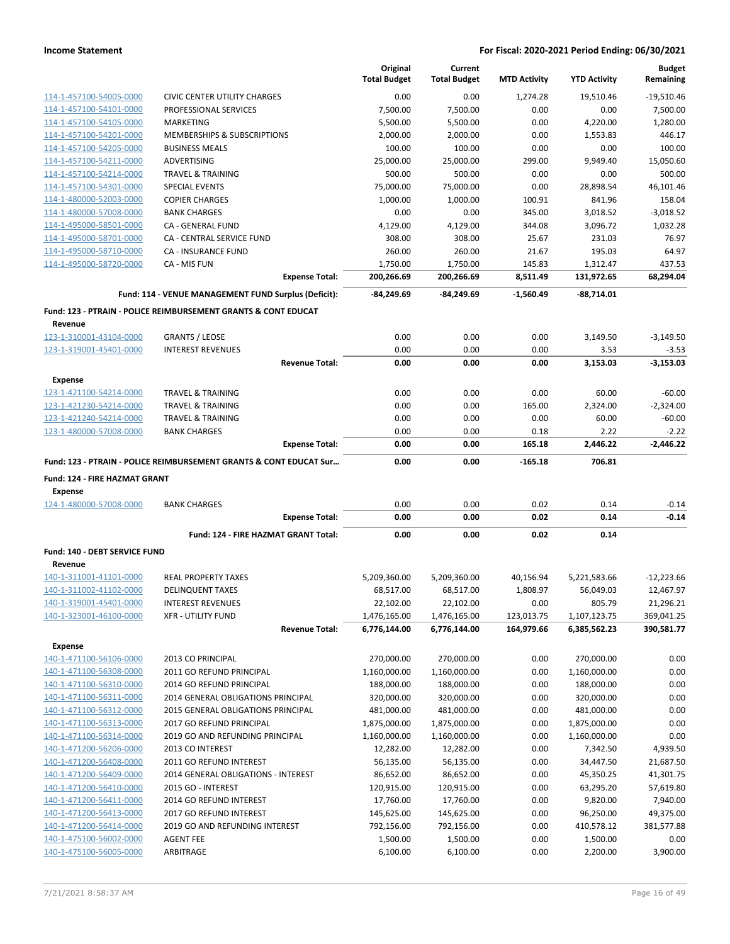|                                                    |                                                                           | Original<br><b>Total Budget</b> | Current<br><b>Total Budget</b> | <b>MTD Activity</b> | <b>YTD Activity</b>  | <b>Budget</b><br>Remaining |
|----------------------------------------------------|---------------------------------------------------------------------------|---------------------------------|--------------------------------|---------------------|----------------------|----------------------------|
| 114-1-457100-54005-0000                            | <b>CIVIC CENTER UTILITY CHARGES</b>                                       | 0.00                            | 0.00                           | 1,274.28            | 19,510.46            | $-19.510.46$               |
| 114-1-457100-54101-0000                            | PROFESSIONAL SERVICES                                                     | 7,500.00                        | 7,500.00                       | 0.00                | 0.00                 | 7,500.00                   |
| 114-1-457100-54105-0000                            | MARKETING                                                                 | 5,500.00                        | 5,500.00                       | 0.00                | 4,220.00             | 1.280.00                   |
| 114-1-457100-54201-0000                            | <b>MEMBERSHIPS &amp; SUBSCRIPTIONS</b>                                    | 2,000.00                        | 2,000.00                       | 0.00                | 1,553.83             | 446.17                     |
| 114-1-457100-54205-0000                            | <b>BUSINESS MEALS</b>                                                     | 100.00                          | 100.00                         | 0.00                | 0.00                 | 100.00                     |
| 114-1-457100-54211-0000                            | ADVERTISING                                                               | 25,000.00                       | 25,000.00                      | 299.00              | 9,949.40             | 15,050.60                  |
| 114-1-457100-54214-0000                            | <b>TRAVEL &amp; TRAINING</b>                                              | 500.00                          | 500.00                         | 0.00                | 0.00                 | 500.00                     |
| 114-1-457100-54301-0000                            | <b>SPECIAL EVENTS</b>                                                     | 75,000.00                       | 75,000.00                      | 0.00                | 28,898.54            | 46.101.46                  |
| 114-1-480000-52003-0000                            | <b>COPIER CHARGES</b>                                                     | 1,000.00                        | 1,000.00                       | 100.91              | 841.96               | 158.04                     |
| 114-1-480000-57008-0000                            | <b>BANK CHARGES</b>                                                       | 0.00                            | 0.00                           | 345.00              | 3,018.52             | $-3,018.52$                |
| 114-1-495000-58501-0000                            | <b>CA - GENERAL FUND</b>                                                  | 4,129.00                        | 4,129.00                       | 344.08              | 3,096.72             | 1,032.28                   |
| 114-1-495000-58701-0000                            | CA - CENTRAL SERVICE FUND                                                 | 308.00                          | 308.00                         | 25.67               | 231.03               | 76.97                      |
| 114-1-495000-58710-0000                            | <b>CA - INSURANCE FUND</b>                                                | 260.00                          | 260.00                         | 21.67               | 195.03               | 64.97                      |
| 114-1-495000-58720-0000                            | CA - MIS FUN                                                              | 1,750.00                        | 1,750.00                       | 145.83              | 1,312.47             | 437.53                     |
|                                                    | <b>Expense Total:</b>                                                     | 200,266.69                      | 200,266.69                     | 8,511.49            | 131,972.65           | 68,294.04                  |
|                                                    | Fund: 114 - VENUE MANAGEMENT FUND Surplus (Deficit):                      | $-84,249.69$                    | $-84.249.69$                   | $-1,560.49$         | $-88,714.01$         |                            |
| Revenue                                            | <b>Fund: 123 - PTRAIN - POLICE REIMBURSEMENT GRANTS &amp; CONT EDUCAT</b> |                                 |                                |                     |                      |                            |
| 123-1-310001-43104-0000                            | <b>GRANTS / LEOSE</b>                                                     | 0.00                            | 0.00                           | 0.00                | 3,149.50             | $-3,149.50$                |
| 123-1-319001-45401-0000                            | <b>INTEREST REVENUES</b>                                                  | 0.00                            | 0.00                           | 0.00                | 3.53                 | $-3.53$                    |
|                                                    | <b>Revenue Total:</b>                                                     | 0.00                            | 0.00                           | 0.00                | 3,153.03             | $-3,153.03$                |
| <b>Expense</b>                                     |                                                                           |                                 |                                |                     |                      |                            |
| 123-1-421100-54214-0000                            | <b>TRAVEL &amp; TRAINING</b>                                              | 0.00                            | 0.00                           | 0.00                | 60.00                | $-60.00$                   |
| 123-1-421230-54214-0000                            | <b>TRAVEL &amp; TRAINING</b>                                              | 0.00                            | 0.00                           | 165.00              | 2,324.00             | $-2,324.00$                |
| 123-1-421240-54214-0000                            | <b>TRAVEL &amp; TRAINING</b>                                              | 0.00                            | 0.00                           | 0.00                | 60.00                | $-60.00$                   |
| 123-1-480000-57008-0000                            | <b>BANK CHARGES</b>                                                       | 0.00                            | 0.00                           | 0.18                | 2.22                 | $-2.22$                    |
|                                                    | <b>Expense Total:</b>                                                     | 0.00                            | 0.00                           | 165.18              | 2,446.22             | $-2,446.22$                |
|                                                    | Fund: 123 - PTRAIN - POLICE REIMBURSEMENT GRANTS & CONT EDUCAT Sur        | 0.00                            | 0.00                           | $-165.18$           | 706.81               |                            |
|                                                    |                                                                           |                                 |                                |                     |                      |                            |
| Fund: 124 - FIRE HAZMAT GRANT                      |                                                                           |                                 |                                |                     |                      |                            |
| <b>Expense</b>                                     |                                                                           |                                 |                                |                     |                      |                            |
| 124-1-480000-57008-0000                            | <b>BANK CHARGES</b>                                                       | 0.00                            | 0.00                           | 0.02                | 0.14                 | $-0.14$                    |
|                                                    | <b>Expense Total:</b>                                                     | 0.00                            | 0.00                           | 0.02                | 0.14                 | $-0.14$                    |
|                                                    | Fund: 124 - FIRE HAZMAT GRANT Total:                                      | 0.00                            | 0.00                           | 0.02                | 0.14                 |                            |
| Fund: 140 - DEBT SERVICE FUND                      |                                                                           |                                 |                                |                     |                      |                            |
| Revenue                                            |                                                                           |                                 |                                |                     |                      |                            |
| 140-1-311001-41101-0000                            | <b>REAL PROPERTY TAXES</b>                                                | 5,209,360.00                    | 5,209,360.00                   | 40,156.94           | 5,221,583.66         | $-12,223.66$               |
| 140-1-311002-41102-0000                            | <b>DELINQUENT TAXES</b>                                                   | 68,517.00                       | 68,517.00                      | 1,808.97            | 56,049.03            | 12,467.97                  |
| 140-1-319001-45401-0000                            | <b>INTEREST REVENUES</b>                                                  | 22,102.00                       | 22,102.00                      | 0.00                | 805.79               | 21,296.21                  |
| 140-1-323001-46100-0000                            | <b>XFR - UTILITY FUND</b>                                                 | 1,476,165.00                    | 1,476,165.00                   | 123,013.75          | 1,107,123.75         | 369,041.25                 |
|                                                    | <b>Revenue Total:</b>                                                     | 6,776,144.00                    | 6,776,144.00                   | 164,979.66          | 6,385,562.23         | 390,581.77                 |
| <b>Expense</b>                                     |                                                                           |                                 |                                |                     |                      |                            |
| 140-1-471100-56106-0000                            | 2013 CO PRINCIPAL                                                         | 270,000.00                      | 270,000.00                     | 0.00                | 270,000.00           | 0.00                       |
| 140-1-471100-56308-0000                            | 2011 GO REFUND PRINCIPAL                                                  | 1,160,000.00                    | 1,160,000.00                   | 0.00                | 1,160,000.00         | 0.00                       |
| 140-1-471100-56310-0000                            | 2014 GO REFUND PRINCIPAL                                                  | 188,000.00                      | 188,000.00                     | 0.00                | 188,000.00           | 0.00                       |
| 140-1-471100-56311-0000                            | 2014 GENERAL OBLIGATIONS PRINCIPAL                                        | 320,000.00                      | 320,000.00                     | 0.00                | 320,000.00           | 0.00                       |
| 140-1-471100-56312-0000                            | 2015 GENERAL OBLIGATIONS PRINCIPAL                                        | 481,000.00                      | 481,000.00                     | 0.00                | 481,000.00           | 0.00                       |
| 140-1-471100-56313-0000                            | 2017 GO REFUND PRINCIPAL                                                  | 1,875,000.00                    | 1,875,000.00                   | 0.00                | 1,875,000.00         | 0.00                       |
| 140-1-471100-56314-0000                            | 2019 GO AND REFUNDING PRINCIPAL                                           | 1,160,000.00                    | 1,160,000.00                   | 0.00                | 1,160,000.00         | 0.00                       |
| 140-1-471200-56206-0000                            | 2013 CO INTEREST                                                          | 12,282.00                       | 12,282.00                      | 0.00                | 7,342.50             | 4,939.50                   |
| 140-1-471200-56408-0000                            | 2011 GO REFUND INTEREST                                                   | 56,135.00                       | 56,135.00                      | 0.00                | 34,447.50            | 21,687.50                  |
| 140-1-471200-56409-0000                            | 2014 GENERAL OBLIGATIONS - INTEREST                                       | 86,652.00                       | 86,652.00                      | 0.00                | 45,350.25            | 41,301.75                  |
| 140-1-471200-56410-0000                            | 2015 GO - INTEREST                                                        | 120,915.00                      | 120,915.00                     | 0.00                | 63,295.20            | 57,619.80                  |
| 140-1-471200-56411-0000                            | 2014 GO REFUND INTEREST                                                   | 17,760.00                       | 17,760.00                      | 0.00                | 9,820.00             | 7,940.00                   |
| 140-1-471200-56413-0000                            | 2017 GO REFUND INTEREST                                                   | 145,625.00                      | 145,625.00                     | 0.00                | 96,250.00            | 49,375.00                  |
| 140-1-471200-56414-0000                            | 2019 GO AND REFUNDING INTEREST                                            | 792,156.00                      | 792,156.00                     | 0.00                | 410,578.12           | 381,577.88                 |
| 140-1-475100-56002-0000<br>140-1-475100-56005-0000 | <b>AGENT FEE</b><br>ARBITRAGE                                             | 1,500.00<br>6,100.00            | 1,500.00<br>6,100.00           | 0.00<br>0.00        | 1,500.00<br>2,200.00 | 0.00<br>3,900.00           |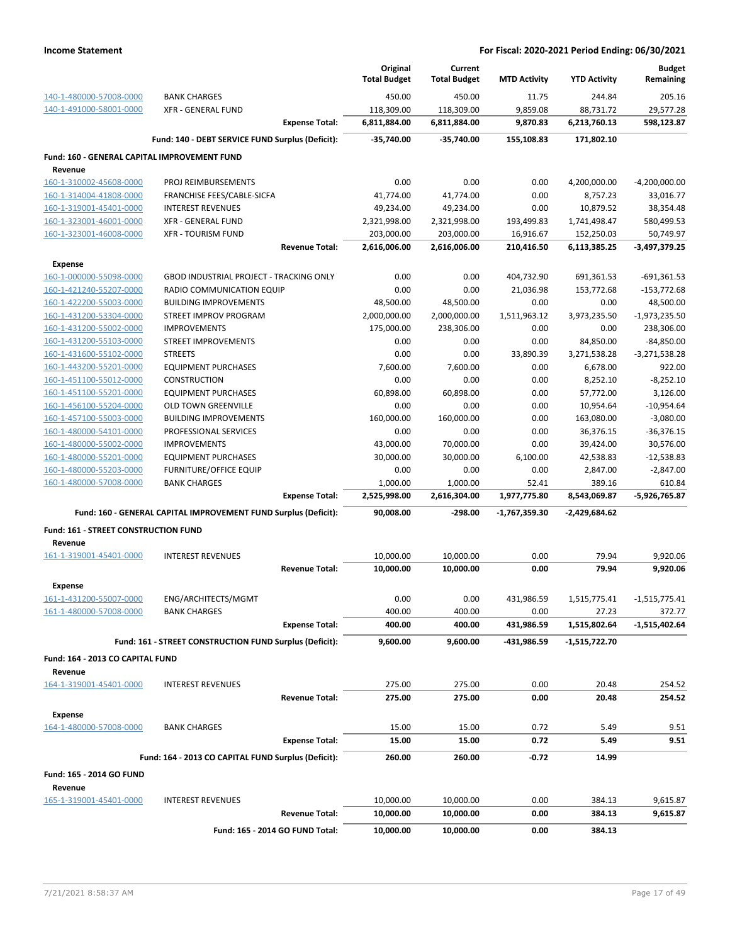|                                                 |                                                                 |                       | Original<br><b>Total Budget</b> | Current<br><b>Total Budget</b> | <b>MTD Activity</b> | <b>YTD Activity</b> | <b>Budget</b><br>Remaining |
|-------------------------------------------------|-----------------------------------------------------------------|-----------------------|---------------------------------|--------------------------------|---------------------|---------------------|----------------------------|
| 140-1-480000-57008-0000                         | <b>BANK CHARGES</b>                                             |                       | 450.00                          | 450.00                         | 11.75               | 244.84              | 205.16                     |
| 140-1-491000-58001-0000                         | <b>XFR - GENERAL FUND</b>                                       |                       | 118,309.00                      | 118,309.00                     | 9,859.08            | 88,731.72           | 29,577.28                  |
|                                                 |                                                                 | <b>Expense Total:</b> | 6,811,884.00                    | 6,811,884.00                   | 9,870.83            | 6,213,760.13        | 598,123.87                 |
|                                                 | Fund: 140 - DEBT SERVICE FUND Surplus (Deficit):                |                       | $-35,740.00$                    | $-35,740.00$                   | 155,108.83          | 171,802.10          |                            |
| Fund: 160 - GENERAL CAPITAL IMPROVEMENT FUND    |                                                                 |                       |                                 |                                |                     |                     |                            |
| Revenue                                         |                                                                 |                       |                                 |                                |                     |                     |                            |
| 160-1-310002-45608-0000                         | PROJ REIMBURSEMENTS                                             |                       | 0.00                            | 0.00                           | 0.00                | 4,200,000.00        | $-4,200,000.00$            |
| 160-1-314004-41808-0000                         | FRANCHISE FEES/CABLE-SICFA                                      |                       | 41,774.00                       | 41,774.00                      | 0.00                | 8,757.23            | 33,016.77                  |
| 160-1-319001-45401-0000                         | <b>INTEREST REVENUES</b>                                        |                       | 49,234.00                       | 49,234.00                      | 0.00                | 10,879.52           | 38,354.48                  |
| 160-1-323001-46001-0000                         | <b>XFR - GENERAL FUND</b>                                       |                       | 2,321,998.00                    | 2,321,998.00                   | 193,499.83          | 1,741,498.47        | 580,499.53                 |
| 160-1-323001-46008-0000                         | <b>XFR - TOURISM FUND</b>                                       |                       | 203,000.00                      | 203,000.00                     | 16,916.67           | 152,250.03          | 50,749.97                  |
|                                                 |                                                                 | <b>Revenue Total:</b> | 2,616,006.00                    | 2,616,006.00                   | 210,416.50          | 6,113,385.25        | -3,497,379.25              |
| <b>Expense</b>                                  |                                                                 |                       |                                 |                                |                     |                     |                            |
| 160-1-000000-55098-0000                         | <b>GBOD INDUSTRIAL PROJECT - TRACKING ONLY</b>                  |                       | 0.00                            | 0.00                           | 404,732.90          | 691,361.53          | $-691,361.53$              |
| 160-1-421240-55207-0000                         | RADIO COMMUNICATION EQUIP                                       |                       | 0.00                            | 0.00                           | 21,036.98           | 153,772.68          | $-153,772.68$              |
| 160-1-422200-55003-0000                         | <b>BUILDING IMPROVEMENTS</b>                                    |                       | 48,500.00                       | 48,500.00                      | 0.00                | 0.00                | 48,500.00                  |
| 160-1-431200-53304-0000                         | STREET IMPROV PROGRAM                                           |                       | 2,000,000.00                    | 2,000,000.00                   | 1,511,963.12        | 3,973,235.50        | $-1,973,235.50$            |
| 160-1-431200-55002-0000                         | <b>IMPROVEMENTS</b>                                             |                       | 175,000.00                      | 238,306.00                     | 0.00                | 0.00                | 238,306.00                 |
| 160-1-431200-55103-0000                         | <b>STREET IMPROVEMENTS</b>                                      |                       | 0.00                            | 0.00                           | 0.00                | 84,850.00           | $-84,850.00$               |
| 160-1-431600-55102-0000                         | <b>STREETS</b>                                                  |                       | 0.00                            | 0.00                           | 33,890.39           | 3,271,538.28        | $-3,271,538.28$            |
| 160-1-443200-55201-0000                         | <b>EQUIPMENT PURCHASES</b>                                      |                       | 7,600.00                        | 7,600.00                       | 0.00                | 6,678.00            | 922.00                     |
| 160-1-451100-55012-0000                         | <b>CONSTRUCTION</b>                                             |                       | 0.00                            | 0.00                           | 0.00                | 8,252.10            | $-8,252.10$                |
| 160-1-451100-55201-0000                         | <b>EQUIPMENT PURCHASES</b>                                      |                       | 60,898.00                       | 60,898.00                      | 0.00                | 57,772.00           | 3,126.00                   |
| 160-1-456100-55204-0000                         | OLD TOWN GREENVILLE                                             |                       | 0.00                            | 0.00                           | 0.00                | 10,954.64           | $-10,954.64$               |
| 160-1-457100-55003-0000                         | <b>BUILDING IMPROVEMENTS</b>                                    |                       | 160,000.00                      | 160,000.00                     | 0.00                | 163,080.00          | $-3,080.00$                |
| 160-1-480000-54101-0000                         | PROFESSIONAL SERVICES                                           |                       | 0.00                            | 0.00                           | 0.00                | 36,376.15           | $-36,376.15$               |
| 160-1-480000-55002-0000                         | <b>IMPROVEMENTS</b>                                             |                       | 43,000.00                       | 70,000.00                      | 0.00                | 39,424.00           | 30,576.00                  |
| 160-1-480000-55201-0000                         | <b>EQUIPMENT PURCHASES</b>                                      |                       | 30,000.00                       | 30,000.00                      | 6,100.00            | 42,538.83           | $-12,538.83$               |
| 160-1-480000-55203-0000                         | <b>FURNITURE/OFFICE EQUIP</b>                                   |                       | 0.00                            | 0.00                           | 0.00                | 2,847.00            | $-2,847.00$                |
| 160-1-480000-57008-0000                         | <b>BANK CHARGES</b>                                             |                       | 1,000.00                        | 1,000.00                       | 52.41               | 389.16              | 610.84                     |
|                                                 |                                                                 | <b>Expense Total:</b> | 2,525,998.00                    | 2,616,304.00                   | 1,977,775.80        | 8,543,069.87        | -5,926,765.87              |
|                                                 | Fund: 160 - GENERAL CAPITAL IMPROVEMENT FUND Surplus (Deficit): |                       | 90,008.00                       | $-298.00$                      | -1,767,359.30       | $-2,429,684.62$     |                            |
| Fund: 161 - STREET CONSTRUCTION FUND<br>Revenue |                                                                 |                       |                                 |                                |                     |                     |                            |
| 161-1-319001-45401-0000                         | <b>INTEREST REVENUES</b>                                        |                       | 10,000.00                       | 10,000.00                      | 0.00                | 79.94               | 9,920.06                   |
|                                                 |                                                                 | <b>Revenue Total:</b> | 10,000.00                       | 10,000.00                      | 0.00                | 79.94               | 9,920.06                   |
| <b>Expense</b>                                  |                                                                 |                       |                                 |                                |                     |                     |                            |
| 161-1-431200-55007-0000                         | ENG/ARCHITECTS/MGMT                                             |                       | 0.00                            | 0.00                           | 431,986.59          | 1,515,775.41        | $-1,515,775.41$            |
| 161-1-480000-57008-0000                         | <b>BANK CHARGES</b>                                             |                       | 400.00                          | 400.00                         | 0.00                | 27.23               | 372.77                     |
|                                                 |                                                                 | <b>Expense Total:</b> | 400.00                          | 400.00                         | 431,986.59          | 1,515,802.64        | $-1,515,402.64$            |
|                                                 | Fund: 161 - STREET CONSTRUCTION FUND Surplus (Deficit):         |                       | 9,600.00                        | 9,600.00                       | -431,986.59         | $-1,515,722.70$     |                            |
| Fund: 164 - 2013 CO CAPITAL FUND                |                                                                 |                       |                                 |                                |                     |                     |                            |
| Revenue                                         |                                                                 |                       |                                 |                                |                     |                     |                            |
| 164-1-319001-45401-0000                         | <b>INTEREST REVENUES</b>                                        |                       | 275.00                          | 275.00                         | 0.00                | 20.48               | 254.52                     |
|                                                 |                                                                 | <b>Revenue Total:</b> | 275.00                          | 275.00                         | 0.00                | 20.48               | 254.52                     |
| <b>Expense</b>                                  |                                                                 |                       |                                 |                                |                     |                     |                            |
| 164-1-480000-57008-0000                         | <b>BANK CHARGES</b>                                             |                       | 15.00                           | 15.00                          | 0.72                | 5.49                | 9.51                       |
|                                                 |                                                                 | <b>Expense Total:</b> | 15.00                           | 15.00                          | 0.72                | 5.49                | 9.51                       |
|                                                 | Fund: 164 - 2013 CO CAPITAL FUND Surplus (Deficit):             |                       | 260.00                          | 260.00                         | $-0.72$             | 14.99               |                            |
| Fund: 165 - 2014 GO FUND                        |                                                                 |                       |                                 |                                |                     |                     |                            |
| Revenue                                         |                                                                 |                       |                                 |                                |                     |                     |                            |
| 165-1-319001-45401-0000                         | <b>INTEREST REVENUES</b>                                        |                       | 10,000.00                       | 10,000.00                      | 0.00                | 384.13              | 9,615.87                   |
|                                                 |                                                                 | <b>Revenue Total:</b> | 10,000.00                       | 10,000.00                      | 0.00                | 384.13              | 9,615.87                   |
|                                                 | Fund: 165 - 2014 GO FUND Total:                                 |                       | 10,000.00                       | 10,000.00                      | 0.00                | 384.13              |                            |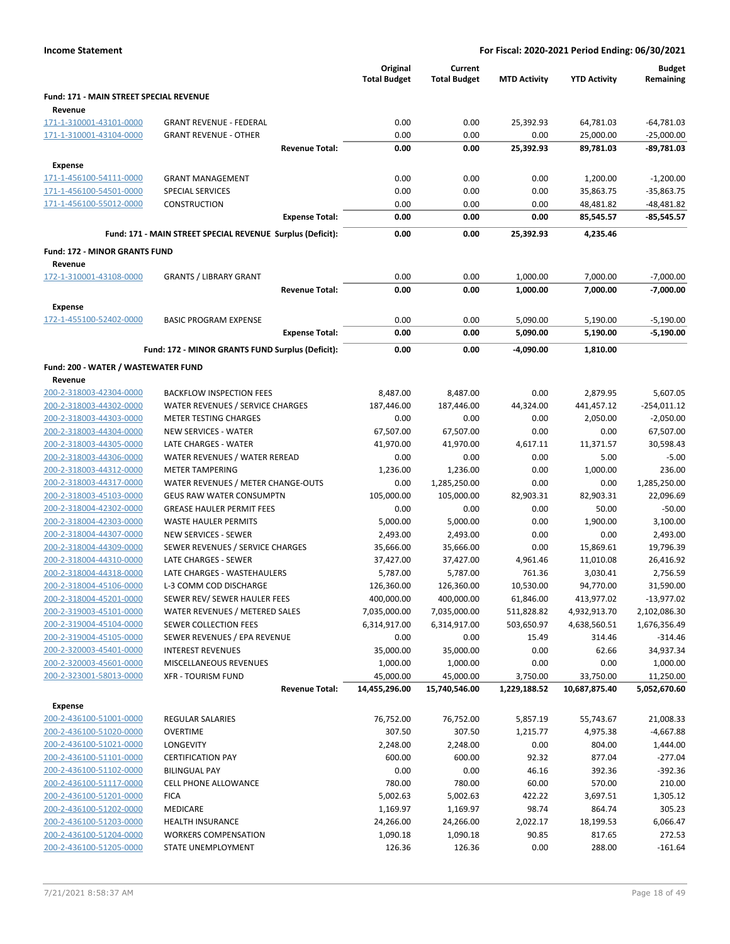|                                                    |                                                            | Original<br><b>Total Budget</b> | Current<br><b>Total Budget</b> | <b>MTD Activity</b>      | <b>YTD Activity</b>        | <b>Budget</b><br>Remaining |
|----------------------------------------------------|------------------------------------------------------------|---------------------------------|--------------------------------|--------------------------|----------------------------|----------------------------|
| Fund: 171 - MAIN STREET SPECIAL REVENUE            |                                                            |                                 |                                |                          |                            |                            |
| Revenue                                            |                                                            |                                 |                                |                          |                            |                            |
| 171-1-310001-43101-0000                            | <b>GRANT REVENUE - FEDERAL</b>                             | 0.00                            | 0.00                           | 25,392.93                | 64,781.03                  | $-64,781.03$               |
| 171-1-310001-43104-0000                            | <b>GRANT REVENUE - OTHER</b>                               | 0.00                            | 0.00                           | 0.00                     | 25,000.00                  | $-25,000.00$               |
|                                                    | <b>Revenue Total:</b>                                      | 0.00                            | 0.00                           | 25,392.93                | 89,781.03                  | -89,781.03                 |
| Expense                                            |                                                            |                                 |                                |                          |                            |                            |
| 171-1-456100-54111-0000                            | <b>GRANT MANAGEMENT</b>                                    | 0.00                            | 0.00                           | 0.00                     | 1,200.00                   | $-1,200.00$                |
| 171-1-456100-54501-0000                            | <b>SPECIAL SERVICES</b>                                    | 0.00                            | 0.00                           | 0.00                     | 35,863.75                  | $-35,863.75$               |
| 171-1-456100-55012-0000                            | <b>CONSTRUCTION</b>                                        | 0.00                            | 0.00                           | 0.00                     | 48,481.82                  | $-48,481.82$               |
|                                                    | <b>Expense Total:</b>                                      | 0.00                            | 0.00                           | 0.00                     | 85,545.57                  | $-85,545.57$               |
|                                                    | Fund: 171 - MAIN STREET SPECIAL REVENUE Surplus (Deficit): | 0.00                            | 0.00                           | 25,392.93                | 4,235.46                   |                            |
| <b>Fund: 172 - MINOR GRANTS FUND</b>               |                                                            |                                 |                                |                          |                            |                            |
| Revenue                                            |                                                            |                                 |                                |                          |                            |                            |
| 172-1-310001-43108-0000                            | <b>GRANTS / LIBRARY GRANT</b>                              | 0.00                            | 0.00                           | 1,000.00                 | 7,000.00                   | $-7,000.00$                |
|                                                    | <b>Revenue Total:</b>                                      | 0.00                            | 0.00                           | 1,000.00                 | 7,000.00                   | $-7,000.00$                |
| Expense                                            |                                                            |                                 |                                |                          |                            |                            |
| 172-1-455100-52402-0000                            | <b>BASIC PROGRAM EXPENSE</b>                               | 0.00                            | 0.00                           | 5,090.00                 | 5,190.00                   | $-5,190.00$                |
|                                                    | <b>Expense Total:</b>                                      | 0.00                            | 0.00                           | 5,090.00                 | 5,190.00                   | $-5,190.00$                |
|                                                    | Fund: 172 - MINOR GRANTS FUND Surplus (Deficit):           | 0.00                            | 0.00                           | -4,090.00                | 1,810.00                   |                            |
| Fund: 200 - WATER / WASTEWATER FUND                |                                                            |                                 |                                |                          |                            |                            |
| Revenue                                            |                                                            |                                 |                                |                          |                            |                            |
| 200-2-318003-42304-0000                            | <b>BACKFLOW INSPECTION FEES</b>                            | 8,487.00                        | 8,487.00                       | 0.00                     | 2,879.95                   | 5,607.05                   |
| 200-2-318003-44302-0000                            | WATER REVENUES / SERVICE CHARGES                           | 187,446.00                      | 187,446.00                     | 44,324.00                | 441,457.12                 | $-254,011.12$              |
| 200-2-318003-44303-0000                            | <b>METER TESTING CHARGES</b>                               | 0.00                            | 0.00                           | 0.00                     | 2,050.00                   | $-2,050.00$                |
| 200-2-318003-44304-0000                            | <b>NEW SERVICES - WATER</b>                                | 67,507.00                       | 67,507.00                      | 0.00                     | 0.00                       | 67,507.00                  |
| 200-2-318003-44305-0000<br>200-2-318003-44306-0000 | LATE CHARGES - WATER<br>WATER REVENUES / WATER REREAD      | 41,970.00<br>0.00               | 41,970.00<br>0.00              | 4,617.11<br>0.00         | 11,371.57<br>5.00          | 30,598.43<br>$-5.00$       |
| 200-2-318003-44312-0000                            | <b>METER TAMPERING</b>                                     | 1,236.00                        | 1,236.00                       | 0.00                     | 1,000.00                   | 236.00                     |
| 200-2-318003-44317-0000                            | WATER REVENUES / METER CHANGE-OUTS                         | 0.00                            | 1,285,250.00                   | 0.00                     | 0.00                       | 1,285,250.00               |
| 200-2-318003-45103-0000                            | <b>GEUS RAW WATER CONSUMPTN</b>                            | 105,000.00                      | 105,000.00                     | 82,903.31                | 82,903.31                  | 22,096.69                  |
| 200-2-318004-42302-0000                            | <b>GREASE HAULER PERMIT FEES</b>                           | 0.00                            | 0.00                           | 0.00                     | 50.00                      | $-50.00$                   |
| 200-2-318004-42303-0000                            | <b>WASTE HAULER PERMITS</b>                                | 5,000.00                        | 5,000.00                       | 0.00                     | 1,900.00                   | 3,100.00                   |
| 200-2-318004-44307-0000                            | <b>NEW SERVICES - SEWER</b>                                | 2,493.00                        | 2,493.00                       | 0.00                     | 0.00                       | 2,493.00                   |
| 200-2-318004-44309-0000                            | SEWER REVENUES / SERVICE CHARGES                           | 35,666.00                       | 35,666.00                      | 0.00                     | 15,869.61                  | 19,796.39                  |
| 200-2-318004-44310-0000                            | LATE CHARGES - SEWER                                       | 37,427.00                       | 37,427.00                      | 4,961.46                 | 11,010.08                  | 26,416.92                  |
| 200-2-318004-44318-0000                            | LATE CHARGES - WASTEHAULERS                                | 5,787.00                        | 5,787.00                       | 761.36                   | 3,030.41                   | 2,756.59                   |
| 200-2-318004-45106-0000                            | L-3 COMM COD DISCHARGE                                     | 126,360.00                      | 126,360.00                     | 10,530.00                | 94,770.00                  | 31,590.00                  |
| 200-2-318004-45201-0000                            | SEWER REV/ SEWER HAULER FEES                               | 400,000.00                      | 400,000.00                     | 61,846.00                | 413,977.02                 | $-13,977.02$               |
| 200-2-319003-45101-0000                            | WATER REVENUES / METERED SALES                             | 7,035,000.00                    | 7,035,000.00                   | 511,828.82               | 4,932,913.70               | 2,102,086.30               |
| 200-2-319004-45104-0000                            | SEWER COLLECTION FEES                                      | 6,314,917.00                    | 6,314,917.00                   | 503,650.97               | 4,638,560.51               | 1,676,356.49               |
| 200-2-319004-45105-0000                            | SEWER REVENUES / EPA REVENUE                               | 0.00                            | 0.00                           | 15.49                    | 314.46                     | -314.46                    |
| 200-2-320003-45401-0000                            | <b>INTEREST REVENUES</b>                                   | 35,000.00                       | 35,000.00                      | 0.00                     | 62.66                      | 34,937.34                  |
| 200-2-320003-45601-0000                            | MISCELLANEOUS REVENUES                                     | 1,000.00                        | 1,000.00                       | 0.00                     | 0.00                       | 1,000.00                   |
| 200-2-323001-58013-0000                            | <b>XFR - TOURISM FUND</b><br><b>Revenue Total:</b>         | 45,000.00<br>14,455,296.00      | 45,000.00<br>15,740,546.00     | 3,750.00<br>1,229,188.52 | 33,750.00<br>10,687,875.40 | 11,250.00<br>5,052,670.60  |
|                                                    |                                                            |                                 |                                |                          |                            |                            |
| <b>Expense</b><br>200-2-436100-51001-0000          | REGULAR SALARIES                                           | 76,752.00                       | 76,752.00                      | 5,857.19                 | 55,743.67                  | 21,008.33                  |
| 200-2-436100-51020-0000                            | OVERTIME                                                   | 307.50                          | 307.50                         | 1,215.77                 | 4,975.38                   | $-4,667.88$                |
| 200-2-436100-51021-0000                            | LONGEVITY                                                  | 2,248.00                        | 2,248.00                       | 0.00                     | 804.00                     | 1,444.00                   |
| 200-2-436100-51101-0000                            | <b>CERTIFICATION PAY</b>                                   | 600.00                          | 600.00                         | 92.32                    | 877.04                     | $-277.04$                  |
| 200-2-436100-51102-0000                            | <b>BILINGUAL PAY</b>                                       | 0.00                            | 0.00                           | 46.16                    | 392.36                     | $-392.36$                  |
| 200-2-436100-51117-0000                            | <b>CELL PHONE ALLOWANCE</b>                                | 780.00                          | 780.00                         | 60.00                    | 570.00                     | 210.00                     |
| 200-2-436100-51201-0000                            | <b>FICA</b>                                                | 5,002.63                        | 5,002.63                       | 422.22                   | 3,697.51                   | 1,305.12                   |
| 200-2-436100-51202-0000                            | MEDICARE                                                   | 1,169.97                        | 1,169.97                       | 98.74                    | 864.74                     | 305.23                     |
| 200-2-436100-51203-0000                            | <b>HEALTH INSURANCE</b>                                    | 24,266.00                       | 24,266.00                      | 2,022.17                 | 18,199.53                  | 6,066.47                   |
| 200-2-436100-51204-0000                            | <b>WORKERS COMPENSATION</b>                                | 1,090.18                        | 1,090.18                       | 90.85                    | 817.65                     | 272.53                     |
| 200-2-436100-51205-0000                            | STATE UNEMPLOYMENT                                         | 126.36                          | 126.36                         | 0.00                     | 288.00                     | $-161.64$                  |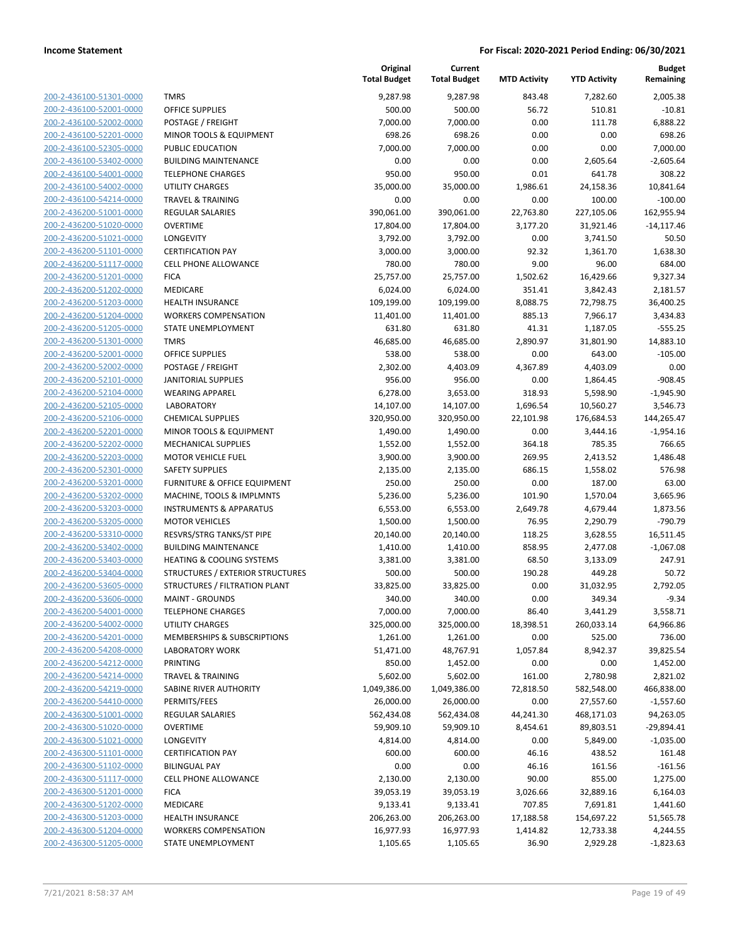| 200-2-436100-51301-0000                            |
|----------------------------------------------------|
| 200-2-436100-52001-0000                            |
| 200-2-436100-52002-0000                            |
| 200-2-436100-52201-0000                            |
| 200-2-436100-52305-0000                            |
| 200-2-436100-53402-0000                            |
| 2-436100-54001-0000<br>200-                        |
| 200-2-436100-54002-0000                            |
| 200-2-436100-54214-0000                            |
| <u>200-2-436200-51001-0000</u>                     |
| 200-2-436200-51020-0000                            |
| 2-436200-51021-0000<br>200-                        |
| 200-2-436200-51101-0000                            |
| 200-2-436200-51117-0000                            |
| 200-2-436200-51201-0000                            |
| 200-2-436200-51202-0000                            |
| 2-436200-51203-0000<br>200-                        |
| 200-2-436200-51204-0000                            |
| 200-2-436200-51205-0000                            |
| 200-2-436200-51301-0000                            |
| 200-2-436200-52001-0000                            |
| 2-436200-52002-0000<br>200-                        |
| 200-2-436200-52101-0000                            |
| 200-2-436200-52104-0000                            |
| 200-2-436200-52105-0000                            |
|                                                    |
| 200-2-436200-52106-0000                            |
| 2-436200-52201-0000<br>200-                        |
| 200-2-436200-52202-0000                            |
| 200-2-436200-52203-0000                            |
| 200-2-436200-52301-0000                            |
| 200-2-436200-53201-0000                            |
| 2-436200-53202-0000<br>200-                        |
| 200-2-436200-53203-0000                            |
| 200-2-436200-53205-0000                            |
| <u>200-2-436200-53310-0000</u>                     |
| 200-2-436200-53402-0000                            |
| 200-2-436200-53403-0000                            |
| 200-2-436200-53404-0000                            |
| 200-2-436200-53605-0000                            |
| 200-2-436200-53606-0000                            |
| 200-2-436200-54001-0000                            |
| 200-2-436200-54002-0000                            |
| 200-2-436200-54201-0000                            |
| 200-2-436200-54208-0000                            |
| 200-2-436200-54212-0000                            |
| <u>200-2-436200-54214-0000</u>                     |
| 200-2-436200-54219-0000                            |
| <u>200-2-436200-54410-0000</u>                     |
| 200-2-436300-51001-0000                            |
| <u>200-2-436300-51020-0000</u>                     |
| <u>200-2-436300-51021-0000</u>                     |
| 200-2-436300-51101-0000                            |
| <u>200-2-436300-51102-0000</u>                     |
| <u>200-2-436300-51117-0000</u>                     |
|                                                    |
| <u>200-2-436300-51201-0000</u>                     |
| <u>200-2-436300-51202-0000</u>                     |
| 200-2-436300-51203-0000                            |
| 200-2-436300-51204-0000<br>200-2-436300-51205-0000 |
|                                                    |

|                                                    |                                                    | Original<br><b>Total Budget</b> | Current<br><b>Total Budget</b> | <b>MTD Activity</b> | <b>YTD Activity</b>  | <b>Budget</b><br>Remaining |
|----------------------------------------------------|----------------------------------------------------|---------------------------------|--------------------------------|---------------------|----------------------|----------------------------|
| 200-2-436100-51301-0000                            | <b>TMRS</b>                                        | 9,287.98                        | 9,287.98                       | 843.48              | 7,282.60             | 2,005.38                   |
| 200-2-436100-52001-0000                            | <b>OFFICE SUPPLIES</b>                             | 500.00                          | 500.00                         | 56.72               | 510.81               | $-10.81$                   |
| 200-2-436100-52002-0000                            | POSTAGE / FREIGHT                                  | 7,000.00                        | 7,000.00                       | 0.00                | 111.78               | 6,888.22                   |
| 200-2-436100-52201-0000                            | MINOR TOOLS & EQUIPMENT                            | 698.26                          | 698.26                         | 0.00                | 0.00                 | 698.26                     |
| 200-2-436100-52305-0000                            | PUBLIC EDUCATION                                   | 7,000.00                        | 7,000.00                       | 0.00                | 0.00                 | 7,000.00                   |
| 200-2-436100-53402-0000                            | <b>BUILDING MAINTENANCE</b>                        | 0.00                            | 0.00                           | 0.00                | 2,605.64             | $-2,605.64$                |
| 200-2-436100-54001-0000                            | <b>TELEPHONE CHARGES</b>                           | 950.00                          | 950.00                         | 0.01                | 641.78               | 308.22                     |
| 200-2-436100-54002-0000                            | <b>UTILITY CHARGES</b>                             | 35,000.00                       | 35,000.00                      | 1,986.61            | 24,158.36            | 10,841.64                  |
| 200-2-436100-54214-0000                            | <b>TRAVEL &amp; TRAINING</b>                       | 0.00                            | 0.00                           | 0.00                | 100.00               | $-100.00$                  |
| 200-2-436200-51001-0000                            | <b>REGULAR SALARIES</b>                            | 390,061.00                      | 390,061.00                     | 22,763.80           | 227,105.06           | 162,955.94                 |
| 200-2-436200-51020-0000                            | <b>OVERTIME</b>                                    | 17,804.00                       | 17,804.00                      | 3,177.20            | 31,921.46            | $-14,117.46$               |
| 200-2-436200-51021-0000                            | LONGEVITY                                          | 3,792.00                        | 3,792.00                       | 0.00                | 3,741.50             | 50.50                      |
| 200-2-436200-51101-0000                            | <b>CERTIFICATION PAY</b>                           | 3,000.00                        | 3,000.00                       | 92.32               | 1,361.70             | 1,638.30                   |
| 200-2-436200-51117-0000                            | <b>CELL PHONE ALLOWANCE</b>                        | 780.00                          | 780.00                         | 9.00                | 96.00                | 684.00                     |
| 200-2-436200-51201-0000                            | <b>FICA</b>                                        | 25,757.00                       | 25,757.00                      | 1,502.62            | 16,429.66            | 9,327.34                   |
| 200-2-436200-51202-0000                            | MEDICARE                                           | 6,024.00                        | 6,024.00                       | 351.41              | 3,842.43             | 2,181.57                   |
| 200-2-436200-51203-0000                            | <b>HEALTH INSURANCE</b>                            | 109,199.00                      | 109,199.00                     | 8,088.75            | 72,798.75            | 36,400.25                  |
| 200-2-436200-51204-0000                            | <b>WORKERS COMPENSATION</b>                        | 11,401.00                       | 11,401.00                      | 885.13              | 7,966.17             | 3,434.83                   |
| 200-2-436200-51205-0000                            | STATE UNEMPLOYMENT                                 | 631.80                          | 631.80                         | 41.31               | 1,187.05             | $-555.25$                  |
| 200-2-436200-51301-0000                            | <b>TMRS</b>                                        | 46,685.00                       | 46,685.00                      | 2,890.97            | 31,801.90            | 14,883.10                  |
| 200-2-436200-52001-0000                            | OFFICE SUPPLIES                                    | 538.00                          | 538.00                         | 0.00                | 643.00               | $-105.00$                  |
| 200-2-436200-52002-0000                            | POSTAGE / FREIGHT                                  | 2,302.00                        | 4,403.09                       | 4,367.89            | 4,403.09             | 0.00                       |
| 200-2-436200-52101-0000                            | <b>JANITORIAL SUPPLIES</b>                         | 956.00                          | 956.00                         | 0.00                | 1,864.45             | $-908.45$                  |
| 200-2-436200-52104-0000                            | <b>WEARING APPAREL</b>                             | 6,278.00                        | 3,653.00                       | 318.93              | 5,598.90             | $-1,945.90$                |
| 200-2-436200-52105-0000                            | <b>LABORATORY</b>                                  | 14,107.00                       | 14,107.00                      | 1,696.54            | 10,560.27            | 3,546.73                   |
| 200-2-436200-52106-0000                            | <b>CHEMICAL SUPPLIES</b>                           | 320,950.00                      | 320,950.00                     | 22,101.98           | 176,684.53           | 144,265.47                 |
| 200-2-436200-52201-0000                            | MINOR TOOLS & EQUIPMENT                            | 1,490.00                        | 1,490.00                       | 0.00                | 3,444.16             | $-1,954.16$                |
| 200-2-436200-52202-0000                            | <b>MECHANICAL SUPPLIES</b>                         | 1,552.00                        | 1,552.00                       | 364.18              | 785.35               | 766.65                     |
| 200-2-436200-52203-0000                            | <b>MOTOR VEHICLE FUEL</b>                          | 3,900.00                        | 3,900.00                       | 269.95              | 2,413.52             | 1,486.48                   |
| 200-2-436200-52301-0000                            | <b>SAFETY SUPPLIES</b>                             | 2,135.00                        | 2,135.00                       | 686.15              | 1,558.02             | 576.98                     |
| 200-2-436200-53201-0000                            | FURNITURE & OFFICE EQUIPMENT                       | 250.00                          | 250.00                         | 0.00                | 187.00               | 63.00                      |
| 200-2-436200-53202-0000                            | MACHINE, TOOLS & IMPLMNTS                          | 5,236.00                        | 5,236.00                       | 101.90              | 1,570.04             | 3,665.96                   |
| 200-2-436200-53203-0000<br>200-2-436200-53205-0000 | <b>INSTRUMENTS &amp; APPARATUS</b>                 | 6,553.00                        | 6,553.00                       | 2,649.78            | 4,679.44             | 1,873.56<br>$-790.79$      |
| 200-2-436200-53310-0000                            | <b>MOTOR VEHICLES</b><br>RESVRS/STRG TANKS/ST PIPE | 1,500.00                        | 1,500.00                       | 76.95<br>118.25     | 2,290.79<br>3,628.55 | 16,511.45                  |
| 200-2-436200-53402-0000                            | <b>BUILDING MAINTENANCE</b>                        | 20,140.00<br>1,410.00           | 20,140.00                      | 858.95              |                      | $-1,067.08$                |
| 200-2-436200-53403-0000                            | <b>HEATING &amp; COOLING SYSTEMS</b>               | 3,381.00                        | 1,410.00<br>3,381.00           | 68.50               | 2,477.08<br>3,133.09 | 247.91                     |
| 200-2-436200-53404-0000                            | <b>STRUCTURES / EXTERIOR STRUCTURES</b>            | 500.00                          | 500.00                         | 190.28              | 449.28               | 50.72                      |
| 200-2-436200-53605-0000                            | STRUCTURES / FILTRATION PLANT                      | 33,825.00                       | 33,825.00                      | 0.00                | 31,032.95            | 2,792.05                   |
| 200-2-436200-53606-0000                            | <b>MAINT - GROUNDS</b>                             | 340.00                          | 340.00                         | 0.00                | 349.34               | $-9.34$                    |
| 200-2-436200-54001-0000                            | <b>TELEPHONE CHARGES</b>                           | 7,000.00                        | 7,000.00                       | 86.40               | 3,441.29             | 3,558.71                   |
| 200-2-436200-54002-0000                            | <b>UTILITY CHARGES</b>                             | 325,000.00                      | 325,000.00                     | 18,398.51           | 260,033.14           | 64,966.86                  |
| 200-2-436200-54201-0000                            | <b>MEMBERSHIPS &amp; SUBSCRIPTIONS</b>             | 1,261.00                        | 1,261.00                       | 0.00                | 525.00               | 736.00                     |
| 200-2-436200-54208-0000                            | <b>LABORATORY WORK</b>                             | 51,471.00                       | 48,767.91                      | 1,057.84            | 8,942.37             | 39,825.54                  |
| 200-2-436200-54212-0000                            | PRINTING                                           | 850.00                          | 1,452.00                       | 0.00                | 0.00                 | 1,452.00                   |
| 200-2-436200-54214-0000                            | <b>TRAVEL &amp; TRAINING</b>                       | 5,602.00                        | 5,602.00                       | 161.00              | 2,780.98             | 2,821.02                   |
| 200-2-436200-54219-0000                            | SABINE RIVER AUTHORITY                             | 1,049,386.00                    | 1,049,386.00                   | 72,818.50           | 582,548.00           | 466,838.00                 |
| 200-2-436200-54410-0000                            | PERMITS/FEES                                       | 26,000.00                       | 26,000.00                      | 0.00                | 27,557.60            | $-1,557.60$                |
| 200-2-436300-51001-0000                            | <b>REGULAR SALARIES</b>                            | 562,434.08                      | 562,434.08                     | 44,241.30           | 468,171.03           | 94,263.05                  |
| 200-2-436300-51020-0000                            | <b>OVERTIME</b>                                    | 59,909.10                       | 59,909.10                      | 8,454.61            | 89,803.51            | $-29,894.41$               |
| 200-2-436300-51021-0000                            | LONGEVITY                                          | 4,814.00                        | 4,814.00                       | 0.00                | 5,849.00             | $-1,035.00$                |
| 200-2-436300-51101-0000                            | <b>CERTIFICATION PAY</b>                           | 600.00                          | 600.00                         | 46.16               | 438.52               | 161.48                     |
| 200-2-436300-51102-0000                            | <b>BILINGUAL PAY</b>                               | 0.00                            | 0.00                           | 46.16               | 161.56               | $-161.56$                  |
| 200-2-436300-51117-0000                            | <b>CELL PHONE ALLOWANCE</b>                        | 2,130.00                        | 2,130.00                       | 90.00               | 855.00               | 1,275.00                   |
| 200-2-436300-51201-0000                            | <b>FICA</b>                                        | 39,053.19                       | 39,053.19                      | 3,026.66            | 32,889.16            | 6,164.03                   |
| 200-2-436300-51202-0000                            | MEDICARE                                           | 9,133.41                        | 9,133.41                       | 707.85              | 7,691.81             | 1,441.60                   |
| 200-2-436300-51203-0000                            | <b>HEALTH INSURANCE</b>                            | 206,263.00                      | 206,263.00                     | 17,188.58           | 154,697.22           | 51,565.78                  |
| 200-2-436300-51204-0000                            | <b>WORKERS COMPENSATION</b>                        | 16,977.93                       | 16,977.93                      | 1,414.82            | 12,733.38            | 4,244.55                   |
| 200-2-436300-51205-0000                            | STATE UNEMPLOYMENT                                 | 1,105.65                        | 1,105.65                       | 36.90               | 2,929.28             | $-1,823.63$                |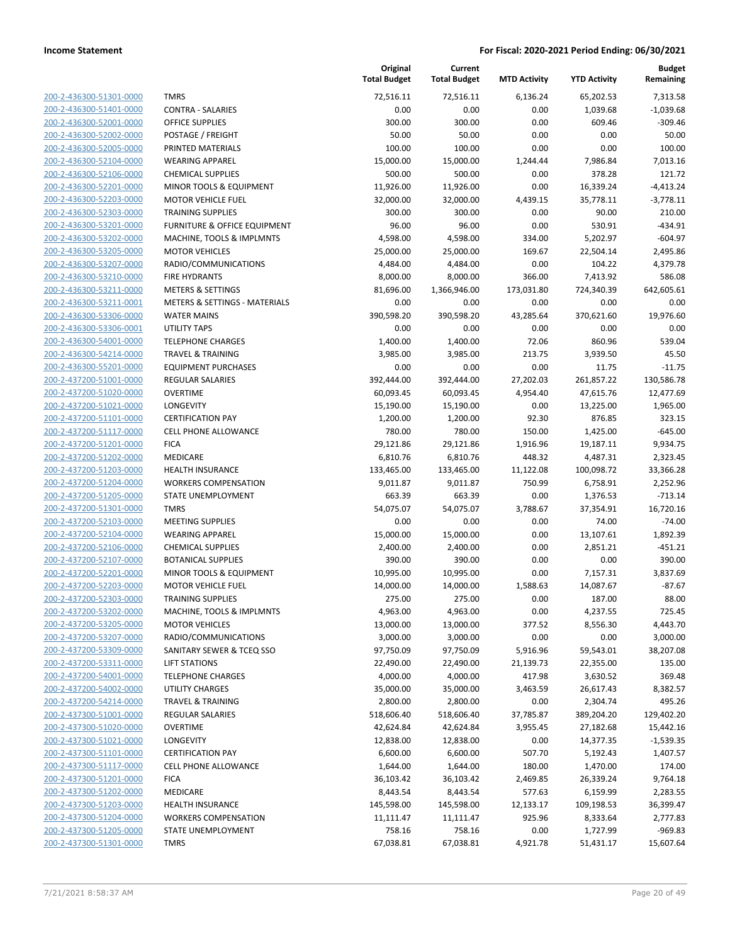| 200-2-436300-51301-0000                                   |
|-----------------------------------------------------------|
| 200-2-436300-51401-0000                                   |
| 200-2-436300-52001-0000                                   |
| 200-2-436300-52002-0000                                   |
| <u>200-2-436300-52005-0000</u>                            |
| 200-2-436300-52104-0000                                   |
| 2-436300-52106-0000<br>200-                               |
| 200-2-436300-52201-0000                                   |
| 200-2-436300-52203-0000                                   |
| 200-2-436300-52303-0000                                   |
| 200-2-436300-53201-0000                                   |
| 2-436300-53202-0000<br>200-                               |
| 200-2-436300-53205-0000                                   |
| 200-2-436300-53207-0000                                   |
| <u>200-2-436300-53210-0000</u>                            |
| 200-2-436300-53211-0000                                   |
| 2-436300-53211-0001<br>200-                               |
| 200-2-436300-53306-0000                                   |
| 200-2-436300-53306-0001                                   |
| 200-2-436300-54001-0000                                   |
| 200-2-436300-54214-0000<br>200-                           |
| 2-436300-55201-0000                                       |
| 200-2-437200-51001-0000                                   |
| 200-2-437200-51020-0000                                   |
| 200-2-437200-51021-0000<br>200-2-437200-51101-0000        |
| 2-437200-51117-0000<br>200-                               |
| 200-2-437200-51201-0000                                   |
| 200-2-437200-51202-0000                                   |
|                                                           |
| <u>200-2-437200-51203-0000</u><br>200-2-437200-51204-0000 |
| 2-437200-51205-0000<br>200-                               |
| 200-2-437200-51301-0000                                   |
| 200-2-437200-52103-0000                                   |
| <u>200-2-437200-52104-0000</u>                            |
| 200-2-437200-52106-0000                                   |
| 200-2-437200-52107-0000                                   |
| 200-2-437200-52201-0000                                   |
| 200-2-437200-52203-0000                                   |
| 200-2-437200-52303-0000                                   |
| 200-2-437200-53202-0000                                   |
| 200-2-437200-53205-0000                                   |
| 200-2-437200-53207-0000                                   |
| 200-2-437200-53309-0000                                   |
| <u>200-2-437200-53311-0000</u>                            |
| <u>200-2-437200-54001-0000</u>                            |
| 200-2-437200-54002-0000                                   |
| 200-2-437200-54214-0000                                   |
| 200-2-437300-51001-0000                                   |
| <u>200-2-437300-51020-0000</u>                            |
| <u>200-2-437300-51021-0000</u>                            |
| 200-2-437300-51101-0000                                   |
| 200-2-437300-51117-0000                                   |
| 200-2-437300-51201-0000                                   |
| <u>200-2-437300-51202-0000</u>                            |
| 200-2-437300-51203-0000                                   |
| 200-2-437300-51204-0000                                   |
| 200-2-437300-51205-0000                                   |
| 200-2-437300-51301-0000                                   |
|                                                           |

| <b>TMRS</b>                                        |
|----------------------------------------------------|
| CONTRA - SALARIES                                  |
| <b>OFFICE SUPPLIES</b>                             |
| POSTAGE / FREIGHT                                  |
| PRINTED MATERIALS                                  |
| <b>WEARING APPAREL</b>                             |
| <b>CHEMICAL SUPPLIES</b>                           |
| <b>MINOR TOOLS &amp; EQUIPMENT</b>                 |
| <b>MOTOR VEHICLE FUEL</b>                          |
| <b>TRAINING SUPPLIES</b>                           |
| <b>FURNITURE &amp; OFFICE EQUIPMENT</b>            |
| MACHINE, TOOLS & IMPLMNTS<br><b>MOTOR VEHICLES</b> |
| RADIO/COMMUNICATIONS                               |
| <b>FIRE HYDRANTS</b>                               |
| <b>METERS &amp; SETTINGS</b>                       |
| <b>METERS &amp; SETTINGS - MATERIALS</b>           |
| <b>WATER MAINS</b>                                 |
| <b>UTILITY TAPS</b>                                |
| TELEPHONE CHARGES                                  |
| <b>TRAVEL &amp; TRAINING</b>                       |
| <b>EQUIPMENT PURCHASES</b>                         |
| <b>REGULAR SALARIES</b>                            |
| <b>OVERTIME</b>                                    |
| <b>LONGEVITY</b>                                   |
| <b>CERTIFICATION PAY</b>                           |
| <b>CELL PHONE ALLOWANCE</b>                        |
| <b>FICA</b>                                        |
| MEDICARE                                           |
| <b>HEALTH INSURANCE</b>                            |
| <b>WORKERS COMPENSATION</b>                        |
| <b>STATE UNEMPLOYMENT</b>                          |
| <b>TMRS</b>                                        |
| <b>MEETING SUPPLIES</b>                            |
| <b>WEARING APPAREL</b>                             |
| <b>CHEMICAL SUPPLIES</b>                           |
| <b>BOTANICAL SUPPLIES</b>                          |
| <b>MINOR TOOLS &amp; EQUIPMENT</b>                 |
| <b>MOTOR VEHICLE FUEL</b>                          |
| <b>TRAINING SUPPLIES</b>                           |
| MACHINE, TOOLS & IMPLMNTS                          |
| <b>MOTOR VEHICLES</b>                              |
| RADIO/COMMUNICATIONS                               |
| SANITARY SEWER & TCEQ SSO                          |
| <b>LIFT STATIONS</b>                               |
| <b>TELEPHONE CHARGES</b>                           |
| <b>UTILITY CHARGES</b>                             |
| <b>TRAVEL &amp; TRAINING</b>                       |
| <b>REGULAR SALARIES</b>                            |
| <b>OVERTIME</b>                                    |
| <b>LONGEVITY</b>                                   |
| <b>CERTIFICATION PAY</b>                           |
| <b>CELL PHONE ALLOWANCE</b>                        |
|                                                    |
| <b>FICA</b>                                        |
| MEDICARE                                           |
| <b>HEALTH INSURANCE</b>                            |
| <b>WORKERS COMPENSATION</b>                        |

|                         |                               | Original<br><b>Total Budget</b> | Current<br><b>Total Budget</b> | <b>MTD Activity</b> | <b>YTD Activity</b> | <b>Budget</b><br>Remaining |
|-------------------------|-------------------------------|---------------------------------|--------------------------------|---------------------|---------------------|----------------------------|
| 200-2-436300-51301-0000 | <b>TMRS</b>                   | 72,516.11                       | 72,516.11                      | 6,136.24            | 65,202.53           | 7,313.58                   |
| 200-2-436300-51401-0000 | <b>CONTRA - SALARIES</b>      | 0.00                            | 0.00                           | 0.00                | 1,039.68            | $-1,039.68$                |
| 200-2-436300-52001-0000 | OFFICE SUPPLIES               | 300.00                          | 300.00                         | 0.00                | 609.46              | $-309.46$                  |
| 200-2-436300-52002-0000 | POSTAGE / FREIGHT             | 50.00                           | 50.00                          | 0.00                | 0.00                | 50.00                      |
| 200-2-436300-52005-0000 | PRINTED MATERIALS             | 100.00                          | 100.00                         | 0.00                | 0.00                | 100.00                     |
| 200-2-436300-52104-0000 | <b>WEARING APPAREL</b>        | 15,000.00                       | 15,000.00                      | 1,244.44            | 7,986.84            | 7,013.16                   |
| 200-2-436300-52106-0000 | <b>CHEMICAL SUPPLIES</b>      | 500.00                          | 500.00                         | 0.00                | 378.28              | 121.72                     |
| 200-2-436300-52201-0000 | MINOR TOOLS & EQUIPMENT       | 11,926.00                       | 11,926.00                      | 0.00                | 16,339.24           | $-4,413.24$                |
| 200-2-436300-52203-0000 | <b>MOTOR VEHICLE FUEL</b>     | 32,000.00                       | 32,000.00                      | 4,439.15            | 35,778.11           | $-3,778.11$                |
| 200-2-436300-52303-0000 | <b>TRAINING SUPPLIES</b>      | 300.00                          | 300.00                         | 0.00                | 90.00               | 210.00                     |
| 200-2-436300-53201-0000 | FURNITURE & OFFICE EQUIPMENT  | 96.00                           | 96.00                          | 0.00                | 530.91              | $-434.91$                  |
| 200-2-436300-53202-0000 | MACHINE, TOOLS & IMPLMNTS     | 4,598.00                        | 4,598.00                       | 334.00              | 5,202.97            | $-604.97$                  |
| 200-2-436300-53205-0000 | <b>MOTOR VEHICLES</b>         | 25,000.00                       | 25,000.00                      | 169.67              | 22,504.14           | 2,495.86                   |
| 200-2-436300-53207-0000 | RADIO/COMMUNICATIONS          | 4,484.00                        | 4,484.00                       | 0.00                | 104.22              | 4,379.78                   |
| 200-2-436300-53210-0000 | <b>FIRE HYDRANTS</b>          | 8,000.00                        | 8,000.00                       | 366.00              | 7,413.92            | 586.08                     |
| 200-2-436300-53211-0000 | <b>METERS &amp; SETTINGS</b>  | 81,696.00                       | 1,366,946.00                   | 173,031.80          | 724,340.39          | 642,605.61                 |
| 200-2-436300-53211-0001 | METERS & SETTINGS - MATERIALS | 0.00                            | 0.00                           | 0.00                | 0.00                | 0.00                       |
| 200-2-436300-53306-0000 | <b>WATER MAINS</b>            | 390,598.20                      | 390,598.20                     | 43,285.64           | 370,621.60          | 19,976.60                  |
| 200-2-436300-53306-0001 | UTILITY TAPS                  | 0.00                            | 0.00                           | 0.00                | 0.00                | 0.00                       |
| 200-2-436300-54001-0000 | <b>TELEPHONE CHARGES</b>      | 1,400.00                        | 1,400.00                       | 72.06               | 860.96              | 539.04                     |
| 200-2-436300-54214-0000 | <b>TRAVEL &amp; TRAINING</b>  | 3,985.00                        | 3,985.00                       | 213.75              | 3,939.50            | 45.50                      |
| 200-2-436300-55201-0000 | <b>EQUIPMENT PURCHASES</b>    | 0.00                            | 0.00                           | 0.00                | 11.75               | $-11.75$                   |
| 200-2-437200-51001-0000 | REGULAR SALARIES              | 392,444.00                      | 392,444.00                     | 27,202.03           | 261,857.22          | 130,586.78                 |
| 200-2-437200-51020-0000 | <b>OVERTIME</b>               | 60,093.45                       | 60,093.45                      | 4,954.40            | 47,615.76           | 12,477.69                  |
| 200-2-437200-51021-0000 | LONGEVITY                     | 15,190.00                       | 15,190.00                      | 0.00                | 13,225.00           | 1,965.00                   |
| 200-2-437200-51101-0000 | <b>CERTIFICATION PAY</b>      | 1,200.00                        | 1,200.00                       | 92.30               | 876.85              | 323.15                     |
| 200-2-437200-51117-0000 | <b>CELL PHONE ALLOWANCE</b>   | 780.00                          | 780.00                         | 150.00              | 1,425.00            | $-645.00$                  |
| 200-2-437200-51201-0000 | <b>FICA</b>                   | 29,121.86                       | 29,121.86                      | 1,916.96            | 19,187.11           | 9,934.75                   |
| 200-2-437200-51202-0000 | MEDICARE                      | 6,810.76                        | 6,810.76                       | 448.32              | 4,487.31            | 2,323.45                   |
| 200-2-437200-51203-0000 | <b>HEALTH INSURANCE</b>       | 133,465.00                      | 133,465.00                     | 11,122.08           | 100,098.72          | 33,366.28                  |
| 200-2-437200-51204-0000 | <b>WORKERS COMPENSATION</b>   | 9,011.87                        | 9,011.87                       | 750.99              | 6,758.91            | 2,252.96                   |
| 200-2-437200-51205-0000 | STATE UNEMPLOYMENT            | 663.39                          | 663.39                         | 0.00                | 1,376.53            | $-713.14$                  |
| 200-2-437200-51301-0000 | <b>TMRS</b>                   | 54,075.07                       | 54,075.07                      | 3,788.67            | 37,354.91           | 16,720.16                  |
| 200-2-437200-52103-0000 | <b>MEETING SUPPLIES</b>       | 0.00                            | 0.00                           | 0.00                | 74.00               | $-74.00$                   |
| 200-2-437200-52104-0000 | <b>WEARING APPAREL</b>        | 15,000.00                       | 15,000.00                      | 0.00                | 13,107.61           | 1,892.39                   |
| 200-2-437200-52106-0000 | <b>CHEMICAL SUPPLIES</b>      | 2,400.00                        | 2,400.00                       | 0.00                | 2,851.21            | $-451.21$                  |
| 200-2-437200-52107-0000 | <b>BOTANICAL SUPPLIES</b>     | 390.00                          | 390.00                         | 0.00                | 0.00                | 390.00                     |
| 200-2-437200-52201-0000 | MINOR TOOLS & EQUIPMENT       | 10,995.00                       | 10,995.00                      | 0.00                | 7,157.31            | 3,837.69                   |
| 200-2-437200-52203-0000 | <b>MOTOR VEHICLE FUEL</b>     | 14,000.00                       | 14,000.00                      | 1,588.63            | 14,087.67           | $-87.67$                   |
| 200-2-437200-52303-0000 | <b>TRAINING SUPPLIES</b>      | 275.00                          | 275.00                         | 0.00                | 187.00              | 88.00                      |
| 200-2-437200-53202-0000 | MACHINE, TOOLS & IMPLMNTS     | 4,963.00                        | 4,963.00                       | 0.00                | 4,237.55            | 725.45                     |
| 200-2-437200-53205-0000 | <b>MOTOR VEHICLES</b>         | 13,000.00                       | 13,000.00                      | 377.52              | 8,556.30            | 4,443.70                   |
| 200-2-437200-53207-0000 | RADIO/COMMUNICATIONS          | 3,000.00                        | 3,000.00                       | 0.00                | 0.00                | 3,000.00                   |
| 200-2-437200-53309-0000 | SANITARY SEWER & TCEQ SSO     | 97,750.09                       | 97,750.09                      | 5,916.96            | 59,543.01           | 38,207.08                  |
| 200-2-437200-53311-0000 | <b>LIFT STATIONS</b>          | 22,490.00                       | 22,490.00                      | 21,139.73           | 22,355.00           | 135.00                     |
| 200-2-437200-54001-0000 | <b>TELEPHONE CHARGES</b>      | 4,000.00                        | 4,000.00                       | 417.98              | 3,630.52            | 369.48                     |
| 200-2-437200-54002-0000 | UTILITY CHARGES               | 35,000.00                       | 35,000.00                      | 3,463.59            | 26,617.43           | 8,382.57                   |
| 200-2-437200-54214-0000 | <b>TRAVEL &amp; TRAINING</b>  | 2,800.00                        | 2,800.00                       | 0.00                | 2,304.74            | 495.26                     |
| 200-2-437300-51001-0000 | <b>REGULAR SALARIES</b>       | 518,606.40                      | 518,606.40                     | 37,785.87           | 389,204.20          | 129,402.20                 |
| 200-2-437300-51020-0000 | <b>OVERTIME</b>               | 42,624.84                       | 42,624.84                      | 3,955.45            | 27,182.68           | 15,442.16                  |
| 200-2-437300-51021-0000 | LONGEVITY                     | 12,838.00                       | 12,838.00                      | 0.00                | 14,377.35           | $-1,539.35$                |
| 200-2-437300-51101-0000 | <b>CERTIFICATION PAY</b>      | 6,600.00                        | 6,600.00                       | 507.70              | 5,192.43            | 1,407.57                   |
| 200-2-437300-51117-0000 | CELL PHONE ALLOWANCE          | 1,644.00                        | 1,644.00                       | 180.00              | 1,470.00            | 174.00                     |
| 200-2-437300-51201-0000 | <b>FICA</b>                   | 36,103.42                       | 36,103.42                      | 2,469.85            | 26,339.24           | 9,764.18                   |
| 200-2-437300-51202-0000 | MEDICARE                      | 8,443.54                        | 8,443.54                       | 577.63              | 6,159.99            | 2,283.55                   |
| 200-2-437300-51203-0000 | <b>HEALTH INSURANCE</b>       | 145,598.00                      | 145,598.00                     | 12,133.17           | 109,198.53          | 36,399.47                  |
| 200-2-437300-51204-0000 | <b>WORKERS COMPENSATION</b>   | 11,111.47                       | 11,111.47                      | 925.96              | 8,333.64            | 2,777.83                   |
| 200-2-437300-51205-0000 | STATE UNEMPLOYMENT            | 758.16                          | 758.16                         | 0.00                | 1,727.99            | $-969.83$                  |
| 200-2-437300-51301-0000 | <b>TMRS</b>                   | 67,038.81                       | 67,038.81                      | 4,921.78            | 51,431.17           | 15,607.64                  |
|                         |                               |                                 |                                |                     |                     |                            |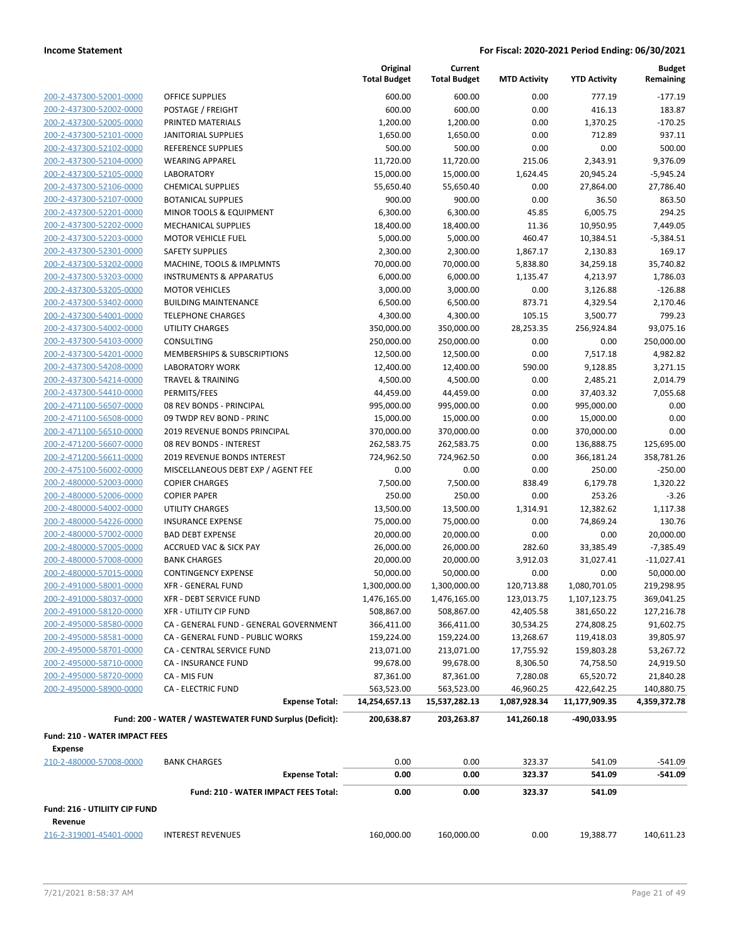**Current**

**Original**

**Budget Remaining**

|                                                        |                                                                            | <b>Total Budget</b>     | <b>Total Budget</b>      | <b>MTD Activity</b>    | <b>YTD Activity</b>     | Remaining              |
|--------------------------------------------------------|----------------------------------------------------------------------------|-------------------------|--------------------------|------------------------|-------------------------|------------------------|
| 200-2-437300-52001-0000                                | OFFICE SUPPLIES                                                            | 600.00                  | 600.00                   | 0.00                   | 777.19                  | $-177.19$              |
| 200-2-437300-52002-0000                                | POSTAGE / FREIGHT                                                          | 600.00                  | 600.00                   | 0.00                   | 416.13                  | 183.87                 |
| 200-2-437300-52005-0000                                | PRINTED MATERIALS                                                          | 1,200.00                | 1,200.00                 | 0.00                   | 1,370.25                | $-170.25$              |
| 200-2-437300-52101-0000                                | <b>JANITORIAL SUPPLIES</b>                                                 | 1,650.00                | 1,650.00                 | 0.00                   | 712.89                  | 937.11                 |
| 200-2-437300-52102-0000                                | REFERENCE SUPPLIES                                                         | 500.00                  | 500.00                   | 0.00                   | 0.00                    | 500.00                 |
| 200-2-437300-52104-0000                                | <b>WEARING APPAREL</b>                                                     | 11,720.00               | 11,720.00                | 215.06                 | 2,343.91                | 9,376.09               |
| 200-2-437300-52105-0000                                | <b>LABORATORY</b>                                                          | 15,000.00               | 15,000.00                | 1,624.45               | 20,945.24               | $-5,945.24$            |
| 200-2-437300-52106-0000                                | <b>CHEMICAL SUPPLIES</b>                                                   | 55,650.40               | 55,650.40                | 0.00                   | 27,864.00               | 27,786.40              |
| 200-2-437300-52107-0000                                | <b>BOTANICAL SUPPLIES</b>                                                  | 900.00                  | 900.00                   | 0.00                   | 36.50                   | 863.50                 |
| 200-2-437300-52201-0000                                | MINOR TOOLS & EQUIPMENT                                                    | 6,300.00                | 6,300.00                 | 45.85                  | 6,005.75                | 294.25                 |
| 200-2-437300-52202-0000                                | <b>MECHANICAL SUPPLIES</b>                                                 | 18,400.00               | 18,400.00                | 11.36                  | 10,950.95               | 7,449.05               |
| 200-2-437300-52203-0000                                | MOTOR VEHICLE FUEL                                                         | 5,000.00                | 5,000.00                 | 460.47                 | 10,384.51               | $-5,384.51$            |
| 200-2-437300-52301-0000                                | <b>SAFETY SUPPLIES</b>                                                     | 2,300.00                | 2,300.00                 | 1,867.17               | 2,130.83                | 169.17                 |
| 200-2-437300-53202-0000                                | MACHINE, TOOLS & IMPLMNTS                                                  | 70,000.00               | 70,000.00                | 5,838.80               | 34,259.18               | 35,740.82              |
| 200-2-437300-53203-0000                                | <b>INSTRUMENTS &amp; APPARATUS</b>                                         | 6,000.00                | 6,000.00                 | 1,135.47               | 4,213.97                | 1,786.03               |
| 200-2-437300-53205-0000                                | <b>MOTOR VEHICLES</b>                                                      | 3,000.00                | 3,000.00                 | 0.00                   | 3,126.88                | $-126.88$              |
| 200-2-437300-53402-0000                                | <b>BUILDING MAINTENANCE</b>                                                | 6,500.00                | 6,500.00                 | 873.71                 | 4,329.54                | 2,170.46               |
| 200-2-437300-54001-0000                                | <b>TELEPHONE CHARGES</b>                                                   | 4,300.00                | 4,300.00                 | 105.15                 | 3,500.77                | 799.23                 |
| 200-2-437300-54002-0000                                | UTILITY CHARGES                                                            | 350,000.00              | 350,000.00               | 28,253.35              | 256,924.84              | 93,075.16              |
| 200-2-437300-54103-0000                                | <b>CONSULTING</b>                                                          | 250,000.00              | 250,000.00               | 0.00                   | 0.00                    | 250,000.00             |
| 200-2-437300-54201-0000                                | MEMBERSHIPS & SUBSCRIPTIONS                                                | 12,500.00               | 12,500.00                | 0.00                   | 7,517.18                | 4,982.82               |
| 200-2-437300-54208-0000                                | <b>LABORATORY WORK</b>                                                     | 12,400.00               | 12,400.00                | 590.00                 | 9,128.85                | 3,271.15               |
| 200-2-437300-54214-0000                                | <b>TRAVEL &amp; TRAINING</b>                                               | 4,500.00                | 4,500.00                 | 0.00                   | 2,485.21                | 2,014.79               |
| 200-2-437300-54410-0000                                | PERMITS/FEES                                                               | 44,459.00               | 44,459.00                | 0.00                   | 37,403.32               | 7,055.68               |
| 200-2-471100-56507-0000                                | 08 REV BONDS - PRINCIPAL                                                   | 995,000.00              | 995,000.00               | 0.00                   | 995,000.00              | 0.00                   |
| 200-2-471100-56508-0000                                | 09 TWDP REV BOND - PRINC                                                   | 15,000.00               | 15,000.00                | 0.00                   | 15,000.00               | 0.00                   |
| 200-2-471100-56510-0000                                | 2019 REVENUE BONDS PRINCIPAL                                               | 370,000.00              | 370,000.00               | 0.00                   | 370,000.00              | 0.00                   |
| 200-2-471200-56607-0000                                | 08 REV BONDS - INTEREST                                                    | 262,583.75              | 262,583.75               | 0.00                   | 136,888.75              | 125,695.00             |
| 200-2-471200-56611-0000                                | 2019 REVENUE BONDS INTEREST                                                | 724,962.50              | 724,962.50               | 0.00                   | 366,181.24              | 358,781.26             |
| 200-2-475100-56002-0000                                | MISCELLANEOUS DEBT EXP / AGENT FEE                                         | 0.00                    | 0.00                     | 0.00                   | 250.00                  | $-250.00$              |
| 200-2-480000-52003-0000                                | <b>COPIER CHARGES</b>                                                      | 7,500.00                | 7,500.00                 | 838.49                 | 6,179.78                | 1,320.22               |
| 200-2-480000-52006-0000                                | <b>COPIER PAPER</b>                                                        | 250.00                  | 250.00                   | 0.00                   | 253.26                  | $-3.26$                |
| 200-2-480000-54002-0000                                | UTILITY CHARGES                                                            | 13,500.00               | 13,500.00                | 1,314.91               | 12,382.62               | 1,117.38               |
| 200-2-480000-54226-0000                                | <b>INSURANCE EXPENSE</b>                                                   | 75,000.00               | 75,000.00                | 0.00                   | 74,869.24               | 130.76                 |
| 200-2-480000-57002-0000                                | <b>BAD DEBT EXPENSE</b>                                                    | 20,000.00               | 20,000.00                | 0.00                   | 0.00                    | 20,000.00              |
| 200-2-480000-57005-0000                                | ACCRUED VAC & SICK PAY                                                     | 26,000.00               | 26,000.00                | 282.60                 | 33,385.49               | $-7,385.49$            |
| 200-2-480000-57008-0000                                | <b>BANK CHARGES</b>                                                        | 20,000.00               | 20,000.00                | 3,912.03               | 31,027.41               | $-11,027.41$           |
| 200-2-480000-57015-0000                                | <b>CONTINGENCY EXPENSE</b>                                                 | 50,000.00               | 50,000.00                | 0.00                   | 0.00                    | 50,000.00              |
| 200-2-491000-58001-0000                                | <b>XFR - GENERAL FUND</b>                                                  | 1,300,000.00            | 1,300,000.00             | 120,713.88             | 1,080,701.05            | 219,298.95             |
| 200-2-491000-58037-0000                                | <b>XFR - DEBT SERVICE FUND</b>                                             | 1,476,165.00            | 1,476,165.00             | 123,013.75             | 1,107,123.75            | 369,041.25             |
| 200-2-491000-58120-0000<br>200-2-495000-58580-0000     | XFR - UTILITY CIP FUND                                                     | 508,867.00              | 508,867.00               | 42,405.58              | 381,650.22              | 127,216.78             |
| 200-2-495000-58581-0000                                | CA - GENERAL FUND - GENERAL GOVERNMENT<br>CA - GENERAL FUND - PUBLIC WORKS | 366,411.00              | 366,411.00<br>159,224.00 | 30,534.25              | 274,808.25              | 91,602.75<br>39,805.97 |
| 200-2-495000-58701-0000                                | CA - CENTRAL SERVICE FUND                                                  | 159,224.00              | 213,071.00               | 13,268.67<br>17,755.92 | 119,418.03              | 53,267.72              |
| 200-2-495000-58710-0000                                | CA - INSURANCE FUND                                                        | 213,071.00<br>99,678.00 | 99,678.00                | 8,306.50               | 159,803.28<br>74,758.50 | 24,919.50              |
| 200-2-495000-58720-0000                                | CA - MIS FUN                                                               | 87,361.00               | 87,361.00                | 7,280.08               | 65,520.72               | 21,840.28              |
| 200-2-495000-58900-0000                                | <b>CA - ELECTRIC FUND</b>                                                  | 563,523.00              | 563,523.00               | 46,960.25              | 422,642.25              | 140,880.75             |
|                                                        | <b>Expense Total:</b>                                                      | 14,254,657.13           | 15,537,282.13            | 1,087,928.34           | 11,177,909.35           | 4,359,372.78           |
|                                                        |                                                                            |                         |                          |                        |                         |                        |
|                                                        | Fund: 200 - WATER / WASTEWATER FUND Surplus (Deficit):                     | 200,638.87              | 203,263.87               | 141,260.18             | -490,033.95             |                        |
| <b>Fund: 210 - WATER IMPACT FEES</b><br><b>Expense</b> |                                                                            |                         |                          |                        |                         |                        |
| 210-2-480000-57008-0000                                | <b>BANK CHARGES</b>                                                        | 0.00                    | 0.00                     | 323.37                 | 541.09                  | $-541.09$              |
|                                                        | <b>Expense Total:</b>                                                      | 0.00                    | 0.00                     | 323.37                 | 541.09                  | -541.09                |
|                                                        | Fund: 210 - WATER IMPACT FEES Total:                                       | 0.00                    | 0.00                     | 323.37                 | 541.09                  |                        |
| Fund: 216 - UTILIITY CIP FUND                          |                                                                            |                         |                          |                        |                         |                        |
| Revenue                                                |                                                                            |                         |                          |                        |                         |                        |
| 216-2-319001-45401-0000                                | <b>INTEREST REVENUES</b>                                                   | 160,000.00              | 160,000.00               | 0.00                   | 19,388.77               | 140,611.23             |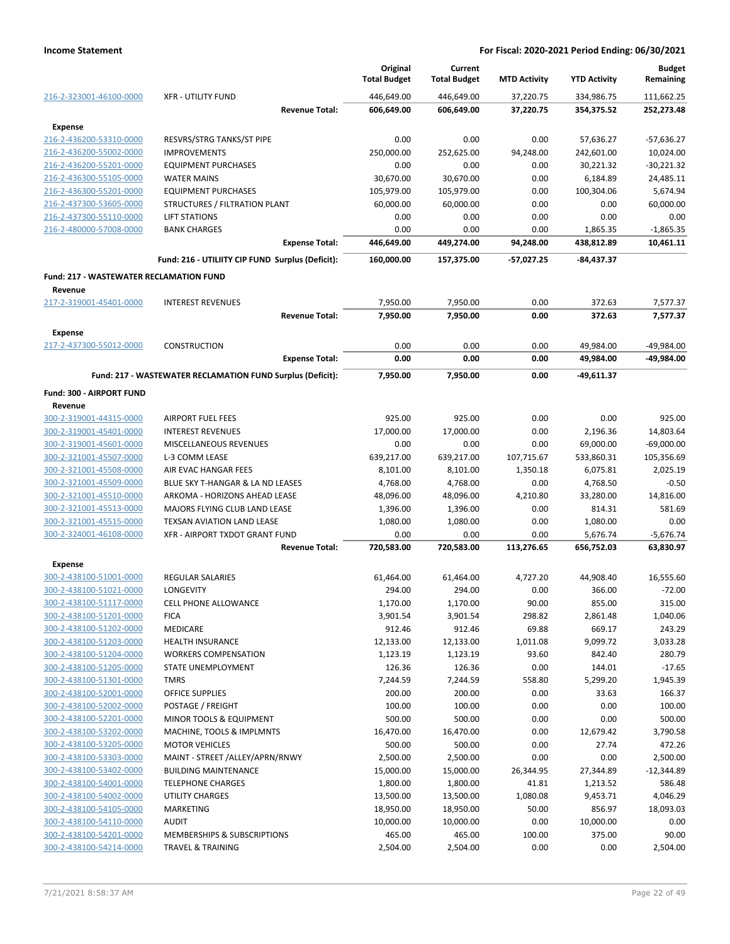|                                                    |                                                            | Original<br><b>Total Budget</b> | Current<br><b>Total Budget</b> | <b>MTD Activity</b> | <b>YTD Activity</b>    | <b>Budget</b><br>Remaining |
|----------------------------------------------------|------------------------------------------------------------|---------------------------------|--------------------------------|---------------------|------------------------|----------------------------|
| 216-2-323001-46100-0000                            | <b>XFR - UTILITY FUND</b>                                  | 446,649.00                      | 446,649.00                     | 37,220.75           | 334,986.75             | 111,662.25                 |
|                                                    | <b>Revenue Total:</b>                                      | 606,649.00                      | 606,649.00                     | 37,220.75           | 354,375.52             | 252,273.48                 |
| Expense                                            |                                                            |                                 |                                |                     |                        |                            |
| 216-2-436200-53310-0000                            | <b>RESVRS/STRG TANKS/ST PIPE</b>                           | 0.00                            | 0.00                           | 0.00                | 57,636.27              | $-57,636.27$               |
| 216-2-436200-55002-0000                            | <b>IMPROVEMENTS</b>                                        | 250,000.00                      | 252,625.00                     | 94,248.00           | 242,601.00             | 10,024.00                  |
| 216-2-436200-55201-0000                            | <b>EQUIPMENT PURCHASES</b>                                 | 0.00                            | 0.00                           | 0.00                | 30,221.32              | $-30,221.32$               |
| 216-2-436300-55105-0000                            | <b>WATER MAINS</b><br><b>EQUIPMENT PURCHASES</b>           | 30,670.00<br>105,979.00         | 30,670.00                      | 0.00<br>0.00        | 6,184.89               | 24,485.11                  |
| 216-2-436300-55201-0000<br>216-2-437300-53605-0000 | STRUCTURES / FILTRATION PLANT                              | 60,000.00                       | 105,979.00<br>60,000.00        | 0.00                | 100,304.06<br>0.00     | 5,674.94<br>60,000.00      |
| 216-2-437300-55110-0000                            | LIFT STATIONS                                              | 0.00                            | 0.00                           | 0.00                | 0.00                   | 0.00                       |
| 216-2-480000-57008-0000                            | <b>BANK CHARGES</b>                                        | 0.00                            | 0.00                           | 0.00                | 1,865.35               | $-1,865.35$                |
|                                                    | <b>Expense Total:</b>                                      | 446,649.00                      | 449,274.00                     | 94,248.00           | 438,812.89             | 10,461.11                  |
|                                                    | Fund: 216 - UTILIITY CIP FUND Surplus (Deficit):           | 160,000.00                      | 157,375.00                     | -57,027.25          | -84,437.37             |                            |
| <b>Fund: 217 - WASTEWATER RECLAMATION FUND</b>     |                                                            |                                 |                                |                     |                        |                            |
| Revenue                                            |                                                            |                                 |                                |                     |                        |                            |
| 217-2-319001-45401-0000                            | <b>INTEREST REVENUES</b>                                   | 7,950.00                        | 7,950.00                       | 0.00                | 372.63                 | 7,577.37                   |
|                                                    | <b>Revenue Total:</b>                                      | 7,950.00                        | 7,950.00                       | 0.00                | 372.63                 | 7,577.37                   |
| <b>Expense</b>                                     |                                                            |                                 |                                |                     |                        |                            |
| 217-2-437300-55012-0000                            | <b>CONSTRUCTION</b><br><b>Expense Total:</b>               | 0.00<br>0.00                    | 0.00<br>0.00                   | 0.00<br>0.00        | 49,984.00<br>49,984.00 | -49,984.00<br>-49,984.00   |
|                                                    | Fund: 217 - WASTEWATER RECLAMATION FUND Surplus (Deficit): | 7,950.00                        | 7,950.00                       | 0.00                | -49,611.37             |                            |
| Fund: 300 - AIRPORT FUND                           |                                                            |                                 |                                |                     |                        |                            |
| Revenue                                            |                                                            |                                 |                                |                     |                        |                            |
| 300-2-319001-44315-0000                            | <b>AIRPORT FUEL FEES</b>                                   | 925.00                          | 925.00                         | 0.00                | 0.00                   | 925.00                     |
| 300-2-319001-45401-0000                            | <b>INTEREST REVENUES</b>                                   | 17,000.00                       | 17,000.00                      | 0.00                | 2,196.36               | 14,803.64                  |
| 300-2-319001-45601-0000                            | MISCELLANEOUS REVENUES                                     | 0.00                            | 0.00                           | 0.00                | 69,000.00              | $-69,000.00$               |
| 300-2-321001-45507-0000                            | L-3 COMM LEASE                                             | 639,217.00                      | 639,217.00                     | 107,715.67          | 533,860.31             | 105,356.69                 |
| 300-2-321001-45508-0000                            | AIR EVAC HANGAR FEES                                       | 8,101.00                        | 8,101.00                       | 1,350.18            | 6,075.81               | 2,025.19                   |
| 300-2-321001-45509-0000                            | BLUE SKY T-HANGAR & LA ND LEASES                           | 4,768.00                        | 4,768.00                       | 0.00                | 4,768.50               | $-0.50$                    |
| 300-2-321001-45510-0000                            | ARKOMA - HORIZONS AHEAD LEASE                              | 48,096.00                       | 48,096.00                      | 4,210.80            | 33,280.00              | 14,816.00                  |
| 300-2-321001-45513-0000                            | MAJORS FLYING CLUB LAND LEASE                              | 1,396.00                        | 1,396.00                       | 0.00                | 814.31                 | 581.69                     |
| 300-2-321001-45515-0000                            | TEXSAN AVIATION LAND LEASE                                 | 1,080.00                        | 1,080.00                       | 0.00                | 1,080.00               | 0.00                       |
| 300-2-324001-46108-0000                            | XFR - AIRPORT TXDOT GRANT FUND                             | 0.00                            | 0.00                           | 0.00                | 5,676.74               | $-5,676.74$                |
|                                                    | <b>Revenue Total:</b>                                      | 720,583.00                      | 720,583.00                     | 113,276.65          | 656,752.03             | 63,830.97                  |
| <b>Expense</b>                                     |                                                            |                                 |                                |                     |                        |                            |
| 300-2-438100-51001-0000                            | <b>REGULAR SALARIES</b>                                    | 61,464.00                       | 61,464.00                      | 4,727.20            | 44,908.40              | 16,555.60                  |
| 300-2-438100-51021-0000                            | LONGEVITY                                                  | 294.00                          | 294.00                         | 0.00                | 366.00                 | $-72.00$                   |
| 300-2-438100-51117-0000                            | <b>CELL PHONE ALLOWANCE</b>                                | 1,170.00                        | 1,170.00                       | 90.00               | 855.00                 | 315.00                     |
| 300-2-438100-51201-0000<br>300-2-438100-51202-0000 | <b>FICA</b>                                                | 3,901.54                        | 3,901.54                       | 298.82              | 2,861.48               | 1,040.06                   |
|                                                    | MEDICARE                                                   | 912.46                          | 912.46                         | 69.88               | 669.17                 | 243.29                     |
| 300-2-438100-51203-0000<br>300-2-438100-51204-0000 | <b>HEALTH INSURANCE</b><br><b>WORKERS COMPENSATION</b>     | 12,133.00                       | 12,133.00                      | 1,011.08<br>93.60   | 9,099.72<br>842.40     | 3,033.28<br>280.79         |
| 300-2-438100-51205-0000                            | STATE UNEMPLOYMENT                                         | 1,123.19<br>126.36              | 1,123.19<br>126.36             | 0.00                | 144.01                 | $-17.65$                   |
| 300-2-438100-51301-0000                            | <b>TMRS</b>                                                | 7,244.59                        | 7,244.59                       | 558.80              | 5,299.20               | 1,945.39                   |
| 300-2-438100-52001-0000                            | <b>OFFICE SUPPLIES</b>                                     | 200.00                          | 200.00                         | 0.00                | 33.63                  | 166.37                     |
| 300-2-438100-52002-0000                            | POSTAGE / FREIGHT                                          | 100.00                          | 100.00                         | 0.00                | 0.00                   | 100.00                     |
| 300-2-438100-52201-0000                            | <b>MINOR TOOLS &amp; EQUIPMENT</b>                         | 500.00                          | 500.00                         | 0.00                | 0.00                   | 500.00                     |
| 300-2-438100-53202-0000                            | MACHINE, TOOLS & IMPLMNTS                                  | 16,470.00                       | 16,470.00                      | 0.00                | 12,679.42              | 3,790.58                   |
| 300-2-438100-53205-0000                            | <b>MOTOR VEHICLES</b>                                      | 500.00                          | 500.00                         | 0.00                | 27.74                  | 472.26                     |
| 300-2-438100-53303-0000                            | MAINT - STREET /ALLEY/APRN/RNWY                            | 2,500.00                        | 2,500.00                       | 0.00                | 0.00                   | 2,500.00                   |
| 300-2-438100-53402-0000                            | <b>BUILDING MAINTENANCE</b>                                | 15,000.00                       | 15,000.00                      | 26,344.95           | 27,344.89              | $-12,344.89$               |
| 300-2-438100-54001-0000                            | <b>TELEPHONE CHARGES</b>                                   | 1,800.00                        | 1,800.00                       | 41.81               | 1,213.52               | 586.48                     |
| 300-2-438100-54002-0000                            | <b>UTILITY CHARGES</b>                                     | 13,500.00                       | 13,500.00                      | 1,080.08            | 9,453.71               | 4,046.29                   |
| 300-2-438100-54105-0000                            | MARKETING                                                  | 18,950.00                       | 18,950.00                      | 50.00               | 856.97                 | 18,093.03                  |
| 300-2-438100-54110-0000                            | <b>AUDIT</b>                                               | 10,000.00                       | 10,000.00                      | 0.00                | 10,000.00              | 0.00                       |
| 300-2-438100-54201-0000                            | MEMBERSHIPS & SUBSCRIPTIONS                                | 465.00                          | 465.00                         | 100.00              | 375.00                 | 90.00                      |
| 300-2-438100-54214-0000                            | <b>TRAVEL &amp; TRAINING</b>                               | 2,504.00                        | 2,504.00                       | 0.00                | 0.00                   | 2,504.00                   |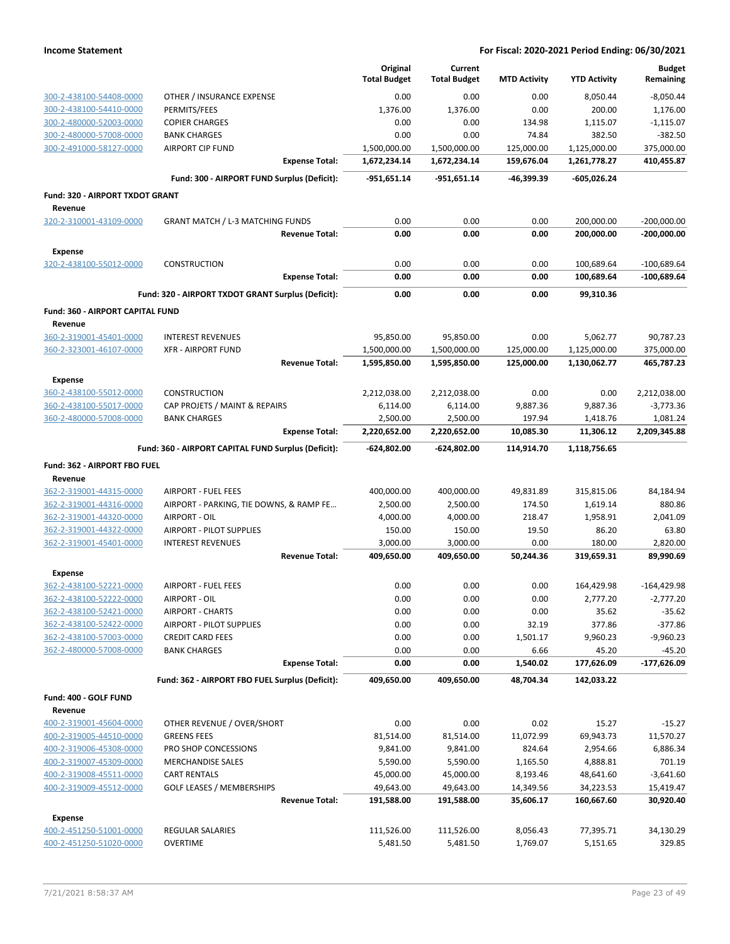|                                                    |                                                                  | Original                     | Current                      |                          |                              | <b>Budget</b>                  |
|----------------------------------------------------|------------------------------------------------------------------|------------------------------|------------------------------|--------------------------|------------------------------|--------------------------------|
|                                                    |                                                                  | <b>Total Budget</b>          | <b>Total Budget</b>          | <b>MTD Activity</b>      | <b>YTD Activity</b>          | Remaining                      |
| 300-2-438100-54408-0000                            | OTHER / INSURANCE EXPENSE                                        | 0.00                         | 0.00                         | 0.00                     | 8,050.44                     | $-8,050.44$                    |
| 300-2-438100-54410-0000                            | PERMITS/FEES                                                     | 1,376.00                     | 1,376.00                     | 0.00                     | 200.00                       | 1,176.00                       |
| 300-2-480000-52003-0000                            | <b>COPIER CHARGES</b>                                            | 0.00                         | 0.00                         | 134.98                   | 1,115.07                     | $-1,115.07$                    |
| 300-2-480000-57008-0000                            | <b>BANK CHARGES</b>                                              | 0.00                         | 0.00                         | 74.84                    | 382.50                       | $-382.50$                      |
| 300-2-491000-58127-0000                            | <b>AIRPORT CIP FUND</b>                                          | 1,500,000.00                 | 1,500,000.00                 | 125,000.00               | 1,125,000.00                 | 375,000.00                     |
|                                                    | <b>Expense Total:</b>                                            | 1,672,234.14                 | 1,672,234.14                 | 159,676.04               | 1,261,778.27                 | 410,455.87                     |
|                                                    | Fund: 300 - AIRPORT FUND Surplus (Deficit):                      | -951,651.14                  | -951,651.14                  | -46,399.39               | -605,026.24                  |                                |
| Fund: 320 - AIRPORT TXDOT GRANT                    |                                                                  |                              |                              |                          |                              |                                |
| Revenue                                            |                                                                  |                              |                              |                          |                              |                                |
| 320-2-310001-43109-0000                            | <b>GRANT MATCH / L-3 MATCHING FUNDS</b><br><b>Revenue Total:</b> | 0.00<br>0.00                 | 0.00<br>0.00                 | 0.00<br>0.00             | 200,000.00<br>200,000.00     | $-200,000.00$<br>$-200,000.00$ |
|                                                    |                                                                  |                              |                              |                          |                              |                                |
| <b>Expense</b>                                     |                                                                  |                              |                              |                          |                              |                                |
| 320-2-438100-55012-0000                            | <b>CONSTRUCTION</b><br><b>Expense Total:</b>                     | 0.00<br>0.00                 | 0.00<br>0.00                 | 0.00<br>0.00             | 100,689.64<br>100,689.64     | $-100,689.64$<br>-100,689.64   |
|                                                    |                                                                  |                              |                              |                          |                              |                                |
|                                                    | Fund: 320 - AIRPORT TXDOT GRANT Surplus (Deficit):               | 0.00                         | 0.00                         | 0.00                     | 99.310.36                    |                                |
| Fund: 360 - AIRPORT CAPITAL FUND                   |                                                                  |                              |                              |                          |                              |                                |
| Revenue                                            |                                                                  |                              |                              |                          |                              |                                |
| 360-2-319001-45401-0000                            | <b>INTEREST REVENUES</b>                                         | 95,850.00                    | 95,850.00                    | 0.00                     | 5,062.77                     | 90,787.23                      |
| 360-2-323001-46107-0000                            | <b>XFR - AIRPORT FUND</b><br><b>Revenue Total:</b>               | 1,500,000.00<br>1,595,850.00 | 1,500,000.00<br>1,595,850.00 | 125,000.00<br>125,000.00 | 1,125,000.00<br>1,130,062.77 | 375,000.00<br>465,787.23       |
|                                                    |                                                                  |                              |                              |                          |                              |                                |
| <b>Expense</b>                                     |                                                                  |                              |                              |                          |                              |                                |
| 360-2-438100-55012-0000<br>360-2-438100-55017-0000 | <b>CONSTRUCTION</b><br>CAP PROJETS / MAINT & REPAIRS             | 2,212,038.00<br>6,114.00     | 2,212,038.00<br>6,114.00     | 0.00<br>9,887.36         | 0.00<br>9,887.36             | 2,212,038.00<br>$-3,773.36$    |
| 360-2-480000-57008-0000                            | <b>BANK CHARGES</b>                                              | 2,500.00                     | 2,500.00                     | 197.94                   | 1,418.76                     | 1,081.24                       |
|                                                    | <b>Expense Total:</b>                                            | 2,220,652.00                 | 2,220,652.00                 | 10,085.30                | 11,306.12                    | 2,209,345.88                   |
|                                                    | Fund: 360 - AIRPORT CAPITAL FUND Surplus (Deficit):              | -624,802.00                  | -624,802.00                  | 114,914.70               | 1,118,756.65                 |                                |
|                                                    |                                                                  |                              |                              |                          |                              |                                |
| Fund: 362 - AIRPORT FBO FUEL                       |                                                                  |                              |                              |                          |                              |                                |
| Revenue<br>362-2-319001-44315-0000                 | <b>AIRPORT - FUEL FEES</b>                                       | 400,000.00                   | 400,000.00                   | 49,831.89                | 315,815.06                   | 84,184.94                      |
| 362-2-319001-44316-0000                            | AIRPORT - PARKING, TIE DOWNS, & RAMP FE                          | 2,500.00                     | 2,500.00                     | 174.50                   | 1,619.14                     | 880.86                         |
| 362-2-319001-44320-0000                            | AIRPORT - OIL                                                    | 4,000.00                     | 4,000.00                     | 218.47                   | 1,958.91                     | 2,041.09                       |
| 362-2-319001-44322-0000                            | AIRPORT - PILOT SUPPLIES                                         | 150.00                       | 150.00                       | 19.50                    | 86.20                        | 63.80                          |
| 362-2-319001-45401-0000                            | <b>INTEREST REVENUES</b>                                         | 3,000.00                     | 3,000.00                     | 0.00                     | 180.00                       | 2,820.00                       |
|                                                    | <b>Revenue Total:</b>                                            | 409,650.00                   | 409,650.00                   | 50,244.36                | 319,659.31                   | 89,990.69                      |
| <b>Expense</b>                                     |                                                                  |                              |                              |                          |                              |                                |
| 362-2-438100-52221-0000                            | <b>AIRPORT - FUEL FEES</b>                                       | 0.00                         | 0.00                         | 0.00                     | 164,429.98                   | $-164,429.98$                  |
| 362-2-438100-52222-0000                            | AIRPORT - OIL                                                    | 0.00                         | 0.00                         | 0.00                     | 2,777.20                     | $-2,777.20$                    |
| 362-2-438100-52421-0000                            | <b>AIRPORT - CHARTS</b>                                          | 0.00                         | 0.00                         | 0.00                     | 35.62                        | $-35.62$                       |
| 362-2-438100-52422-0000                            | AIRPORT - PILOT SUPPLIES                                         | 0.00                         | 0.00                         | 32.19                    | 377.86                       | $-377.86$                      |
| 362-2-438100-57003-0000                            | <b>CREDIT CARD FEES</b>                                          | 0.00                         | 0.00                         | 1,501.17                 | 9,960.23                     | $-9,960.23$                    |
| 362-2-480000-57008-0000                            | <b>BANK CHARGES</b><br><b>Expense Total:</b>                     | 0.00                         | 0.00                         | 6.66                     | 45.20                        | $-45.20$                       |
|                                                    |                                                                  | 0.00                         | 0.00                         | 1,540.02                 | 177,626.09                   | -177,626.09                    |
|                                                    | Fund: 362 - AIRPORT FBO FUEL Surplus (Deficit):                  | 409,650.00                   | 409,650.00                   | 48,704.34                | 142,033.22                   |                                |
| Fund: 400 - GOLF FUND                              |                                                                  |                              |                              |                          |                              |                                |
| Revenue                                            |                                                                  |                              |                              |                          |                              |                                |
| 400-2-319001-45604-0000                            | OTHER REVENUE / OVER/SHORT                                       | 0.00                         | 0.00                         | 0.02                     | 15.27                        | $-15.27$                       |
| 400-2-319005-44510-0000                            | <b>GREENS FEES</b>                                               | 81,514.00                    | 81,514.00                    | 11,072.99                | 69,943.73                    | 11,570.27                      |
| 400-2-319006-45308-0000<br>400-2-319007-45309-0000 | PRO SHOP CONCESSIONS                                             | 9,841.00                     | 9,841.00                     | 824.64                   | 2,954.66                     | 6,886.34<br>701.19             |
| 400-2-319008-45511-0000                            | <b>MERCHANDISE SALES</b><br><b>CART RENTALS</b>                  | 5,590.00<br>45,000.00        | 5,590.00<br>45,000.00        | 1,165.50<br>8,193.46     | 4,888.81<br>48,641.60        | $-3,641.60$                    |
| 400-2-319009-45512-0000                            | <b>GOLF LEASES / MEMBERSHIPS</b>                                 | 49,643.00                    | 49,643.00                    | 14,349.56                | 34,223.53                    | 15,419.47                      |
|                                                    | <b>Revenue Total:</b>                                            | 191,588.00                   | 191,588.00                   | 35,606.17                | 160,667.60                   | 30,920.40                      |
| <b>Expense</b>                                     |                                                                  |                              |                              |                          |                              |                                |
| 400-2-451250-51001-0000                            | <b>REGULAR SALARIES</b>                                          | 111,526.00                   | 111,526.00                   | 8,056.43                 | 77,395.71                    | 34,130.29                      |
| 400-2-451250-51020-0000                            | <b>OVERTIME</b>                                                  | 5,481.50                     | 5,481.50                     | 1,769.07                 | 5,151.65                     | 329.85                         |
|                                                    |                                                                  |                              |                              |                          |                              |                                |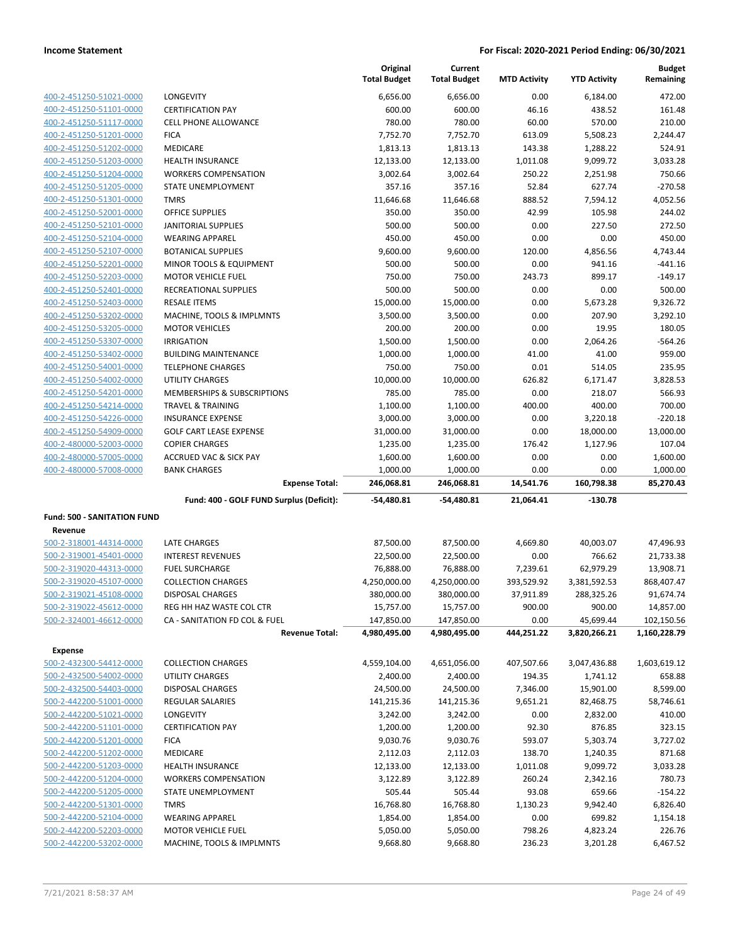|                                                    |                                                    | Original<br><b>Total Budget</b> | Current<br><b>Total Budget</b> | <b>MTD Activity</b> | <b>YTD Activity</b> | <b>Budget</b><br>Remaining |
|----------------------------------------------------|----------------------------------------------------|---------------------------------|--------------------------------|---------------------|---------------------|----------------------------|
|                                                    |                                                    |                                 |                                |                     |                     |                            |
| 400-2-451250-51021-0000                            | <b>LONGEVITY</b>                                   | 6,656.00                        | 6,656.00                       | 0.00                | 6,184.00            | 472.00                     |
| 400-2-451250-51101-0000                            | <b>CERTIFICATION PAY</b>                           | 600.00                          | 600.00                         | 46.16               | 438.52              | 161.48                     |
| 400-2-451250-51117-0000                            | <b>CELL PHONE ALLOWANCE</b>                        | 780.00                          | 780.00                         | 60.00               | 570.00              | 210.00                     |
| 400-2-451250-51201-0000                            | <b>FICA</b>                                        | 7,752.70                        | 7,752.70                       | 613.09              | 5,508.23            | 2,244.47                   |
| 400-2-451250-51202-0000                            | <b>MEDICARE</b>                                    | 1,813.13                        | 1,813.13                       | 143.38              | 1,288.22            | 524.91                     |
| 400-2-451250-51203-0000                            | <b>HEALTH INSURANCE</b>                            | 12,133.00                       | 12,133.00                      | 1,011.08            | 9,099.72            | 3,033.28                   |
| 400-2-451250-51204-0000                            | <b>WORKERS COMPENSATION</b>                        | 3,002.64                        | 3,002.64                       | 250.22              | 2,251.98            | 750.66                     |
| 400-2-451250-51205-0000                            | <b>STATE UNEMPLOYMENT</b>                          | 357.16                          | 357.16                         | 52.84               | 627.74              | $-270.58$                  |
| 400-2-451250-51301-0000                            | <b>TMRS</b>                                        | 11,646.68                       | 11,646.68                      | 888.52              | 7,594.12            | 4,052.56                   |
| 400-2-451250-52001-0000                            | <b>OFFICE SUPPLIES</b>                             | 350.00                          | 350.00                         | 42.99               | 105.98              | 244.02                     |
| 400-2-451250-52101-0000                            | <b>JANITORIAL SUPPLIES</b>                         | 500.00                          | 500.00                         | 0.00                | 227.50              | 272.50                     |
| 400-2-451250-52104-0000                            | <b>WEARING APPAREL</b>                             | 450.00                          | 450.00                         | 0.00                | 0.00                | 450.00                     |
| 400-2-451250-52107-0000                            | <b>BOTANICAL SUPPLIES</b>                          | 9,600.00                        | 9,600.00                       | 120.00              | 4,856.56            | 4,743.44                   |
| 400-2-451250-52201-0000                            | <b>MINOR TOOLS &amp; EQUIPMENT</b>                 | 500.00                          | 500.00                         | 0.00                | 941.16<br>899.17    | $-441.16$                  |
| 400-2-451250-52203-0000                            | <b>MOTOR VEHICLE FUEL</b><br>RECREATIONAL SUPPLIES | 750.00<br>500.00                | 750.00<br>500.00               | 243.73<br>0.00      | 0.00                | $-149.17$<br>500.00        |
| 400-2-451250-52401-0000<br>400-2-451250-52403-0000 | <b>RESALE ITEMS</b>                                | 15,000.00                       | 15,000.00                      | 0.00                | 5,673.28            | 9,326.72                   |
| 400-2-451250-53202-0000                            | MACHINE, TOOLS & IMPLMNTS                          | 3,500.00                        | 3,500.00                       | 0.00                | 207.90              | 3,292.10                   |
| 400-2-451250-53205-0000                            | <b>MOTOR VEHICLES</b>                              | 200.00                          | 200.00                         | 0.00                | 19.95               | 180.05                     |
| 400-2-451250-53307-0000                            | <b>IRRIGATION</b>                                  | 1,500.00                        | 1,500.00                       | 0.00                | 2,064.26            | $-564.26$                  |
| 400-2-451250-53402-0000                            | <b>BUILDING MAINTENANCE</b>                        | 1,000.00                        | 1,000.00                       | 41.00               | 41.00               | 959.00                     |
| 400-2-451250-54001-0000                            | <b>TELEPHONE CHARGES</b>                           | 750.00                          | 750.00                         | 0.01                | 514.05              | 235.95                     |
| 400-2-451250-54002-0000                            | <b>UTILITY CHARGES</b>                             | 10,000.00                       | 10,000.00                      | 626.82              | 6,171.47            | 3,828.53                   |
| 400-2-451250-54201-0000                            | <b>MEMBERSHIPS &amp; SUBSCRIPTIONS</b>             | 785.00                          | 785.00                         | 0.00                | 218.07              | 566.93                     |
| 400-2-451250-54214-0000                            | <b>TRAVEL &amp; TRAINING</b>                       | 1,100.00                        | 1,100.00                       | 400.00              | 400.00              | 700.00                     |
| 400-2-451250-54226-0000                            | <b>INSURANCE EXPENSE</b>                           | 3,000.00                        | 3,000.00                       | 0.00                | 3,220.18            | $-220.18$                  |
| 400-2-451250-54909-0000                            | <b>GOLF CART LEASE EXPENSE</b>                     | 31,000.00                       | 31,000.00                      | 0.00                | 18,000.00           | 13,000.00                  |
| 400-2-480000-52003-0000                            | <b>COPIER CHARGES</b>                              | 1,235.00                        | 1,235.00                       | 176.42              | 1,127.96            | 107.04                     |
| 400-2-480000-57005-0000                            | <b>ACCRUED VAC &amp; SICK PAY</b>                  | 1,600.00                        | 1,600.00                       | 0.00                | 0.00                | 1,600.00                   |
| 400-2-480000-57008-0000                            | <b>BANK CHARGES</b>                                | 1,000.00                        | 1,000.00                       | 0.00                | 0.00                | 1,000.00                   |
|                                                    | <b>Expense Total:</b>                              | 246,068.81                      | 246,068.81                     | 14,541.76           | 160,798.38          | 85,270.43                  |
|                                                    | Fund: 400 - GOLF FUND Surplus (Deficit):           | $-54,480.81$                    | -54,480.81                     | 21,064.41           | $-130.78$           |                            |
| <b>Fund: 500 - SANITATION FUND</b>                 |                                                    |                                 |                                |                     |                     |                            |
| Revenue                                            |                                                    |                                 |                                |                     |                     |                            |
| 500-2-318001-44314-0000                            | <b>LATE CHARGES</b>                                | 87,500.00                       | 87,500.00                      | 4,669.80            | 40,003.07           | 47,496.93                  |
| 500-2-319001-45401-0000                            | <b>INTEREST REVENUES</b>                           | 22,500.00                       | 22,500.00                      | 0.00                | 766.62              | 21,733.38                  |
| 500-2-319020-44313-0000                            | <b>FUEL SURCHARGE</b>                              | 76,888.00                       | 76,888.00                      | 7,239.61            | 62,979.29           | 13,908.71                  |
| 500-2-319020-45107-0000                            | <b>COLLECTION CHARGES</b>                          | 4,250,000.00                    | 4,250,000.00                   | 393,529.92          | 3,381,592.53        | 868,407.47                 |
| 500-2-319021-45108-0000                            | <b>DISPOSAL CHARGES</b>                            | 380,000.00                      | 380,000.00                     | 37.911.89           | 288,325.26          | 91,674.74                  |
| 500-2-319022-45612-0000                            | REG HH HAZ WASTE COL CTR                           | 15,757.00                       | 15,757.00                      | 900.00              | 900.00              | 14,857.00                  |
| 500-2-324001-46612-0000                            | CA - SANITATION FD COL & FUEL                      | 147,850.00                      | 147,850.00                     | 0.00                | 45,699.44           | 102,150.56                 |
|                                                    | <b>Revenue Total:</b>                              | 4,980,495.00                    | 4,980,495.00                   | 444,251.22          | 3,820,266.21        | 1,160,228.79               |
| Expense                                            |                                                    |                                 |                                |                     |                     |                            |
| 500-2-432300-54412-0000                            | <b>COLLECTION CHARGES</b>                          | 4,559,104.00                    | 4,651,056.00                   | 407,507.66          | 3,047,436.88        | 1,603,619.12               |
| 500-2-432500-54002-0000                            | UTILITY CHARGES                                    | 2,400.00                        | 2,400.00                       | 194.35              | 1,741.12            | 658.88                     |
| 500-2-432500-54403-0000                            | DISPOSAL CHARGES                                   | 24,500.00                       | 24,500.00                      | 7,346.00            | 15,901.00           | 8,599.00                   |
| 500-2-442200-51001-0000                            | REGULAR SALARIES                                   | 141,215.36                      | 141,215.36                     | 9,651.21            | 82,468.75           | 58,746.61                  |
| 500-2-442200-51021-0000                            | LONGEVITY                                          | 3,242.00                        | 3,242.00                       | 0.00                | 2,832.00            | 410.00                     |
| 500-2-442200-51101-0000                            | <b>CERTIFICATION PAY</b>                           | 1,200.00                        | 1,200.00                       | 92.30               | 876.85              | 323.15                     |
| 500-2-442200-51201-0000                            | <b>FICA</b>                                        | 9,030.76                        | 9,030.76                       | 593.07              | 5,303.74            | 3,727.02                   |
| 500-2-442200-51202-0000                            | MEDICARE                                           | 2,112.03                        | 2,112.03                       | 138.70              | 1,240.35            | 871.68                     |
| 500-2-442200-51203-0000                            | <b>HEALTH INSURANCE</b>                            | 12,133.00                       | 12,133.00                      | 1,011.08            | 9,099.72            | 3,033.28                   |
| 500-2-442200-51204-0000                            | <b>WORKERS COMPENSATION</b>                        | 3,122.89                        | 3,122.89                       | 260.24              | 2,342.16            | 780.73                     |
| 500-2-442200-51205-0000                            | STATE UNEMPLOYMENT                                 | 505.44                          | 505.44                         | 93.08               | 659.66              | $-154.22$                  |
| 500-2-442200-51301-0000                            | <b>TMRS</b>                                        | 16,768.80                       | 16,768.80                      | 1,130.23            | 9,942.40            | 6,826.40                   |
| 500-2-442200-52104-0000                            | <b>WEARING APPAREL</b>                             | 1,854.00                        | 1,854.00                       | 0.00                | 699.82              | 1,154.18                   |
| 500-2-442200-52203-0000                            | <b>MOTOR VEHICLE FUEL</b>                          | 5,050.00                        | 5,050.00                       | 798.26              | 4,823.24            | 226.76                     |
| 500-2-442200-53202-0000                            | MACHINE, TOOLS & IMPLMNTS                          | 9,668.80                        | 9,668.80                       | 236.23              | 3,201.28            | 6,467.52                   |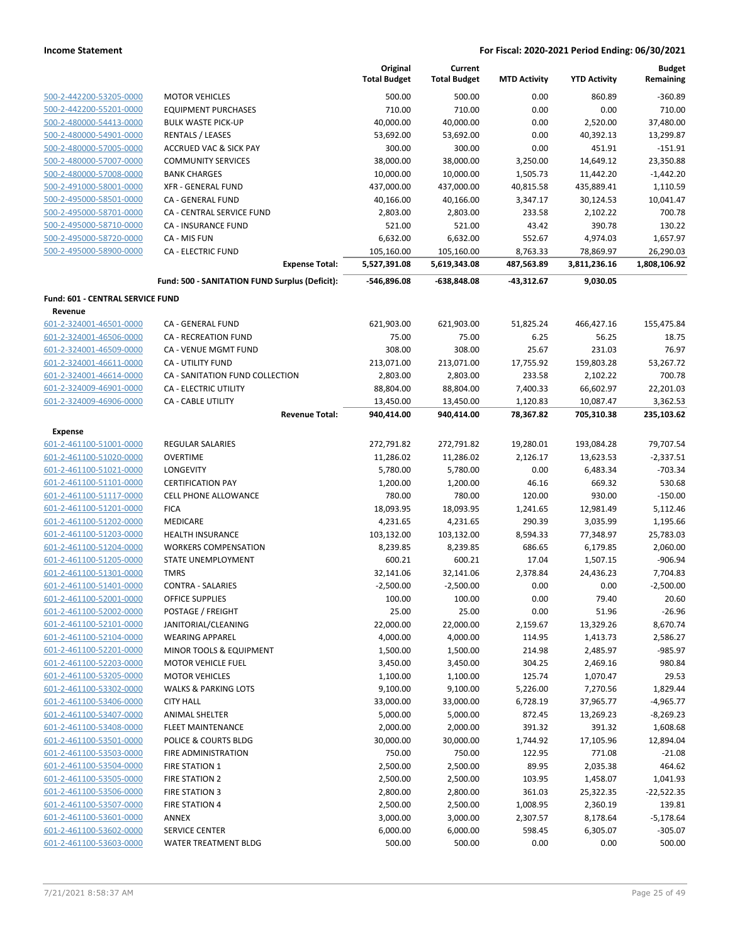|                                  |                                                | Original<br><b>Total Budget</b> | Current<br><b>Total Budget</b> | <b>MTD Activity</b> | <b>YTD Activity</b> | <b>Budget</b><br>Remaining |
|----------------------------------|------------------------------------------------|---------------------------------|--------------------------------|---------------------|---------------------|----------------------------|
| 500-2-442200-53205-0000          | <b>MOTOR VEHICLES</b>                          | 500.00                          | 500.00                         | 0.00                | 860.89              | $-360.89$                  |
| 500-2-442200-55201-0000          | <b>EQUIPMENT PURCHASES</b>                     | 710.00                          | 710.00                         | 0.00                | 0.00                | 710.00                     |
| 500-2-480000-54413-0000          | <b>BULK WASTE PICK-UP</b>                      | 40,000.00                       | 40,000.00                      | 0.00                | 2,520.00            | 37,480.00                  |
| 500-2-480000-54901-0000          | <b>RENTALS / LEASES</b>                        | 53,692.00                       | 53,692.00                      | 0.00                | 40,392.13           | 13,299.87                  |
| 500-2-480000-57005-0000          | <b>ACCRUED VAC &amp; SICK PAY</b>              | 300.00                          | 300.00                         | 0.00                | 451.91              | $-151.91$                  |
| 500-2-480000-57007-0000          | <b>COMMUNITY SERVICES</b>                      | 38,000.00                       | 38,000.00                      | 3,250.00            | 14,649.12           | 23,350.88                  |
| 500-2-480000-57008-0000          | <b>BANK CHARGES</b>                            | 10,000.00                       | 10,000.00                      | 1,505.73            | 11,442.20           | $-1,442.20$                |
| 500-2-491000-58001-0000          | <b>XFR - GENERAL FUND</b>                      | 437,000.00                      | 437,000.00                     | 40,815.58           | 435,889.41          | 1,110.59                   |
| 500-2-495000-58501-0000          | CA - GENERAL FUND                              | 40,166.00                       | 40,166.00                      | 3,347.17            | 30,124.53           | 10,041.47                  |
| 500-2-495000-58701-0000          | CA - CENTRAL SERVICE FUND                      | 2,803.00                        | 2,803.00                       | 233.58              | 2,102.22            | 700.78                     |
| 500-2-495000-58710-0000          | <b>CA - INSURANCE FUND</b>                     | 521.00                          | 521.00                         | 43.42               | 390.78              | 130.22                     |
| 500-2-495000-58720-0000          | CA - MIS FUN                                   | 6,632.00                        | 6,632.00                       | 552.67              | 4,974.03            | 1,657.97                   |
| 500-2-495000-58900-0000          | <b>CA - ELECTRIC FUND</b>                      | 105,160.00                      | 105,160.00                     | 8,763.33            | 78,869.97           | 26,290.03                  |
|                                  | <b>Expense Total:</b>                          | 5,527,391.08                    | 5,619,343.08                   | 487,563.89          | 3,811,236.16        | 1,808,106.92               |
|                                  | Fund: 500 - SANITATION FUND Surplus (Deficit): | -546,896.08                     | -638,848.08                    | -43,312.67          | 9,030.05            |                            |
| Fund: 601 - CENTRAL SERVICE FUND |                                                |                                 |                                |                     |                     |                            |
| Revenue                          |                                                |                                 |                                |                     |                     |                            |
| 601-2-324001-46501-0000          | CA - GENERAL FUND                              | 621,903.00                      | 621,903.00                     | 51,825.24           | 466,427.16          | 155,475.84                 |
| 601-2-324001-46506-0000          | <b>CA - RECREATION FUND</b>                    | 75.00                           | 75.00                          | 6.25                | 56.25               | 18.75                      |
| 601-2-324001-46509-0000          | CA - VENUE MGMT FUND                           | 308.00                          | 308.00                         | 25.67               | 231.03              | 76.97                      |
| 601-2-324001-46611-0000          | CA - UTILITY FUND                              | 213,071.00                      | 213,071.00                     | 17,755.92           | 159,803.28          | 53,267.72                  |
| 601-2-324001-46614-0000          | CA - SANITATION FUND COLLECTION                | 2,803.00                        | 2,803.00                       | 233.58              | 2,102.22            | 700.78                     |
| 601-2-324009-46901-0000          | CA - ELECTRIC UTILITY                          | 88,804.00                       | 88,804.00                      | 7,400.33            | 66,602.97           | 22,201.03                  |
| 601-2-324009-46906-0000          | <b>CA - CABLE UTILITY</b>                      | 13,450.00                       | 13,450.00                      | 1,120.83            | 10,087.47           | 3,362.53                   |
|                                  | <b>Revenue Total:</b>                          | 940,414.00                      | 940,414.00                     | 78,367.82           | 705,310.38          | 235,103.62                 |
| Expense                          |                                                |                                 |                                |                     |                     |                            |
| 601-2-461100-51001-0000          | <b>REGULAR SALARIES</b>                        | 272,791.82                      | 272,791.82                     | 19,280.01           | 193,084.28          | 79,707.54                  |
| 601-2-461100-51020-0000          | <b>OVERTIME</b>                                | 11,286.02                       | 11,286.02                      | 2,126.17            | 13,623.53           | $-2,337.51$                |
| 601-2-461100-51021-0000          | LONGEVITY                                      | 5,780.00                        | 5,780.00                       | 0.00                | 6,483.34            | $-703.34$                  |
| 601-2-461100-51101-0000          | <b>CERTIFICATION PAY</b>                       | 1,200.00                        | 1,200.00                       | 46.16               | 669.32              | 530.68                     |
| 601-2-461100-51117-0000          | <b>CELL PHONE ALLOWANCE</b>                    | 780.00                          | 780.00                         | 120.00              | 930.00              | $-150.00$                  |
| 601-2-461100-51201-0000          | <b>FICA</b>                                    | 18,093.95                       | 18,093.95                      | 1,241.65            | 12,981.49           | 5,112.46                   |
| 601-2-461100-51202-0000          | <b>MEDICARE</b>                                | 4,231.65                        | 4,231.65                       | 290.39              | 3,035.99            | 1,195.66                   |
| 601-2-461100-51203-0000          | <b>HEALTH INSURANCE</b>                        | 103,132.00                      | 103,132.00                     | 8,594.33            | 77,348.97           | 25,783.03                  |
| 601-2-461100-51204-0000          | <b>WORKERS COMPENSATION</b>                    | 8,239.85                        | 8,239.85                       | 686.65              | 6,179.85            | 2,060.00                   |
| 601-2-461100-51205-0000          | STATE UNEMPLOYMENT                             | 600.21                          | 600.21                         | 17.04               | 1,507.15            | $-906.94$                  |
| 601-2-461100-51301-0000          | <b>TMRS</b>                                    | 32,141.06                       | 32,141.06                      | 2,378.84            | 24,436.23           | 7,704.83                   |
| 601-2-461100-51401-0000          | <b>CONTRA - SALARIES</b>                       | $-2,500.00$                     | $-2,500.00$                    | 0.00                | 0.00                | $-2,500.00$                |
| 601-2-461100-52001-0000          | <b>OFFICE SUPPLIES</b>                         | 100.00                          | 100.00                         | 0.00                | 79.40               | 20.60                      |
| 601-2-461100-52002-0000          | POSTAGE / FREIGHT                              | 25.00                           | 25.00                          | 0.00                | 51.96               | $-26.96$                   |
| 601-2-461100-52101-0000          | JANITORIAL/CLEANING                            | 22,000.00                       | 22,000.00                      | 2,159.67            | 13,329.26           | 8,670.74                   |
| 601-2-461100-52104-0000          | <b>WEARING APPAREL</b>                         | 4,000.00                        | 4,000.00                       | 114.95              | 1,413.73            | 2,586.27                   |
| 601-2-461100-52201-0000          | MINOR TOOLS & EQUIPMENT                        | 1,500.00                        | 1,500.00                       | 214.98              | 2,485.97            | $-985.97$                  |
| 601-2-461100-52203-0000          | <b>MOTOR VEHICLE FUEL</b>                      | 3,450.00                        | 3,450.00                       | 304.25              | 2,469.16            | 980.84                     |
| 601-2-461100-53205-0000          | <b>MOTOR VEHICLES</b>                          | 1,100.00                        | 1,100.00                       | 125.74              | 1,070.47            | 29.53                      |
| 601-2-461100-53302-0000          | <b>WALKS &amp; PARKING LOTS</b>                | 9,100.00                        | 9,100.00                       | 5,226.00            | 7,270.56            | 1,829.44                   |
| 601-2-461100-53406-0000          | <b>CITY HALL</b>                               | 33,000.00                       | 33,000.00                      | 6,728.19            | 37,965.77           | $-4,965.77$                |
| 601-2-461100-53407-0000          | <b>ANIMAL SHELTER</b>                          | 5,000.00                        | 5,000.00                       | 872.45              | 13,269.23           | $-8,269.23$                |
| 601-2-461100-53408-0000          | FLEET MAINTENANCE                              | 2,000.00                        | 2,000.00                       | 391.32              | 391.32              | 1,608.68                   |
| 601-2-461100-53501-0000          | POLICE & COURTS BLDG                           | 30,000.00                       | 30,000.00                      |                     |                     | 12,894.04                  |
| 601-2-461100-53503-0000          | FIRE ADMINISTRATION                            |                                 |                                | 1,744.92            | 17,105.96           |                            |
|                                  |                                                | 750.00                          | 750.00                         | 122.95              | 771.08              | $-21.08$                   |
| 601-2-461100-53504-0000          | <b>FIRE STATION 1</b>                          | 2,500.00                        | 2,500.00                       | 89.95               | 2,035.38            | 464.62                     |
| 601-2-461100-53505-0000          | <b>FIRE STATION 2</b>                          | 2,500.00                        | 2,500.00                       | 103.95              | 1,458.07            | 1,041.93                   |
| 601-2-461100-53506-0000          | <b>FIRE STATION 3</b>                          | 2,800.00                        | 2,800.00                       | 361.03              | 25,322.35           | $-22,522.35$               |
| 601-2-461100-53507-0000          | <b>FIRE STATION 4</b>                          | 2,500.00                        | 2,500.00                       | 1,008.95            | 2,360.19            | 139.81                     |
| 601-2-461100-53601-0000          | ANNEX                                          | 3,000.00                        | 3,000.00                       | 2,307.57            | 8,178.64            | $-5,178.64$                |
| 601-2-461100-53602-0000          | <b>SERVICE CENTER</b>                          | 6,000.00                        | 6,000.00                       | 598.45              | 6,305.07            | $-305.07$                  |
| 601-2-461100-53603-0000          | WATER TREATMENT BLDG                           | 500.00                          | 500.00                         | 0.00                | 0.00                | 500.00                     |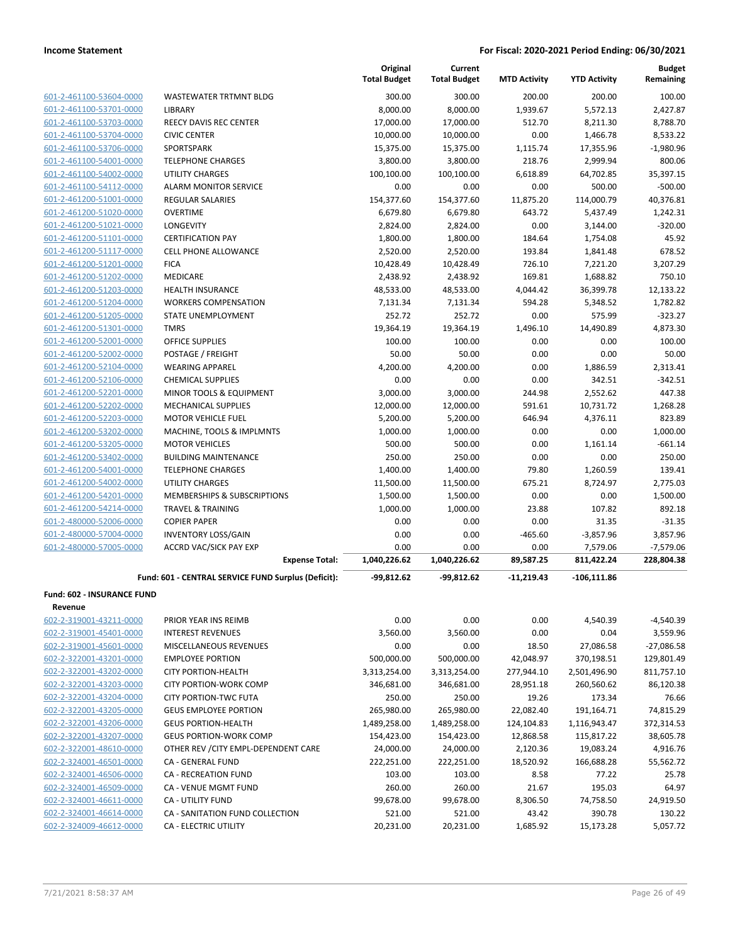| 601-2-461100-53604-0000 | WASTEW             |
|-------------------------|--------------------|
| 601-2-461100-53701-0000 | <b>LIBRARY</b>     |
| 601-2-461100-53703-0000 | <b>REECY D</b>     |
| 601-2-461100-53704-0000 | CIVIC CE           |
| 601-2-461100-53706-0000 | <b>SPORTSF</b>     |
| 601-2-461100-54001-0000 | TELEPHC            |
| 601-2-461100-54002-0000 | UTILITY (          |
| 601-2-461100-54112-0000 | ALARM M            |
| 601-2-461200-51001-0000 | <b>REGULAI</b>     |
| 601-2-461200-51020-0000 | OVERTIN            |
| 601-2-461200-51021-0000 | LONGEV             |
| 601-2-461200-51101-0000 | <b>CERTIFIC</b>    |
| 601-2-461200-51117-0000 | <b>CELL PHO</b>    |
| 601-2-461200-51201-0000 | <b>FICA</b>        |
| 601-2-461200-51202-0000 | MEDICAL            |
| 601-2-461200-51203-0000 | HEALTH             |
| 601-2-461200-51204-0000 | <b>WORKER</b>      |
| 601-2-461200-51205-0000 | <b>STATE UI</b>    |
| 601-2-461200-51301-0000 | <b>TMRS</b>        |
| 601-2-461200-52001-0000 | <b>OFFICE S</b>    |
| 601-2-461200-52002-0000 | POSTAGI            |
| 601-2-461200-52104-0000 | WEARIN             |
| 601-2-461200-52106-0000 | <b>CHEMICA</b>     |
| 601-2-461200-52201-0000 | <b>MINOR T</b>     |
| 601-2-461200-52202-0000 | <b>MECHAN</b>      |
| 601-2-461200-52203-0000 | MOTOR <sup>®</sup> |
| 601-2-461200-53202-0000 | <b>MACHIN</b>      |
| 601-2-461200-53205-0000 | MOTOR <sup>®</sup> |
| 601-2-461200-53402-0000 | <b>BUILDIN</b>     |
| 601-2-461200-54001-0000 | TELEPHC            |
| 601-2-461200-54002-0000 | UTILITY (          |
| 601-2-461200-54201-0000 | <b>MEMBER</b>      |
| 601-2-461200-54214-0000 | <b>TRAVEL</b>      |
| 601-2-480000-52006-0000 | <b>COPIER F</b>    |
| 601-2-480000-57004-0000 | <b>INVENTC</b>     |
| 601-2-480000-57005-0000 | <b>ACCRD V</b>     |
|                         |                    |

|                                   |                                                     | Original<br><b>Total Budget</b> | Current<br><b>Total Budget</b> | <b>MTD Activity</b> | <b>YTD Activity</b> | <b>Budget</b><br>Remaining |
|-----------------------------------|-----------------------------------------------------|---------------------------------|--------------------------------|---------------------|---------------------|----------------------------|
| 601-2-461100-53604-0000           | WASTEWATER TRTMNT BLDG                              | 300.00                          | 300.00                         | 200.00              | 200.00              | 100.00                     |
| 601-2-461100-53701-0000           | LIBRARY                                             | 8,000.00                        | 8,000.00                       | 1,939.67            | 5,572.13            | 2,427.87                   |
| 601-2-461100-53703-0000           | <b>REECY DAVIS REC CENTER</b>                       | 17,000.00                       | 17,000.00                      | 512.70              | 8,211.30            | 8,788.70                   |
| 601-2-461100-53704-0000           | <b>CIVIC CENTER</b>                                 | 10,000.00                       | 10,000.00                      | 0.00                | 1,466.78            | 8,533.22                   |
| 601-2-461100-53706-0000           | SPORTSPARK                                          | 15,375.00                       | 15,375.00                      | 1,115.74            | 17,355.96           | $-1,980.96$                |
| 601-2-461100-54001-0000           | <b>TELEPHONE CHARGES</b>                            | 3,800.00                        | 3,800.00                       | 218.76              | 2,999.94            | 800.06                     |
| 601-2-461100-54002-0000           | <b>UTILITY CHARGES</b>                              | 100,100.00                      | 100,100.00                     | 6,618.89            | 64,702.85           | 35,397.15                  |
| 601-2-461100-54112-0000           | <b>ALARM MONITOR SERVICE</b>                        | 0.00                            | 0.00                           | 0.00                | 500.00              | $-500.00$                  |
| 601-2-461200-51001-0000           | <b>REGULAR SALARIES</b>                             | 154,377.60                      | 154,377.60                     | 11,875.20           | 114,000.79          | 40,376.81                  |
| 601-2-461200-51020-0000           | <b>OVERTIME</b>                                     | 6,679.80                        | 6,679.80                       | 643.72              | 5,437.49            | 1,242.31                   |
| 601-2-461200-51021-0000           | LONGEVITY                                           | 2,824.00                        | 2,824.00                       | 0.00                | 3,144.00            | $-320.00$                  |
| 601-2-461200-51101-0000           | <b>CERTIFICATION PAY</b>                            | 1,800.00                        | 1,800.00                       | 184.64              | 1,754.08            | 45.92                      |
| 601-2-461200-51117-0000           | <b>CELL PHONE ALLOWANCE</b>                         | 2,520.00                        | 2,520.00                       | 193.84              | 1,841.48            | 678.52                     |
| 601-2-461200-51201-0000           | <b>FICA</b>                                         | 10,428.49                       | 10,428.49                      | 726.10              | 7,221.20            | 3,207.29                   |
| 601-2-461200-51202-0000           | <b>MEDICARE</b>                                     | 2,438.92                        | 2,438.92                       | 169.81              | 1,688.82            | 750.10                     |
| 601-2-461200-51203-0000           | <b>HEALTH INSURANCE</b>                             | 48,533.00                       | 48,533.00                      | 4,044.42            | 36,399.78           | 12,133.22                  |
| 601-2-461200-51204-0000           | <b>WORKERS COMPENSATION</b>                         | 7,131.34                        | 7,131.34                       | 594.28              | 5,348.52            | 1,782.82                   |
| 601-2-461200-51205-0000           | STATE UNEMPLOYMENT                                  | 252.72                          | 252.72                         | 0.00                | 575.99              | $-323.27$                  |
| 601-2-461200-51301-0000           | <b>TMRS</b>                                         | 19,364.19                       | 19,364.19                      | 1,496.10            | 14,490.89           | 4,873.30                   |
| 601-2-461200-52001-0000           | <b>OFFICE SUPPLIES</b>                              | 100.00                          | 100.00                         | 0.00                | 0.00                | 100.00                     |
| 601-2-461200-52002-0000           | POSTAGE / FREIGHT                                   | 50.00                           | 50.00                          | 0.00                | 0.00                | 50.00                      |
| 601-2-461200-52104-0000           | <b>WEARING APPAREL</b>                              | 4,200.00                        | 4,200.00                       | 0.00                | 1,886.59            | 2,313.41                   |
| 601-2-461200-52106-0000           | <b>CHEMICAL SUPPLIES</b>                            | 0.00                            | 0.00                           | 0.00                | 342.51              | $-342.51$                  |
| 601-2-461200-52201-0000           | <b>MINOR TOOLS &amp; EQUIPMENT</b>                  | 3,000.00                        | 3,000.00                       | 244.98              | 2,552.62            | 447.38                     |
| 601-2-461200-52202-0000           | <b>MECHANICAL SUPPLIES</b>                          | 12,000.00                       | 12,000.00                      | 591.61              | 10,731.72           | 1,268.28                   |
| 601-2-461200-52203-0000           | <b>MOTOR VEHICLE FUEL</b>                           | 5,200.00                        | 5,200.00                       | 646.94              | 4,376.11            | 823.89                     |
| 601-2-461200-53202-0000           | MACHINE, TOOLS & IMPLMNTS                           | 1,000.00                        | 1,000.00                       | 0.00                | 0.00                | 1,000.00                   |
| 601-2-461200-53205-0000           | <b>MOTOR VEHICLES</b>                               | 500.00                          | 500.00                         | 0.00                | 1,161.14            | $-661.14$                  |
| 601-2-461200-53402-0000           | <b>BUILDING MAINTENANCE</b>                         | 250.00                          | 250.00                         | 0.00                | 0.00                | 250.00                     |
| 601-2-461200-54001-0000           | <b>TELEPHONE CHARGES</b>                            | 1,400.00                        | 1,400.00                       | 79.80               | 1,260.59            | 139.41                     |
| 601-2-461200-54002-0000           | <b>UTILITY CHARGES</b>                              | 11,500.00                       | 11,500.00                      | 675.21              | 8,724.97            | 2,775.03                   |
| 601-2-461200-54201-0000           | MEMBERSHIPS & SUBSCRIPTIONS                         | 1,500.00                        | 1,500.00                       | 0.00                | 0.00                | 1,500.00                   |
| 601-2-461200-54214-0000           | <b>TRAVEL &amp; TRAINING</b>                        | 1,000.00                        | 1,000.00                       | 23.88               | 107.82              | 892.18                     |
| 601-2-480000-52006-0000           | <b>COPIER PAPER</b>                                 | 0.00                            | 0.00                           | 0.00                | 31.35               | $-31.35$                   |
| 601-2-480000-57004-0000           | <b>INVENTORY LOSS/GAIN</b>                          | 0.00                            | 0.00                           | $-465.60$           | $-3,857.96$         | 3,857.96                   |
| 601-2-480000-57005-0000           | ACCRD VAC/SICK PAY EXP                              | 0.00                            | 0.00                           | 0.00                | 7,579.06            | $-7,579.06$                |
|                                   | <b>Expense Total:</b>                               | 1,040,226.62                    | 1,040,226.62                   | 89,587.25           | 811,422.24          | 228,804.38                 |
|                                   | Fund: 601 - CENTRAL SERVICE FUND Surplus (Deficit): | $-99,812.62$                    | $-99,812.62$                   | $-11,219.43$        | $-106, 111.86$      |                            |
| <b>Fund: 602 - INSURANCE FUND</b> |                                                     |                                 |                                |                     |                     |                            |
| Revenue                           |                                                     |                                 |                                |                     |                     |                            |
| 602-2-319001-43211-0000           | PRIOR YEAR INS REIMB                                | 0.00                            | 0.00                           | 0.00                | 4,540.39            | $-4,540.39$                |
| 602-2-319001-45401-0000           | <b>INTEREST REVENUES</b>                            | 3,560.00                        | 3,560.00                       | 0.00                | 0.04                | 3,559.96                   |
| 602-2-319001-45601-0000           | MISCELLANEOUS REVENUES                              | 0.00                            | 0.00                           | 18.50               | 27,086.58           | $-27,086.58$               |
| 602-2-322001-43201-0000           | <b>EMPLOYEE PORTION</b>                             | 500,000.00                      | 500,000.00                     | 42,048.97           | 370,198.51          | 129,801.49                 |
| 602-2-322001-43202-0000           | <b>CITY PORTION-HEALTH</b>                          | 3,313,254.00                    | 3,313,254.00                   | 277,944.10          | 2,501,496.90        | 811,757.10                 |
| 602-2-322001-43203-0000           | CITY PORTION-WORK COMP                              | 346,681.00                      | 346,681.00                     | 28,951.18           | 260,560.62          | 86,120.38                  |
| 602-2-322001-43204-0000           | <b>CITY PORTION-TWC FUTA</b>                        | 250.00                          | 250.00                         | 19.26               | 173.34              | 76.66                      |
| 602-2-322001-43205-0000           | <b>GEUS EMPLOYEE PORTION</b>                        | 265,980.00                      | 265,980.00                     | 22,082.40           | 191,164.71          | 74,815.29                  |
| 602-2-322001-43206-0000           | <b>GEUS PORTION-HEALTH</b>                          | 1,489,258.00                    | 1,489,258.00                   | 124,104.83          | 1,116,943.47        | 372,314.53                 |
| 602-2-322001-43207-0000           | <b>GEUS PORTION-WORK COMP</b>                       | 154,423.00                      | 154,423.00                     | 12,868.58           | 115,817.22          | 38,605.78                  |
| 602-2-322001-48610-0000           | OTHER REV / CITY EMPL-DEPENDENT CARE                | 24,000.00                       | 24,000.00                      | 2,120.36            | 19,083.24           | 4,916.76                   |
| 602-2-324001-46501-0000           | CA - GENERAL FUND                                   | 222,251.00                      | 222,251.00                     | 18,520.92           | 166,688.28          | 55,562.72                  |

602-2-324001-46506-0000 CA - RECREATION FUND 103.00 103.00 8.58 77.22 25.78 602-2-324001-46509-0000 CA - VENUE MGMT FUND 260.00 260.00 21.67 195.03 64.97 602-2-324001-46611-0000 CA - UTILITY FUND 99,678.00 99,678.00 8,306.50 74,758.50 24,919.50 602-2-324001-46614-0000 CA - SANITATION FUND COLLECTION 521.00 521.00 43.42 390.78 130.22 602-2-324009-46612-0000 CA - ELECTRIC UTILITY 20,231.00 20,231.00 1,685.92 15,173.28 5,057.72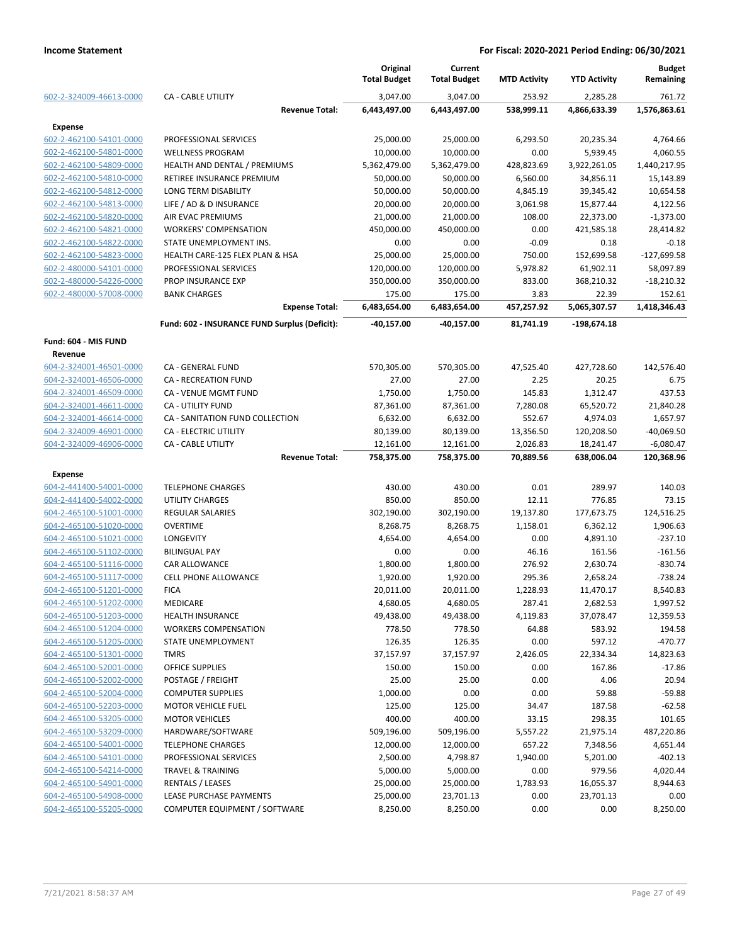|                         |                                               | Original<br><b>Total Budget</b> | Current<br><b>Total Budget</b> | <b>MTD Activity</b> | <b>YTD Activity</b> | <b>Budget</b><br>Remaining |
|-------------------------|-----------------------------------------------|---------------------------------|--------------------------------|---------------------|---------------------|----------------------------|
| 602-2-324009-46613-0000 | <b>CA - CABLE UTILITY</b>                     | 3,047.00                        | 3,047.00                       | 253.92              | 2,285.28            | 761.72                     |
|                         | <b>Revenue Total:</b>                         | 6,443,497.00                    | 6,443,497.00                   | 538,999.11          | 4,866,633.39        | 1,576,863.61               |
| <b>Expense</b>          |                                               |                                 |                                |                     |                     |                            |
| 602-2-462100-54101-0000 | PROFESSIONAL SERVICES                         | 25,000.00                       | 25,000.00                      | 6,293.50            | 20,235.34           | 4,764.66                   |
| 602-2-462100-54801-0000 | <b>WELLNESS PROGRAM</b>                       | 10,000.00                       | 10,000.00                      | 0.00                | 5,939.45            | 4,060.55                   |
| 602-2-462100-54809-0000 | HEALTH AND DENTAL / PREMIUMS                  | 5,362,479.00                    | 5,362,479.00                   | 428,823.69          | 3,922,261.05        | 1,440,217.95               |
| 602-2-462100-54810-0000 | RETIREE INSURANCE PREMIUM                     | 50,000.00                       | 50,000.00                      | 6,560.00            | 34,856.11           | 15,143.89                  |
| 602-2-462100-54812-0000 | LONG TERM DISABILITY                          | 50,000.00                       | 50,000.00                      | 4,845.19            | 39,345.42           | 10,654.58                  |
| 602-2-462100-54813-0000 | LIFE / AD & D INSURANCE                       | 20,000.00                       | 20,000.00                      | 3,061.98            | 15,877.44           | 4,122.56                   |
| 602-2-462100-54820-0000 | <b>AIR EVAC PREMIUMS</b>                      | 21,000.00                       | 21,000.00                      | 108.00              | 22,373.00           | $-1,373.00$                |
| 602-2-462100-54821-0000 | <b>WORKERS' COMPENSATION</b>                  | 450,000.00                      | 450,000.00                     | 0.00                | 421,585.18          | 28,414.82                  |
| 602-2-462100-54822-0000 | STATE UNEMPLOYMENT INS.                       | 0.00                            | 0.00                           | $-0.09$             | 0.18                | $-0.18$                    |
| 602-2-462100-54823-0000 | HEALTH CARE-125 FLEX PLAN & HSA               | 25,000.00                       | 25,000.00                      | 750.00              | 152,699.58          | $-127,699.58$              |
| 602-2-480000-54101-0000 | PROFESSIONAL SERVICES                         | 120,000.00                      | 120,000.00                     | 5,978.82            | 61,902.11           | 58,097.89                  |
| 602-2-480000-54226-0000 | PROP INSURANCE EXP                            | 350,000.00                      | 350,000.00                     | 833.00              | 368,210.32          | $-18,210.32$               |
| 602-2-480000-57008-0000 | <b>BANK CHARGES</b>                           | 175.00                          | 175.00                         | 3.83                | 22.39               | 152.61                     |
|                         | <b>Expense Total:</b>                         | 6,483,654.00                    | 6,483,654.00                   | 457,257.92          | 5,065,307.57        | 1,418,346.43               |
|                         | Fund: 602 - INSURANCE FUND Surplus (Deficit): | $-40,157.00$                    | -40,157.00                     | 81.741.19           | -198,674.18         |                            |
| Fund: 604 - MIS FUND    |                                               |                                 |                                |                     |                     |                            |
| Revenue                 |                                               |                                 |                                |                     |                     |                            |
| 604-2-324001-46501-0000 | CA - GENERAL FUND                             | 570,305.00                      | 570,305.00                     | 47,525.40           | 427,728.60          | 142,576.40                 |
| 604-2-324001-46506-0000 | CA - RECREATION FUND                          | 27.00                           | 27.00                          | 2.25                | 20.25               | 6.75                       |
| 604-2-324001-46509-0000 | CA - VENUE MGMT FUND                          | 1,750.00                        | 1,750.00                       | 145.83              | 1,312.47            | 437.53                     |
| 604-2-324001-46611-0000 | <b>CA - UTILITY FUND</b>                      | 87,361.00                       | 87,361.00                      | 7,280.08            | 65,520.72           | 21,840.28                  |
| 604-2-324001-46614-0000 | CA - SANITATION FUND COLLECTION               | 6,632.00                        | 6,632.00                       | 552.67              | 4,974.03            | 1,657.97                   |
| 604-2-324009-46901-0000 | CA - ELECTRIC UTILITY                         | 80,139.00                       | 80,139.00                      | 13,356.50           | 120,208.50          | $-40,069.50$               |
| 604-2-324009-46906-0000 | <b>CA - CABLE UTILITY</b>                     | 12,161.00                       | 12,161.00                      | 2,026.83            | 18,241.47           | $-6,080.47$                |
|                         | <b>Revenue Total:</b>                         | 758,375.00                      | 758,375.00                     | 70,889.56           | 638,006.04          | 120,368.96                 |
|                         |                                               |                                 |                                |                     |                     |                            |
| <b>Expense</b>          |                                               |                                 |                                |                     |                     |                            |
| 604-2-441400-54001-0000 | <b>TELEPHONE CHARGES</b>                      | 430.00                          | 430.00                         | 0.01                | 289.97              | 140.03                     |
| 604-2-441400-54002-0000 | <b>UTILITY CHARGES</b>                        | 850.00                          | 850.00                         | 12.11               | 776.85              | 73.15                      |
| 604-2-465100-51001-0000 | <b>REGULAR SALARIES</b>                       | 302,190.00                      | 302,190.00                     | 19,137.80           | 177,673.75          | 124,516.25                 |
| 604-2-465100-51020-0000 | OVERTIME                                      | 8,268.75                        | 8,268.75                       | 1,158.01            | 6,362.12            | 1,906.63                   |
| 604-2-465100-51021-0000 | <b>LONGEVITY</b>                              | 4,654.00                        | 4,654.00                       | 0.00                | 4,891.10            | $-237.10$                  |
| 604-2-465100-51102-0000 | <b>BILINGUAL PAY</b>                          | 0.00                            | 0.00                           | 46.16               | 161.56              | $-161.56$                  |
| 604-2-465100-51116-0000 | CAR ALLOWANCE                                 | 1,800.00                        | 1,800.00                       | 276.92              | 2,630.74            | $-830.74$                  |
| 604-2-465100-51117-0000 | <b>CELL PHONE ALLOWANCE</b>                   | 1,920.00                        | 1,920.00                       | 295.36              | 2,658.24            | $-738.24$                  |
| 604-2-465100-51201-0000 | <b>FICA</b>                                   | 20,011.00                       | 20,011.00                      | 1,228.93            | 11,470.17           | 8,540.83                   |
| 604-2-465100-51202-0000 | MEDICARE                                      | 4,680.05                        | 4,680.05                       | 287.41              | 2,682.53            | 1,997.52                   |
| 604-2-465100-51203-0000 | <b>HEALTH INSURANCE</b>                       | 49,438.00                       | 49,438.00                      | 4,119.83            | 37,078.47           | 12,359.53                  |
| 604-2-465100-51204-0000 | <b>WORKERS COMPENSATION</b>                   | 778.50                          | 778.50                         | 64.88               | 583.92              | 194.58                     |
| 604-2-465100-51205-0000 | STATE UNEMPLOYMENT                            | 126.35                          | 126.35                         | 0.00                | 597.12              | $-470.77$                  |
| 604-2-465100-51301-0000 | <b>TMRS</b>                                   | 37,157.97                       | 37,157.97                      | 2,426.05            | 22,334.34           | 14,823.63                  |
| 604-2-465100-52001-0000 | OFFICE SUPPLIES                               | 150.00                          | 150.00                         | 0.00                | 167.86              | $-17.86$                   |
| 604-2-465100-52002-0000 | POSTAGE / FREIGHT                             | 25.00                           | 25.00                          | 0.00                | 4.06                | 20.94                      |
| 604-2-465100-52004-0000 | <b>COMPUTER SUPPLIES</b>                      | 1,000.00                        | 0.00                           | 0.00                | 59.88               | $-59.88$                   |
| 604-2-465100-52203-0000 | <b>MOTOR VEHICLE FUEL</b>                     | 125.00                          | 125.00                         | 34.47               | 187.58              | $-62.58$                   |
| 604-2-465100-53205-0000 | <b>MOTOR VEHICLES</b>                         | 400.00                          | 400.00                         | 33.15               | 298.35              | 101.65                     |
| 604-2-465100-53209-0000 | HARDWARE/SOFTWARE                             | 509,196.00                      | 509,196.00                     | 5,557.22            | 21,975.14           | 487,220.86                 |
| 604-2-465100-54001-0000 | <b>TELEPHONE CHARGES</b>                      | 12,000.00                       | 12,000.00                      | 657.22              | 7,348.56            | 4,651.44                   |
| 604-2-465100-54101-0000 | PROFESSIONAL SERVICES                         | 2,500.00                        | 4,798.87                       | 1,940.00            | 5,201.00            | $-402.13$                  |
| 604-2-465100-54214-0000 | <b>TRAVEL &amp; TRAINING</b>                  | 5,000.00                        | 5,000.00                       | 0.00                | 979.56              | 4,020.44                   |
| 604-2-465100-54901-0000 | <b>RENTALS / LEASES</b>                       | 25,000.00                       | 25,000.00                      | 1,783.93            | 16,055.37           | 8,944.63                   |
| 604-2-465100-54908-0000 | LEASE PURCHASE PAYMENTS                       | 25,000.00                       | 23,701.13                      | 0.00                | 23,701.13           | 0.00                       |
| 604-2-465100-55205-0000 | COMPUTER EQUIPMENT / SOFTWARE                 | 8,250.00                        | 8,250.00                       | 0.00                | 0.00                | 8,250.00                   |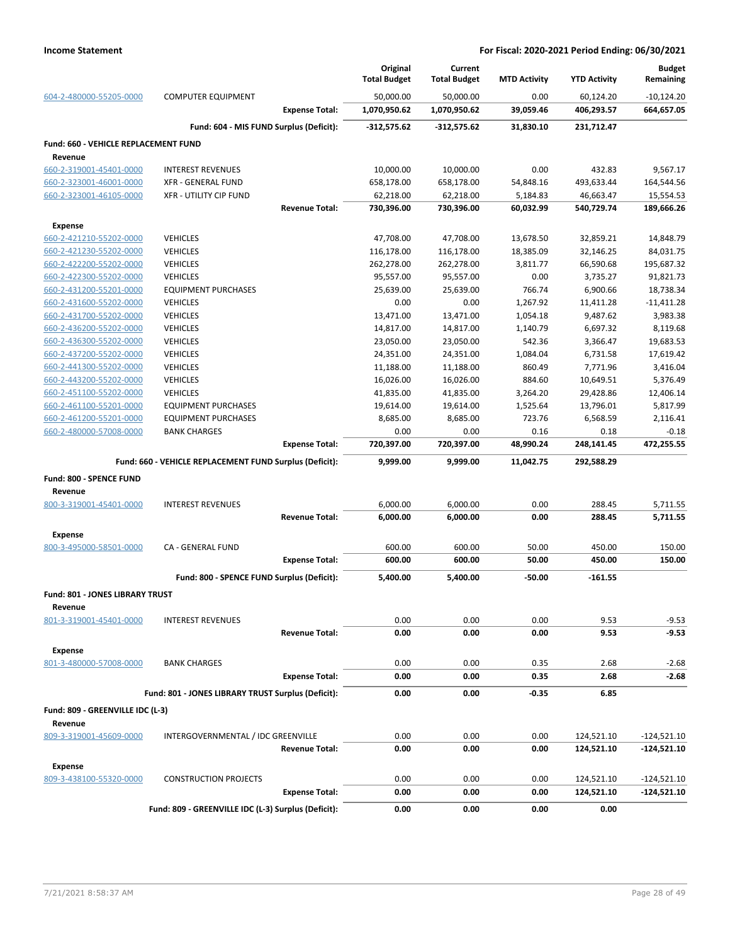|                                             |                                                         | Original<br><b>Total Budget</b> | Current<br><b>Total Budget</b> | <b>MTD Activity</b> | <b>YTD Activity</b> | <b>Budget</b><br>Remaining |
|---------------------------------------------|---------------------------------------------------------|---------------------------------|--------------------------------|---------------------|---------------------|----------------------------|
| 604-2-480000-55205-0000                     | <b>COMPUTER EQUIPMENT</b>                               | 50,000.00                       | 50,000.00                      | 0.00                | 60,124.20           | $-10,124.20$               |
|                                             | <b>Expense Total:</b>                                   | 1,070,950.62                    | 1,070,950.62                   | 39,059.46           | 406,293.57          | 664,657.05                 |
|                                             | Fund: 604 - MIS FUND Surplus (Deficit):                 | $-312,575.62$                   | $-312,575.62$                  | 31,830.10           | 231,712.47          |                            |
| <b>Fund: 660 - VEHICLE REPLACEMENT FUND</b> |                                                         |                                 |                                |                     |                     |                            |
| Revenue                                     |                                                         |                                 |                                |                     |                     |                            |
| 660-2-319001-45401-0000                     | <b>INTEREST REVENUES</b>                                | 10,000.00                       | 10,000.00                      | 0.00                | 432.83              | 9,567.17                   |
| 660-2-323001-46001-0000                     | <b>XFR - GENERAL FUND</b>                               | 658,178.00                      | 658,178.00                     | 54,848.16           | 493,633.44          | 164,544.56                 |
| 660-2-323001-46105-0000                     | <b>XFR - UTILITY CIP FUND</b>                           | 62,218.00                       | 62,218.00                      | 5,184.83            | 46,663.47           | 15,554.53                  |
|                                             | <b>Revenue Total:</b>                                   | 730,396.00                      | 730,396.00                     | 60,032.99           | 540,729.74          | 189,666.26                 |
| <b>Expense</b>                              |                                                         |                                 |                                |                     |                     |                            |
| 660-2-421210-55202-0000                     | <b>VEHICLES</b>                                         | 47,708.00                       | 47,708.00                      | 13,678.50           | 32,859.21           | 14,848.79                  |
| 660-2-421230-55202-0000                     | <b>VEHICLES</b>                                         | 116,178.00                      | 116,178.00                     | 18,385.09           | 32,146.25           | 84,031.75                  |
| 660-2-422200-55202-0000                     | <b>VEHICLES</b>                                         | 262,278.00                      | 262,278.00                     | 3,811.77            | 66,590.68           | 195,687.32                 |
| 660-2-422300-55202-0000                     | <b>VEHICLES</b>                                         | 95,557.00                       | 95,557.00                      | 0.00                | 3,735.27            | 91,821.73                  |
| 660-2-431200-55201-0000                     | <b>EQUIPMENT PURCHASES</b>                              | 25,639.00                       | 25,639.00                      | 766.74              | 6,900.66            | 18,738.34                  |
| 660-2-431600-55202-0000                     | <b>VEHICLES</b>                                         | 0.00                            | 0.00                           | 1,267.92            | 11,411.28           | $-11,411.28$               |
| 660-2-431700-55202-0000                     | <b>VEHICLES</b>                                         | 13,471.00                       | 13,471.00                      | 1,054.18            | 9,487.62            | 3,983.38                   |
| 660-2-436200-55202-0000                     | <b>VEHICLES</b>                                         | 14,817.00                       | 14,817.00                      | 1,140.79            | 6,697.32            | 8,119.68                   |
| 660-2-436300-55202-0000                     | <b>VEHICLES</b>                                         | 23,050.00                       | 23,050.00                      | 542.36              | 3,366.47            | 19,683.53                  |
| 660-2-437200-55202-0000                     | <b>VEHICLES</b>                                         | 24,351.00                       | 24,351.00                      | 1,084.04            | 6,731.58            | 17,619.42                  |
| 660-2-441300-55202-0000                     | <b>VEHICLES</b>                                         | 11,188.00                       | 11,188.00                      | 860.49              | 7,771.96            | 3,416.04                   |
| 660-2-443200-55202-0000                     | <b>VEHICLES</b>                                         | 16,026.00                       | 16,026.00                      | 884.60              | 10,649.51           | 5,376.49                   |
| 660-2-451100-55202-0000                     | <b>VEHICLES</b>                                         | 41,835.00                       | 41,835.00                      | 3,264.20            | 29,428.86           | 12,406.14                  |
| 660-2-461100-55201-0000                     | <b>EQUIPMENT PURCHASES</b>                              | 19,614.00                       | 19,614.00                      | 1,525.64            | 13,796.01           | 5,817.99                   |
| 660-2-461200-55201-0000                     | <b>EQUIPMENT PURCHASES</b>                              | 8,685.00                        | 8,685.00                       | 723.76              | 6,568.59            | 2,116.41                   |
| 660-2-480000-57008-0000                     | <b>BANK CHARGES</b>                                     | 0.00                            | 0.00                           | 0.16                | 0.18                | $-0.18$                    |
|                                             | <b>Expense Total:</b>                                   | 720,397.00                      | 720,397.00                     | 48,990.24           | 248,141.45          | 472,255.55                 |
|                                             | Fund: 660 - VEHICLE REPLACEMENT FUND Surplus (Deficit): | 9,999.00                        | 9,999.00                       | 11,042.75           | 292,588.29          |                            |
| Fund: 800 - SPENCE FUND                     |                                                         |                                 |                                |                     |                     |                            |
| Revenue                                     |                                                         |                                 |                                |                     |                     |                            |
| 800-3-319001-45401-0000                     | <b>INTEREST REVENUES</b>                                | 6,000.00                        | 6,000.00                       | 0.00                | 288.45              | 5,711.55                   |
|                                             | <b>Revenue Total:</b>                                   | 6,000.00                        | 6,000.00                       | 0.00                | 288.45              | 5,711.55                   |
| <b>Expense</b>                              |                                                         |                                 |                                |                     |                     |                            |
| 800-3-495000-58501-0000                     | CA - GENERAL FUND                                       | 600.00                          | 600.00                         | 50.00               | 450.00              | 150.00                     |
|                                             | <b>Expense Total:</b>                                   | 600.00                          | 600.00                         | 50.00               | 450.00              | 150.00                     |
|                                             | Fund: 800 - SPENCE FUND Surplus (Deficit):              | 5,400.00                        | 5,400.00                       | $-50.00$            | $-161.55$           |                            |
|                                             |                                                         |                                 |                                |                     |                     |                            |
| Fund: 801 - JONES LIBRARY TRUST             |                                                         |                                 |                                |                     |                     |                            |
| Revenue                                     |                                                         |                                 |                                |                     |                     |                            |
| 801-3-319001-45401-0000                     | <b>INTEREST REVENUES</b>                                | 0.00                            | 0.00                           | 0.00                | 9.53                | $-9.53$                    |
|                                             | <b>Revenue Total:</b>                                   | 0.00                            | 0.00                           | 0.00                | 9.53                | $-9.53$                    |
| <b>Expense</b>                              |                                                         |                                 |                                |                     |                     |                            |
| 801-3-480000-57008-0000                     | <b>BANK CHARGES</b>                                     | 0.00                            | 0.00                           | 0.35                | 2.68                | $-2.68$                    |
|                                             | <b>Expense Total:</b>                                   | 0.00                            | 0.00                           | 0.35                | 2.68                | $-2.68$                    |
|                                             | Fund: 801 - JONES LIBRARY TRUST Surplus (Deficit):      | 0.00                            | 0.00                           | -0.35               | 6.85                |                            |
| Fund: 809 - GREENVILLE IDC (L-3)            |                                                         |                                 |                                |                     |                     |                            |
| Revenue                                     |                                                         |                                 |                                |                     |                     |                            |
| 809-3-319001-45609-0000                     | INTERGOVERNMENTAL / IDC GREENVILLE                      | 0.00                            | 0.00                           | 0.00                | 124,521.10          | $-124,521.10$              |
|                                             | <b>Revenue Total:</b>                                   | 0.00                            | 0.00                           | 0.00                | 124,521.10          | $-124,521.10$              |
|                                             |                                                         |                                 |                                |                     |                     |                            |
| <b>Expense</b>                              |                                                         |                                 |                                |                     |                     |                            |
| 809-3-438100-55320-0000                     | <b>CONSTRUCTION PROJECTS</b>                            | 0.00                            | 0.00                           | 0.00                | 124,521.10          | $-124,521.10$              |
|                                             | <b>Expense Total:</b>                                   | 0.00                            | 0.00                           | 0.00                | 124,521.10          | $-124,521.10$              |
|                                             | Fund: 809 - GREENVILLE IDC (L-3) Surplus (Deficit):     | 0.00                            | 0.00                           | 0.00                | 0.00                |                            |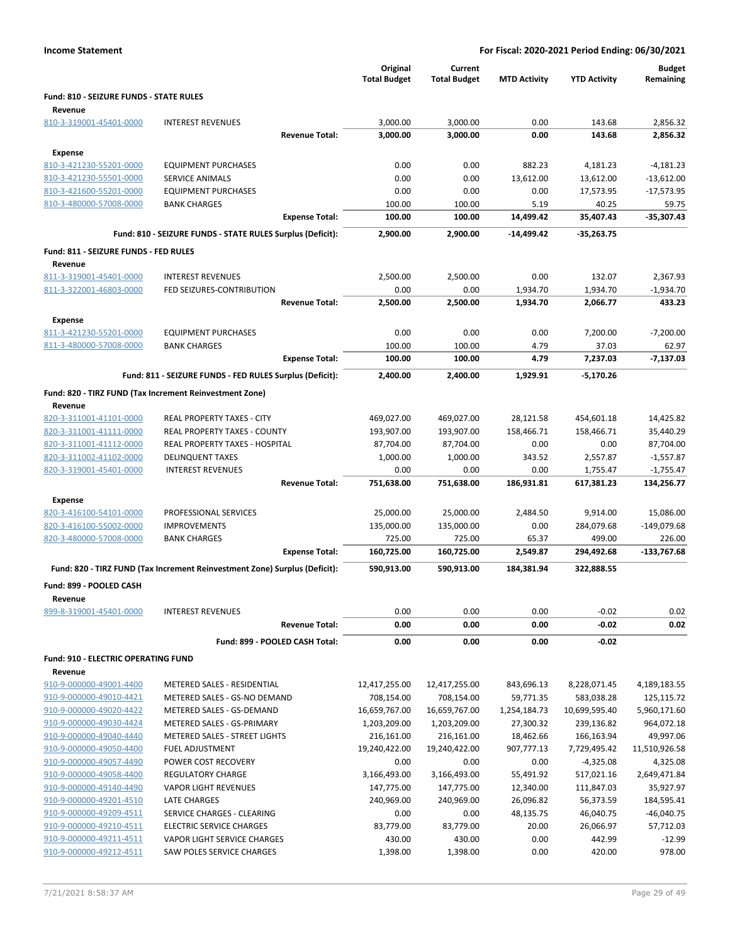| Fund: 810 - SEIZURE FUNDS - STATE RULES<br>Revenue<br>810-3-319001-45401-0000<br>3,000.00<br>3,000.00<br>0.00<br>143.68<br>2,856.32<br><b>INTEREST REVENUES</b><br>0.00<br>143.68<br><b>Revenue Total:</b><br>3,000.00<br>3,000.00<br>2,856.32<br><b>Expense</b><br>810-3-421230-55201-0000<br><b>EQUIPMENT PURCHASES</b><br>0.00<br>0.00<br>882.23<br>4,181.23<br>$-4,181.23$<br>810-3-421230-55501-0000<br><b>SERVICE ANIMALS</b><br>0.00<br>0.00<br>13,612.00<br>13,612.00<br>$-13,612.00$<br>810-3-421600-55201-0000<br><b>EQUIPMENT PURCHASES</b><br>0.00<br>0.00<br>0.00<br>17,573.95<br>$-17,573.95$<br>810-3-480000-57008-0000<br>100.00<br>100.00<br>5.19<br>40.25<br>59.75<br><b>BANK CHARGES</b><br><b>Expense Total:</b><br>35,407.43<br>-35,307.43<br>100.00<br>100.00<br>14,499.42<br>Fund: 810 - SEIZURE FUNDS - STATE RULES Surplus (Deficit):<br>2,900.00<br>2,900.00<br>$-14,499.42$<br>$-35,263.75$<br>Fund: 811 - SEIZURE FUNDS - FED RULES<br>Revenue<br>811-3-319001-45401-0000<br><b>INTEREST REVENUES</b><br>2,500.00<br>2,500.00<br>0.00<br>132.07<br>2,367.93<br>811-3-322001-46803-0000<br>FED SEIZURES-CONTRIBUTION<br>0.00<br>0.00<br>1,934.70<br>$-1,934.70$<br>1,934.70<br><b>Revenue Total:</b><br>2,500.00<br>2,500.00<br>1,934.70<br>2,066.77<br>433.23<br><b>Expense</b><br>811-3-421230-55201-0000<br><b>EQUIPMENT PURCHASES</b><br>0.00<br>0.00<br>0.00<br>7,200.00<br>$-7,200.00$<br>811-3-480000-57008-0000<br>100.00<br>100.00<br>4.79<br>37.03<br>62.97<br><b>BANK CHARGES</b><br><b>Expense Total:</b><br>100.00<br>100.00<br>4.79<br>7,237.03<br>$-7,137.03$<br>Fund: 811 - SEIZURE FUNDS - FED RULES Surplus (Deficit):<br>2,400.00<br>2,400.00<br>1,929.91<br>-5,170.26<br>Fund: 820 - TIRZ FUND (Tax Increment Reinvestment Zone)<br>Revenue<br>469,027.00<br>820-3-311001-41101-0000<br><b>REAL PROPERTY TAXES - CITY</b><br>469,027.00<br>28,121.58<br>454,601.18<br>14,425.82<br>158,466.71<br>158,466.71<br>820-3-311001-41111-0000<br>REAL PROPERTY TAXES - COUNTY<br>193,907.00<br>193,907.00<br>35,440.29<br>820-3-311001-41112-0000<br>REAL PROPERTY TAXES - HOSPITAL<br>87,704.00<br>87,704.00<br>0.00<br>0.00<br>87,704.00<br>820-3-311002-41102-0000<br><b>DELINQUENT TAXES</b><br>1,000.00<br>1,000.00<br>343.52<br>2,557.87<br>$-1,557.87$<br>820-3-319001-45401-0000<br><b>INTEREST REVENUES</b><br>0.00<br>0.00<br>0.00<br>1,755.47<br>$-1,755.47$<br><b>Revenue Total:</b><br>751,638.00<br>751,638.00<br>186,931.81<br>617,381.23<br>134,256.77<br><b>Expense</b><br>820-3-416100-54101-0000<br>PROFESSIONAL SERVICES<br>25,000.00<br>25,000.00<br>2,484.50<br>9,914.00<br>15,086.00<br>284,079.68<br><b>IMPROVEMENTS</b><br>135,000.00<br>135,000.00<br>0.00<br>-149,079.68<br>820-3-416100-55002-0000<br>820-3-480000-57008-0000<br>725.00<br>725.00<br>65.37<br><b>BANK CHARGES</b><br>499.00<br>226.00<br>160,725.00<br>160,725.00<br>2,549.87<br>294,492.68<br>$-133,767.68$<br><b>Expense Total:</b><br>Fund: 820 - TIRZ FUND (Tax Increment Reinvestment Zone) Surplus (Deficit):<br>322,888.55<br>590,913.00<br>590,913.00<br>184,381.94<br>Fund: 899 - POOLED CASH<br>Revenue<br>$-0.02$<br>899-8-319001-45401-0000<br><b>INTEREST REVENUES</b><br>0.00<br>0.00<br>0.00<br>0.02<br>0.00<br>0.00<br>0.00<br>$-0.02$<br>0.02<br><b>Revenue Total:</b><br>0.00<br>Fund: 899 - POOLED CASH Total:<br>0.00<br>0.00<br>$-0.02$<br>Fund: 910 - ELECTRIC OPERATING FUND<br>Revenue<br>910-9-000000-49001-4400<br>METERED SALES - RESIDENTIAL<br>12,417,255.00<br>12,417,255.00<br>843,696.13<br>8,228,071.45<br>4,189,183.55<br>METERED SALES - GS-NO DEMAND<br>583,038.28<br>910-9-000000-49010-4421<br>708,154.00<br>708,154.00<br>59,771.35<br>125,115.72<br>910-9-000000-49020-4422<br>METERED SALES - GS-DEMAND<br>16,659,767.00<br>16,659,767.00<br>1,254,184.73<br>10,699,595.40<br>5,960,171.60<br>910-9-000000-49030-4424<br>METERED SALES - GS-PRIMARY<br>1,203,209.00<br>1,203,209.00<br>964,072.18<br>27,300.32<br>239,136.82<br>910-9-000000-49040-4440<br>METERED SALES - STREET LIGHTS<br>49,997.06<br>216,161.00<br>216,161.00<br>18,462.66<br>166,163.94<br>19,240,422.00<br>19,240,422.00<br>907,777.13<br>11,510,926.58<br>910-9-000000-49050-4400<br><b>FUEL ADJUSTMENT</b><br>7,729,495.42<br>0.00<br>910-9-000000-49057-4490<br>POWER COST RECOVERY<br>0.00<br>0.00<br>$-4,325.08$<br>4,325.08<br>3,166,493.00<br>3,166,493.00<br>910-9-000000-49058-4400<br><b>REGULATORY CHARGE</b><br>55,491.92<br>517,021.16<br>2,649,471.84<br>910-9-000000-49140-4490<br><b>VAPOR LIGHT REVENUES</b><br>147,775.00<br>147,775.00<br>111,847.03<br>35,927.97<br>12,340.00<br>910-9-000000-49201-4510<br>LATE CHARGES<br>240,969.00<br>26,096.82<br>56,373.59<br>184,595.41<br>240,969.00<br>910-9-000000-49209-4511<br>SERVICE CHARGES - CLEARING<br>0.00<br>0.00<br>$-46,040.75$<br>48,135.75<br>46,040.75<br><b>ELECTRIC SERVICE CHARGES</b><br>83,779.00<br>83,779.00<br>20.00<br>57,712.03<br>910-9-000000-49210-4511<br>26,066.97<br>VAPOR LIGHT SERVICE CHARGES<br>0.00<br>910-9-000000-49211-4511<br>430.00<br>430.00<br>442.99<br>$-12.99$<br>910-9-000000-49212-4511<br>SAW POLES SERVICE CHARGES<br>1,398.00<br>1,398.00<br>0.00<br>420.00<br>978.00 |  | Original<br><b>Total Budget</b> | Current<br><b>Total Budget</b> | <b>MTD Activity</b> | <b>YTD Activity</b> | <b>Budget</b><br>Remaining |
|-------------------------------------------------------------------------------------------------------------------------------------------------------------------------------------------------------------------------------------------------------------------------------------------------------------------------------------------------------------------------------------------------------------------------------------------------------------------------------------------------------------------------------------------------------------------------------------------------------------------------------------------------------------------------------------------------------------------------------------------------------------------------------------------------------------------------------------------------------------------------------------------------------------------------------------------------------------------------------------------------------------------------------------------------------------------------------------------------------------------------------------------------------------------------------------------------------------------------------------------------------------------------------------------------------------------------------------------------------------------------------------------------------------------------------------------------------------------------------------------------------------------------------------------------------------------------------------------------------------------------------------------------------------------------------------------------------------------------------------------------------------------------------------------------------------------------------------------------------------------------------------------------------------------------------------------------------------------------------------------------------------------------------------------------------------------------------------------------------------------------------------------------------------------------------------------------------------------------------------------------------------------------------------------------------------------------------------------------------------------------------------------------------------------------------------------------------------------------------------------------------------------------------------------------------------------------------------------------------------------------------------------------------------------------------------------------------------------------------------------------------------------------------------------------------------------------------------------------------------------------------------------------------------------------------------------------------------------------------------------------------------------------------------------------------------------------------------------------------------------------------------------------------------------------------------------------------------------------------------------------------------------------------------------------------------------------------------------------------------------------------------------------------------------------------------------------------------------------------------------------------------------------------------------------------------------------------------------------------------------------------------------------------------------------------------------------------------------------------------------------------------------------------------------------------------------------------------------------------------------------------------------------------------------------------------------------------------------------------------------------------------------------------------------------------------------------------------------------------------------------------------------------------------------------------------------------------------------------------------------------------------------------------------------------------------------------------------------------------------------------------------------------------------------------------------------------------------------------------------------------------------------------------------------------------------------------------------------------------------------------------------------------------------------------------------------------------------------------------------------------------------------------------------------------------------------------------------------------------------------------------------------------------------------------------------------------------------------------------------------------------------------------------------------------------------------------------------------------------------------------------------------------------------------------------------------------------------------------------------------|--|---------------------------------|--------------------------------|---------------------|---------------------|----------------------------|
|                                                                                                                                                                                                                                                                                                                                                                                                                                                                                                                                                                                                                                                                                                                                                                                                                                                                                                                                                                                                                                                                                                                                                                                                                                                                                                                                                                                                                                                                                                                                                                                                                                                                                                                                                                                                                                                                                                                                                                                                                                                                                                                                                                                                                                                                                                                                                                                                                                                                                                                                                                                                                                                                                                                                                                                                                                                                                                                                                                                                                                                                                                                                                                                                                                                                                                                                                                                                                                                                                                                                                                                                                                                                                                                                                                                                                                                                                                                                                                                                                                                                                                                                                                                                                                                                                                                                                                                                                                                                                                                                                                                                                                                                                                                                                                                                                                                                                                                                                                                                                                                                                                                                                                                                                                           |  |                                 |                                |                     |                     |                            |
|                                                                                                                                                                                                                                                                                                                                                                                                                                                                                                                                                                                                                                                                                                                                                                                                                                                                                                                                                                                                                                                                                                                                                                                                                                                                                                                                                                                                                                                                                                                                                                                                                                                                                                                                                                                                                                                                                                                                                                                                                                                                                                                                                                                                                                                                                                                                                                                                                                                                                                                                                                                                                                                                                                                                                                                                                                                                                                                                                                                                                                                                                                                                                                                                                                                                                                                                                                                                                                                                                                                                                                                                                                                                                                                                                                                                                                                                                                                                                                                                                                                                                                                                                                                                                                                                                                                                                                                                                                                                                                                                                                                                                                                                                                                                                                                                                                                                                                                                                                                                                                                                                                                                                                                                                                           |  |                                 |                                |                     |                     |                            |
|                                                                                                                                                                                                                                                                                                                                                                                                                                                                                                                                                                                                                                                                                                                                                                                                                                                                                                                                                                                                                                                                                                                                                                                                                                                                                                                                                                                                                                                                                                                                                                                                                                                                                                                                                                                                                                                                                                                                                                                                                                                                                                                                                                                                                                                                                                                                                                                                                                                                                                                                                                                                                                                                                                                                                                                                                                                                                                                                                                                                                                                                                                                                                                                                                                                                                                                                                                                                                                                                                                                                                                                                                                                                                                                                                                                                                                                                                                                                                                                                                                                                                                                                                                                                                                                                                                                                                                                                                                                                                                                                                                                                                                                                                                                                                                                                                                                                                                                                                                                                                                                                                                                                                                                                                                           |  |                                 |                                |                     |                     |                            |
|                                                                                                                                                                                                                                                                                                                                                                                                                                                                                                                                                                                                                                                                                                                                                                                                                                                                                                                                                                                                                                                                                                                                                                                                                                                                                                                                                                                                                                                                                                                                                                                                                                                                                                                                                                                                                                                                                                                                                                                                                                                                                                                                                                                                                                                                                                                                                                                                                                                                                                                                                                                                                                                                                                                                                                                                                                                                                                                                                                                                                                                                                                                                                                                                                                                                                                                                                                                                                                                                                                                                                                                                                                                                                                                                                                                                                                                                                                                                                                                                                                                                                                                                                                                                                                                                                                                                                                                                                                                                                                                                                                                                                                                                                                                                                                                                                                                                                                                                                                                                                                                                                                                                                                                                                                           |  |                                 |                                |                     |                     |                            |
|                                                                                                                                                                                                                                                                                                                                                                                                                                                                                                                                                                                                                                                                                                                                                                                                                                                                                                                                                                                                                                                                                                                                                                                                                                                                                                                                                                                                                                                                                                                                                                                                                                                                                                                                                                                                                                                                                                                                                                                                                                                                                                                                                                                                                                                                                                                                                                                                                                                                                                                                                                                                                                                                                                                                                                                                                                                                                                                                                                                                                                                                                                                                                                                                                                                                                                                                                                                                                                                                                                                                                                                                                                                                                                                                                                                                                                                                                                                                                                                                                                                                                                                                                                                                                                                                                                                                                                                                                                                                                                                                                                                                                                                                                                                                                                                                                                                                                                                                                                                                                                                                                                                                                                                                                                           |  |                                 |                                |                     |                     |                            |
|                                                                                                                                                                                                                                                                                                                                                                                                                                                                                                                                                                                                                                                                                                                                                                                                                                                                                                                                                                                                                                                                                                                                                                                                                                                                                                                                                                                                                                                                                                                                                                                                                                                                                                                                                                                                                                                                                                                                                                                                                                                                                                                                                                                                                                                                                                                                                                                                                                                                                                                                                                                                                                                                                                                                                                                                                                                                                                                                                                                                                                                                                                                                                                                                                                                                                                                                                                                                                                                                                                                                                                                                                                                                                                                                                                                                                                                                                                                                                                                                                                                                                                                                                                                                                                                                                                                                                                                                                                                                                                                                                                                                                                                                                                                                                                                                                                                                                                                                                                                                                                                                                                                                                                                                                                           |  |                                 |                                |                     |                     |                            |
|                                                                                                                                                                                                                                                                                                                                                                                                                                                                                                                                                                                                                                                                                                                                                                                                                                                                                                                                                                                                                                                                                                                                                                                                                                                                                                                                                                                                                                                                                                                                                                                                                                                                                                                                                                                                                                                                                                                                                                                                                                                                                                                                                                                                                                                                                                                                                                                                                                                                                                                                                                                                                                                                                                                                                                                                                                                                                                                                                                                                                                                                                                                                                                                                                                                                                                                                                                                                                                                                                                                                                                                                                                                                                                                                                                                                                                                                                                                                                                                                                                                                                                                                                                                                                                                                                                                                                                                                                                                                                                                                                                                                                                                                                                                                                                                                                                                                                                                                                                                                                                                                                                                                                                                                                                           |  |                                 |                                |                     |                     |                            |
|                                                                                                                                                                                                                                                                                                                                                                                                                                                                                                                                                                                                                                                                                                                                                                                                                                                                                                                                                                                                                                                                                                                                                                                                                                                                                                                                                                                                                                                                                                                                                                                                                                                                                                                                                                                                                                                                                                                                                                                                                                                                                                                                                                                                                                                                                                                                                                                                                                                                                                                                                                                                                                                                                                                                                                                                                                                                                                                                                                                                                                                                                                                                                                                                                                                                                                                                                                                                                                                                                                                                                                                                                                                                                                                                                                                                                                                                                                                                                                                                                                                                                                                                                                                                                                                                                                                                                                                                                                                                                                                                                                                                                                                                                                                                                                                                                                                                                                                                                                                                                                                                                                                                                                                                                                           |  |                                 |                                |                     |                     |                            |
|                                                                                                                                                                                                                                                                                                                                                                                                                                                                                                                                                                                                                                                                                                                                                                                                                                                                                                                                                                                                                                                                                                                                                                                                                                                                                                                                                                                                                                                                                                                                                                                                                                                                                                                                                                                                                                                                                                                                                                                                                                                                                                                                                                                                                                                                                                                                                                                                                                                                                                                                                                                                                                                                                                                                                                                                                                                                                                                                                                                                                                                                                                                                                                                                                                                                                                                                                                                                                                                                                                                                                                                                                                                                                                                                                                                                                                                                                                                                                                                                                                                                                                                                                                                                                                                                                                                                                                                                                                                                                                                                                                                                                                                                                                                                                                                                                                                                                                                                                                                                                                                                                                                                                                                                                                           |  |                                 |                                |                     |                     |                            |
|                                                                                                                                                                                                                                                                                                                                                                                                                                                                                                                                                                                                                                                                                                                                                                                                                                                                                                                                                                                                                                                                                                                                                                                                                                                                                                                                                                                                                                                                                                                                                                                                                                                                                                                                                                                                                                                                                                                                                                                                                                                                                                                                                                                                                                                                                                                                                                                                                                                                                                                                                                                                                                                                                                                                                                                                                                                                                                                                                                                                                                                                                                                                                                                                                                                                                                                                                                                                                                                                                                                                                                                                                                                                                                                                                                                                                                                                                                                                                                                                                                                                                                                                                                                                                                                                                                                                                                                                                                                                                                                                                                                                                                                                                                                                                                                                                                                                                                                                                                                                                                                                                                                                                                                                                                           |  |                                 |                                |                     |                     |                            |
|                                                                                                                                                                                                                                                                                                                                                                                                                                                                                                                                                                                                                                                                                                                                                                                                                                                                                                                                                                                                                                                                                                                                                                                                                                                                                                                                                                                                                                                                                                                                                                                                                                                                                                                                                                                                                                                                                                                                                                                                                                                                                                                                                                                                                                                                                                                                                                                                                                                                                                                                                                                                                                                                                                                                                                                                                                                                                                                                                                                                                                                                                                                                                                                                                                                                                                                                                                                                                                                                                                                                                                                                                                                                                                                                                                                                                                                                                                                                                                                                                                                                                                                                                                                                                                                                                                                                                                                                                                                                                                                                                                                                                                                                                                                                                                                                                                                                                                                                                                                                                                                                                                                                                                                                                                           |  |                                 |                                |                     |                     |                            |
|                                                                                                                                                                                                                                                                                                                                                                                                                                                                                                                                                                                                                                                                                                                                                                                                                                                                                                                                                                                                                                                                                                                                                                                                                                                                                                                                                                                                                                                                                                                                                                                                                                                                                                                                                                                                                                                                                                                                                                                                                                                                                                                                                                                                                                                                                                                                                                                                                                                                                                                                                                                                                                                                                                                                                                                                                                                                                                                                                                                                                                                                                                                                                                                                                                                                                                                                                                                                                                                                                                                                                                                                                                                                                                                                                                                                                                                                                                                                                                                                                                                                                                                                                                                                                                                                                                                                                                                                                                                                                                                                                                                                                                                                                                                                                                                                                                                                                                                                                                                                                                                                                                                                                                                                                                           |  |                                 |                                |                     |                     |                            |
|                                                                                                                                                                                                                                                                                                                                                                                                                                                                                                                                                                                                                                                                                                                                                                                                                                                                                                                                                                                                                                                                                                                                                                                                                                                                                                                                                                                                                                                                                                                                                                                                                                                                                                                                                                                                                                                                                                                                                                                                                                                                                                                                                                                                                                                                                                                                                                                                                                                                                                                                                                                                                                                                                                                                                                                                                                                                                                                                                                                                                                                                                                                                                                                                                                                                                                                                                                                                                                                                                                                                                                                                                                                                                                                                                                                                                                                                                                                                                                                                                                                                                                                                                                                                                                                                                                                                                                                                                                                                                                                                                                                                                                                                                                                                                                                                                                                                                                                                                                                                                                                                                                                                                                                                                                           |  |                                 |                                |                     |                     |                            |
|                                                                                                                                                                                                                                                                                                                                                                                                                                                                                                                                                                                                                                                                                                                                                                                                                                                                                                                                                                                                                                                                                                                                                                                                                                                                                                                                                                                                                                                                                                                                                                                                                                                                                                                                                                                                                                                                                                                                                                                                                                                                                                                                                                                                                                                                                                                                                                                                                                                                                                                                                                                                                                                                                                                                                                                                                                                                                                                                                                                                                                                                                                                                                                                                                                                                                                                                                                                                                                                                                                                                                                                                                                                                                                                                                                                                                                                                                                                                                                                                                                                                                                                                                                                                                                                                                                                                                                                                                                                                                                                                                                                                                                                                                                                                                                                                                                                                                                                                                                                                                                                                                                                                                                                                                                           |  |                                 |                                |                     |                     |                            |
|                                                                                                                                                                                                                                                                                                                                                                                                                                                                                                                                                                                                                                                                                                                                                                                                                                                                                                                                                                                                                                                                                                                                                                                                                                                                                                                                                                                                                                                                                                                                                                                                                                                                                                                                                                                                                                                                                                                                                                                                                                                                                                                                                                                                                                                                                                                                                                                                                                                                                                                                                                                                                                                                                                                                                                                                                                                                                                                                                                                                                                                                                                                                                                                                                                                                                                                                                                                                                                                                                                                                                                                                                                                                                                                                                                                                                                                                                                                                                                                                                                                                                                                                                                                                                                                                                                                                                                                                                                                                                                                                                                                                                                                                                                                                                                                                                                                                                                                                                                                                                                                                                                                                                                                                                                           |  |                                 |                                |                     |                     |                            |
|                                                                                                                                                                                                                                                                                                                                                                                                                                                                                                                                                                                                                                                                                                                                                                                                                                                                                                                                                                                                                                                                                                                                                                                                                                                                                                                                                                                                                                                                                                                                                                                                                                                                                                                                                                                                                                                                                                                                                                                                                                                                                                                                                                                                                                                                                                                                                                                                                                                                                                                                                                                                                                                                                                                                                                                                                                                                                                                                                                                                                                                                                                                                                                                                                                                                                                                                                                                                                                                                                                                                                                                                                                                                                                                                                                                                                                                                                                                                                                                                                                                                                                                                                                                                                                                                                                                                                                                                                                                                                                                                                                                                                                                                                                                                                                                                                                                                                                                                                                                                                                                                                                                                                                                                                                           |  |                                 |                                |                     |                     |                            |
|                                                                                                                                                                                                                                                                                                                                                                                                                                                                                                                                                                                                                                                                                                                                                                                                                                                                                                                                                                                                                                                                                                                                                                                                                                                                                                                                                                                                                                                                                                                                                                                                                                                                                                                                                                                                                                                                                                                                                                                                                                                                                                                                                                                                                                                                                                                                                                                                                                                                                                                                                                                                                                                                                                                                                                                                                                                                                                                                                                                                                                                                                                                                                                                                                                                                                                                                                                                                                                                                                                                                                                                                                                                                                                                                                                                                                                                                                                                                                                                                                                                                                                                                                                                                                                                                                                                                                                                                                                                                                                                                                                                                                                                                                                                                                                                                                                                                                                                                                                                                                                                                                                                                                                                                                                           |  |                                 |                                |                     |                     |                            |
|                                                                                                                                                                                                                                                                                                                                                                                                                                                                                                                                                                                                                                                                                                                                                                                                                                                                                                                                                                                                                                                                                                                                                                                                                                                                                                                                                                                                                                                                                                                                                                                                                                                                                                                                                                                                                                                                                                                                                                                                                                                                                                                                                                                                                                                                                                                                                                                                                                                                                                                                                                                                                                                                                                                                                                                                                                                                                                                                                                                                                                                                                                                                                                                                                                                                                                                                                                                                                                                                                                                                                                                                                                                                                                                                                                                                                                                                                                                                                                                                                                                                                                                                                                                                                                                                                                                                                                                                                                                                                                                                                                                                                                                                                                                                                                                                                                                                                                                                                                                                                                                                                                                                                                                                                                           |  |                                 |                                |                     |                     |                            |
|                                                                                                                                                                                                                                                                                                                                                                                                                                                                                                                                                                                                                                                                                                                                                                                                                                                                                                                                                                                                                                                                                                                                                                                                                                                                                                                                                                                                                                                                                                                                                                                                                                                                                                                                                                                                                                                                                                                                                                                                                                                                                                                                                                                                                                                                                                                                                                                                                                                                                                                                                                                                                                                                                                                                                                                                                                                                                                                                                                                                                                                                                                                                                                                                                                                                                                                                                                                                                                                                                                                                                                                                                                                                                                                                                                                                                                                                                                                                                                                                                                                                                                                                                                                                                                                                                                                                                                                                                                                                                                                                                                                                                                                                                                                                                                                                                                                                                                                                                                                                                                                                                                                                                                                                                                           |  |                                 |                                |                     |                     |                            |
|                                                                                                                                                                                                                                                                                                                                                                                                                                                                                                                                                                                                                                                                                                                                                                                                                                                                                                                                                                                                                                                                                                                                                                                                                                                                                                                                                                                                                                                                                                                                                                                                                                                                                                                                                                                                                                                                                                                                                                                                                                                                                                                                                                                                                                                                                                                                                                                                                                                                                                                                                                                                                                                                                                                                                                                                                                                                                                                                                                                                                                                                                                                                                                                                                                                                                                                                                                                                                                                                                                                                                                                                                                                                                                                                                                                                                                                                                                                                                                                                                                                                                                                                                                                                                                                                                                                                                                                                                                                                                                                                                                                                                                                                                                                                                                                                                                                                                                                                                                                                                                                                                                                                                                                                                                           |  |                                 |                                |                     |                     |                            |
|                                                                                                                                                                                                                                                                                                                                                                                                                                                                                                                                                                                                                                                                                                                                                                                                                                                                                                                                                                                                                                                                                                                                                                                                                                                                                                                                                                                                                                                                                                                                                                                                                                                                                                                                                                                                                                                                                                                                                                                                                                                                                                                                                                                                                                                                                                                                                                                                                                                                                                                                                                                                                                                                                                                                                                                                                                                                                                                                                                                                                                                                                                                                                                                                                                                                                                                                                                                                                                                                                                                                                                                                                                                                                                                                                                                                                                                                                                                                                                                                                                                                                                                                                                                                                                                                                                                                                                                                                                                                                                                                                                                                                                                                                                                                                                                                                                                                                                                                                                                                                                                                                                                                                                                                                                           |  |                                 |                                |                     |                     |                            |
|                                                                                                                                                                                                                                                                                                                                                                                                                                                                                                                                                                                                                                                                                                                                                                                                                                                                                                                                                                                                                                                                                                                                                                                                                                                                                                                                                                                                                                                                                                                                                                                                                                                                                                                                                                                                                                                                                                                                                                                                                                                                                                                                                                                                                                                                                                                                                                                                                                                                                                                                                                                                                                                                                                                                                                                                                                                                                                                                                                                                                                                                                                                                                                                                                                                                                                                                                                                                                                                                                                                                                                                                                                                                                                                                                                                                                                                                                                                                                                                                                                                                                                                                                                                                                                                                                                                                                                                                                                                                                                                                                                                                                                                                                                                                                                                                                                                                                                                                                                                                                                                                                                                                                                                                                                           |  |                                 |                                |                     |                     |                            |
|                                                                                                                                                                                                                                                                                                                                                                                                                                                                                                                                                                                                                                                                                                                                                                                                                                                                                                                                                                                                                                                                                                                                                                                                                                                                                                                                                                                                                                                                                                                                                                                                                                                                                                                                                                                                                                                                                                                                                                                                                                                                                                                                                                                                                                                                                                                                                                                                                                                                                                                                                                                                                                                                                                                                                                                                                                                                                                                                                                                                                                                                                                                                                                                                                                                                                                                                                                                                                                                                                                                                                                                                                                                                                                                                                                                                                                                                                                                                                                                                                                                                                                                                                                                                                                                                                                                                                                                                                                                                                                                                                                                                                                                                                                                                                                                                                                                                                                                                                                                                                                                                                                                                                                                                                                           |  |                                 |                                |                     |                     |                            |
|                                                                                                                                                                                                                                                                                                                                                                                                                                                                                                                                                                                                                                                                                                                                                                                                                                                                                                                                                                                                                                                                                                                                                                                                                                                                                                                                                                                                                                                                                                                                                                                                                                                                                                                                                                                                                                                                                                                                                                                                                                                                                                                                                                                                                                                                                                                                                                                                                                                                                                                                                                                                                                                                                                                                                                                                                                                                                                                                                                                                                                                                                                                                                                                                                                                                                                                                                                                                                                                                                                                                                                                                                                                                                                                                                                                                                                                                                                                                                                                                                                                                                                                                                                                                                                                                                                                                                                                                                                                                                                                                                                                                                                                                                                                                                                                                                                                                                                                                                                                                                                                                                                                                                                                                                                           |  |                                 |                                |                     |                     |                            |
|                                                                                                                                                                                                                                                                                                                                                                                                                                                                                                                                                                                                                                                                                                                                                                                                                                                                                                                                                                                                                                                                                                                                                                                                                                                                                                                                                                                                                                                                                                                                                                                                                                                                                                                                                                                                                                                                                                                                                                                                                                                                                                                                                                                                                                                                                                                                                                                                                                                                                                                                                                                                                                                                                                                                                                                                                                                                                                                                                                                                                                                                                                                                                                                                                                                                                                                                                                                                                                                                                                                                                                                                                                                                                                                                                                                                                                                                                                                                                                                                                                                                                                                                                                                                                                                                                                                                                                                                                                                                                                                                                                                                                                                                                                                                                                                                                                                                                                                                                                                                                                                                                                                                                                                                                                           |  |                                 |                                |                     |                     |                            |
|                                                                                                                                                                                                                                                                                                                                                                                                                                                                                                                                                                                                                                                                                                                                                                                                                                                                                                                                                                                                                                                                                                                                                                                                                                                                                                                                                                                                                                                                                                                                                                                                                                                                                                                                                                                                                                                                                                                                                                                                                                                                                                                                                                                                                                                                                                                                                                                                                                                                                                                                                                                                                                                                                                                                                                                                                                                                                                                                                                                                                                                                                                                                                                                                                                                                                                                                                                                                                                                                                                                                                                                                                                                                                                                                                                                                                                                                                                                                                                                                                                                                                                                                                                                                                                                                                                                                                                                                                                                                                                                                                                                                                                                                                                                                                                                                                                                                                                                                                                                                                                                                                                                                                                                                                                           |  |                                 |                                |                     |                     |                            |
|                                                                                                                                                                                                                                                                                                                                                                                                                                                                                                                                                                                                                                                                                                                                                                                                                                                                                                                                                                                                                                                                                                                                                                                                                                                                                                                                                                                                                                                                                                                                                                                                                                                                                                                                                                                                                                                                                                                                                                                                                                                                                                                                                                                                                                                                                                                                                                                                                                                                                                                                                                                                                                                                                                                                                                                                                                                                                                                                                                                                                                                                                                                                                                                                                                                                                                                                                                                                                                                                                                                                                                                                                                                                                                                                                                                                                                                                                                                                                                                                                                                                                                                                                                                                                                                                                                                                                                                                                                                                                                                                                                                                                                                                                                                                                                                                                                                                                                                                                                                                                                                                                                                                                                                                                                           |  |                                 |                                |                     |                     |                            |
|                                                                                                                                                                                                                                                                                                                                                                                                                                                                                                                                                                                                                                                                                                                                                                                                                                                                                                                                                                                                                                                                                                                                                                                                                                                                                                                                                                                                                                                                                                                                                                                                                                                                                                                                                                                                                                                                                                                                                                                                                                                                                                                                                                                                                                                                                                                                                                                                                                                                                                                                                                                                                                                                                                                                                                                                                                                                                                                                                                                                                                                                                                                                                                                                                                                                                                                                                                                                                                                                                                                                                                                                                                                                                                                                                                                                                                                                                                                                                                                                                                                                                                                                                                                                                                                                                                                                                                                                                                                                                                                                                                                                                                                                                                                                                                                                                                                                                                                                                                                                                                                                                                                                                                                                                                           |  |                                 |                                |                     |                     |                            |
|                                                                                                                                                                                                                                                                                                                                                                                                                                                                                                                                                                                                                                                                                                                                                                                                                                                                                                                                                                                                                                                                                                                                                                                                                                                                                                                                                                                                                                                                                                                                                                                                                                                                                                                                                                                                                                                                                                                                                                                                                                                                                                                                                                                                                                                                                                                                                                                                                                                                                                                                                                                                                                                                                                                                                                                                                                                                                                                                                                                                                                                                                                                                                                                                                                                                                                                                                                                                                                                                                                                                                                                                                                                                                                                                                                                                                                                                                                                                                                                                                                                                                                                                                                                                                                                                                                                                                                                                                                                                                                                                                                                                                                                                                                                                                                                                                                                                                                                                                                                                                                                                                                                                                                                                                                           |  |                                 |                                |                     |                     |                            |
|                                                                                                                                                                                                                                                                                                                                                                                                                                                                                                                                                                                                                                                                                                                                                                                                                                                                                                                                                                                                                                                                                                                                                                                                                                                                                                                                                                                                                                                                                                                                                                                                                                                                                                                                                                                                                                                                                                                                                                                                                                                                                                                                                                                                                                                                                                                                                                                                                                                                                                                                                                                                                                                                                                                                                                                                                                                                                                                                                                                                                                                                                                                                                                                                                                                                                                                                                                                                                                                                                                                                                                                                                                                                                                                                                                                                                                                                                                                                                                                                                                                                                                                                                                                                                                                                                                                                                                                                                                                                                                                                                                                                                                                                                                                                                                                                                                                                                                                                                                                                                                                                                                                                                                                                                                           |  |                                 |                                |                     |                     |                            |
|                                                                                                                                                                                                                                                                                                                                                                                                                                                                                                                                                                                                                                                                                                                                                                                                                                                                                                                                                                                                                                                                                                                                                                                                                                                                                                                                                                                                                                                                                                                                                                                                                                                                                                                                                                                                                                                                                                                                                                                                                                                                                                                                                                                                                                                                                                                                                                                                                                                                                                                                                                                                                                                                                                                                                                                                                                                                                                                                                                                                                                                                                                                                                                                                                                                                                                                                                                                                                                                                                                                                                                                                                                                                                                                                                                                                                                                                                                                                                                                                                                                                                                                                                                                                                                                                                                                                                                                                                                                                                                                                                                                                                                                                                                                                                                                                                                                                                                                                                                                                                                                                                                                                                                                                                                           |  |                                 |                                |                     |                     |                            |
|                                                                                                                                                                                                                                                                                                                                                                                                                                                                                                                                                                                                                                                                                                                                                                                                                                                                                                                                                                                                                                                                                                                                                                                                                                                                                                                                                                                                                                                                                                                                                                                                                                                                                                                                                                                                                                                                                                                                                                                                                                                                                                                                                                                                                                                                                                                                                                                                                                                                                                                                                                                                                                                                                                                                                                                                                                                                                                                                                                                                                                                                                                                                                                                                                                                                                                                                                                                                                                                                                                                                                                                                                                                                                                                                                                                                                                                                                                                                                                                                                                                                                                                                                                                                                                                                                                                                                                                                                                                                                                                                                                                                                                                                                                                                                                                                                                                                                                                                                                                                                                                                                                                                                                                                                                           |  |                                 |                                |                     |                     |                            |
|                                                                                                                                                                                                                                                                                                                                                                                                                                                                                                                                                                                                                                                                                                                                                                                                                                                                                                                                                                                                                                                                                                                                                                                                                                                                                                                                                                                                                                                                                                                                                                                                                                                                                                                                                                                                                                                                                                                                                                                                                                                                                                                                                                                                                                                                                                                                                                                                                                                                                                                                                                                                                                                                                                                                                                                                                                                                                                                                                                                                                                                                                                                                                                                                                                                                                                                                                                                                                                                                                                                                                                                                                                                                                                                                                                                                                                                                                                                                                                                                                                                                                                                                                                                                                                                                                                                                                                                                                                                                                                                                                                                                                                                                                                                                                                                                                                                                                                                                                                                                                                                                                                                                                                                                                                           |  |                                 |                                |                     |                     |                            |
|                                                                                                                                                                                                                                                                                                                                                                                                                                                                                                                                                                                                                                                                                                                                                                                                                                                                                                                                                                                                                                                                                                                                                                                                                                                                                                                                                                                                                                                                                                                                                                                                                                                                                                                                                                                                                                                                                                                                                                                                                                                                                                                                                                                                                                                                                                                                                                                                                                                                                                                                                                                                                                                                                                                                                                                                                                                                                                                                                                                                                                                                                                                                                                                                                                                                                                                                                                                                                                                                                                                                                                                                                                                                                                                                                                                                                                                                                                                                                                                                                                                                                                                                                                                                                                                                                                                                                                                                                                                                                                                                                                                                                                                                                                                                                                                                                                                                                                                                                                                                                                                                                                                                                                                                                                           |  |                                 |                                |                     |                     |                            |
|                                                                                                                                                                                                                                                                                                                                                                                                                                                                                                                                                                                                                                                                                                                                                                                                                                                                                                                                                                                                                                                                                                                                                                                                                                                                                                                                                                                                                                                                                                                                                                                                                                                                                                                                                                                                                                                                                                                                                                                                                                                                                                                                                                                                                                                                                                                                                                                                                                                                                                                                                                                                                                                                                                                                                                                                                                                                                                                                                                                                                                                                                                                                                                                                                                                                                                                                                                                                                                                                                                                                                                                                                                                                                                                                                                                                                                                                                                                                                                                                                                                                                                                                                                                                                                                                                                                                                                                                                                                                                                                                                                                                                                                                                                                                                                                                                                                                                                                                                                                                                                                                                                                                                                                                                                           |  |                                 |                                |                     |                     |                            |
|                                                                                                                                                                                                                                                                                                                                                                                                                                                                                                                                                                                                                                                                                                                                                                                                                                                                                                                                                                                                                                                                                                                                                                                                                                                                                                                                                                                                                                                                                                                                                                                                                                                                                                                                                                                                                                                                                                                                                                                                                                                                                                                                                                                                                                                                                                                                                                                                                                                                                                                                                                                                                                                                                                                                                                                                                                                                                                                                                                                                                                                                                                                                                                                                                                                                                                                                                                                                                                                                                                                                                                                                                                                                                                                                                                                                                                                                                                                                                                                                                                                                                                                                                                                                                                                                                                                                                                                                                                                                                                                                                                                                                                                                                                                                                                                                                                                                                                                                                                                                                                                                                                                                                                                                                                           |  |                                 |                                |                     |                     |                            |
|                                                                                                                                                                                                                                                                                                                                                                                                                                                                                                                                                                                                                                                                                                                                                                                                                                                                                                                                                                                                                                                                                                                                                                                                                                                                                                                                                                                                                                                                                                                                                                                                                                                                                                                                                                                                                                                                                                                                                                                                                                                                                                                                                                                                                                                                                                                                                                                                                                                                                                                                                                                                                                                                                                                                                                                                                                                                                                                                                                                                                                                                                                                                                                                                                                                                                                                                                                                                                                                                                                                                                                                                                                                                                                                                                                                                                                                                                                                                                                                                                                                                                                                                                                                                                                                                                                                                                                                                                                                                                                                                                                                                                                                                                                                                                                                                                                                                                                                                                                                                                                                                                                                                                                                                                                           |  |                                 |                                |                     |                     |                            |
|                                                                                                                                                                                                                                                                                                                                                                                                                                                                                                                                                                                                                                                                                                                                                                                                                                                                                                                                                                                                                                                                                                                                                                                                                                                                                                                                                                                                                                                                                                                                                                                                                                                                                                                                                                                                                                                                                                                                                                                                                                                                                                                                                                                                                                                                                                                                                                                                                                                                                                                                                                                                                                                                                                                                                                                                                                                                                                                                                                                                                                                                                                                                                                                                                                                                                                                                                                                                                                                                                                                                                                                                                                                                                                                                                                                                                                                                                                                                                                                                                                                                                                                                                                                                                                                                                                                                                                                                                                                                                                                                                                                                                                                                                                                                                                                                                                                                                                                                                                                                                                                                                                                                                                                                                                           |  |                                 |                                |                     |                     |                            |
|                                                                                                                                                                                                                                                                                                                                                                                                                                                                                                                                                                                                                                                                                                                                                                                                                                                                                                                                                                                                                                                                                                                                                                                                                                                                                                                                                                                                                                                                                                                                                                                                                                                                                                                                                                                                                                                                                                                                                                                                                                                                                                                                                                                                                                                                                                                                                                                                                                                                                                                                                                                                                                                                                                                                                                                                                                                                                                                                                                                                                                                                                                                                                                                                                                                                                                                                                                                                                                                                                                                                                                                                                                                                                                                                                                                                                                                                                                                                                                                                                                                                                                                                                                                                                                                                                                                                                                                                                                                                                                                                                                                                                                                                                                                                                                                                                                                                                                                                                                                                                                                                                                                                                                                                                                           |  |                                 |                                |                     |                     |                            |
|                                                                                                                                                                                                                                                                                                                                                                                                                                                                                                                                                                                                                                                                                                                                                                                                                                                                                                                                                                                                                                                                                                                                                                                                                                                                                                                                                                                                                                                                                                                                                                                                                                                                                                                                                                                                                                                                                                                                                                                                                                                                                                                                                                                                                                                                                                                                                                                                                                                                                                                                                                                                                                                                                                                                                                                                                                                                                                                                                                                                                                                                                                                                                                                                                                                                                                                                                                                                                                                                                                                                                                                                                                                                                                                                                                                                                                                                                                                                                                                                                                                                                                                                                                                                                                                                                                                                                                                                                                                                                                                                                                                                                                                                                                                                                                                                                                                                                                                                                                                                                                                                                                                                                                                                                                           |  |                                 |                                |                     |                     |                            |
|                                                                                                                                                                                                                                                                                                                                                                                                                                                                                                                                                                                                                                                                                                                                                                                                                                                                                                                                                                                                                                                                                                                                                                                                                                                                                                                                                                                                                                                                                                                                                                                                                                                                                                                                                                                                                                                                                                                                                                                                                                                                                                                                                                                                                                                                                                                                                                                                                                                                                                                                                                                                                                                                                                                                                                                                                                                                                                                                                                                                                                                                                                                                                                                                                                                                                                                                                                                                                                                                                                                                                                                                                                                                                                                                                                                                                                                                                                                                                                                                                                                                                                                                                                                                                                                                                                                                                                                                                                                                                                                                                                                                                                                                                                                                                                                                                                                                                                                                                                                                                                                                                                                                                                                                                                           |  |                                 |                                |                     |                     |                            |
|                                                                                                                                                                                                                                                                                                                                                                                                                                                                                                                                                                                                                                                                                                                                                                                                                                                                                                                                                                                                                                                                                                                                                                                                                                                                                                                                                                                                                                                                                                                                                                                                                                                                                                                                                                                                                                                                                                                                                                                                                                                                                                                                                                                                                                                                                                                                                                                                                                                                                                                                                                                                                                                                                                                                                                                                                                                                                                                                                                                                                                                                                                                                                                                                                                                                                                                                                                                                                                                                                                                                                                                                                                                                                                                                                                                                                                                                                                                                                                                                                                                                                                                                                                                                                                                                                                                                                                                                                                                                                                                                                                                                                                                                                                                                                                                                                                                                                                                                                                                                                                                                                                                                                                                                                                           |  |                                 |                                |                     |                     |                            |
|                                                                                                                                                                                                                                                                                                                                                                                                                                                                                                                                                                                                                                                                                                                                                                                                                                                                                                                                                                                                                                                                                                                                                                                                                                                                                                                                                                                                                                                                                                                                                                                                                                                                                                                                                                                                                                                                                                                                                                                                                                                                                                                                                                                                                                                                                                                                                                                                                                                                                                                                                                                                                                                                                                                                                                                                                                                                                                                                                                                                                                                                                                                                                                                                                                                                                                                                                                                                                                                                                                                                                                                                                                                                                                                                                                                                                                                                                                                                                                                                                                                                                                                                                                                                                                                                                                                                                                                                                                                                                                                                                                                                                                                                                                                                                                                                                                                                                                                                                                                                                                                                                                                                                                                                                                           |  |                                 |                                |                     |                     |                            |
|                                                                                                                                                                                                                                                                                                                                                                                                                                                                                                                                                                                                                                                                                                                                                                                                                                                                                                                                                                                                                                                                                                                                                                                                                                                                                                                                                                                                                                                                                                                                                                                                                                                                                                                                                                                                                                                                                                                                                                                                                                                                                                                                                                                                                                                                                                                                                                                                                                                                                                                                                                                                                                                                                                                                                                                                                                                                                                                                                                                                                                                                                                                                                                                                                                                                                                                                                                                                                                                                                                                                                                                                                                                                                                                                                                                                                                                                                                                                                                                                                                                                                                                                                                                                                                                                                                                                                                                                                                                                                                                                                                                                                                                                                                                                                                                                                                                                                                                                                                                                                                                                                                                                                                                                                                           |  |                                 |                                |                     |                     |                            |
|                                                                                                                                                                                                                                                                                                                                                                                                                                                                                                                                                                                                                                                                                                                                                                                                                                                                                                                                                                                                                                                                                                                                                                                                                                                                                                                                                                                                                                                                                                                                                                                                                                                                                                                                                                                                                                                                                                                                                                                                                                                                                                                                                                                                                                                                                                                                                                                                                                                                                                                                                                                                                                                                                                                                                                                                                                                                                                                                                                                                                                                                                                                                                                                                                                                                                                                                                                                                                                                                                                                                                                                                                                                                                                                                                                                                                                                                                                                                                                                                                                                                                                                                                                                                                                                                                                                                                                                                                                                                                                                                                                                                                                                                                                                                                                                                                                                                                                                                                                                                                                                                                                                                                                                                                                           |  |                                 |                                |                     |                     |                            |
|                                                                                                                                                                                                                                                                                                                                                                                                                                                                                                                                                                                                                                                                                                                                                                                                                                                                                                                                                                                                                                                                                                                                                                                                                                                                                                                                                                                                                                                                                                                                                                                                                                                                                                                                                                                                                                                                                                                                                                                                                                                                                                                                                                                                                                                                                                                                                                                                                                                                                                                                                                                                                                                                                                                                                                                                                                                                                                                                                                                                                                                                                                                                                                                                                                                                                                                                                                                                                                                                                                                                                                                                                                                                                                                                                                                                                                                                                                                                                                                                                                                                                                                                                                                                                                                                                                                                                                                                                                                                                                                                                                                                                                                                                                                                                                                                                                                                                                                                                                                                                                                                                                                                                                                                                                           |  |                                 |                                |                     |                     |                            |
|                                                                                                                                                                                                                                                                                                                                                                                                                                                                                                                                                                                                                                                                                                                                                                                                                                                                                                                                                                                                                                                                                                                                                                                                                                                                                                                                                                                                                                                                                                                                                                                                                                                                                                                                                                                                                                                                                                                                                                                                                                                                                                                                                                                                                                                                                                                                                                                                                                                                                                                                                                                                                                                                                                                                                                                                                                                                                                                                                                                                                                                                                                                                                                                                                                                                                                                                                                                                                                                                                                                                                                                                                                                                                                                                                                                                                                                                                                                                                                                                                                                                                                                                                                                                                                                                                                                                                                                                                                                                                                                                                                                                                                                                                                                                                                                                                                                                                                                                                                                                                                                                                                                                                                                                                                           |  |                                 |                                |                     |                     |                            |
|                                                                                                                                                                                                                                                                                                                                                                                                                                                                                                                                                                                                                                                                                                                                                                                                                                                                                                                                                                                                                                                                                                                                                                                                                                                                                                                                                                                                                                                                                                                                                                                                                                                                                                                                                                                                                                                                                                                                                                                                                                                                                                                                                                                                                                                                                                                                                                                                                                                                                                                                                                                                                                                                                                                                                                                                                                                                                                                                                                                                                                                                                                                                                                                                                                                                                                                                                                                                                                                                                                                                                                                                                                                                                                                                                                                                                                                                                                                                                                                                                                                                                                                                                                                                                                                                                                                                                                                                                                                                                                                                                                                                                                                                                                                                                                                                                                                                                                                                                                                                                                                                                                                                                                                                                                           |  |                                 |                                |                     |                     |                            |
|                                                                                                                                                                                                                                                                                                                                                                                                                                                                                                                                                                                                                                                                                                                                                                                                                                                                                                                                                                                                                                                                                                                                                                                                                                                                                                                                                                                                                                                                                                                                                                                                                                                                                                                                                                                                                                                                                                                                                                                                                                                                                                                                                                                                                                                                                                                                                                                                                                                                                                                                                                                                                                                                                                                                                                                                                                                                                                                                                                                                                                                                                                                                                                                                                                                                                                                                                                                                                                                                                                                                                                                                                                                                                                                                                                                                                                                                                                                                                                                                                                                                                                                                                                                                                                                                                                                                                                                                                                                                                                                                                                                                                                                                                                                                                                                                                                                                                                                                                                                                                                                                                                                                                                                                                                           |  |                                 |                                |                     |                     |                            |
|                                                                                                                                                                                                                                                                                                                                                                                                                                                                                                                                                                                                                                                                                                                                                                                                                                                                                                                                                                                                                                                                                                                                                                                                                                                                                                                                                                                                                                                                                                                                                                                                                                                                                                                                                                                                                                                                                                                                                                                                                                                                                                                                                                                                                                                                                                                                                                                                                                                                                                                                                                                                                                                                                                                                                                                                                                                                                                                                                                                                                                                                                                                                                                                                                                                                                                                                                                                                                                                                                                                                                                                                                                                                                                                                                                                                                                                                                                                                                                                                                                                                                                                                                                                                                                                                                                                                                                                                                                                                                                                                                                                                                                                                                                                                                                                                                                                                                                                                                                                                                                                                                                                                                                                                                                           |  |                                 |                                |                     |                     |                            |
|                                                                                                                                                                                                                                                                                                                                                                                                                                                                                                                                                                                                                                                                                                                                                                                                                                                                                                                                                                                                                                                                                                                                                                                                                                                                                                                                                                                                                                                                                                                                                                                                                                                                                                                                                                                                                                                                                                                                                                                                                                                                                                                                                                                                                                                                                                                                                                                                                                                                                                                                                                                                                                                                                                                                                                                                                                                                                                                                                                                                                                                                                                                                                                                                                                                                                                                                                                                                                                                                                                                                                                                                                                                                                                                                                                                                                                                                                                                                                                                                                                                                                                                                                                                                                                                                                                                                                                                                                                                                                                                                                                                                                                                                                                                                                                                                                                                                                                                                                                                                                                                                                                                                                                                                                                           |  |                                 |                                |                     |                     |                            |
|                                                                                                                                                                                                                                                                                                                                                                                                                                                                                                                                                                                                                                                                                                                                                                                                                                                                                                                                                                                                                                                                                                                                                                                                                                                                                                                                                                                                                                                                                                                                                                                                                                                                                                                                                                                                                                                                                                                                                                                                                                                                                                                                                                                                                                                                                                                                                                                                                                                                                                                                                                                                                                                                                                                                                                                                                                                                                                                                                                                                                                                                                                                                                                                                                                                                                                                                                                                                                                                                                                                                                                                                                                                                                                                                                                                                                                                                                                                                                                                                                                                                                                                                                                                                                                                                                                                                                                                                                                                                                                                                                                                                                                                                                                                                                                                                                                                                                                                                                                                                                                                                                                                                                                                                                                           |  |                                 |                                |                     |                     |                            |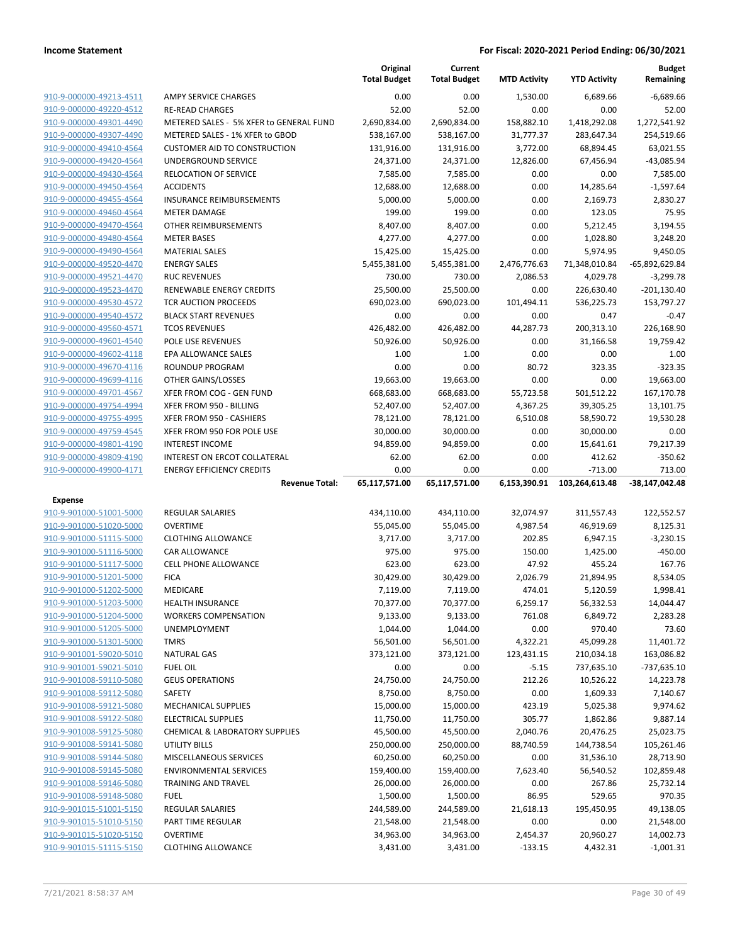|                                                    |                                                      | Original<br><b>Total Budget</b> | Current<br><b>Total Budget</b> | <b>MTD Activity</b> | <b>YTD Activity</b>   | <b>Budget</b><br>Remaining |
|----------------------------------------------------|------------------------------------------------------|---------------------------------|--------------------------------|---------------------|-----------------------|----------------------------|
| 910-9-000000-49213-4511                            | <b>AMPY SERVICE CHARGES</b>                          | 0.00                            | 0.00                           | 1,530.00            | 6.689.66              | $-6,689.66$                |
| 910-9-000000-49220-4512                            | <b>RE-READ CHARGES</b>                               | 52.00                           | 52.00                          | 0.00                | 0.00                  | 52.00                      |
| 910-9-000000-49301-4490                            | METERED SALES - 5% XFER to GENERAL FUND              | 2,690,834.00                    | 2,690,834.00                   | 158,882.10          | 1,418,292.08          | 1,272,541.92               |
| 910-9-000000-49307-4490                            | METERED SALES - 1% XFER to GBOD                      | 538,167.00                      | 538,167.00                     | 31,777.37           | 283,647.34            | 254,519.66                 |
| 910-9-000000-49410-4564                            | <b>CUSTOMER AID TO CONSTRUCTION</b>                  | 131,916.00                      | 131,916.00                     | 3,772.00            | 68,894.45             | 63,021.55                  |
| 910-9-000000-49420-4564                            | UNDERGROUND SERVICE                                  | 24,371.00                       | 24,371.00                      | 12,826.00           | 67,456.94             | $-43,085.94$               |
| 910-9-000000-49430-4564                            | <b>RELOCATION OF SERVICE</b>                         | 7,585.00                        | 7,585.00                       | 0.00                | 0.00                  | 7,585.00                   |
| 910-9-000000-49450-4564                            | <b>ACCIDENTS</b>                                     | 12,688.00                       | 12,688.00                      | 0.00                | 14,285.64             | $-1,597.64$                |
| 910-9-000000-49455-4564                            | <b>INSURANCE REIMBURSEMENTS</b>                      | 5,000.00                        | 5,000.00                       | 0.00                | 2,169.73              | 2,830.27                   |
| 910-9-000000-49460-4564                            | <b>METER DAMAGE</b>                                  | 199.00                          | 199.00                         | 0.00                | 123.05                | 75.95                      |
| 910-9-000000-49470-4564                            | OTHER REIMBURSEMENTS                                 | 8,407.00                        | 8,407.00                       | 0.00                | 5,212.45              | 3,194.55                   |
| 910-9-000000-49480-4564                            | <b>METER BASES</b>                                   | 4,277.00                        | 4,277.00                       | 0.00                | 1,028.80              | 3,248.20                   |
| 910-9-000000-49490-4564                            | <b>MATERIAL SALES</b>                                | 15,425.00                       | 15,425.00                      | 0.00                | 5,974.95              | 9,450.05                   |
| 910-9-000000-49520-4470                            | <b>ENERGY SALES</b>                                  | 5,455,381.00                    | 5,455,381.00                   | 2,476,776.63        | 71,348,010.84         | -65,892,629.84             |
| 910-9-000000-49521-4470                            | <b>RUC REVENUES</b>                                  | 730.00                          | 730.00                         | 2,086.53            | 4,029.78              | $-3,299.78$                |
| 910-9-000000-49523-4470                            | RENEWABLE ENERGY CREDITS                             | 25,500.00                       | 25,500.00                      | 0.00                | 226,630.40            | -201,130.40                |
| 910-9-000000-49530-4572                            | <b>TCR AUCTION PROCEEDS</b>                          | 690,023.00                      | 690,023.00                     | 101,494.11          | 536,225.73            | 153,797.27                 |
| 910-9-000000-49540-4572                            | <b>BLACK START REVENUES</b>                          | 0.00                            | 0.00                           | 0.00                | 0.47                  | $-0.47$                    |
| 910-9-000000-49560-4571                            | <b>TCOS REVENUES</b>                                 | 426,482.00                      | 426,482.00                     | 44,287.73           | 200,313.10            | 226,168.90                 |
| 910-9-000000-49601-4540                            | <b>POLE USE REVENUES</b>                             | 50,926.00                       | 50,926.00                      | 0.00                | 31,166.58             | 19,759.42                  |
| 910-9-000000-49602-4118                            | <b>EPA ALLOWANCE SALES</b>                           | 1.00                            | 1.00                           | 0.00                | 0.00                  | 1.00                       |
| 910-9-000000-49670-4116                            | <b>ROUNDUP PROGRAM</b>                               | 0.00                            | 0.00                           | 80.72               | 323.35                | $-323.35$                  |
| 910-9-000000-49699-4116                            | OTHER GAINS/LOSSES                                   | 19,663.00                       | 19,663.00                      | 0.00                | 0.00                  | 19,663.00                  |
| 910-9-000000-49701-4567                            | XFER FROM COG - GEN FUND                             | 668,683.00                      | 668,683.00                     | 55,723.58           | 501,512.22            | 167,170.78                 |
| 910-9-000000-49754-4994                            | XFER FROM 950 - BILLING                              | 52,407.00                       | 52,407.00                      | 4,367.25            | 39,305.25             | 13,101.75                  |
| 910-9-000000-49755-4995                            | XFER FROM 950 - CASHIERS                             | 78,121.00                       | 78,121.00                      | 6,510.08            | 58,590.72             | 19,530.28                  |
| 910-9-000000-49759-4545<br>910-9-000000-49801-4190 | XFER FROM 950 FOR POLE USE<br><b>INTEREST INCOME</b> | 30,000.00                       | 30,000.00                      | 0.00<br>0.00        | 30,000.00             | 0.00<br>79,217.39          |
| 910-9-000000-49809-4190                            | INTEREST ON ERCOT COLLATERAL                         | 94,859.00<br>62.00              | 94,859.00<br>62.00             | 0.00                | 15,641.61<br>412.62   | $-350.62$                  |
| 910-9-000000-49900-4171                            | <b>ENERGY EFFICIENCY CREDITS</b>                     | 0.00                            | 0.00                           | 0.00                | $-713.00$             | 713.00                     |
|                                                    |                                                      |                                 |                                |                     |                       |                            |
|                                                    | <b>Revenue Total:</b>                                |                                 |                                |                     |                       |                            |
|                                                    |                                                      | 65,117,571.00                   | 65,117,571.00                  | 6,153,390.91        | 103,264,613.48        | -38,147,042.48             |
| <b>Expense</b>                                     |                                                      |                                 |                                |                     |                       |                            |
| 910-9-901000-51001-5000                            | <b>REGULAR SALARIES</b>                              | 434,110.00                      | 434,110.00                     | 32,074.97           | 311,557.43            | 122,552.57                 |
| 910-9-901000-51020-5000                            | <b>OVERTIME</b>                                      | 55,045.00                       | 55,045.00                      | 4,987.54            | 46,919.69             | 8,125.31                   |
| 910-9-901000-51115-5000                            | <b>CLOTHING ALLOWANCE</b>                            | 3,717.00                        | 3,717.00                       | 202.85              | 6,947.15              | $-3,230.15$                |
| 910-9-901000-51116-5000                            | CAR ALLOWANCE                                        | 975.00                          | 975.00                         | 150.00              | 1,425.00              | $-450.00$                  |
| 910-9-901000-51117-5000                            | <b>CELL PHONE ALLOWANCE</b>                          | 623.00                          | 623.00                         | 47.92               | 455.24                | 167.76                     |
| 910-9-901000-51201-5000<br>910-9-901000-51202-5000 | <b>FICA</b>                                          | 30,429.00                       | 30,429.00                      | 2,026.79            | 21,894.95             | 8,534.05                   |
|                                                    | MEDICARE<br><b>HEALTH INSURANCE</b>                  | 7,119.00                        | 7,119.00                       | 474.01              | 5,120.59              | 1,998.41                   |
| 910-9-901000-51203-5000<br>910-9-901000-51204-5000 | <b>WORKERS COMPENSATION</b>                          | 70,377.00<br>9,133.00           | 70,377.00<br>9,133.00          | 6,259.17<br>761.08  | 56,332.53<br>6,849.72 | 14,044.47<br>2,283.28      |
| 910-9-901000-51205-5000                            | UNEMPLOYMENT                                         | 1,044.00                        | 1,044.00                       | 0.00                | 970.40                | 73.60                      |
| 910-9-901000-51301-5000                            | <b>TMRS</b>                                          | 56,501.00                       | 56,501.00                      | 4,322.21            | 45,099.28             | 11,401.72                  |
| 910-9-901001-59020-5010                            | <b>NATURAL GAS</b>                                   | 373,121.00                      | 373,121.00                     | 123,431.15          | 210,034.18            | 163,086.82                 |
| 910-9-901001-59021-5010                            | <b>FUEL OIL</b>                                      | 0.00                            | 0.00                           | $-5.15$             | 737,635.10            | -737,635.10                |
| 910-9-901008-59110-5080                            | <b>GEUS OPERATIONS</b>                               | 24,750.00                       | 24,750.00                      | 212.26              | 10,526.22             | 14,223.78                  |
| 910-9-901008-59112-5080                            | SAFETY                                               | 8,750.00                        | 8,750.00                       | 0.00                | 1,609.33              | 7,140.67                   |
| 910-9-901008-59121-5080                            | MECHANICAL SUPPLIES                                  | 15,000.00                       | 15,000.00                      | 423.19              | 5,025.38              | 9,974.62                   |
| 910-9-901008-59122-5080                            | <b>ELECTRICAL SUPPLIES</b>                           | 11,750.00                       | 11,750.00                      | 305.77              | 1,862.86              | 9,887.14                   |
| 910-9-901008-59125-5080                            | CHEMICAL & LABORATORY SUPPLIES                       | 45,500.00                       | 45,500.00                      | 2,040.76            | 20,476.25             | 25,023.75                  |
| 910-9-901008-59141-5080                            | <b>UTILITY BILLS</b>                                 | 250,000.00                      | 250,000.00                     | 88,740.59           | 144,738.54            | 105,261.46                 |
| 910-9-901008-59144-5080                            | MISCELLANEOUS SERVICES                               | 60,250.00                       | 60,250.00                      | 0.00                | 31,536.10             | 28,713.90                  |
| 910-9-901008-59145-5080                            | <b>ENVIRONMENTAL SERVICES</b>                        | 159,400.00                      | 159,400.00                     | 7,623.40            | 56,540.52             | 102,859.48                 |
| 910-9-901008-59146-5080                            | TRAINING AND TRAVEL                                  | 26,000.00                       | 26,000.00                      | 0.00                | 267.86                | 25,732.14                  |
| 910-9-901008-59148-5080                            | <b>FUEL</b>                                          | 1,500.00                        | 1,500.00                       | 86.95               | 529.65                | 970.35                     |
| 910-9-901015-51001-5150                            | REGULAR SALARIES                                     | 244,589.00                      | 244,589.00                     | 21,618.13           | 195,450.95            | 49,138.05                  |
| 910-9-901015-51010-5150                            | PART TIME REGULAR                                    | 21,548.00                       | 21,548.00                      | 0.00                | 0.00                  | 21,548.00                  |
| 910-9-901015-51020-5150                            | <b>OVERTIME</b>                                      | 34,963.00                       | 34,963.00                      | 2,454.37            | 20,960.27             | 14,002.73                  |
| 910-9-901015-51115-5150                            | <b>CLOTHING ALLOWANCE</b>                            | 3,431.00                        | 3,431.00                       | $-133.15$           | 4,432.31              | $-1,001.31$                |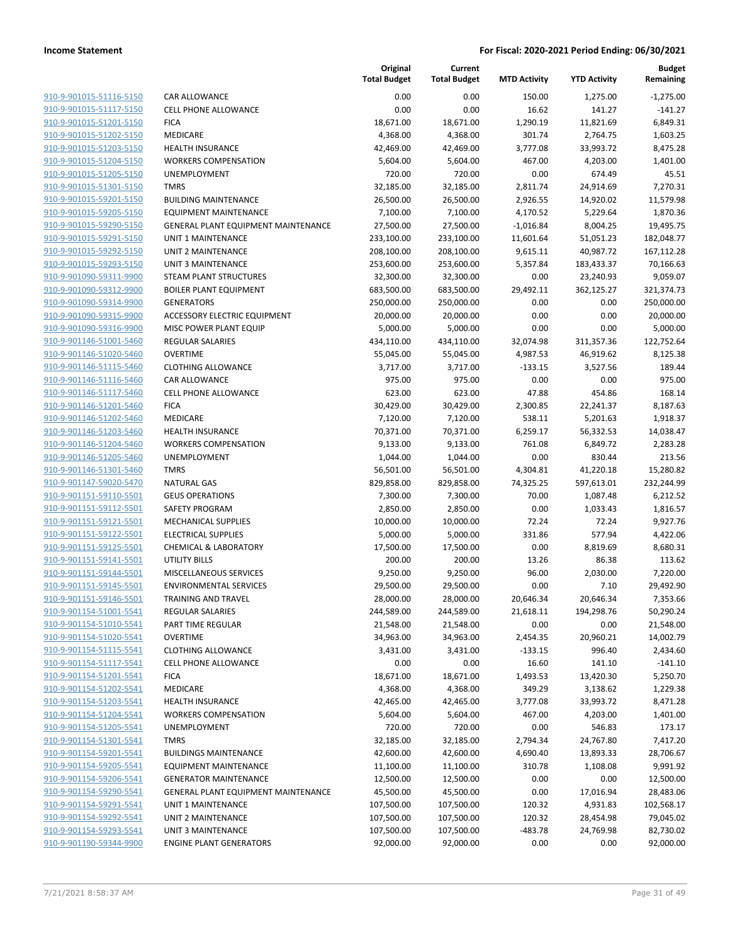| 910-9-901015-51116-5150        |
|--------------------------------|
| 910-9-901015-51117-5150        |
| 910-9-901015-51201-5150        |
| 910-9-901015-51202-5150        |
| 910-9-901015-51203-5150        |
| 910-9-901015-51204-5150        |
| 910-9-901015-51205-5150        |
| 910-9-901015-51301-5150        |
| 910-9-901015-59201-5150        |
| 910-9-901015-59205-5150        |
| 910-9-901015-59290-5150        |
| 910-9-901015-59291-5150        |
| 910-9-901015-59292-5150        |
|                                |
| 910-9-901015-59293-5150        |
| 910-9-901090-59311-9900        |
| 910-9-901090-59312-9900        |
| 910-9-901090-59314-9900        |
| 910-9-901090-59315-9900        |
| 910-9-901090-59316-9900        |
| 910-9-901146-51001-5460        |
| 910-9-901146-51020-5460        |
| 910-9-901146-51115-5460        |
| 910-9-901146-51116-5460        |
| 910-9-901146-51117-5460        |
| 910-9-901146-51201-5460        |
| 910-9-901146-51202-5460        |
| 910-9-901146-51203-5460        |
|                                |
| 910-9-901146-51204-5460        |
| 910-9-901146-51205-5460        |
| 910-9-901146-51301-5460        |
| 910-9-901147-59020-5470        |
| 910-9-901151-59110-5501        |
| 910-9-901151-59112-5501        |
| 910-9-901151-59121-5501        |
| 910-9-901151-59122-5501        |
| <u>910-9-901151-59125-5501</u> |
| 910-9-901151-59141-5501        |
| 910-9-901151-59144-5501        |
| 910-9-901151-59145-5501        |
| 910-9-901151-59146-5501        |
| <u>910-9-901154-51001-5541</u> |
| 910-9-901154-51010-5541        |
| 910-9-901154-51020-5541        |
| 910-9-901154-51115-5541        |
|                                |
| 910-9-901154-51117-5541        |
| 910-9-901154-51201-5541        |
| 910-9-901154-51202-5541        |
| 910-9-901154-51203-5541        |
| 910-9-901154-51204-5541        |
| 910-9-901154-51205-5541        |
| 910-9-901154-51301-5541        |
| 910-9-901154-59201-5541        |
| 910-9-901154-59205-5541        |
| 910-9-901154-59206-5541        |
| 910-9-901154-59290-5541        |
| 910-9-901154-59291-5541        |
| 910-9-901154-59292-5541        |
| 910-9-901154-59293-5541        |
| 910-9-901190-59344-9900        |
|                                |

|                         |                                     | Original<br><b>Total Budget</b> | Current<br><b>Total Budget</b> | <b>MTD Activity</b> | <b>YTD Activity</b> | <b>Budget</b><br>Remaining |
|-------------------------|-------------------------------------|---------------------------------|--------------------------------|---------------------|---------------------|----------------------------|
| 910-9-901015-51116-5150 | CAR ALLOWANCE                       | 0.00                            | 0.00                           | 150.00              | 1,275.00            | $-1,275.00$                |
| 910-9-901015-51117-5150 | <b>CELL PHONE ALLOWANCE</b>         | 0.00                            | 0.00                           | 16.62               | 141.27              | $-141.27$                  |
| 910-9-901015-51201-5150 | <b>FICA</b>                         | 18,671.00                       | 18,671.00                      | 1,290.19            | 11,821.69           | 6,849.31                   |
| 910-9-901015-51202-5150 | MEDICARE                            | 4,368.00                        | 4,368.00                       | 301.74              | 2,764.75            | 1,603.25                   |
| 910-9-901015-51203-5150 | <b>HEALTH INSURANCE</b>             | 42,469.00                       | 42,469.00                      | 3,777.08            | 33,993.72           | 8,475.28                   |
| 910-9-901015-51204-5150 | <b>WORKERS COMPENSATION</b>         | 5,604.00                        | 5,604.00                       | 467.00              | 4,203.00            | 1,401.00                   |
| 910-9-901015-51205-5150 | <b>UNEMPLOYMENT</b>                 | 720.00                          | 720.00                         | 0.00                | 674.49              | 45.51                      |
| 910-9-901015-51301-5150 | <b>TMRS</b>                         | 32,185.00                       | 32,185.00                      | 2,811.74            | 24,914.69           | 7,270.31                   |
| 910-9-901015-59201-5150 | <b>BUILDING MAINTENANCE</b>         | 26,500.00                       | 26,500.00                      | 2,926.55            | 14,920.02           | 11,579.98                  |
| 910-9-901015-59205-5150 | <b>EQUIPMENT MAINTENANCE</b>        | 7,100.00                        | 7,100.00                       | 4,170.52            | 5,229.64            | 1,870.36                   |
| 910-9-901015-59290-5150 | GENERAL PLANT EQUIPMENT MAINTENANCE | 27,500.00                       | 27,500.00                      | $-1,016.84$         | 8,004.25            | 19,495.75                  |
| 910-9-901015-59291-5150 | UNIT 1 MAINTENANCE                  | 233,100.00                      | 233,100.00                     | 11,601.64           | 51,051.23           | 182,048.77                 |
| 910-9-901015-59292-5150 | <b>UNIT 2 MAINTENANCE</b>           | 208,100.00                      | 208,100.00                     | 9,615.11            | 40,987.72           | 167,112.28                 |
| 910-9-901015-59293-5150 | <b>UNIT 3 MAINTENANCE</b>           | 253,600.00                      | 253,600.00                     | 5,357.84            | 183,433.37          | 70,166.63                  |
| 910-9-901090-59311-9900 | STEAM PLANT STRUCTURES              | 32,300.00                       | 32,300.00                      | 0.00                | 23,240.93           | 9,059.07                   |
| 910-9-901090-59312-9900 | <b>BOILER PLANT EQUIPMENT</b>       | 683,500.00                      | 683,500.00                     | 29,492.11           | 362,125.27          | 321,374.73                 |
| 910-9-901090-59314-9900 | <b>GENERATORS</b>                   | 250,000.00                      | 250,000.00                     | 0.00                | 0.00                | 250,000.00                 |
| 910-9-901090-59315-9900 | ACCESSORY ELECTRIC EQUIPMENT        | 20,000.00                       | 20,000.00                      | 0.00                | 0.00                | 20,000.00                  |
| 910-9-901090-59316-9900 | MISC POWER PLANT EQUIP              | 5,000.00                        | 5,000.00                       | 0.00                | 0.00                | 5,000.00                   |
| 910-9-901146-51001-5460 | <b>REGULAR SALARIES</b>             | 434,110.00                      | 434,110.00                     | 32,074.98           | 311,357.36          | 122,752.64                 |
| 910-9-901146-51020-5460 | <b>OVERTIME</b>                     | 55,045.00                       | 55,045.00                      | 4,987.53            | 46,919.62           | 8,125.38                   |
| 910-9-901146-51115-5460 | <b>CLOTHING ALLOWANCE</b>           | 3,717.00                        | 3,717.00                       | $-133.15$           | 3,527.56            | 189.44                     |
| 910-9-901146-51116-5460 | <b>CAR ALLOWANCE</b>                | 975.00                          | 975.00                         | 0.00                | 0.00                | 975.00                     |
| 910-9-901146-51117-5460 | <b>CELL PHONE ALLOWANCE</b>         | 623.00                          | 623.00                         | 47.88               | 454.86              | 168.14                     |
| 910-9-901146-51201-5460 | <b>FICA</b>                         | 30,429.00                       | 30,429.00                      | 2,300.85            | 22,241.37           | 8,187.63                   |
| 910-9-901146-51202-5460 | MEDICARE                            | 7,120.00                        | 7,120.00                       | 538.11              | 5,201.63            | 1,918.37                   |
| 910-9-901146-51203-5460 | <b>HEALTH INSURANCE</b>             | 70,371.00                       | 70,371.00                      | 6,259.17            | 56,332.53           | 14,038.47                  |
| 910-9-901146-51204-5460 | <b>WORKERS COMPENSATION</b>         | 9,133.00                        | 9,133.00                       | 761.08              | 6,849.72            | 2,283.28                   |
| 910-9-901146-51205-5460 | UNEMPLOYMENT                        | 1,044.00                        | 1,044.00                       | 0.00                | 830.44              | 213.56                     |
| 910-9-901146-51301-5460 | <b>TMRS</b>                         | 56,501.00                       | 56,501.00                      | 4,304.81            | 41,220.18           | 15,280.82                  |
| 910-9-901147-59020-5470 | <b>NATURAL GAS</b>                  | 829,858.00                      | 829,858.00                     | 74,325.25           | 597,613.01          | 232,244.99                 |
| 910-9-901151-59110-5501 | <b>GEUS OPERATIONS</b>              | 7,300.00                        | 7,300.00                       | 70.00               | 1,087.48            | 6,212.52                   |
| 910-9-901151-59112-5501 | SAFETY PROGRAM                      | 2,850.00                        | 2,850.00                       | 0.00                | 1,033.43            | 1,816.57                   |
| 910-9-901151-59121-5501 | MECHANICAL SUPPLIES                 | 10,000.00                       | 10,000.00                      | 72.24               | 72.24               | 9,927.76                   |
| 910-9-901151-59122-5501 | <b>ELECTRICAL SUPPLIES</b>          | 5,000.00                        | 5,000.00                       | 331.86              | 577.94              | 4,422.06                   |
| 910-9-901151-59125-5501 | <b>CHEMICAL &amp; LABORATORY</b>    | 17,500.00                       | 17,500.00                      | 0.00                | 8,819.69            | 8,680.31                   |
| 910-9-901151-59141-5501 | <b>UTILITY BILLS</b>                | 200.00                          | 200.00                         | 13.26               | 86.38               | 113.62                     |
| 910-9-901151-59144-5501 | MISCELLANEOUS SERVICES              | 9,250.00                        | 9,250.00                       | 96.00               | 2,030.00            | 7,220.00                   |
| 910-9-901151-59145-5501 | <b>ENVIRONMENTAL SERVICES</b>       | 29,500.00                       | 29,500.00                      | 0.00                | 7.10                | 29,492.90                  |
| 910-9-901151-59146-5501 | <b>TRAINING AND TRAVEL</b>          | 28,000.00                       | 28,000.00                      | 20,646.34           | 20,646.34           | 7,353.66                   |
| 910-9-901154-51001-5541 | REGULAR SALARIES                    | 244,589.00                      | 244,589.00                     | 21,618.11           | 194,298.76          | 50,290.24                  |
| 910-9-901154-51010-5541 | PART TIME REGULAR                   | 21,548.00                       | 21,548.00                      | 0.00                | 0.00                | 21,548.00                  |
| 910-9-901154-51020-5541 | <b>OVERTIME</b>                     | 34,963.00                       | 34,963.00                      | 2,454.35            | 20,960.21           | 14,002.79                  |
| 910-9-901154-51115-5541 | <b>CLOTHING ALLOWANCE</b>           | 3,431.00                        | 3,431.00                       | $-133.15$           | 996.40              | 2,434.60                   |
| 910-9-901154-51117-5541 | CELL PHONE ALLOWANCE                | 0.00                            | 0.00                           | 16.60               | 141.10              | $-141.10$                  |
| 910-9-901154-51201-5541 | <b>FICA</b>                         | 18,671.00                       | 18,671.00                      | 1,493.53            | 13,420.30           | 5,250.70                   |
| 910-9-901154-51202-5541 | MEDICARE                            | 4,368.00                        | 4,368.00                       | 349.29              | 3,138.62            | 1,229.38                   |
| 910-9-901154-51203-5541 | <b>HEALTH INSURANCE</b>             | 42,465.00                       | 42,465.00                      | 3,777.08            | 33,993.72           | 8,471.28                   |
| 910-9-901154-51204-5541 | <b>WORKERS COMPENSATION</b>         | 5,604.00                        | 5,604.00                       | 467.00              | 4,203.00            | 1,401.00                   |
| 910-9-901154-51205-5541 | UNEMPLOYMENT                        | 720.00                          | 720.00                         | 0.00                | 546.83              | 173.17                     |
| 910-9-901154-51301-5541 | <b>TMRS</b>                         | 32,185.00                       | 32,185.00                      | 2,794.34            | 24,767.80           | 7,417.20                   |
| 910-9-901154-59201-5541 | <b>BUILDINGS MAINTENANCE</b>        | 42,600.00                       | 42,600.00                      | 4,690.40            | 13,893.33           | 28,706.67                  |
| 910-9-901154-59205-5541 | <b>EQUIPMENT MAINTENANCE</b>        | 11,100.00                       | 11,100.00                      | 310.78              | 1,108.08            | 9,991.92                   |
| 910-9-901154-59206-5541 | <b>GENERATOR MAINTENANCE</b>        | 12,500.00                       | 12,500.00                      | 0.00                | 0.00                | 12,500.00                  |
| 910-9-901154-59290-5541 | GENERAL PLANT EQUIPMENT MAINTENANCE | 45,500.00                       | 45,500.00                      | 0.00                | 17,016.94           | 28,483.06                  |
| 910-9-901154-59291-5541 | UNIT 1 MAINTENANCE                  | 107,500.00                      | 107,500.00                     | 120.32              | 4,931.83            | 102,568.17                 |
| 910-9-901154-59292-5541 | UNIT 2 MAINTENANCE                  | 107,500.00                      | 107,500.00                     | 120.32              | 28,454.98           | 79,045.02                  |
| 910-9-901154-59293-5541 | <b>UNIT 3 MAINTENANCE</b>           | 107,500.00                      | 107,500.00                     | $-483.78$           | 24,769.98           | 82,730.02                  |
| 910-9-901190-59344-9900 | <b>ENGINE PLANT GENERATORS</b>      | 92,000.00                       | 92,000.00                      | 0.00                | 0.00                | 92,000.00                  |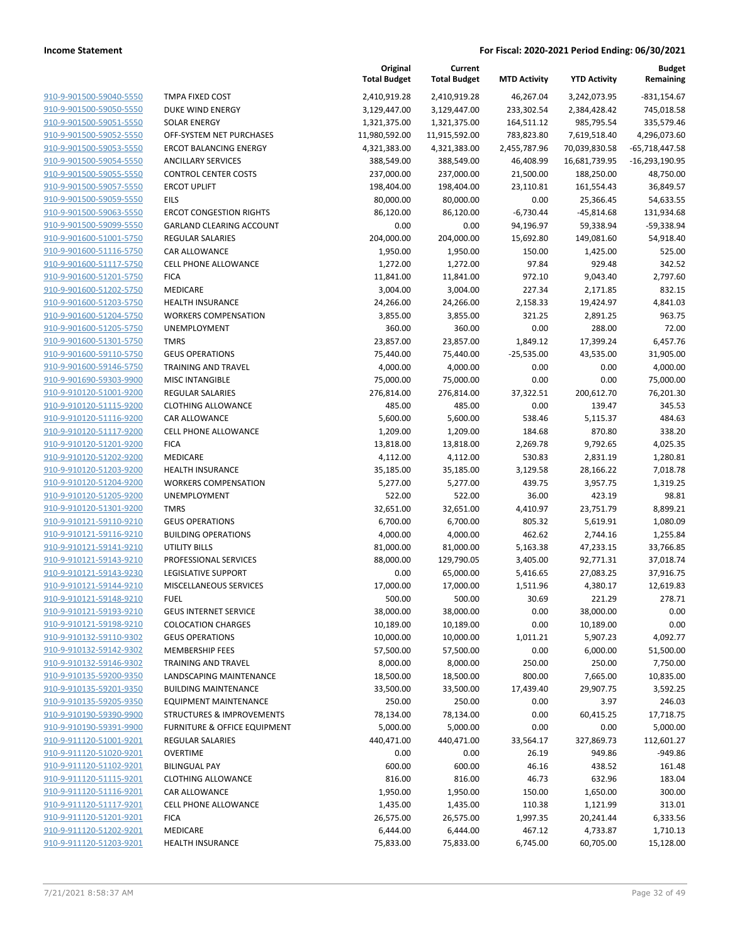|                                                    |                                                      | Original<br><b>Total Budget</b> | Current<br><b>Total Budget</b> | <b>MTD Activity</b>      | <b>YTD Activity</b>    | <b>Budget</b><br>Remaining |
|----------------------------------------------------|------------------------------------------------------|---------------------------------|--------------------------------|--------------------------|------------------------|----------------------------|
| 910-9-901500-59040-5550                            | <b>TMPA FIXED COST</b>                               | 2,410,919.28                    | 2,410,919.28                   | 46,267.04                | 3,242,073.95           | $-831,154.67$              |
| 910-9-901500-59050-5550                            | DUKE WIND ENERGY                                     | 3,129,447.00                    | 3,129,447.00                   | 233,302.54               | 2,384,428.42           | 745,018.58                 |
| 910-9-901500-59051-5550                            | <b>SOLAR ENERGY</b>                                  | 1,321,375.00                    | 1,321,375.00                   | 164,511.12               | 985,795.54             | 335,579.46                 |
| 910-9-901500-59052-5550                            | OFF-SYSTEM NET PURCHASES                             | 11,980,592.00                   | 11,915,592.00                  | 783,823.80               | 7,619,518.40           | 4,296,073.60               |
| 910-9-901500-59053-5550                            | <b>ERCOT BALANCING ENERGY</b>                        | 4,321,383.00                    | 4,321,383.00                   | 2,455,787.96             | 70,039,830.58          | $-65,718,447.58$           |
| 910-9-901500-59054-5550                            | <b>ANCILLARY SERVICES</b>                            | 388,549.00                      | 388,549.00                     | 46,408.99                | 16,681,739.95          | $-16,293,190.95$           |
| 910-9-901500-59055-5550                            | <b>CONTROL CENTER COSTS</b>                          | 237,000.00                      | 237,000.00                     | 21,500.00                | 188,250.00             | 48,750.00                  |
| 910-9-901500-59057-5550                            | <b>ERCOT UPLIFT</b>                                  | 198,404.00                      | 198,404.00                     | 23,110.81                | 161,554.43             | 36,849.57                  |
| 910-9-901500-59059-5550                            | <b>EILS</b>                                          | 80,000.00                       | 80,000.00                      | 0.00                     | 25,366.45              | 54,633.55                  |
| 910-9-901500-59063-5550                            | <b>ERCOT CONGESTION RIGHTS</b>                       | 86,120.00                       | 86,120.00                      | $-6,730.44$              | $-45,814.68$           | 131,934.68                 |
| 910-9-901500-59099-5550                            | <b>GARLAND CLEARING ACCOUNT</b>                      | 0.00                            | 0.00                           | 94,196.97                | 59,338.94              | -59,338.94                 |
| 910-9-901600-51001-5750                            | <b>REGULAR SALARIES</b>                              | 204,000.00                      | 204,000.00                     | 15,692.80                | 149,081.60             | 54,918.40                  |
| 910-9-901600-51116-5750                            | CAR ALLOWANCE                                        | 1,950.00                        | 1,950.00                       | 150.00                   | 1,425.00               | 525.00                     |
| 910-9-901600-51117-5750                            | <b>CELL PHONE ALLOWANCE</b>                          | 1,272.00                        | 1,272.00                       | 97.84                    | 929.48                 | 342.52                     |
| 910-9-901600-51201-5750                            | <b>FICA</b>                                          | 11,841.00                       | 11,841.00                      | 972.10                   | 9,043.40               | 2,797.60                   |
| 910-9-901600-51202-5750<br>910-9-901600-51203-5750 | MEDICARE<br><b>HEALTH INSURANCE</b>                  | 3,004.00                        | 3,004.00                       | 227.34<br>2,158.33       | 2,171.85<br>19,424.97  | 832.15                     |
| 910-9-901600-51204-5750                            | <b>WORKERS COMPENSATION</b>                          | 24,266.00                       | 24,266.00                      | 321.25                   |                        | 4,841.03<br>963.75         |
| 910-9-901600-51205-5750                            |                                                      | 3,855.00                        | 3,855.00                       |                          | 2,891.25               |                            |
| 910-9-901600-51301-5750                            | UNEMPLOYMENT<br><b>TMRS</b>                          | 360.00                          | 360.00<br>23,857.00            | 0.00                     | 288.00                 | 72.00                      |
| 910-9-901600-59110-5750                            | <b>GEUS OPERATIONS</b>                               | 23,857.00<br>75,440.00          | 75,440.00                      | 1,849.12<br>$-25,535.00$ | 17,399.24<br>43,535.00 | 6,457.76<br>31,905.00      |
| 910-9-901600-59146-5750                            | <b>TRAINING AND TRAVEL</b>                           |                                 |                                | 0.00                     | 0.00                   |                            |
| 910-9-901690-59303-9900                            |                                                      | 4,000.00<br>75,000.00           | 4,000.00<br>75,000.00          |                          |                        | 4,000.00                   |
| 910-9-910120-51001-9200                            | <b>MISC INTANGIBLE</b>                               |                                 |                                | 0.00                     | 0.00                   | 75,000.00                  |
| 910-9-910120-51115-9200                            | <b>REGULAR SALARIES</b><br><b>CLOTHING ALLOWANCE</b> | 276,814.00<br>485.00            | 276,814.00<br>485.00           | 37,322.51<br>0.00        | 200,612.70<br>139.47   | 76,201.30<br>345.53        |
| 910-9-910120-51116-9200                            | CAR ALLOWANCE                                        | 5,600.00                        | 5,600.00                       | 538.46                   | 5,115.37               | 484.63                     |
| 910-9-910120-51117-9200                            | <b>CELL PHONE ALLOWANCE</b>                          | 1,209.00                        | 1,209.00                       | 184.68                   | 870.80                 | 338.20                     |
| 910-9-910120-51201-9200                            | <b>FICA</b>                                          | 13,818.00                       | 13,818.00                      | 2,269.78                 | 9,792.65               | 4,025.35                   |
| 910-9-910120-51202-9200                            | MEDICARE                                             | 4,112.00                        | 4,112.00                       | 530.83                   | 2,831.19               | 1,280.81                   |
| 910-9-910120-51203-9200                            | <b>HEALTH INSURANCE</b>                              | 35,185.00                       | 35,185.00                      | 3,129.58                 | 28,166.22              | 7,018.78                   |
| 910-9-910120-51204-9200                            | <b>WORKERS COMPENSATION</b>                          | 5,277.00                        | 5,277.00                       | 439.75                   | 3,957.75               | 1,319.25                   |
| 910-9-910120-51205-9200                            | UNEMPLOYMENT                                         | 522.00                          | 522.00                         | 36.00                    | 423.19                 | 98.81                      |
| 910-9-910120-51301-9200                            | <b>TMRS</b>                                          | 32,651.00                       | 32,651.00                      | 4,410.97                 | 23,751.79              | 8,899.21                   |
| 910-9-910121-59110-9210                            | <b>GEUS OPERATIONS</b>                               | 6,700.00                        | 6,700.00                       | 805.32                   | 5,619.91               | 1,080.09                   |
| 910-9-910121-59116-9210                            | <b>BUILDING OPERATIONS</b>                           | 4,000.00                        | 4,000.00                       | 462.62                   | 2,744.16               | 1,255.84                   |
| 910-9-910121-59141-9210                            | <b>UTILITY BILLS</b>                                 | 81,000.00                       | 81,000.00                      | 5,163.38                 | 47,233.15              | 33,766.85                  |
| 910-9-910121-59143-9210                            | PROFESSIONAL SERVICES                                | 88,000.00                       | 129,790.05                     | 3,405.00                 | 92,771.31              | 37,018.74                  |
| 910-9-910121-59143-9230                            | LEGISLATIVE SUPPORT                                  | 0.00                            | 65,000.00                      | 5,416.65                 | 27,083.25              | 37,916.75                  |
| 910-9-910121-59144-9210                            | MISCELLANEOUS SERVICES                               | 17,000.00                       | 17,000.00                      | 1,511.96                 | 4,380.17               | 12,619.83                  |
| 910-9-910121-59148-9210                            | <b>FUEL</b>                                          | 500.00                          | 500.00                         | 30.69                    | 221.29                 | 278.71                     |
| 910-9-910121-59193-9210                            | <b>GEUS INTERNET SERVICE</b>                         | 38,000.00                       | 38,000.00                      | 0.00                     | 38,000.00              | 0.00                       |
| 910-9-910121-59198-9210                            | <b>COLOCATION CHARGES</b>                            | 10,189.00                       | 10,189.00                      | 0.00                     | 10,189.00              | 0.00                       |
| 910-9-910132-59110-9302                            | <b>GEUS OPERATIONS</b>                               | 10,000.00                       | 10,000.00                      | 1,011.21                 | 5,907.23               | 4,092.77                   |
| 910-9-910132-59142-9302                            | <b>MEMBERSHIP FEES</b>                               | 57,500.00                       | 57,500.00                      | 0.00                     | 6,000.00               | 51,500.00                  |
| 910-9-910132-59146-9302                            | TRAINING AND TRAVEL                                  | 8,000.00                        | 8,000.00                       | 250.00                   | 250.00                 | 7,750.00                   |
| 910-9-910135-59200-9350                            | LANDSCAPING MAINTENANCE                              | 18,500.00                       | 18,500.00                      | 800.00                   | 7,665.00               | 10,835.00                  |
| 910-9-910135-59201-9350                            | <b>BUILDING MAINTENANCE</b>                          | 33,500.00                       | 33,500.00                      | 17,439.40                | 29,907.75              | 3,592.25                   |
| 910-9-910135-59205-9350                            | <b>EQUIPMENT MAINTENANCE</b>                         | 250.00                          | 250.00                         | 0.00                     | 3.97                   | 246.03                     |
| 910-9-910190-59390-9900                            | <b>STRUCTURES &amp; IMPROVEMENTS</b>                 | 78,134.00                       | 78,134.00                      | 0.00                     | 60,415.25              | 17,718.75                  |
| 910-9-910190-59391-9900                            | FURNITURE & OFFICE EQUIPMENT                         | 5,000.00                        | 5,000.00                       | 0.00                     | 0.00                   | 5,000.00                   |
| 910-9-911120-51001-9201                            | <b>REGULAR SALARIES</b>                              | 440,471.00                      | 440,471.00                     | 33,564.17                | 327,869.73             | 112,601.27                 |
| 910-9-911120-51020-9201                            | <b>OVERTIME</b>                                      | 0.00                            | 0.00                           | 26.19                    | 949.86                 | $-949.86$                  |
| 910-9-911120-51102-9201                            | <b>BILINGUAL PAY</b>                                 | 600.00                          | 600.00                         | 46.16                    | 438.52                 | 161.48                     |
| 910-9-911120-51115-9201                            | <b>CLOTHING ALLOWANCE</b>                            | 816.00                          | 816.00                         | 46.73                    | 632.96                 | 183.04                     |
| 910-9-911120-51116-9201                            | CAR ALLOWANCE                                        | 1,950.00                        | 1,950.00                       | 150.00                   | 1,650.00               | 300.00                     |
| 910-9-911120-51117-9201                            | <b>CELL PHONE ALLOWANCE</b>                          | 1,435.00                        | 1,435.00                       | 110.38                   | 1,121.99               | 313.01                     |
| 910-9-911120-51201-9201                            | <b>FICA</b>                                          | 26,575.00                       | 26,575.00                      | 1,997.35                 | 20,241.44              | 6,333.56                   |
| 910-9-911120-51202-9201                            | MEDICARE                                             | 6,444.00                        | 6,444.00                       | 467.12                   | 4,733.87               | 1,710.13                   |
| 910-9-911120-51203-9201                            | <b>HEALTH INSURANCE</b>                              | 75,833.00                       | 75,833.00                      | 6,745.00                 | 60,705.00              | 15,128.00                  |
|                                                    |                                                      |                                 |                                |                          |                        |                            |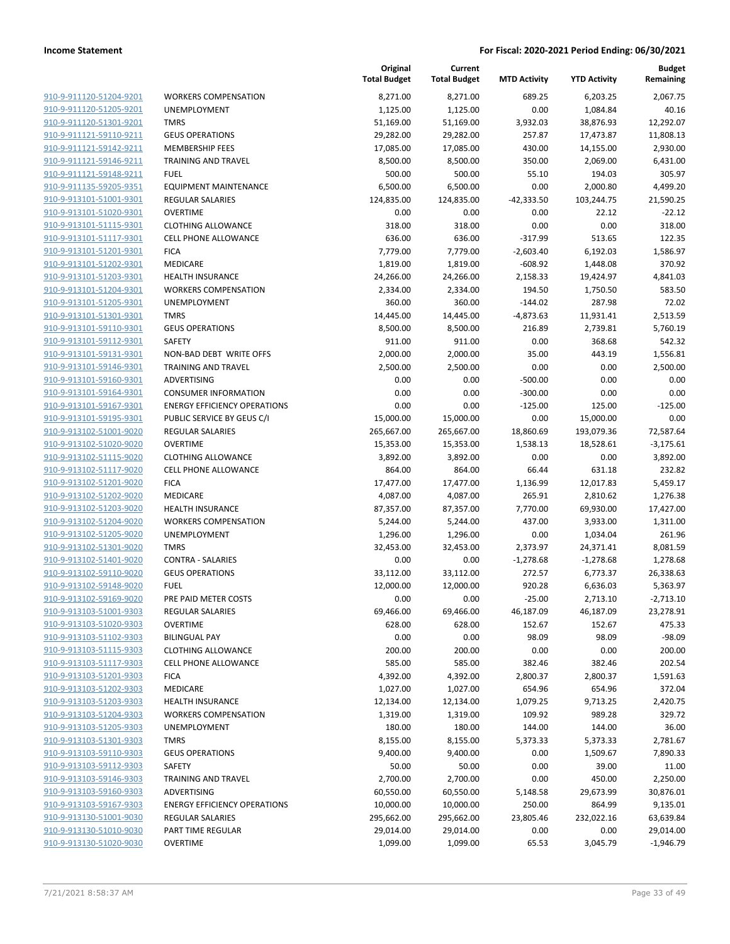|                         |                                     | Original<br><b>Total Budget</b> | Current<br><b>Total Budget</b> | <b>MTD Activity</b> | <b>YTD Activity</b> | <b>Budget</b><br>Remaining |
|-------------------------|-------------------------------------|---------------------------------|--------------------------------|---------------------|---------------------|----------------------------|
| 910-9-911120-51204-9201 | <b>WORKERS COMPENSATION</b>         | 8,271.00                        | 8,271.00                       | 689.25              | 6,203.25            | 2,067.75                   |
| 910-9-911120-51205-9201 | UNEMPLOYMENT                        | 1,125.00                        | 1,125.00                       | 0.00                | 1,084.84            | 40.16                      |
| 910-9-911120-51301-9201 | <b>TMRS</b>                         | 51,169.00                       | 51,169.00                      | 3,932.03            | 38,876.93           | 12,292.07                  |
| 910-9-911121-59110-9211 | <b>GEUS OPERATIONS</b>              | 29,282.00                       | 29,282.00                      | 257.87              | 17,473.87           | 11,808.13                  |
| 910-9-911121-59142-9211 | <b>MEMBERSHIP FEES</b>              | 17,085.00                       | 17,085.00                      | 430.00              | 14,155.00           | 2,930.00                   |
| 910-9-911121-59146-9211 | <b>TRAINING AND TRAVEL</b>          | 8,500.00                        | 8,500.00                       | 350.00              | 2,069.00            | 6,431.00                   |
| 910-9-911121-59148-9211 | <b>FUEL</b>                         | 500.00                          | 500.00                         | 55.10               | 194.03              | 305.97                     |
| 910-9-911135-59205-9351 | <b>EQUIPMENT MAINTENANCE</b>        | 6,500.00                        | 6,500.00                       | 0.00                | 2,000.80            | 4,499.20                   |
| 910-9-913101-51001-9301 | <b>REGULAR SALARIES</b>             | 124,835.00                      | 124,835.00                     | $-42,333.50$        | 103,244.75          | 21,590.25                  |
| 910-9-913101-51020-9301 | <b>OVERTIME</b>                     | 0.00                            | 0.00                           | 0.00                | 22.12               | $-22.12$                   |
| 910-9-913101-51115-9301 | <b>CLOTHING ALLOWANCE</b>           | 318.00                          | 318.00                         | 0.00                | 0.00                | 318.00                     |
| 910-9-913101-51117-9301 | <b>CELL PHONE ALLOWANCE</b>         | 636.00                          | 636.00                         | $-317.99$           | 513.65              | 122.35                     |
| 910-9-913101-51201-9301 | <b>FICA</b>                         | 7,779.00                        | 7,779.00                       | $-2,603.40$         | 6,192.03            | 1,586.97                   |
| 910-9-913101-51202-9301 | MEDICARE                            | 1,819.00                        | 1,819.00                       | $-608.92$           | 1,448.08            | 370.92                     |
| 910-9-913101-51203-9301 | <b>HEALTH INSURANCE</b>             | 24,266.00                       | 24,266.00                      | 2,158.33            | 19,424.97           | 4,841.03                   |
| 910-9-913101-51204-9301 | <b>WORKERS COMPENSATION</b>         | 2,334.00                        | 2,334.00                       | 194.50              | 1,750.50            | 583.50                     |
| 910-9-913101-51205-9301 | UNEMPLOYMENT                        | 360.00                          | 360.00                         | $-144.02$           | 287.98              | 72.02                      |
| 910-9-913101-51301-9301 | <b>TMRS</b>                         | 14,445.00                       | 14,445.00                      | $-4,873.63$         | 11,931.41           | 2,513.59                   |
| 910-9-913101-59110-9301 | <b>GEUS OPERATIONS</b>              | 8,500.00                        | 8,500.00                       | 216.89              | 2,739.81            | 5,760.19                   |
| 910-9-913101-59112-9301 | <b>SAFETY</b>                       | 911.00                          | 911.00                         | 0.00                | 368.68              | 542.32                     |
| 910-9-913101-59131-9301 | NON-BAD DEBT WRITE OFFS             | 2,000.00                        | 2,000.00                       | 35.00               | 443.19              | 1,556.81                   |
| 910-9-913101-59146-9301 | <b>TRAINING AND TRAVEL</b>          | 2,500.00                        | 2,500.00                       | 0.00                | 0.00                | 2,500.00                   |
| 910-9-913101-59160-9301 | <b>ADVERTISING</b>                  | 0.00                            | 0.00                           | $-500.00$           | 0.00                | 0.00                       |
| 910-9-913101-59164-9301 | <b>CONSUMER INFORMATION</b>         | 0.00                            | 0.00                           | $-300.00$           | 0.00                | 0.00                       |
| 910-9-913101-59167-9301 | <b>ENERGY EFFICIENCY OPERATIONS</b> | 0.00                            | 0.00                           | $-125.00$           | 125.00              | $-125.00$                  |
| 910-9-913101-59195-9301 | PUBLIC SERVICE BY GEUS C/I          | 15,000.00                       | 15,000.00                      | 0.00                | 15,000.00           | 0.00                       |
| 910-9-913102-51001-9020 | <b>REGULAR SALARIES</b>             | 265,667.00                      | 265,667.00                     | 18,860.69           | 193,079.36          | 72,587.64                  |
| 910-9-913102-51020-9020 | <b>OVERTIME</b>                     | 15,353.00                       | 15,353.00                      | 1,538.13            | 18,528.61           | $-3,175.61$                |
| 910-9-913102-51115-9020 | <b>CLOTHING ALLOWANCE</b>           | 3,892.00                        | 3,892.00                       | 0.00                | 0.00                | 3,892.00                   |
| 910-9-913102-51117-9020 | <b>CELL PHONE ALLOWANCE</b>         | 864.00                          | 864.00                         | 66.44               | 631.18              | 232.82                     |
| 910-9-913102-51201-9020 | <b>FICA</b>                         | 17,477.00                       | 17,477.00                      | 1,136.99            | 12,017.83           | 5,459.17                   |
| 910-9-913102-51202-9020 | MEDICARE                            | 4,087.00                        | 4,087.00                       | 265.91              | 2,810.62            | 1,276.38                   |
| 910-9-913102-51203-9020 | <b>HEALTH INSURANCE</b>             | 87,357.00                       | 87,357.00                      | 7,770.00            | 69,930.00           | 17,427.00                  |
| 910-9-913102-51204-9020 | <b>WORKERS COMPENSATION</b>         | 5,244.00                        | 5,244.00                       | 437.00              | 3,933.00            | 1,311.00                   |
| 910-9-913102-51205-9020 | UNEMPLOYMENT                        | 1,296.00                        | 1,296.00                       | 0.00                | 1,034.04            | 261.96                     |
| 910-9-913102-51301-9020 | <b>TMRS</b>                         | 32,453.00                       | 32,453.00                      | 2,373.97            | 24,371.41           | 8,081.59                   |
| 910-9-913102-51401-9020 | <b>CONTRA - SALARIES</b>            | 0.00                            | 0.00                           | $-1,278.68$         | $-1,278.68$         | 1,278.68                   |
| 910-9-913102-59110-9020 | <b>GEUS OPERATIONS</b>              | 33,112.00                       | 33,112.00                      | 272.57              | 6,773.37            | 26,338.63                  |
| 910-9-913102-59148-9020 | <b>FUEL</b>                         | 12,000.00                       | 12,000.00                      | 920.28              | 6,636.03            | 5,363.97                   |
| 910-9-913102-59169-9020 | PRE PAID METER COSTS                | 0.00                            | 0.00                           | $-25.00$            | 2,713.10            | $-2,713.10$                |
| 910-9-913103-51001-9303 | <b>REGULAR SALARIES</b>             | 69,466.00                       | 69,466.00                      | 46,187.09           | 46,187.09           | 23,278.91                  |
| 910-9-913103-51020-9303 | <b>OVERTIME</b>                     | 628.00                          | 628.00                         | 152.67              | 152.67              | 475.33                     |
| 910-9-913103-51102-9303 | <b>BILINGUAL PAY</b>                | 0.00                            | 0.00                           | 98.09               | 98.09               | $-98.09$                   |
| 910-9-913103-51115-9303 | <b>CLOTHING ALLOWANCE</b>           | 200.00                          | 200.00                         | 0.00                | 0.00                | 200.00                     |
| 910-9-913103-51117-9303 | <b>CELL PHONE ALLOWANCE</b>         | 585.00                          | 585.00                         | 382.46              | 382.46              | 202.54                     |
| 910-9-913103-51201-9303 | <b>FICA</b>                         | 4,392.00                        | 4,392.00                       | 2,800.37            | 2,800.37            | 1,591.63                   |
| 910-9-913103-51202-9303 | MEDICARE                            | 1,027.00                        | 1,027.00                       | 654.96              | 654.96              | 372.04                     |
| 910-9-913103-51203-9303 | <b>HEALTH INSURANCE</b>             | 12,134.00                       | 12,134.00                      | 1,079.25            | 9,713.25            | 2,420.75                   |
| 910-9-913103-51204-9303 | <b>WORKERS COMPENSATION</b>         | 1,319.00                        | 1,319.00                       | 109.92              | 989.28              | 329.72                     |
| 910-9-913103-51205-9303 | <b>UNEMPLOYMENT</b>                 | 180.00                          | 180.00                         | 144.00              | 144.00              | 36.00                      |
| 910-9-913103-51301-9303 | <b>TMRS</b>                         | 8,155.00                        | 8,155.00                       | 5,373.33            | 5,373.33            | 2,781.67                   |
| 910-9-913103-59110-9303 | <b>GEUS OPERATIONS</b>              | 9,400.00                        | 9,400.00                       | 0.00                | 1,509.67            | 7,890.33                   |
| 910-9-913103-59112-9303 | <b>SAFETY</b>                       | 50.00                           | 50.00                          | 0.00                | 39.00               | 11.00                      |
| 910-9-913103-59146-9303 | <b>TRAINING AND TRAVEL</b>          | 2,700.00                        | 2,700.00                       | 0.00                | 450.00              | 2,250.00                   |
| 910-9-913103-59160-9303 | ADVERTISING                         | 60,550.00                       | 60,550.00                      | 5,148.58            | 29,673.99           | 30,876.01                  |
| 910-9-913103-59167-9303 | <b>ENERGY EFFICIENCY OPERATIONS</b> | 10,000.00                       | 10,000.00                      | 250.00              | 864.99              | 9,135.01                   |
| 910-9-913130-51001-9030 | <b>REGULAR SALARIES</b>             | 295,662.00                      | 295,662.00                     | 23,805.46           | 232,022.16          | 63,639.84                  |
| 910-9-913130-51010-9030 | PART TIME REGULAR                   | 29,014.00                       | 29,014.00                      | 0.00                | 0.00                | 29,014.00                  |
| 910-9-913130-51020-9030 | <b>OVERTIME</b>                     | 1,099.00                        | 1,099.00                       | 65.53               | 3,045.79            | $-1,946.79$                |
|                         |                                     |                                 |                                |                     |                     |                            |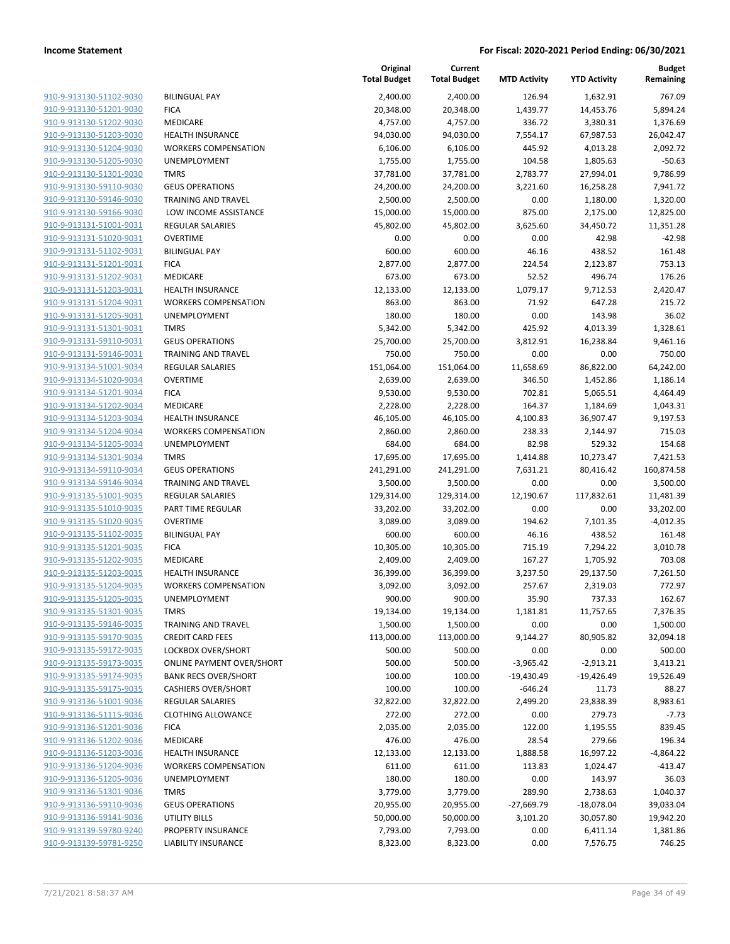| 910-9-913130-51102-9030        |
|--------------------------------|
| 910-9-913130-51201-9030        |
| 910-9-913130-51202-9030        |
| 910-9-913130-51203-9030        |
| <u>910-9-913130-51204-9030</u> |
| 910-9-913130-51205-9030        |
| 910-9-913130-51301-9030        |
| 910-9-913130-59110-9030        |
| 910-9-913130-59146-9030        |
| <u>910-9-913130-59166-9030</u> |
| 910-9-913131-51001-9031        |
| 910-9-913131-51020-9031        |
| 910-9-913131-51102-9031        |
| 910-9-913131-51201-9031        |
| <u>910-9-913131-51202-9031</u> |
| 910-9-913131-51203-9031        |
| 910-9-913131-51204-9031        |
| 910-9-913131-51205-9031        |
| 910-9-913131-51301-9031        |
| 910-9-913131-59110-9031        |
| 910-9-913131-59146-9031        |
| 910-9-913134-51001-9034        |
| 910-9-913134-51020-9034        |
| 910-9-913134-51201-9034        |
|                                |
| <u>910-9-913134-51202-9034</u> |
| 910-9-913134-51203-9034        |
| 910-9-913134-51204-9034        |
| 910-9-913134-51205-9034        |
| 910-9-913134-51301-9034        |
| <u>910-9-913134-59110-9034</u> |
| 910-9-913134-59146-9034        |
| 910-9-913135-51001-9035        |
| 910-9-913135-51010-9035        |
| 910-9-913135-51020-9035        |
| 910-9-913135-51102-9035        |
| 910-9-913135-51201-9035        |
| 910-9-913135-51202-9035        |
| 910-9-913135-51203-9035        |
| 910-9-913135-51204-9035        |
| 910-9-913135-51205-9035        |
| 910-9-913135-51301-9035        |
| 910-9-913135-59146-9035        |
| 910-9-913135-59170-9035        |
| 910-9-913135-59172-9035        |
| <u>910-9-913135-59173-9035</u> |
| <u>910-9-913135-59174-9035</u> |
| <u>910-9-913135-59175-9035</u> |
| 910-9-913136-51001-9036        |
| 910-9-913136-51115-9036        |
| <u>910-9-913136-51201-9036</u> |
| 910-9-913136-51202-9036        |
| 910-9-913136-51203-9036        |
| 910-9-913136-51204-9036        |
| 910-9-913136-51205-9036        |
| <u>910-9-913136-51301-9036</u> |
| <u>910-9-913136-59110-9036</u> |
| <u>910-9-913136-59141-9036</u> |
| <u>910-9-913139-59780-9240</u> |
|                                |
| 910-9-913139-59781-9250        |

|                         |                                  | Original<br><b>Total Budget</b> | Current<br><b>Total Budget</b> | <b>MTD Activity</b> | <b>YTD Activity</b> | <b>Budget</b><br>Remaining |
|-------------------------|----------------------------------|---------------------------------|--------------------------------|---------------------|---------------------|----------------------------|
| 910-9-913130-51102-9030 | <b>BILINGUAL PAY</b>             | 2,400.00                        | 2,400.00                       | 126.94              | 1,632.91            | 767.09                     |
| 910-9-913130-51201-9030 | <b>FICA</b>                      | 20,348.00                       | 20,348.00                      | 1,439.77            | 14,453.76           | 5,894.24                   |
| 910-9-913130-51202-9030 | MEDICARE                         | 4,757.00                        | 4,757.00                       | 336.72              | 3,380.31            | 1,376.69                   |
| 910-9-913130-51203-9030 | HEALTH INSURANCE                 | 94,030.00                       | 94,030.00                      | 7,554.17            | 67,987.53           | 26,042.47                  |
| 910-9-913130-51204-9030 | <b>WORKERS COMPENSATION</b>      | 6,106.00                        | 6,106.00                       | 445.92              | 4,013.28            | 2,092.72                   |
| 910-9-913130-51205-9030 | UNEMPLOYMENT                     | 1,755.00                        | 1,755.00                       | 104.58              | 1,805.63            | $-50.63$                   |
| 910-9-913130-51301-9030 | <b>TMRS</b>                      | 37,781.00                       | 37,781.00                      | 2,783.77            | 27,994.01           | 9,786.99                   |
| 910-9-913130-59110-9030 | <b>GEUS OPERATIONS</b>           | 24,200.00                       | 24,200.00                      | 3,221.60            | 16,258.28           | 7,941.72                   |
| 910-9-913130-59146-9030 | <b>TRAINING AND TRAVEL</b>       | 2,500.00                        | 2,500.00                       | 0.00                | 1,180.00            | 1,320.00                   |
| 910-9-913130-59166-9030 | LOW INCOME ASSISTANCE            | 15,000.00                       | 15,000.00                      | 875.00              | 2,175.00            | 12,825.00                  |
| 910-9-913131-51001-9031 | <b>REGULAR SALARIES</b>          | 45,802.00                       | 45,802.00                      | 3,625.60            | 34,450.72           | 11,351.28                  |
| 910-9-913131-51020-9031 | <b>OVERTIME</b>                  | 0.00                            | 0.00                           | 0.00                | 42.98               | $-42.98$                   |
| 910-9-913131-51102-9031 | <b>BILINGUAL PAY</b>             | 600.00                          | 600.00                         | 46.16               | 438.52              | 161.48                     |
| 910-9-913131-51201-9031 | <b>FICA</b>                      | 2,877.00                        | 2,877.00                       | 224.54              | 2,123.87            | 753.13                     |
| 910-9-913131-51202-9031 | MEDICARE                         | 673.00                          | 673.00                         | 52.52               | 496.74              | 176.26                     |
| 910-9-913131-51203-9031 | <b>HEALTH INSURANCE</b>          | 12,133.00                       | 12,133.00                      | 1,079.17            | 9,712.53            | 2,420.47                   |
| 910-9-913131-51204-9031 | <b>WORKERS COMPENSATION</b>      | 863.00                          | 863.00                         | 71.92               | 647.28              | 215.72                     |
| 910-9-913131-51205-9031 | UNEMPLOYMENT                     | 180.00                          | 180.00                         | 0.00                | 143.98              | 36.02                      |
| 910-9-913131-51301-9031 | <b>TMRS</b>                      | 5,342.00                        | 5,342.00                       | 425.92              | 4,013.39            | 1,328.61                   |
| 910-9-913131-59110-9031 | <b>GEUS OPERATIONS</b>           | 25,700.00                       | 25,700.00                      | 3,812.91            | 16,238.84           | 9,461.16                   |
| 910-9-913131-59146-9031 | <b>TRAINING AND TRAVEL</b>       | 750.00                          | 750.00                         | 0.00                | 0.00                | 750.00                     |
| 910-9-913134-51001-9034 | <b>REGULAR SALARIES</b>          | 151,064.00                      | 151,064.00                     | 11,658.69           | 86,822.00           | 64,242.00                  |
| 910-9-913134-51020-9034 | <b>OVERTIME</b>                  | 2,639.00                        | 2,639.00                       | 346.50              | 1,452.86            | 1,186.14                   |
| 910-9-913134-51201-9034 | <b>FICA</b>                      | 9,530.00                        | 9,530.00                       | 702.81              | 5,065.51            | 4,464.49                   |
| 910-9-913134-51202-9034 | MEDICARE                         | 2,228.00                        | 2,228.00                       | 164.37              | 1,184.69            | 1,043.31                   |
| 910-9-913134-51203-9034 | <b>HEALTH INSURANCE</b>          | 46,105.00                       | 46,105.00                      | 4,100.83            | 36,907.47           | 9,197.53                   |
| 910-9-913134-51204-9034 | <b>WORKERS COMPENSATION</b>      | 2,860.00                        | 2,860.00                       | 238.33              | 2,144.97            | 715.03                     |
| 910-9-913134-51205-9034 | <b>UNEMPLOYMENT</b>              | 684.00                          | 684.00                         | 82.98               | 529.32              | 154.68                     |
| 910-9-913134-51301-9034 | <b>TMRS</b>                      | 17,695.00                       | 17,695.00                      | 1,414.88            | 10,273.47           | 7,421.53                   |
| 910-9-913134-59110-9034 | <b>GEUS OPERATIONS</b>           | 241,291.00                      | 241,291.00                     | 7,631.21            | 80,416.42           | 160,874.58                 |
| 910-9-913134-59146-9034 | TRAINING AND TRAVEL              | 3,500.00                        | 3,500.00                       | 0.00                | 0.00                | 3,500.00                   |
| 910-9-913135-51001-9035 | <b>REGULAR SALARIES</b>          | 129,314.00                      | 129,314.00                     | 12,190.67           | 117,832.61          | 11,481.39                  |
| 910-9-913135-51010-9035 | PART TIME REGULAR                | 33,202.00                       | 33,202.00                      | 0.00                | 0.00                | 33,202.00                  |
| 910-9-913135-51020-9035 | <b>OVERTIME</b>                  | 3,089.00                        | 3,089.00                       | 194.62              | 7,101.35            | $-4,012.35$                |
| 910-9-913135-51102-9035 | <b>BILINGUAL PAY</b>             | 600.00                          | 600.00                         | 46.16               | 438.52              | 161.48                     |
| 910-9-913135-51201-9035 | <b>FICA</b>                      | 10,305.00                       | 10,305.00                      | 715.19              | 7,294.22            | 3,010.78                   |
| 910-9-913135-51202-9035 | MEDICARE                         | 2,409.00                        | 2,409.00                       | 167.27              | 1,705.92            | 703.08                     |
| 910-9-913135-51203-9035 | HEALTH INSURANCE                 | 36,399.00                       | 36,399.00                      | 3,237.50            | 29,137.50           | 7,261.50                   |
| 910-9-913135-51204-9035 | <b>WORKERS COMPENSATION</b>      | 3,092.00                        | 3,092.00                       | 257.67              | 2,319.03            | 772.97                     |
| 910-9-913135-51205-9035 | UNEMPLOYMENT                     | 900.00                          | 900.00                         | 35.90               | 737.33              | 162.67                     |
| 910-9-913135-51301-9035 | <b>TMRS</b>                      | 19,134.00                       | 19,134.00                      | 1,181.81            | 11,757.65           | 7,376.35                   |
| 910-9-913135-59146-9035 | <b>TRAINING AND TRAVEL</b>       | 1,500.00                        | 1,500.00                       | 0.00                | 0.00                | 1,500.00                   |
| 910-9-913135-59170-9035 | <b>CREDIT CARD FEES</b>          | 113,000.00                      | 113,000.00                     | 9,144.27            | 80,905.82           | 32,094.18                  |
| 910-9-913135-59172-9035 | LOCKBOX OVER/SHORT               | 500.00                          | 500.00                         | 0.00                | 0.00                | 500.00                     |
| 910-9-913135-59173-9035 | <b>ONLINE PAYMENT OVER/SHORT</b> | 500.00                          | 500.00                         | $-3,965.42$         | $-2,913.21$         | 3,413.21                   |
| 910-9-913135-59174-9035 | <b>BANK RECS OVER/SHORT</b>      | 100.00                          | 100.00                         | $-19,430.49$        | $-19,426.49$        | 19,526.49                  |
| 910-9-913135-59175-9035 | <b>CASHIERS OVER/SHORT</b>       | 100.00                          | 100.00                         | $-646.24$           | 11.73               | 88.27                      |
| 910-9-913136-51001-9036 | <b>REGULAR SALARIES</b>          | 32,822.00                       | 32,822.00                      | 2,499.20            | 23,838.39           | 8,983.61                   |
| 910-9-913136-51115-9036 | <b>CLOTHING ALLOWANCE</b>        | 272.00                          | 272.00                         | 0.00                | 279.73              | $-7.73$                    |
| 910-9-913136-51201-9036 | <b>FICA</b>                      | 2,035.00                        | 2,035.00                       | 122.00              | 1,195.55            | 839.45                     |
| 910-9-913136-51202-9036 | MEDICARE                         | 476.00                          | 476.00                         | 28.54               | 279.66              | 196.34                     |
| 910-9-913136-51203-9036 | <b>HEALTH INSURANCE</b>          | 12,133.00                       | 12,133.00                      | 1,888.58            | 16,997.22           | $-4,864.22$                |
| 910-9-913136-51204-9036 | <b>WORKERS COMPENSATION</b>      | 611.00                          | 611.00                         | 113.83              | 1,024.47            | $-413.47$                  |
| 910-9-913136-51205-9036 | UNEMPLOYMENT                     | 180.00                          | 180.00                         | 0.00                | 143.97              | 36.03                      |
| 910-9-913136-51301-9036 | <b>TMRS</b>                      | 3,779.00                        | 3,779.00                       | 289.90              | 2,738.63            | 1,040.37                   |
| 910-9-913136-59110-9036 | <b>GEUS OPERATIONS</b>           | 20,955.00                       | 20,955.00                      | -27,669.79          | $-18,078.04$        | 39,033.04                  |
| 910-9-913136-59141-9036 | <b>UTILITY BILLS</b>             | 50,000.00                       | 50,000.00                      | 3,101.20            | 30,057.80           | 19,942.20                  |
| 910-9-913139-59780-9240 | PROPERTY INSURANCE               | 7,793.00                        | 7,793.00                       | 0.00                | 6,411.14            | 1,381.86                   |
| 910-9-913139-59781-9250 | LIABILITY INSURANCE              | 8,323.00                        | 8,323.00                       | 0.00                | 7,576.75            | 746.25                     |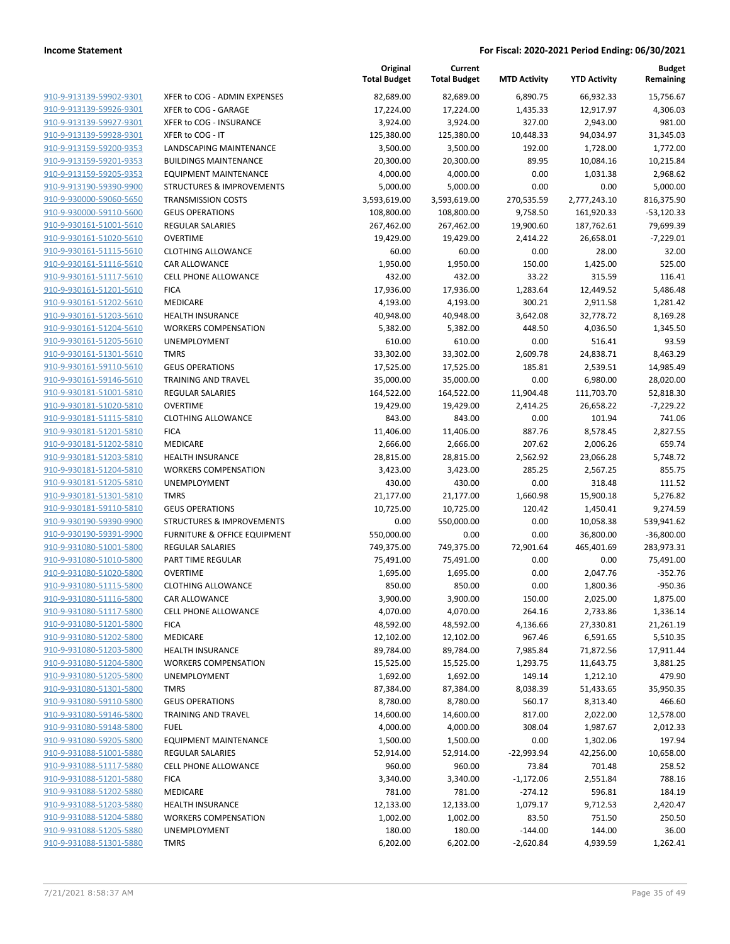|                         |                                      | Original<br><b>Total Budget</b> | Current<br><b>Total Budget</b> | <b>MTD Activity</b> | <b>YTD Activity</b> | <b>Budget</b><br>Remaining |
|-------------------------|--------------------------------------|---------------------------------|--------------------------------|---------------------|---------------------|----------------------------|
| 910-9-913139-59902-9301 | XFER to COG - ADMIN EXPENSES         | 82,689.00                       | 82,689.00                      | 6,890.75            | 66,932.33           | 15,756.67                  |
| 910-9-913139-59926-9301 | XFER to COG - GARAGE                 | 17,224.00                       | 17,224.00                      | 1,435.33            | 12,917.97           | 4,306.03                   |
| 910-9-913139-59927-9301 | XFER to COG - INSURANCE              | 3,924.00                        | 3,924.00                       | 327.00              | 2,943.00            | 981.00                     |
| 910-9-913139-59928-9301 | XFER to COG - IT                     | 125,380.00                      | 125,380.00                     | 10,448.33           | 94,034.97           | 31,345.03                  |
| 910-9-913159-59200-9353 | LANDSCAPING MAINTENANCE              | 3,500.00                        | 3,500.00                       | 192.00              | 1,728.00            | 1,772.00                   |
| 910-9-913159-59201-9353 | <b>BUILDINGS MAINTENANCE</b>         | 20,300.00                       | 20,300.00                      | 89.95               | 10,084.16           | 10,215.84                  |
| 910-9-913159-59205-9353 | <b>EQUIPMENT MAINTENANCE</b>         | 4,000.00                        | 4,000.00                       | 0.00                | 1,031.38            | 2,968.62                   |
| 910-9-913190-59390-9900 | <b>STRUCTURES &amp; IMPROVEMENTS</b> | 5,000.00                        | 5,000.00                       | 0.00                | 0.00                | 5,000.00                   |
| 910-9-930000-59060-5650 | <b>TRANSMISSION COSTS</b>            | 3,593,619.00                    | 3,593,619.00                   | 270,535.59          | 2,777,243.10        | 816,375.90                 |
| 910-9-930000-59110-5600 | <b>GEUS OPERATIONS</b>               | 108,800.00                      | 108,800.00                     | 9,758.50            | 161,920.33          | $-53,120.33$               |
| 910-9-930161-51001-5610 | REGULAR SALARIES                     | 267,462.00                      | 267,462.00                     | 19,900.60           | 187,762.61          | 79,699.39                  |
| 910-9-930161-51020-5610 | <b>OVERTIME</b>                      | 19,429.00                       | 19,429.00                      | 2,414.22            | 26,658.01           | $-7,229.01$                |
| 910-9-930161-51115-5610 | <b>CLOTHING ALLOWANCE</b>            | 60.00                           | 60.00                          | 0.00                | 28.00               | 32.00                      |
| 910-9-930161-51116-5610 | CAR ALLOWANCE                        | 1,950.00                        | 1,950.00                       | 150.00              | 1,425.00            | 525.00                     |
| 910-9-930161-51117-5610 | <b>CELL PHONE ALLOWANCE</b>          | 432.00                          | 432.00                         | 33.22               | 315.59              | 116.41                     |
| 910-9-930161-51201-5610 | <b>FICA</b>                          | 17,936.00                       | 17,936.00                      | 1,283.64            | 12,449.52           | 5,486.48                   |
| 910-9-930161-51202-5610 | MEDICARE                             | 4,193.00                        | 4,193.00                       | 300.21              | 2,911.58            | 1,281.42                   |
| 910-9-930161-51203-5610 | <b>HEALTH INSURANCE</b>              | 40,948.00                       | 40,948.00                      | 3,642.08            | 32,778.72           | 8,169.28                   |
| 910-9-930161-51204-5610 | <b>WORKERS COMPENSATION</b>          | 5,382.00                        | 5,382.00                       | 448.50              | 4,036.50            | 1,345.50                   |
| 910-9-930161-51205-5610 | UNEMPLOYMENT                         | 610.00                          | 610.00                         | 0.00                | 516.41              | 93.59                      |
| 910-9-930161-51301-5610 | <b>TMRS</b>                          | 33,302.00                       | 33,302.00                      | 2,609.78            | 24,838.71           | 8,463.29                   |
| 910-9-930161-59110-5610 | <b>GEUS OPERATIONS</b>               | 17,525.00                       | 17,525.00                      | 185.81              | 2,539.51            | 14,985.49                  |
| 910-9-930161-59146-5610 | <b>TRAINING AND TRAVEL</b>           | 35,000.00                       | 35,000.00                      | 0.00                | 6,980.00            | 28,020.00                  |
| 910-9-930181-51001-5810 | <b>REGULAR SALARIES</b>              | 164,522.00                      | 164,522.00                     | 11,904.48           | 111,703.70          | 52,818.30                  |
| 910-9-930181-51020-5810 | <b>OVERTIME</b>                      | 19,429.00                       | 19,429.00                      | 2,414.25            | 26,658.22           | $-7,229.22$                |
| 910-9-930181-51115-5810 | <b>CLOTHING ALLOWANCE</b>            | 843.00                          | 843.00                         | 0.00                | 101.94              | 741.06                     |
| 910-9-930181-51201-5810 | <b>FICA</b>                          | 11,406.00                       | 11,406.00                      | 887.76              | 8,578.45            | 2,827.55                   |
| 910-9-930181-51202-5810 | MEDICARE                             | 2,666.00                        | 2,666.00                       | 207.62              | 2,006.26            | 659.74                     |
| 910-9-930181-51203-5810 | <b>HEALTH INSURANCE</b>              | 28,815.00                       | 28,815.00                      | 2,562.92            | 23,066.28           | 5,748.72                   |
| 910-9-930181-51204-5810 | <b>WORKERS COMPENSATION</b>          | 3,423.00                        | 3,423.00                       | 285.25              | 2,567.25            | 855.75                     |
| 910-9-930181-51205-5810 | UNEMPLOYMENT                         | 430.00                          | 430.00                         | 0.00                | 318.48              | 111.52                     |
| 910-9-930181-51301-5810 | <b>TMRS</b>                          | 21,177.00                       | 21,177.00                      | 1,660.98            | 15,900.18           | 5,276.82                   |
| 910-9-930181-59110-5810 | <b>GEUS OPERATIONS</b>               | 10,725.00                       | 10,725.00                      | 120.42              | 1,450.41            | 9,274.59                   |
| 910-9-930190-59390-9900 | <b>STRUCTURES &amp; IMPROVEMENTS</b> | 0.00                            | 550,000.00                     | 0.00                | 10,058.38           | 539,941.62                 |
| 910-9-930190-59391-9900 | FURNITURE & OFFICE EQUIPMENT         | 550,000.00                      | 0.00                           | 0.00                | 36,800.00           | $-36,800.00$               |
| 910-9-931080-51001-5800 | REGULAR SALARIES                     | 749,375.00                      | 749,375.00                     | 72,901.64           | 465,401.69          | 283,973.31                 |
| 910-9-931080-51010-5800 | PART TIME REGULAR                    | 75,491.00                       | 75,491.00                      | 0.00                | 0.00                | 75,491.00                  |
| 910-9-931080-51020-5800 | <b>OVERTIME</b>                      | 1,695.00                        | 1,695.00                       | 0.00                | 2,047.76            | $-352.76$                  |
| 910-9-931080-51115-5800 | <b>CLOTHING ALLOWANCE</b>            | 850.00                          | 850.00                         | 0.00                | 1,800.36            | $-950.36$                  |
| 910-9-931080-51116-5800 | CAR ALLOWANCE                        | 3,900.00                        | 3,900.00                       | 150.00              | 2,025.00            | 1,875.00                   |
| 910-9-931080-51117-5800 | <b>CELL PHONE ALLOWANCE</b>          | 4,070.00                        | 4,070.00                       | 264.16              | 2,733.86            | 1,336.14                   |
| 910-9-931080-51201-5800 | <b>FICA</b>                          | 48,592.00                       | 48,592.00                      | 4,136.66            | 27,330.81           | 21,261.19                  |
| 910-9-931080-51202-5800 | MEDICARE                             | 12,102.00                       | 12,102.00                      | 967.46              | 6,591.65            | 5,510.35                   |
| 910-9-931080-51203-5800 | <b>HEALTH INSURANCE</b>              | 89,784.00                       | 89,784.00                      | 7,985.84            | 71,872.56           | 17,911.44                  |
| 910-9-931080-51204-5800 | <b>WORKERS COMPENSATION</b>          | 15,525.00                       | 15,525.00                      | 1,293.75            | 11,643.75           | 3,881.25                   |
| 910-9-931080-51205-5800 | UNEMPLOYMENT                         | 1,692.00                        | 1,692.00                       | 149.14              | 1,212.10            | 479.90                     |
| 910-9-931080-51301-5800 | <b>TMRS</b>                          | 87,384.00                       | 87,384.00                      | 8,038.39            | 51,433.65           | 35,950.35                  |
| 910-9-931080-59110-5800 | <b>GEUS OPERATIONS</b>               | 8,780.00                        | 8,780.00                       | 560.17              | 8,313.40            | 466.60                     |
| 910-9-931080-59146-5800 | <b>TRAINING AND TRAVEL</b>           | 14,600.00                       | 14,600.00                      | 817.00              | 2,022.00            | 12,578.00                  |
| 910-9-931080-59148-5800 | <b>FUEL</b>                          | 4,000.00                        | 4,000.00                       | 308.04              | 1,987.67            | 2,012.33                   |
| 910-9-931080-59205-5800 | <b>EQUIPMENT MAINTENANCE</b>         | 1,500.00                        | 1,500.00                       | 0.00                | 1,302.06            | 197.94                     |
| 910-9-931088-51001-5880 | REGULAR SALARIES                     | 52,914.00                       | 52,914.00                      | $-22,993.94$        | 42,256.00           | 10,658.00                  |
| 910-9-931088-51117-5880 | <b>CELL PHONE ALLOWANCE</b>          | 960.00                          | 960.00                         | 73.84               | 701.48              | 258.52                     |
| 910-9-931088-51201-5880 | <b>FICA</b>                          | 3,340.00                        | 3,340.00                       | $-1,172.06$         | 2,551.84            | 788.16                     |
| 910-9-931088-51202-5880 | MEDICARE                             | 781.00                          | 781.00                         | $-274.12$           | 596.81              | 184.19                     |
| 910-9-931088-51203-5880 | <b>HEALTH INSURANCE</b>              | 12,133.00                       | 12,133.00                      | 1,079.17            | 9,712.53            | 2,420.47                   |
| 910-9-931088-51204-5880 | <b>WORKERS COMPENSATION</b>          | 1,002.00                        | 1,002.00                       | 83.50               | 751.50              | 250.50                     |
| 910-9-931088-51205-5880 | UNEMPLOYMENT                         | 180.00                          | 180.00                         | $-144.00$           | 144.00              | 36.00                      |
| 910-9-931088-51301-5880 | <b>TMRS</b>                          | 6,202.00                        | 6,202.00                       | -2,620.84           | 4,939.59            | 1,262.41                   |
|                         |                                      |                                 |                                |                     |                     |                            |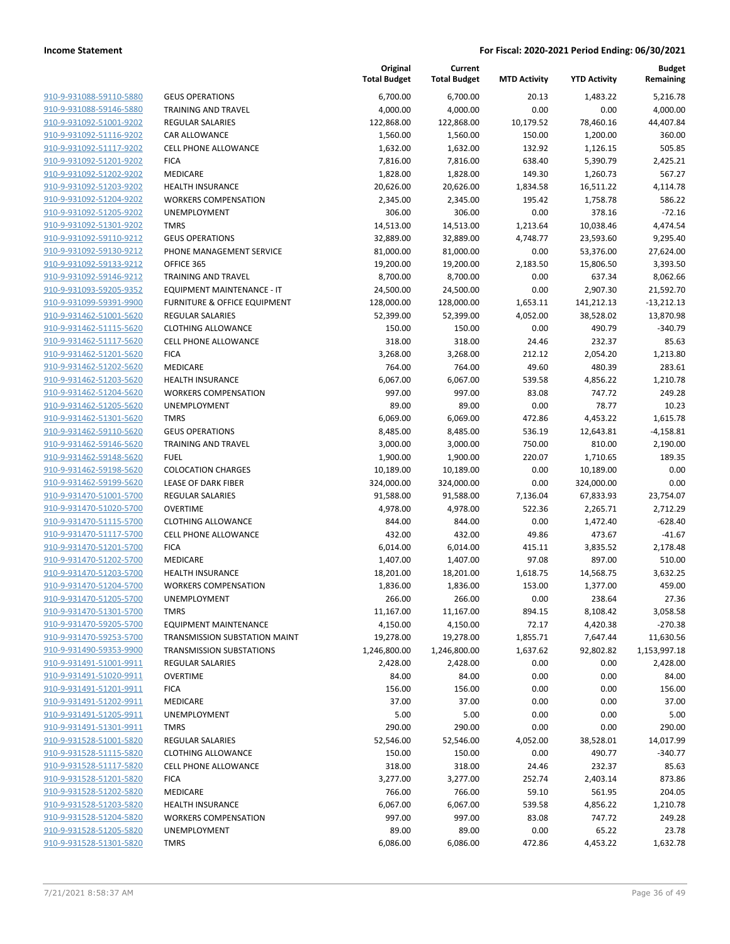| 910-9-931088-59110-5880                                          |
|------------------------------------------------------------------|
| 910-9-931088-59146-5880                                          |
| 910-9-931092-51001-9202                                          |
| <u>910-9-931092-51116-9202</u>                                   |
| 910-9-931092-51117-9202                                          |
| 910-9-931092-51201-9202                                          |
| 910-9-931092-51202-9202                                          |
| 910-9-931092-51203-9202                                          |
| <u>910-9-931092-51204-9202</u>                                   |
| 910-9-931092-51205-9202                                          |
| 910-9-931092-51301-9202                                          |
| 910-9-931092-59110-9212                                          |
| 910-9-931092-59130-9212                                          |
| <u>910-9-931092-59133-9212</u>                                   |
| <u>910-9-931092-59146-9212</u>                                   |
| 910-9-931093-59205-9352                                          |
| 910-9-931099-59391-9900                                          |
| 910-9-931462-51001-5620                                          |
| <u>910-9-931462-51115-5620</u>                                   |
| 910-9-931462-51117-5620                                          |
| 910-9-931462-51201-5620                                          |
| 910-9-931462-51202-5620                                          |
| 910-9-931462-51203-5620                                          |
| <u>910-9-931462-51204-5620</u>                                   |
| 910-9-931462-51205-5620                                          |
| 910-9-931462-51301-5620                                          |
| 910-9-931462-59110-5620                                          |
| <u>910-9-931462-59146-5620</u>                                   |
|                                                                  |
| <u>910-9-931462-59148-5620</u><br><u>910-9-931462-59198-5620</u> |
| 910-9-931462-59199-5620                                          |
| 910-9-931470-51001-5700                                          |
|                                                                  |
| 910-9-931470-51020-5700                                          |
| 910-9-931470-51115-5700                                          |
| 910-9-931470-51117-5700<br>910-9-931470-51201-5700               |
|                                                                  |
| 910-9-931470-51202-5700                                          |
| 910-9-931470-51203-5700                                          |
| 910-9-931470-51204-5700                                          |
| 910-9-931470-51205-5700                                          |
| 910-9-931470-51301-5700                                          |
| 910-9-931470-59205-5700                                          |
| 910-9-931470-59253-5700                                          |
| 910-9-931490-59353-9900                                          |
| 910-9-931491-51001-9911                                          |
| 910-9-931491-51020-9911                                          |
| 910-9-931491-51201-9911                                          |
| <u>910-9-931491-51202-9911</u>                                   |
| <u>910-9-931491-51205-9911</u>                                   |
| 910-9-931491-51301-9911                                          |
| 910-9-931528-51001-5820                                          |
| 910-9-931528-51115-5820                                          |
| 910-9-931528-51117-5820                                          |
| 910-9-931528-51201-5820                                          |
| 910-9-931528-51202-5820                                          |
| 910-9-931528-51203-5820                                          |
| 910-9-931528-51204-5820                                          |
| 910-9-931528-51205-5820                                          |
| 910-9-931528-51301-5820                                          |
|                                                                  |

|                         |                                         | Original<br><b>Total Budget</b> | Current<br><b>Total Budget</b> | <b>MTD Activity</b> | <b>YTD Activity</b> | <b>Budget</b><br>Remaining |
|-------------------------|-----------------------------------------|---------------------------------|--------------------------------|---------------------|---------------------|----------------------------|
| 910-9-931088-59110-5880 | <b>GEUS OPERATIONS</b>                  | 6,700.00                        | 6,700.00                       | 20.13               | 1,483.22            | 5,216.78                   |
| 910-9-931088-59146-5880 | <b>TRAINING AND TRAVEL</b>              | 4,000.00                        | 4,000.00                       | 0.00                | 0.00                | 4,000.00                   |
| 910-9-931092-51001-9202 | <b>REGULAR SALARIES</b>                 | 122,868.00                      | 122,868.00                     | 10,179.52           | 78,460.16           | 44,407.84                  |
| 910-9-931092-51116-9202 | <b>CAR ALLOWANCE</b>                    | 1,560.00                        | 1,560.00                       | 150.00              | 1,200.00            | 360.00                     |
| 910-9-931092-51117-9202 | CELL PHONE ALLOWANCE                    | 1,632.00                        | 1,632.00                       | 132.92              | 1,126.15            | 505.85                     |
| 910-9-931092-51201-9202 | <b>FICA</b>                             | 7,816.00                        | 7,816.00                       | 638.40              | 5,390.79            | 2,425.21                   |
| 910-9-931092-51202-9202 | MEDICARE                                | 1,828.00                        | 1,828.00                       | 149.30              | 1,260.73            | 567.27                     |
| 910-9-931092-51203-9202 | <b>HEALTH INSURANCE</b>                 | 20,626.00                       | 20,626.00                      | 1,834.58            | 16,511.22           | 4,114.78                   |
| 910-9-931092-51204-9202 | <b>WORKERS COMPENSATION</b>             | 2,345.00                        | 2,345.00                       | 195.42              | 1,758.78            | 586.22                     |
| 910-9-931092-51205-9202 | <b>UNEMPLOYMENT</b>                     | 306.00                          | 306.00                         | 0.00                | 378.16              | $-72.16$                   |
| 910-9-931092-51301-9202 | <b>TMRS</b>                             | 14,513.00                       | 14,513.00                      | 1,213.64            | 10,038.46           | 4,474.54                   |
| 910-9-931092-59110-9212 | <b>GEUS OPERATIONS</b>                  | 32,889.00                       | 32,889.00                      | 4,748.77            | 23,593.60           | 9,295.40                   |
| 910-9-931092-59130-9212 | PHONE MANAGEMENT SERVICE                | 81,000.00                       | 81,000.00                      | 0.00                | 53,376.00           | 27,624.00                  |
| 910-9-931092-59133-9212 | OFFICE 365                              | 19,200.00                       | 19,200.00                      | 2,183.50            | 15,806.50           | 3,393.50                   |
| 910-9-931092-59146-9212 | <b>TRAINING AND TRAVEL</b>              | 8,700.00                        | 8,700.00                       | 0.00                | 637.34              | 8,062.66                   |
| 910-9-931093-59205-9352 | EQUIPMENT MAINTENANCE - IT              | 24,500.00                       | 24,500.00                      | 0.00                | 2,907.30            | 21,592.70                  |
| 910-9-931099-59391-9900 | <b>FURNITURE &amp; OFFICE EQUIPMENT</b> | 128,000.00                      | 128,000.00                     | 1,653.11            | 141,212.13          | $-13,212.13$               |
| 910-9-931462-51001-5620 | <b>REGULAR SALARIES</b>                 | 52,399.00                       | 52,399.00                      | 4,052.00            | 38,528.02           | 13,870.98                  |
| 910-9-931462-51115-5620 | <b>CLOTHING ALLOWANCE</b>               | 150.00                          | 150.00                         | 0.00                | 490.79              | $-340.79$                  |
| 910-9-931462-51117-5620 | CELL PHONE ALLOWANCE                    | 318.00                          | 318.00                         | 24.46               | 232.37              | 85.63                      |
| 910-9-931462-51201-5620 | <b>FICA</b>                             | 3,268.00                        | 3,268.00                       | 212.12              | 2,054.20            | 1,213.80                   |
| 910-9-931462-51202-5620 | MEDICARE                                | 764.00                          | 764.00                         | 49.60               | 480.39              | 283.61                     |
| 910-9-931462-51203-5620 | <b>HEALTH INSURANCE</b>                 | 6,067.00                        | 6,067.00                       | 539.58              | 4,856.22            | 1,210.78                   |
| 910-9-931462-51204-5620 | <b>WORKERS COMPENSATION</b>             | 997.00                          | 997.00                         | 83.08               | 747.72              | 249.28                     |
| 910-9-931462-51205-5620 | UNEMPLOYMENT                            | 89.00                           | 89.00                          | 0.00                | 78.77               | 10.23                      |
| 910-9-931462-51301-5620 | <b>TMRS</b>                             | 6,069.00                        | 6,069.00                       | 472.86              | 4,453.22            | 1,615.78                   |
| 910-9-931462-59110-5620 | <b>GEUS OPERATIONS</b>                  | 8,485.00                        | 8,485.00                       | 536.19              | 12,643.81           | $-4,158.81$                |
| 910-9-931462-59146-5620 | <b>TRAINING AND TRAVEL</b>              | 3,000.00                        | 3,000.00                       | 750.00              | 810.00              | 2,190.00                   |
| 910-9-931462-59148-5620 | <b>FUEL</b>                             | 1,900.00                        | 1,900.00                       | 220.07              | 1,710.65            | 189.35                     |
| 910-9-931462-59198-5620 | <b>COLOCATION CHARGES</b>               | 10,189.00                       | 10,189.00                      | 0.00                | 10,189.00           | 0.00                       |
| 910-9-931462-59199-5620 | <b>LEASE OF DARK FIBER</b>              | 324,000.00                      | 324,000.00                     | 0.00                | 324,000.00          | 0.00                       |
| 910-9-931470-51001-5700 | <b>REGULAR SALARIES</b>                 | 91,588.00                       | 91,588.00                      | 7,136.04            | 67,833.93           | 23,754.07                  |
| 910-9-931470-51020-5700 | <b>OVERTIME</b>                         | 4,978.00                        | 4,978.00                       | 522.36              | 2,265.71            | 2,712.29                   |
| 910-9-931470-51115-5700 | <b>CLOTHING ALLOWANCE</b>               | 844.00                          | 844.00                         | 0.00                | 1,472.40            | $-628.40$                  |
| 910-9-931470-51117-5700 | CELL PHONE ALLOWANCE                    | 432.00                          | 432.00                         | 49.86               | 473.67              | -41.67                     |
| 910-9-931470-51201-5700 | <b>FICA</b>                             | 6,014.00                        | 6,014.00                       | 415.11              | 3,835.52            | 2,178.48                   |
| 910-9-931470-51202-5700 | MEDICARE                                | 1,407.00                        | 1,407.00                       | 97.08               | 897.00              | 510.00                     |
| 910-9-931470-51203-5700 | <b>HEALTH INSURANCE</b>                 | 18,201.00                       | 18,201.00                      | 1,618.75            | 14,568.75           | 3,632.25                   |
| 910-9-931470-51204-5700 | <b>WORKERS COMPENSATION</b>             | 1,836.00                        | 1,836.00                       | 153.00              | 1,377.00            | 459.00                     |
| 910-9-931470-51205-5700 | UNEMPLOYMENT                            | 266.00                          | 266.00                         | 0.00                | 238.64              | 27.36                      |
| 910-9-931470-51301-5700 | <b>TMRS</b>                             | 11,167.00                       | 11,167.00                      | 894.15              | 8,108.42            | 3,058.58                   |
| 910-9-931470-59205-5700 | <b>EQUIPMENT MAINTENANCE</b>            | 4,150.00                        | 4,150.00                       | 72.17               | 4,420.38            | $-270.38$                  |
| 910-9-931470-59253-5700 | TRANSMISSION SUBSTATION MAINT           | 19,278.00                       | 19,278.00                      | 1,855.71            | 7,647.44            | 11,630.56                  |
| 910-9-931490-59353-9900 | <b>TRANSMISSION SUBSTATIONS</b>         | 1,246,800.00                    | 1,246,800.00                   | 1,637.62            | 92,802.82           | 1,153,997.18               |
| 910-9-931491-51001-9911 | <b>REGULAR SALARIES</b>                 | 2,428.00                        | 2,428.00                       | 0.00                | 0.00                | 2,428.00                   |
| 910-9-931491-51020-9911 | <b>OVERTIME</b>                         | 84.00                           | 84.00                          | 0.00                | 0.00                | 84.00                      |
| 910-9-931491-51201-9911 | <b>FICA</b>                             | 156.00                          | 156.00                         | 0.00                | 0.00                | 156.00                     |
| 910-9-931491-51202-9911 | MEDICARE                                | 37.00                           | 37.00                          | 0.00                | 0.00                | 37.00                      |
| 910-9-931491-51205-9911 | UNEMPLOYMENT                            | 5.00                            | 5.00                           | 0.00                | 0.00                | 5.00                       |
| 910-9-931491-51301-9911 | <b>TMRS</b>                             | 290.00                          | 290.00                         | 0.00                | 0.00                | 290.00                     |
| 910-9-931528-51001-5820 | <b>REGULAR SALARIES</b>                 | 52,546.00                       | 52,546.00                      | 4,052.00            | 38,528.01           | 14,017.99                  |
| 910-9-931528-51115-5820 | <b>CLOTHING ALLOWANCE</b>               | 150.00                          | 150.00                         | 0.00                | 490.77              | $-340.77$                  |
| 910-9-931528-51117-5820 | <b>CELL PHONE ALLOWANCE</b>             | 318.00                          | 318.00                         | 24.46               | 232.37              | 85.63                      |
| 910-9-931528-51201-5820 | <b>FICA</b>                             | 3,277.00                        | 3,277.00                       | 252.74              | 2,403.14            | 873.86                     |
| 910-9-931528-51202-5820 | MEDICARE                                | 766.00                          | 766.00                         | 59.10               | 561.95              | 204.05                     |
| 910-9-931528-51203-5820 | <b>HEALTH INSURANCE</b>                 | 6,067.00                        | 6,067.00                       | 539.58              | 4,856.22            | 1,210.78                   |
| 910-9-931528-51204-5820 | <b>WORKERS COMPENSATION</b>             | 997.00                          | 997.00                         | 83.08               | 747.72              | 249.28                     |
| 910-9-931528-51205-5820 | UNEMPLOYMENT                            | 89.00                           | 89.00                          | 0.00                | 65.22               | 23.78                      |
| 910-9-931528-51301-5820 | <b>TMRS</b>                             | 6,086.00                        | 6,086.00                       | 472.86              | 4,453.22            | 1,632.78                   |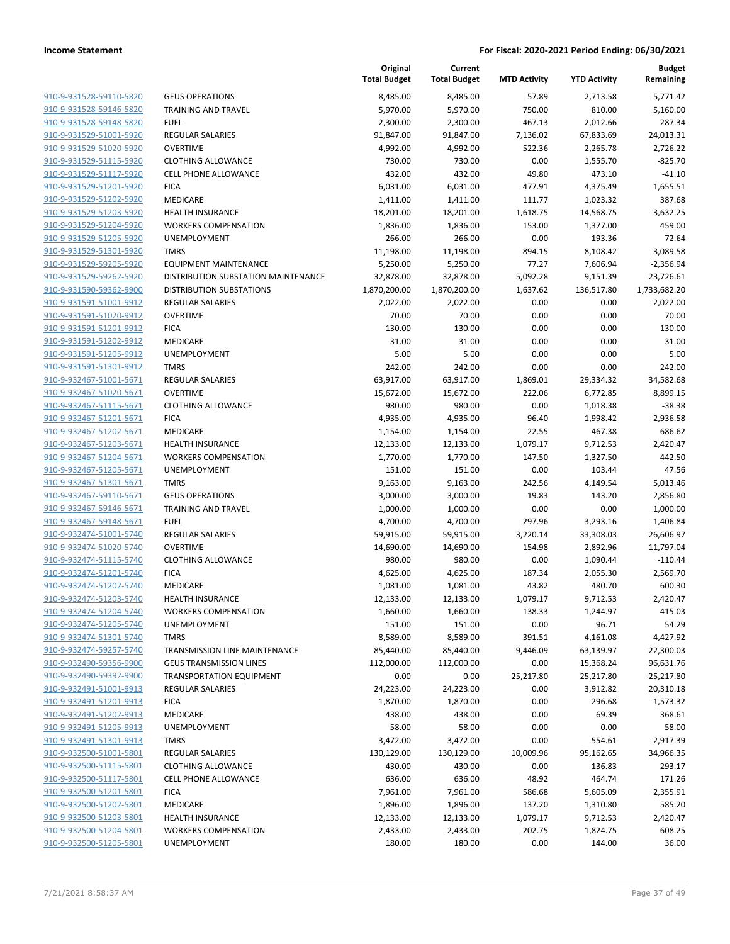**Current**

**Original**

**Budget**

|                                                    |                                            | <b>Total Budget</b> | <b>Total Budget</b> | <b>MTD Activity</b> | <b>YTD Activity</b>  | Remaining              |
|----------------------------------------------------|--------------------------------------------|---------------------|---------------------|---------------------|----------------------|------------------------|
| 910-9-931528-59110-5820                            | <b>GEUS OPERATIONS</b>                     | 8,485.00            | 8,485.00            | 57.89               | 2,713.58             | 5,771.42               |
| 910-9-931528-59146-5820                            | <b>TRAINING AND TRAVEL</b>                 | 5,970.00            | 5,970.00            | 750.00              | 810.00               | 5,160.00               |
| 910-9-931528-59148-5820                            | <b>FUEL</b>                                | 2,300.00            | 2,300.00            | 467.13              | 2,012.66             | 287.34                 |
| 910-9-931529-51001-5920                            | <b>REGULAR SALARIES</b>                    | 91,847.00           | 91,847.00           | 7,136.02            | 67,833.69            | 24,013.31              |
| 910-9-931529-51020-5920                            | <b>OVERTIME</b>                            | 4,992.00            | 4,992.00            | 522.36              | 2,265.78             | 2,726.22               |
| 910-9-931529-51115-5920                            | <b>CLOTHING ALLOWANCE</b>                  | 730.00              | 730.00              | 0.00                | 1,555.70             | $-825.70$              |
| 910-9-931529-51117-5920                            | <b>CELL PHONE ALLOWANCE</b>                | 432.00              | 432.00              | 49.80               | 473.10               | $-41.10$               |
| 910-9-931529-51201-5920                            | <b>FICA</b>                                | 6,031.00            | 6,031.00            | 477.91              | 4,375.49             | 1,655.51               |
| 910-9-931529-51202-5920                            | <b>MEDICARE</b>                            | 1,411.00            | 1,411.00            | 111.77              | 1,023.32             | 387.68                 |
| 910-9-931529-51203-5920                            | <b>HEALTH INSURANCE</b>                    | 18,201.00           | 18,201.00           | 1,618.75            | 14,568.75            | 3,632.25               |
| 910-9-931529-51204-5920                            | <b>WORKERS COMPENSATION</b>                | 1,836.00            | 1,836.00            | 153.00              | 1,377.00             | 459.00                 |
| 910-9-931529-51205-5920                            | UNEMPLOYMENT                               | 266.00              | 266.00              | 0.00                | 193.36               | 72.64                  |
| 910-9-931529-51301-5920                            | <b>TMRS</b>                                | 11,198.00           | 11,198.00           | 894.15              | 8,108.42             | 3,089.58               |
| 910-9-931529-59205-5920                            | <b>EQUIPMENT MAINTENANCE</b>               | 5,250.00            | 5,250.00            | 77.27               | 7,606.94             | $-2,356.94$            |
| 910-9-931529-59262-5920                            | DISTRIBUTION SUBSTATION MAINTENANCE        | 32,878.00           | 32,878.00           | 5,092.28            | 9,151.39             | 23,726.61              |
| 910-9-931590-59362-9900                            | DISTRIBUTION SUBSTATIONS                   | 1,870,200.00        | 1,870,200.00        | 1,637.62            | 136,517.80           | 1,733,682.20           |
| 910-9-931591-51001-9912                            | <b>REGULAR SALARIES</b>                    | 2,022.00            | 2,022.00            | 0.00                | 0.00                 | 2,022.00               |
| 910-9-931591-51020-9912                            | <b>OVERTIME</b>                            | 70.00               | 70.00               | 0.00                | 0.00                 | 70.00                  |
| 910-9-931591-51201-9912                            | <b>FICA</b>                                | 130.00              | 130.00              | 0.00                | 0.00                 | 130.00                 |
| 910-9-931591-51202-9912                            | <b>MEDICARE</b>                            | 31.00               | 31.00               | 0.00                | 0.00                 | 31.00                  |
| 910-9-931591-51205-9912                            | UNEMPLOYMENT                               | 5.00                | 5.00                | 0.00                | 0.00                 | 5.00                   |
| 910-9-931591-51301-9912                            | <b>TMRS</b>                                | 242.00              | 242.00              | 0.00                | 0.00                 | 242.00                 |
| 910-9-932467-51001-5671                            | REGULAR SALARIES                           | 63,917.00           | 63,917.00           | 1,869.01            | 29,334.32            | 34,582.68              |
| 910-9-932467-51020-5671                            | <b>OVERTIME</b>                            | 15,672.00           | 15,672.00           | 222.06              | 6,772.85             | 8,899.15               |
| 910-9-932467-51115-5671                            | <b>CLOTHING ALLOWANCE</b>                  | 980.00              | 980.00              | 0.00                | 1,018.38             | $-38.38$               |
| 910-9-932467-51201-5671                            | <b>FICA</b>                                | 4,935.00            | 4,935.00            | 96.40               | 1,998.42             | 2,936.58               |
| 910-9-932467-51202-5671                            | MEDICARE                                   | 1,154.00            | 1,154.00            | 22.55               | 467.38               | 686.62                 |
| 910-9-932467-51203-5671                            | <b>HEALTH INSURANCE</b>                    | 12,133.00           | 12,133.00           | 1,079.17            | 9,712.53             | 2,420.47               |
| 910-9-932467-51204-5671                            | <b>WORKERS COMPENSATION</b>                | 1,770.00            | 1,770.00            | 147.50              | 1,327.50             | 442.50                 |
| 910-9-932467-51205-5671                            | UNEMPLOYMENT                               | 151.00              | 151.00              | 0.00                | 103.44               | 47.56                  |
| 910-9-932467-51301-5671                            | <b>TMRS</b>                                | 9,163.00            | 9,163.00            | 242.56              | 4,149.54             | 5,013.46               |
| 910-9-932467-59110-5671                            | <b>GEUS OPERATIONS</b>                     | 3,000.00            | 3,000.00            | 19.83               | 143.20               | 2,856.80               |
| 910-9-932467-59146-5671                            | <b>TRAINING AND TRAVEL</b>                 | 1,000.00            | 1,000.00            | 0.00                | 0.00                 | 1,000.00               |
| 910-9-932467-59148-5671                            | <b>FUEL</b>                                | 4,700.00            | 4,700.00            | 297.96              | 3,293.16             | 1,406.84               |
| 910-9-932474-51001-5740<br>910-9-932474-51020-5740 | <b>REGULAR SALARIES</b><br><b>OVERTIME</b> | 59,915.00           | 59,915.00           | 3,220.14            | 33,308.03            | 26,606.97              |
| 910-9-932474-51115-5740                            | <b>CLOTHING ALLOWANCE</b>                  | 14,690.00<br>980.00 | 14,690.00<br>980.00 | 154.98<br>0.00      | 2,892.96<br>1,090.44 | 11,797.04<br>$-110.44$ |
| 910-9-932474-51201-5740                            | <b>FICA</b>                                | 4,625.00            | 4,625.00            | 187.34              | 2,055.30             | 2,569.70               |
| 910-9-932474-51202-5740                            | MEDICARE                                   | 1,081.00            | 1,081.00            | 43.82               | 480.70               | 600.30                 |
| 910-9-932474-51203-5740                            | <b>HEALTH INSURANCE</b>                    | 12,133.00           | 12,133.00           | 1,079.17            | 9,712.53             | 2,420.47               |
| 910-9-932474-51204-5740                            | <b>WORKERS COMPENSATION</b>                | 1,660.00            | 1,660.00            | 138.33              | 1,244.97             | 415.03                 |
| 910-9-932474-51205-5740                            | UNEMPLOYMENT                               | 151.00              | 151.00              | 0.00                | 96.71                | 54.29                  |
| 910-9-932474-51301-5740                            | <b>TMRS</b>                                | 8,589.00            | 8,589.00            | 391.51              | 4,161.08             | 4,427.92               |
| 910-9-932474-59257-5740                            | TRANSMISSION LINE MAINTENANCE              | 85,440.00           | 85,440.00           | 9,446.09            | 63,139.97            | 22,300.03              |
| 910-9-932490-59356-9900                            | <b>GEUS TRANSMISSION LINES</b>             | 112,000.00          | 112,000.00          | 0.00                | 15,368.24            | 96,631.76              |
| 910-9-932490-59392-9900                            | TRANSPORTATION EQUIPMENT                   | 0.00                | 0.00                | 25,217.80           | 25,217.80            | $-25,217.80$           |
| 910-9-932491-51001-9913                            | <b>REGULAR SALARIES</b>                    | 24,223.00           | 24,223.00           | 0.00                | 3,912.82             | 20,310.18              |
| 910-9-932491-51201-9913                            | <b>FICA</b>                                | 1,870.00            | 1,870.00            | 0.00                | 296.68               | 1,573.32               |
| 910-9-932491-51202-9913                            | MEDICARE                                   | 438.00              | 438.00              | 0.00                | 69.39                | 368.61                 |
| 910-9-932491-51205-9913                            | UNEMPLOYMENT                               | 58.00               | 58.00               | 0.00                | 0.00                 | 58.00                  |
| 910-9-932491-51301-9913                            | <b>TMRS</b>                                | 3,472.00            | 3,472.00            | 0.00                | 554.61               | 2,917.39               |
| 910-9-932500-51001-5801                            | <b>REGULAR SALARIES</b>                    | 130,129.00          | 130,129.00          | 10,009.96           | 95,162.65            | 34,966.35              |
| 910-9-932500-51115-5801                            | <b>CLOTHING ALLOWANCE</b>                  | 430.00              | 430.00              | 0.00                | 136.83               | 293.17                 |
| 910-9-932500-51117-5801                            | <b>CELL PHONE ALLOWANCE</b>                | 636.00              | 636.00              | 48.92               | 464.74               | 171.26                 |
| 910-9-932500-51201-5801                            | <b>FICA</b>                                | 7,961.00            | 7,961.00            | 586.68              | 5,605.09             | 2,355.91               |
| 910-9-932500-51202-5801                            | MEDICARE                                   | 1,896.00            | 1,896.00            | 137.20              | 1,310.80             | 585.20                 |
| 910-9-932500-51203-5801                            | <b>HEALTH INSURANCE</b>                    | 12,133.00           | 12,133.00           | 1,079.17            | 9,712.53             | 2,420.47               |
| 910-9-932500-51204-5801                            | <b>WORKERS COMPENSATION</b>                | 2,433.00            | 2,433.00            | 202.75              | 1,824.75             | 608.25                 |
| 910-9-932500-51205-5801                            | UNEMPLOYMENT                               | 180.00              | 180.00              | 0.00                | 144.00               | 36.00                  |
|                                                    |                                            |                     |                     |                     |                      |                        |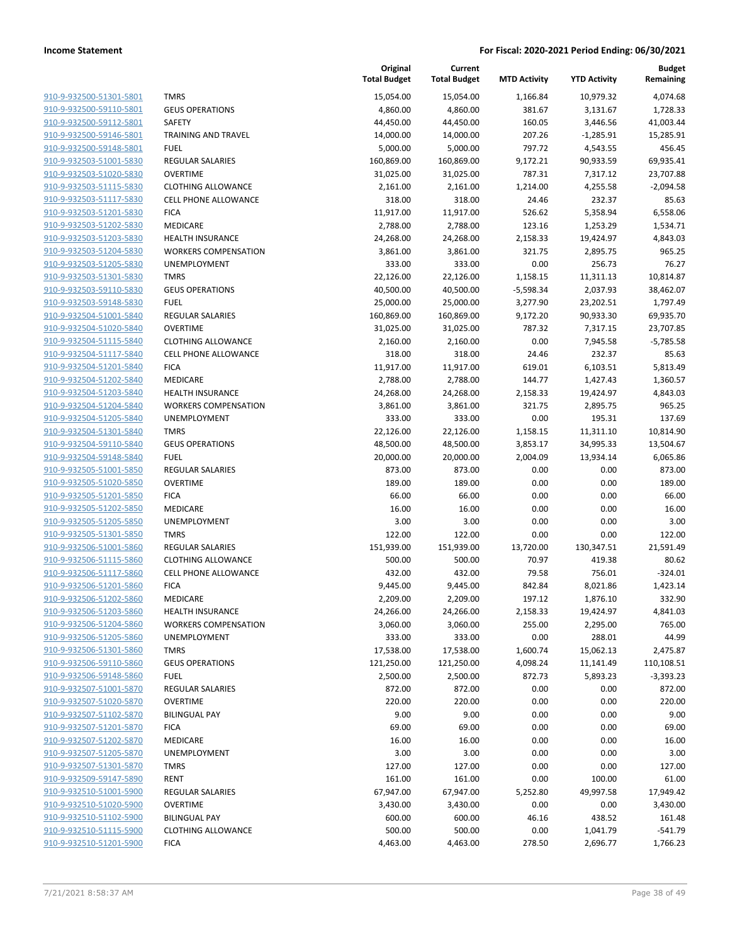| 910-9-932500-51301-5801                            |
|----------------------------------------------------|
| 910-9-932500-59110-5801                            |
| 910-9-932500-59112-5801                            |
| 910-9-932500-59146-5801                            |
| 910-9-932500-59148-5801                            |
| <u>910-9-932503-51001-5830</u>                     |
| 910-9-932503-51020-5830                            |
| 910-9-932503-51115-5830                            |
| 910-9-932503-51117-5830                            |
| 910-9-932503-51201-5830                            |
| 910-9-932503-51202-5830                            |
| 910-9-932503-51203-5830                            |
| 910-9-932503-51204-5830                            |
| 910-9-932503-51205-5830                            |
| 910-9-932503-51301-5830                            |
| <u>910-9-932503-59110-5830</u>                     |
| 910-9-932503-59148-5830                            |
| 910-9-932504-51001-5840                            |
| 910-9-932504-51020-5840                            |
| 910-9-932504-51115-5840                            |
| <u>910-9-932504-51117-5840</u>                     |
| 910-9-932504-51201-5840                            |
| 910-9-932504-51202-5840                            |
| 910-9-932504-51203-5840                            |
| 910-9-932504-51204-5840                            |
| <u>910-9-932504-51205-5840</u>                     |
| 910-9-932504-51301-5840                            |
| 910-9-932504-59110-5840                            |
| 910-9-932504-59148-5840                            |
| 910-9-932505-51001-5850                            |
| <u>910-9-932505-51020-5850</u>                     |
| 910-9-932505-51201-5850                            |
| 910-9-932505-51202-5850                            |
| 910-9-932505-51205-5850                            |
|                                                    |
| 910-9-932505-51301-5850<br>910-9-932506-51001-5860 |
|                                                    |
| 910-9-932506-51115-5860<br>910-9-932506-51117-5860 |
|                                                    |
| 910-9-932506-51201-5860                            |
| 910-9-932506-51202-5860                            |
| 910-9-932506-51203-5860                            |
| <u>910-9-932506-51204-5860</u>                     |
| 910-9-932506-51205-5860                            |
| 910-9-932506-51301-5860                            |
| 910-9-932506-59110-5860                            |
| 910-9-932506-59148-5860                            |
| <u>910-9-932507-51001-5870</u>                     |
| 910-9-932507-51020-5870                            |
| 910-9-932507-51102-5870                            |
| 910-9-932507-51201-5870                            |
| <u>910-9-932507-51202-5870</u>                     |
| 910-9-932507-51205-5870                            |
| 910-9-932507-51301-5870                            |
| 910-9-932509-59147-5890                            |
| <u>910-9-932510-51001-5900</u>                     |
| <u>910-9-932510-51020-5900</u>                     |
| 910-9-932510-51102-5900                            |
| 910-9-932510-51115-5900                            |
| 910-9-932510-51201-5900                            |
|                                                    |

|                         |                             | Original<br><b>Total Budget</b> | Current<br><b>Total Budget</b> | <b>MTD Activity</b> | <b>YTD Activity</b> | <b>Budget</b><br>Remaining |
|-------------------------|-----------------------------|---------------------------------|--------------------------------|---------------------|---------------------|----------------------------|
| 910-9-932500-51301-5801 | <b>TMRS</b>                 | 15,054.00                       | 15,054.00                      | 1,166.84            | 10,979.32           | 4,074.68                   |
| 910-9-932500-59110-5801 | <b>GEUS OPERATIONS</b>      | 4,860.00                        | 4,860.00                       | 381.67              | 3,131.67            | 1,728.33                   |
| 910-9-932500-59112-5801 | <b>SAFETY</b>               | 44,450.00                       | 44,450.00                      | 160.05              | 3,446.56            | 41,003.44                  |
| 910-9-932500-59146-5801 | <b>TRAINING AND TRAVEL</b>  | 14,000.00                       | 14,000.00                      | 207.26              | $-1,285.91$         | 15,285.91                  |
| 910-9-932500-59148-5801 | <b>FUEL</b>                 | 5,000.00                        | 5,000.00                       | 797.72              | 4,543.55            | 456.45                     |
| 910-9-932503-51001-5830 | REGULAR SALARIES            | 160,869.00                      | 160,869.00                     | 9,172.21            | 90,933.59           | 69,935.41                  |
| 910-9-932503-51020-5830 | <b>OVERTIME</b>             | 31,025.00                       | 31,025.00                      | 787.31              | 7,317.12            | 23,707.88                  |
| 910-9-932503-51115-5830 | <b>CLOTHING ALLOWANCE</b>   | 2,161.00                        | 2,161.00                       | 1,214.00            | 4,255.58            | $-2,094.58$                |
| 910-9-932503-51117-5830 | <b>CELL PHONE ALLOWANCE</b> | 318.00                          | 318.00                         | 24.46               | 232.37              | 85.63                      |
| 910-9-932503-51201-5830 | <b>FICA</b>                 | 11,917.00                       | 11,917.00                      | 526.62              | 5,358.94            | 6,558.06                   |
| 910-9-932503-51202-5830 | MEDICARE                    | 2,788.00                        | 2,788.00                       | 123.16              | 1,253.29            | 1,534.71                   |
| 910-9-932503-51203-5830 | <b>HEALTH INSURANCE</b>     | 24,268.00                       | 24,268.00                      | 2,158.33            | 19,424.97           | 4,843.03                   |
| 910-9-932503-51204-5830 | <b>WORKERS COMPENSATION</b> | 3,861.00                        | 3,861.00                       | 321.75              | 2,895.75            | 965.25                     |
| 910-9-932503-51205-5830 | UNEMPLOYMENT                | 333.00                          | 333.00                         | 0.00                | 256.73              | 76.27                      |
| 910-9-932503-51301-5830 | <b>TMRS</b>                 | 22,126.00                       | 22,126.00                      | 1,158.15            | 11,311.13           | 10,814.87                  |
| 910-9-932503-59110-5830 | <b>GEUS OPERATIONS</b>      | 40,500.00                       | 40,500.00                      | -5,598.34           | 2,037.93            | 38,462.07                  |
| 910-9-932503-59148-5830 | <b>FUEL</b>                 | 25,000.00                       | 25,000.00                      | 3,277.90            | 23,202.51           | 1,797.49                   |
| 910-9-932504-51001-5840 | <b>REGULAR SALARIES</b>     | 160,869.00                      | 160,869.00                     | 9,172.20            | 90,933.30           | 69,935.70                  |
| 910-9-932504-51020-5840 | <b>OVERTIME</b>             | 31,025.00                       | 31,025.00                      | 787.32              | 7,317.15            | 23,707.85                  |
| 910-9-932504-51115-5840 | <b>CLOTHING ALLOWANCE</b>   | 2,160.00                        | 2,160.00                       | 0.00                | 7,945.58            | $-5,785.58$                |
| 910-9-932504-51117-5840 | <b>CELL PHONE ALLOWANCE</b> | 318.00                          | 318.00                         | 24.46               | 232.37              | 85.63                      |
| 910-9-932504-51201-5840 | <b>FICA</b>                 | 11,917.00                       | 11,917.00                      | 619.01              | 6,103.51            | 5,813.49                   |
| 910-9-932504-51202-5840 | MEDICARE                    | 2,788.00                        | 2,788.00                       | 144.77              | 1,427.43            | 1,360.57                   |
| 910-9-932504-51203-5840 | <b>HEALTH INSURANCE</b>     | 24,268.00                       | 24,268.00                      | 2,158.33            | 19,424.97           | 4,843.03                   |
| 910-9-932504-51204-5840 | <b>WORKERS COMPENSATION</b> | 3,861.00                        | 3,861.00                       | 321.75              | 2,895.75            | 965.25                     |
| 910-9-932504-51205-5840 | UNEMPLOYMENT                | 333.00                          | 333.00                         | 0.00                | 195.31              | 137.69                     |
| 910-9-932504-51301-5840 | <b>TMRS</b>                 | 22,126.00                       | 22,126.00                      | 1,158.15            | 11,311.10           | 10,814.90                  |
| 910-9-932504-59110-5840 | <b>GEUS OPERATIONS</b>      | 48,500.00                       | 48,500.00                      | 3,853.17            | 34,995.33           | 13,504.67                  |
| 910-9-932504-59148-5840 | <b>FUEL</b>                 | 20,000.00                       | 20,000.00                      | 2,004.09            | 13,934.14           | 6,065.86                   |
| 910-9-932505-51001-5850 | <b>REGULAR SALARIES</b>     | 873.00                          | 873.00                         | 0.00                | 0.00                | 873.00                     |
| 910-9-932505-51020-5850 | <b>OVERTIME</b>             | 189.00                          | 189.00                         | 0.00                | 0.00                | 189.00                     |
| 910-9-932505-51201-5850 | <b>FICA</b>                 | 66.00                           | 66.00                          | 0.00                | 0.00                | 66.00                      |
| 910-9-932505-51202-5850 | MEDICARE                    | 16.00                           | 16.00                          | 0.00                | 0.00                | 16.00                      |
| 910-9-932505-51205-5850 | UNEMPLOYMENT                | 3.00                            | 3.00                           | 0.00                | 0.00                | 3.00                       |
| 910-9-932505-51301-5850 | <b>TMRS</b>                 | 122.00                          | 122.00                         | 0.00                | 0.00                | 122.00                     |
| 910-9-932506-51001-5860 | <b>REGULAR SALARIES</b>     | 151,939.00                      | 151,939.00                     | 13,720.00           | 130,347.51          | 21,591.49                  |
| 910-9-932506-51115-5860 | <b>CLOTHING ALLOWANCE</b>   | 500.00                          | 500.00                         | 70.97               | 419.38              | 80.62                      |
| 910-9-932506-51117-5860 | CELL PHONE ALLOWANCE        | 432.00                          | 432.00                         | 79.58               | 756.01              | $-324.01$                  |
| 910-9-932506-51201-5860 | <b>FICA</b>                 | 9,445.00                        | 9,445.00                       | 842.84              | 8,021.86            | 1,423.14                   |
| 910-9-932506-51202-5860 | MEDICARE                    | 2,209.00                        | 2,209.00                       | 197.12              | 1,876.10            | 332.90                     |
| 910-9-932506-51203-5860 | <b>HEALTH INSURANCE</b>     | 24,266.00                       | 24,266.00                      | 2,158.33            | 19,424.97           | 4,841.03                   |
| 910-9-932506-51204-5860 | <b>WORKERS COMPENSATION</b> | 3,060.00                        | 3,060.00                       | 255.00              | 2,295.00            | 765.00                     |
| 910-9-932506-51205-5860 | UNEMPLOYMENT                | 333.00                          | 333.00                         | 0.00                | 288.01              | 44.99                      |
| 910-9-932506-51301-5860 | <b>TMRS</b>                 | 17,538.00                       | 17,538.00                      | 1,600.74            | 15,062.13           | 2,475.87                   |
| 910-9-932506-59110-5860 | <b>GEUS OPERATIONS</b>      | 121,250.00                      | 121,250.00                     | 4,098.24            | 11,141.49           | 110,108.51                 |
| 910-9-932506-59148-5860 | <b>FUEL</b>                 | 2,500.00                        | 2,500.00                       | 872.73              | 5,893.23            | $-3,393.23$                |
| 910-9-932507-51001-5870 | <b>REGULAR SALARIES</b>     | 872.00                          | 872.00                         | 0.00                | 0.00                | 872.00                     |
| 910-9-932507-51020-5870 | <b>OVERTIME</b>             | 220.00                          | 220.00                         | 0.00                | 0.00                | 220.00                     |
| 910-9-932507-51102-5870 | <b>BILINGUAL PAY</b>        | 9.00                            | 9.00                           | 0.00                | 0.00                | 9.00                       |
| 910-9-932507-51201-5870 | <b>FICA</b>                 | 69.00                           | 69.00                          | 0.00                | 0.00                | 69.00                      |
| 910-9-932507-51202-5870 | MEDICARE                    | 16.00                           | 16.00                          | 0.00                | 0.00                | 16.00                      |
| 910-9-932507-51205-5870 | UNEMPLOYMENT                | 3.00                            | 3.00                           | 0.00                | 0.00                | 3.00                       |
| 910-9-932507-51301-5870 | <b>TMRS</b>                 | 127.00                          | 127.00                         | 0.00                | 0.00                | 127.00                     |
| 910-9-932509-59147-5890 | <b>RENT</b>                 | 161.00                          | 161.00                         | 0.00                | 100.00              | 61.00                      |
| 910-9-932510-51001-5900 | REGULAR SALARIES            | 67,947.00                       | 67,947.00                      | 5,252.80            | 49,997.58           | 17,949.42                  |
| 910-9-932510-51020-5900 | <b>OVERTIME</b>             | 3,430.00                        | 3,430.00                       | 0.00                | 0.00                | 3,430.00                   |
| 910-9-932510-51102-5900 | <b>BILINGUAL PAY</b>        | 600.00                          | 600.00                         | 46.16               | 438.52              | 161.48                     |
| 910-9-932510-51115-5900 | <b>CLOTHING ALLOWANCE</b>   | 500.00                          | 500.00                         | 0.00                | 1,041.79            | $-541.79$                  |
| 910-9-932510-51201-5900 | <b>FICA</b>                 | 4,463.00                        | 4,463.00                       | 278.50              | 2,696.77            | 1,766.23                   |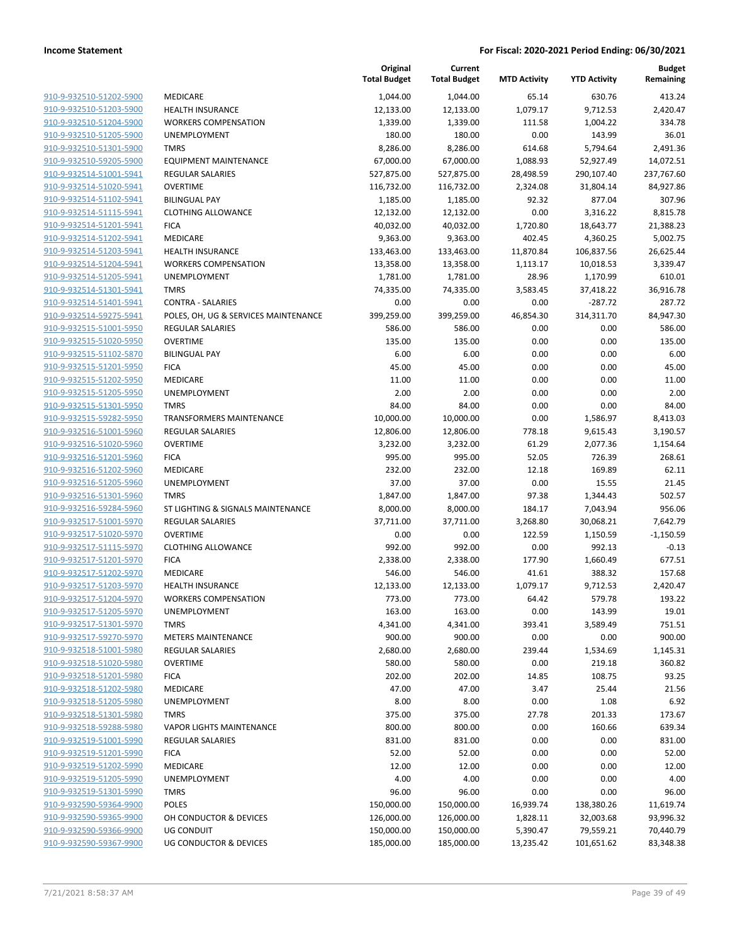|                                                    |                                      | Original<br><b>Total Budget</b> | Current<br><b>Total Budget</b> | <b>MTD Activity</b> | <b>YTD Activity</b>  | <b>Budget</b><br>Remaining |
|----------------------------------------------------|--------------------------------------|---------------------------------|--------------------------------|---------------------|----------------------|----------------------------|
| 910-9-932510-51202-5900                            | MEDICARE                             | 1,044.00                        | 1,044.00                       | 65.14               | 630.76               | 413.24                     |
| 910-9-932510-51203-5900                            | <b>HEALTH INSURANCE</b>              | 12,133.00                       | 12,133.00                      | 1,079.17            | 9,712.53             | 2,420.47                   |
| 910-9-932510-51204-5900                            | <b>WORKERS COMPENSATION</b>          | 1,339.00                        | 1,339.00                       | 111.58              | 1,004.22             | 334.78                     |
| 910-9-932510-51205-5900                            | UNEMPLOYMENT                         | 180.00                          | 180.00                         | 0.00                | 143.99               | 36.01                      |
| 910-9-932510-51301-5900                            | <b>TMRS</b>                          | 8,286.00                        | 8,286.00                       | 614.68              | 5,794.64             | 2,491.36                   |
| 910-9-932510-59205-5900                            | <b>EQUIPMENT MAINTENANCE</b>         | 67,000.00                       | 67,000.00                      | 1,088.93            | 52,927.49            | 14,072.51                  |
| 910-9-932514-51001-5941                            | REGULAR SALARIES                     | 527,875.00                      | 527,875.00                     | 28,498.59           | 290,107.40           | 237,767.60                 |
| 910-9-932514-51020-5941                            | <b>OVERTIME</b>                      | 116,732.00                      | 116,732.00                     | 2,324.08            | 31,804.14            | 84,927.86                  |
| 910-9-932514-51102-5941                            | <b>BILINGUAL PAY</b>                 | 1,185.00                        | 1,185.00                       | 92.32               | 877.04               | 307.96                     |
| 910-9-932514-51115-5941                            | <b>CLOTHING ALLOWANCE</b>            | 12,132.00                       | 12,132.00                      | 0.00                | 3,316.22             | 8,815.78                   |
| 910-9-932514-51201-5941                            | <b>FICA</b>                          | 40,032.00                       | 40,032.00                      | 1,720.80            | 18,643.77            | 21,388.23                  |
| 910-9-932514-51202-5941                            | MEDICARE                             | 9,363.00                        | 9,363.00                       | 402.45              | 4,360.25             | 5,002.75                   |
| 910-9-932514-51203-5941                            | <b>HEALTH INSURANCE</b>              | 133,463.00                      | 133,463.00                     | 11,870.84           | 106,837.56           | 26,625.44                  |
| 910-9-932514-51204-5941                            | <b>WORKERS COMPENSATION</b>          | 13,358.00                       | 13,358.00                      | 1,113.17            | 10,018.53            | 3,339.47                   |
| 910-9-932514-51205-5941                            | UNEMPLOYMENT                         | 1,781.00                        | 1,781.00                       | 28.96               | 1,170.99             | 610.01                     |
| 910-9-932514-51301-5941                            | <b>TMRS</b>                          | 74,335.00                       | 74,335.00                      | 3,583.45            | 37,418.22            | 36,916.78                  |
| 910-9-932514-51401-5941                            | <b>CONTRA - SALARIES</b>             | 0.00                            | 0.00                           | 0.00                | $-287.72$            | 287.72                     |
| 910-9-932514-59275-5941                            | POLES, OH, UG & SERVICES MAINTENANCE | 399,259.00                      | 399,259.00                     | 46,854.30           | 314,311.70           | 84,947.30                  |
| 910-9-932515-51001-5950                            | <b>REGULAR SALARIES</b>              | 586.00                          | 586.00                         | 0.00                | 0.00                 | 586.00                     |
| 910-9-932515-51020-5950                            | <b>OVERTIME</b>                      | 135.00                          | 135.00                         | 0.00                | 0.00                 | 135.00                     |
| 910-9-932515-51102-5870                            | <b>BILINGUAL PAY</b>                 | 6.00                            | 6.00                           | 0.00                | 0.00                 | 6.00                       |
| 910-9-932515-51201-5950                            | <b>FICA</b>                          | 45.00                           | 45.00                          | 0.00                | 0.00                 | 45.00                      |
| 910-9-932515-51202-5950                            | MEDICARE                             | 11.00                           | 11.00                          | 0.00                | 0.00                 | 11.00                      |
| 910-9-932515-51205-5950                            | UNEMPLOYMENT                         | 2.00                            | 2.00                           | 0.00                | 0.00                 | 2.00                       |
| 910-9-932515-51301-5950                            | <b>TMRS</b>                          | 84.00                           | 84.00                          | 0.00                | 0.00                 | 84.00                      |
| 910-9-932515-59282-5950                            | <b>TRANSFORMERS MAINTENANCE</b>      | 10,000.00                       | 10,000.00                      | 0.00                | 1,586.97             | 8,413.03                   |
| 910-9-932516-51001-5960                            | REGULAR SALARIES                     | 12,806.00                       | 12,806.00                      | 778.18              | 9,615.43             | 3,190.57                   |
| 910-9-932516-51020-5960                            | <b>OVERTIME</b>                      | 3,232.00                        | 3,232.00                       | 61.29               | 2,077.36             | 1,154.64                   |
| 910-9-932516-51201-5960                            | <b>FICA</b>                          | 995.00                          | 995.00                         | 52.05               | 726.39<br>169.89     | 268.61                     |
| 910-9-932516-51202-5960                            | MEDICARE                             | 232.00                          | 232.00                         | 12.18               |                      | 62.11                      |
| 910-9-932516-51205-5960                            | UNEMPLOYMENT<br><b>TMRS</b>          | 37.00                           | 37.00                          | 0.00                | 15.55                | 21.45                      |
| 910-9-932516-51301-5960<br>910-9-932516-59284-5960 | ST LIGHTING & SIGNALS MAINTENANCE    | 1,847.00<br>8,000.00            | 1,847.00<br>8,000.00           | 97.38<br>184.17     | 1,344.43<br>7,043.94 | 502.57<br>956.06           |
| 910-9-932517-51001-5970                            | <b>REGULAR SALARIES</b>              | 37,711.00                       | 37,711.00                      | 3,268.80            | 30,068.21            | 7,642.79                   |
| 910-9-932517-51020-5970                            | <b>OVERTIME</b>                      | 0.00                            | 0.00                           | 122.59              | 1,150.59             | $-1,150.59$                |
| 910-9-932517-51115-5970                            | <b>CLOTHING ALLOWANCE</b>            | 992.00                          | 992.00                         | 0.00                | 992.13               | $-0.13$                    |
| 910-9-932517-51201-5970                            | <b>FICA</b>                          | 2,338.00                        | 2,338.00                       | 177.90              | 1,660.49             | 677.51                     |
| 910-9-932517-51202-5970                            | <b>MEDICARE</b>                      | 546.00                          | 546.00                         | 41.61               | 388.32               | 157.68                     |
| 910-9-932517-51203-5970                            | <b>HEALTH INSURANCE</b>              | 12,133.00                       | 12,133.00                      | 1,079.17            | 9,712.53             | 2,420.47                   |
| 910-9-932517-51204-5970                            | <b>WORKERS COMPENSATION</b>          | 773.00                          | 773.00                         | 64.42               | 579.78               | 193.22                     |
| 910-9-932517-51205-5970                            | UNEMPLOYMENT                         | 163.00                          | 163.00                         | 0.00                | 143.99               | 19.01                      |
| 910-9-932517-51301-5970                            | <b>TMRS</b>                          | 4,341.00                        | 4,341.00                       | 393.41              | 3,589.49             | 751.51                     |
| 910-9-932517-59270-5970                            | <b>METERS MAINTENANCE</b>            | 900.00                          | 900.00                         | 0.00                | 0.00                 | 900.00                     |
| 910-9-932518-51001-5980                            | <b>REGULAR SALARIES</b>              | 2,680.00                        | 2,680.00                       | 239.44              | 1,534.69             | 1,145.31                   |
| 910-9-932518-51020-5980                            | <b>OVERTIME</b>                      | 580.00                          | 580.00                         | 0.00                | 219.18               | 360.82                     |
| 910-9-932518-51201-5980                            | <b>FICA</b>                          | 202.00                          | 202.00                         | 14.85               | 108.75               | 93.25                      |
| 910-9-932518-51202-5980                            | MEDICARE                             | 47.00                           | 47.00                          | 3.47                | 25.44                | 21.56                      |
| 910-9-932518-51205-5980                            | UNEMPLOYMENT                         | 8.00                            | 8.00                           | 0.00                | 1.08                 | 6.92                       |
| 910-9-932518-51301-5980                            | <b>TMRS</b>                          | 375.00                          | 375.00                         | 27.78               | 201.33               | 173.67                     |
| 910-9-932518-59288-5980                            | <b>VAPOR LIGHTS MAINTENANCE</b>      | 800.00                          | 800.00                         | 0.00                | 160.66               | 639.34                     |
| 910-9-932519-51001-5990                            | <b>REGULAR SALARIES</b>              | 831.00                          | 831.00                         | 0.00                | 0.00                 | 831.00                     |
| 910-9-932519-51201-5990                            | <b>FICA</b>                          | 52.00                           | 52.00                          | 0.00                | 0.00                 | 52.00                      |
| 910-9-932519-51202-5990                            | MEDICARE                             | 12.00                           | 12.00                          | 0.00                | 0.00                 | 12.00                      |
| 910-9-932519-51205-5990                            | UNEMPLOYMENT                         | 4.00                            | 4.00                           | 0.00                | 0.00                 | 4.00                       |
| 910-9-932519-51301-5990                            | <b>TMRS</b>                          | 96.00                           | 96.00                          | 0.00                | 0.00                 | 96.00                      |
| 910-9-932590-59364-9900                            | <b>POLES</b>                         | 150,000.00                      | 150,000.00                     | 16,939.74           | 138,380.26           | 11,619.74                  |
| 910-9-932590-59365-9900                            | OH CONDUCTOR & DEVICES               | 126,000.00                      | 126,000.00                     | 1,828.11            | 32,003.68            | 93,996.32                  |
| 910-9-932590-59366-9900                            | UG CONDUIT                           | 150,000.00                      | 150,000.00                     | 5,390.47            | 79,559.21            | 70,440.79                  |
| 910-9-932590-59367-9900                            | UG CONDUCTOR & DEVICES               | 185,000.00                      | 185,000.00                     | 13,235.42           | 101,651.62           | 83,348.38                  |
|                                                    |                                      |                                 |                                |                     |                      |                            |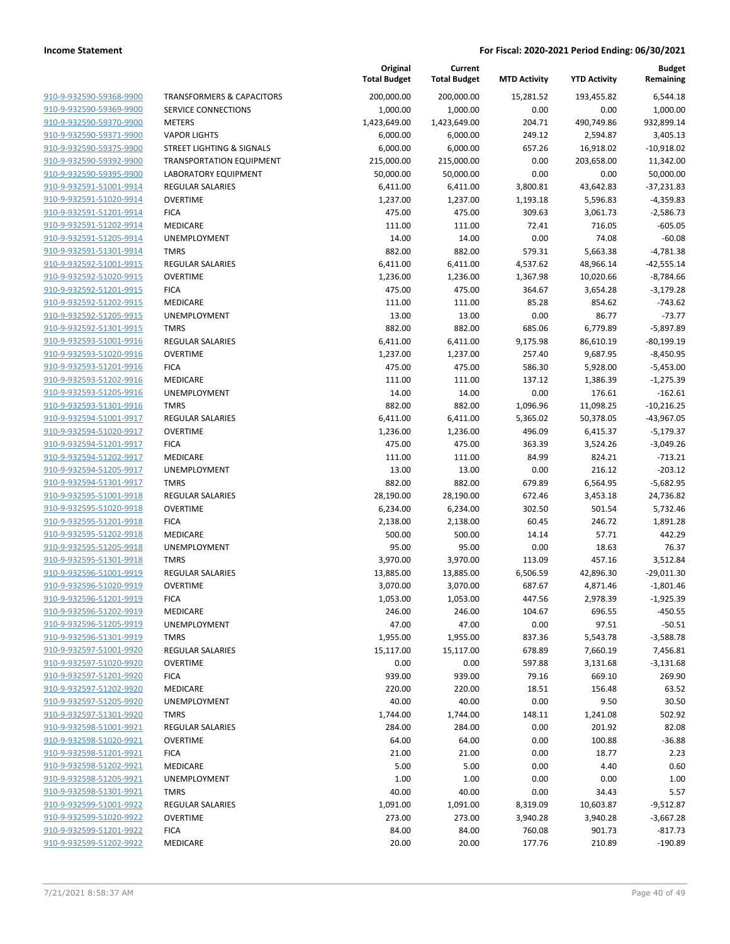|                                                    |                                      | Original<br><b>Total Budget</b> | Current<br><b>Total Budget</b> | <b>MTD Activity</b> | <b>YTD Activity</b>  | <b>Budget</b><br>Remaining |
|----------------------------------------------------|--------------------------------------|---------------------------------|--------------------------------|---------------------|----------------------|----------------------------|
| 910-9-932590-59368-9900                            | <b>TRANSFORMERS &amp; CAPACITORS</b> | 200,000.00                      | 200,000.00                     | 15,281.52           | 193,455.82           | 6,544.18                   |
| 910-9-932590-59369-9900                            | <b>SERVICE CONNECTIONS</b>           | 1,000.00                        | 1,000.00                       | 0.00                | 0.00                 | 1,000.00                   |
| 910-9-932590-59370-9900                            | <b>METERS</b>                        | 1,423,649.00                    | 1,423,649.00                   | 204.71              | 490,749.86           | 932,899.14                 |
| 910-9-932590-59371-9900                            | <b>VAPOR LIGHTS</b>                  | 6,000.00                        | 6,000.00                       | 249.12              | 2,594.87             | 3,405.13                   |
| 910-9-932590-59375-9900                            | STREET LIGHTING & SIGNALS            | 6,000.00                        | 6,000.00                       | 657.26              | 16,918.02            | $-10,918.02$               |
| 910-9-932590-59392-9900                            | <b>TRANSPORTATION EQUIPMENT</b>      | 215,000.00                      | 215,000.00                     | 0.00                | 203,658.00           | 11,342.00                  |
| 910-9-932590-59395-9900                            | LABORATORY EQUIPMENT                 | 50,000.00                       | 50,000.00                      | 0.00                | 0.00                 | 50,000.00                  |
| 910-9-932591-51001-9914                            | <b>REGULAR SALARIES</b>              | 6,411.00                        | 6,411.00                       | 3,800.81            | 43,642.83            | $-37,231.83$               |
| 910-9-932591-51020-9914                            | <b>OVERTIME</b>                      | 1,237.00                        | 1,237.00                       | 1,193.18            | 5,596.83             | $-4,359.83$                |
| 910-9-932591-51201-9914                            | <b>FICA</b>                          | 475.00                          | 475.00                         | 309.63              | 3,061.73             | $-2,586.73$                |
| 910-9-932591-51202-9914                            | MEDICARE                             | 111.00                          | 111.00                         | 72.41               | 716.05               | $-605.05$                  |
| 910-9-932591-51205-9914                            | UNEMPLOYMENT                         | 14.00                           | 14.00                          | 0.00                | 74.08                | $-60.08$                   |
| 910-9-932591-51301-9914                            | <b>TMRS</b>                          | 882.00                          | 882.00                         | 579.31              | 5,663.38             | $-4,781.38$                |
| 910-9-932592-51001-9915                            | <b>REGULAR SALARIES</b>              | 6,411.00                        | 6,411.00                       | 4,537.62            | 48,966.14            | $-42,555.14$               |
| 910-9-932592-51020-9915                            | <b>OVERTIME</b>                      | 1,236.00                        | 1,236.00                       | 1,367.98            | 10,020.66            | $-8,784.66$                |
| 910-9-932592-51201-9915                            | <b>FICA</b>                          | 475.00                          | 475.00                         | 364.67              | 3,654.28             | $-3,179.28$                |
| 910-9-932592-51202-9915                            | MEDICARE                             | 111.00                          | 111.00                         | 85.28               | 854.62               | $-743.62$                  |
| 910-9-932592-51205-9915                            | UNEMPLOYMENT                         | 13.00                           | 13.00                          | 0.00                | 86.77                | $-73.77$                   |
| 910-9-932592-51301-9915                            | <b>TMRS</b>                          | 882.00                          | 882.00                         | 685.06              | 6,779.89             | $-5,897.89$                |
| 910-9-932593-51001-9916                            | <b>REGULAR SALARIES</b>              | 6,411.00                        | 6,411.00                       | 9,175.98            | 86,610.19            | $-80,199.19$               |
| 910-9-932593-51020-9916                            | <b>OVERTIME</b>                      | 1,237.00                        | 1,237.00                       | 257.40              | 9,687.95             | $-8,450.95$                |
| 910-9-932593-51201-9916                            | <b>FICA</b>                          | 475.00                          | 475.00                         | 586.30              | 5,928.00             | $-5,453.00$                |
| 910-9-932593-51202-9916                            | <b>MEDICARE</b>                      | 111.00                          | 111.00                         | 137.12              | 1,386.39             | $-1,275.39$                |
| 910-9-932593-51205-9916                            | UNEMPLOYMENT                         | 14.00                           | 14.00                          | 0.00                | 176.61               | $-162.61$                  |
| 910-9-932593-51301-9916                            | <b>TMRS</b>                          | 882.00                          | 882.00                         | 1,096.96            | 11,098.25            | $-10,216.25$               |
| 910-9-932594-51001-9917                            | <b>REGULAR SALARIES</b>              | 6,411.00                        | 6,411.00                       | 5,365.02            | 50,378.05            | $-43,967.05$               |
| 910-9-932594-51020-9917                            | <b>OVERTIME</b>                      | 1,236.00                        | 1,236.00                       | 496.09              | 6,415.37             | $-5,179.37$                |
| 910-9-932594-51201-9917                            | <b>FICA</b>                          | 475.00                          | 475.00                         | 363.39              | 3,524.26             | $-3,049.26$                |
| 910-9-932594-51202-9917                            | MEDICARE                             | 111.00                          | 111.00                         | 84.99               | 824.21               | $-713.21$                  |
| 910-9-932594-51205-9917                            | UNEMPLOYMENT                         | 13.00                           | 13.00                          | 0.00                | 216.12               | $-203.12$                  |
| 910-9-932594-51301-9917                            | <b>TMRS</b>                          | 882.00                          | 882.00                         | 679.89              | 6,564.95             | $-5,682.95$                |
| 910-9-932595-51001-9918                            | <b>REGULAR SALARIES</b>              | 28,190.00                       | 28,190.00                      | 672.46              | 3,453.18             | 24,736.82                  |
| 910-9-932595-51020-9918                            | <b>OVERTIME</b>                      | 6,234.00                        | 6,234.00                       | 302.50              | 501.54               | 5,732.46                   |
| 910-9-932595-51201-9918                            | <b>FICA</b>                          | 2,138.00                        | 2,138.00                       | 60.45               | 246.72               | 1,891.28                   |
| 910-9-932595-51202-9918                            | MEDICARE                             | 500.00                          | 500.00                         | 14.14               | 57.71                | 442.29                     |
| 910-9-932595-51205-9918                            | UNEMPLOYMENT                         | 95.00                           | 95.00                          | 0.00                | 18.63                | 76.37                      |
| 910-9-932595-51301-9918<br>910-9-932596-51001-9919 | <b>TMRS</b>                          | 3,970.00                        | 3,970.00<br>13,885.00          | 113.09              | 457.16               | 3,512.84                   |
| 910-9-932596-51020-9919                            | REGULAR SALARIES<br><b>OVERTIME</b>  | 13,885.00<br>3,070.00           |                                | 6,506.59            | 42,896.30            | $-29,011.30$               |
| 910-9-932596-51201-9919                            | <b>FICA</b>                          | 1,053.00                        | 3,070.00<br>1,053.00           | 687.67<br>447.56    | 4,871.46<br>2,978.39 | $-1,801.46$<br>$-1,925.39$ |
| 910-9-932596-51202-9919                            | MEDICARE                             | 246.00                          | 246.00                         | 104.67              | 696.55               | $-450.55$                  |
| 910-9-932596-51205-9919                            | UNEMPLOYMENT                         | 47.00                           | 47.00                          | 0.00                | 97.51                | $-50.51$                   |
| 910-9-932596-51301-9919                            | <b>TMRS</b>                          | 1,955.00                        | 1,955.00                       | 837.36              | 5,543.78             | $-3,588.78$                |
| 910-9-932597-51001-9920                            | <b>REGULAR SALARIES</b>              | 15,117.00                       | 15,117.00                      | 678.89              | 7,660.19             | 7,456.81                   |
| 910-9-932597-51020-9920                            | <b>OVERTIME</b>                      | 0.00                            | 0.00                           | 597.88              | 3,131.68             | $-3,131.68$                |
| 910-9-932597-51201-9920                            | <b>FICA</b>                          | 939.00                          | 939.00                         | 79.16               | 669.10               | 269.90                     |
| 910-9-932597-51202-9920                            | MEDICARE                             | 220.00                          | 220.00                         | 18.51               | 156.48               | 63.52                      |
| 910-9-932597-51205-9920                            | <b>UNEMPLOYMENT</b>                  | 40.00                           | 40.00                          | 0.00                | 9.50                 | 30.50                      |
| 910-9-932597-51301-9920                            | <b>TMRS</b>                          | 1,744.00                        | 1,744.00                       | 148.11              | 1,241.08             | 502.92                     |
| 910-9-932598-51001-9921                            | <b>REGULAR SALARIES</b>              | 284.00                          | 284.00                         | 0.00                | 201.92               | 82.08                      |
| 910-9-932598-51020-9921                            | <b>OVERTIME</b>                      | 64.00                           | 64.00                          | 0.00                | 100.88               | $-36.88$                   |
| 910-9-932598-51201-9921                            | <b>FICA</b>                          | 21.00                           | 21.00                          | 0.00                | 18.77                | 2.23                       |
| 910-9-932598-51202-9921                            | MEDICARE                             | 5.00                            | 5.00                           | 0.00                | 4.40                 | 0.60                       |
| 910-9-932598-51205-9921                            | UNEMPLOYMENT                         | 1.00                            | 1.00                           | 0.00                | 0.00                 | 1.00                       |
| 910-9-932598-51301-9921                            | <b>TMRS</b>                          | 40.00                           | 40.00                          | 0.00                | 34.43                | 5.57                       |
| 910-9-932599-51001-9922                            | <b>REGULAR SALARIES</b>              | 1,091.00                        | 1,091.00                       | 8,319.09            | 10,603.87            | $-9,512.87$                |
| 910-9-932599-51020-9922                            | <b>OVERTIME</b>                      | 273.00                          | 273.00                         | 3,940.28            | 3,940.28             | $-3,667.28$                |
| 910-9-932599-51201-9922                            | <b>FICA</b>                          | 84.00                           | 84.00                          | 760.08              | 901.73               | $-817.73$                  |
| 910-9-932599-51202-9922                            | MEDICARE                             | 20.00                           | 20.00                          | 177.76              | 210.89               | $-190.89$                  |
|                                                    |                                      |                                 |                                |                     |                      |                            |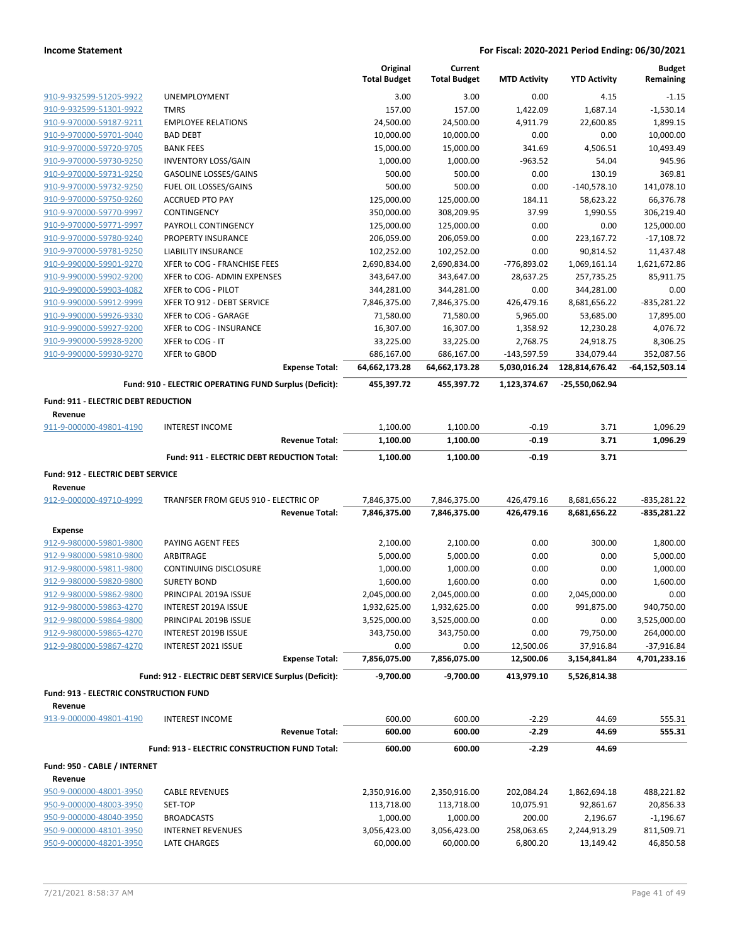|                                                    |                                                        | Original<br><b>Total Budget</b> | Current<br><b>Total Budget</b> | <b>MTD Activity</b>      | <b>YTD Activity</b>        | <b>Budget</b><br>Remaining |
|----------------------------------------------------|--------------------------------------------------------|---------------------------------|--------------------------------|--------------------------|----------------------------|----------------------------|
| 910-9-932599-51205-9922                            | UNEMPLOYMENT                                           | 3.00                            | 3.00                           | 0.00                     | 4.15                       | $-1.15$                    |
| 910-9-932599-51301-9922                            | <b>TMRS</b>                                            | 157.00                          | 157.00                         | 1,422.09                 | 1,687.14                   | $-1,530.14$                |
| 910-9-970000-59187-9211                            | <b>EMPLOYEE RELATIONS</b>                              | 24,500.00                       | 24,500.00                      | 4,911.79                 | 22,600.85                  | 1,899.15                   |
| 910-9-970000-59701-9040                            | <b>BAD DEBT</b>                                        | 10,000.00                       | 10,000.00                      | 0.00                     | 0.00                       | 10,000.00                  |
| 910-9-970000-59720-9705                            | <b>BANK FEES</b>                                       | 15,000.00                       | 15,000.00                      | 341.69                   | 4,506.51                   | 10,493.49                  |
| 910-9-970000-59730-9250                            | <b>INVENTORY LOSS/GAIN</b>                             | 1,000.00                        | 1,000.00                       | $-963.52$                | 54.04                      | 945.96                     |
| 910-9-970000-59731-9250                            | <b>GASOLINE LOSSES/GAINS</b>                           | 500.00                          | 500.00                         | 0.00                     | 130.19                     | 369.81                     |
| 910-9-970000-59732-9250                            | FUEL OIL LOSSES/GAINS                                  | 500.00                          | 500.00                         | 0.00                     | $-140,578.10$              | 141,078.10                 |
| 910-9-970000-59750-9260                            | <b>ACCRUED PTO PAY</b>                                 | 125,000.00                      | 125,000.00                     | 184.11                   | 58,623.22                  | 66,376.78                  |
| 910-9-970000-59770-9997                            | CONTINGENCY                                            | 350,000.00                      | 308,209.95                     | 37.99                    | 1,990.55                   | 306,219.40                 |
| 910-9-970000-59771-9997                            | PAYROLL CONTINGENCY                                    | 125,000.00                      | 125,000.00                     | 0.00                     | 0.00                       | 125,000.00                 |
| 910-9-970000-59780-9240                            | PROPERTY INSURANCE                                     | 206,059.00                      | 206,059.00                     | 0.00                     | 223,167.72                 | $-17,108.72$               |
| 910-9-970000-59781-9250<br>910-9-990000-59901-9270 | LIABILITY INSURANCE<br>XFER to COG - FRANCHISE FEES    | 102,252.00                      | 102,252.00                     | 0.00                     | 90,814.52                  | 11,437.48                  |
| 910-9-990000-59902-9200                            | XFER to COG- ADMIN EXPENSES                            | 2,690,834.00<br>343,647.00      | 2,690,834.00<br>343,647.00     | -776,893.02<br>28,637.25 | 1,069,161.14<br>257,735.25 | 1,621,672.86<br>85,911.75  |
| 910-9-990000-59903-4082                            | XFER to COG - PILOT                                    | 344,281.00                      | 344,281.00                     | 0.00                     | 344,281.00                 | 0.00                       |
| 910-9-990000-59912-9999                            | XFER TO 912 - DEBT SERVICE                             | 7,846,375.00                    | 7,846,375.00                   | 426,479.16               | 8,681,656.22               | $-835,281.22$              |
| 910-9-990000-59926-9330                            | XFER to COG - GARAGE                                   | 71,580.00                       | 71,580.00                      | 5,965.00                 | 53,685.00                  | 17,895.00                  |
| 910-9-990000-59927-9200                            | XFER to COG - INSURANCE                                | 16,307.00                       | 16,307.00                      | 1,358.92                 | 12,230.28                  | 4,076.72                   |
| 910-9-990000-59928-9200                            | XFER to COG - IT                                       | 33,225.00                       | 33,225.00                      | 2,768.75                 | 24,918.75                  | 8,306.25                   |
| 910-9-990000-59930-9270                            | <b>XFER to GBOD</b>                                    | 686,167.00                      | 686,167.00                     | $-143,597.59$            | 334,079.44                 | 352,087.56                 |
|                                                    | <b>Expense Total:</b>                                  | 64,662,173.28                   | 64,662,173.28                  | 5,030,016.24             | 128,814,676.42             | -64,152,503.14             |
|                                                    | Fund: 910 - ELECTRIC OPERATING FUND Surplus (Deficit): | 455,397.72                      | 455,397.72                     | 1,123,374.67             | -25,550,062.94             |                            |
| <b>Fund: 911 - ELECTRIC DEBT REDUCTION</b>         |                                                        |                                 |                                |                          |                            |                            |
| Revenue                                            |                                                        |                                 |                                |                          |                            |                            |
| 911-9-000000-49801-4190                            | <b>INTEREST INCOME</b>                                 | 1,100.00                        | 1,100.00                       | $-0.19$                  | 3.71                       | 1,096.29                   |
|                                                    | <b>Revenue Total:</b>                                  | 1,100.00                        | 1,100.00                       | $-0.19$                  | 3.71                       | 1,096.29                   |
|                                                    | Fund: 911 - ELECTRIC DEBT REDUCTION Total:             | 1,100.00                        | 1,100.00                       | $-0.19$                  | 3.71                       |                            |
| Fund: 912 - ELECTRIC DEBT SERVICE                  |                                                        |                                 |                                |                          |                            |                            |
| Revenue                                            |                                                        |                                 |                                |                          |                            |                            |
| 912-9-000000-49710-4999                            | TRANFSER FROM GEUS 910 - ELECTRIC OP                   | 7,846,375.00                    | 7,846,375.00                   | 426,479.16               | 8,681,656.22               | $-835,281.22$              |
|                                                    | <b>Revenue Total:</b>                                  | 7,846,375.00                    | 7,846,375.00                   | 426,479.16               | 8,681,656.22               | -835,281.22                |
| <b>Expense</b>                                     |                                                        |                                 |                                |                          |                            |                            |
| 912-9-980000-59801-9800                            | PAYING AGENT FEES                                      | 2,100.00                        | 2,100.00                       | 0.00                     | 300.00                     | 1,800.00                   |
| 912-9-980000-59810-9800                            | ARBITRAGE                                              | 5,000.00                        | 5,000.00                       | 0.00                     | 0.00                       | 5,000.00                   |
| 912-9-980000-59811-9800                            | <b>CONTINUING DISCLOSURE</b>                           | 1,000.00                        | 1,000.00                       | 0.00                     | 0.00                       | 1,000.00                   |
| 912-9-980000-59820-9800                            | <b>SURETY BOND</b>                                     | 1,600.00                        | 1,600.00                       | 0.00                     | 0.00                       | 1,600.00                   |
| 912-9-980000-59862-9800                            | PRINCIPAL 2019A ISSUE                                  | 2,045,000.00                    | 2,045,000.00                   | 0.00                     | 2,045,000.00               | 0.00                       |
| 912-9-980000-59863-4270                            | <b>INTEREST 2019A ISSUE</b>                            | 1,932,625.00                    | 1,932,625.00                   | 0.00                     | 991,875.00                 | 940,750.00                 |
| 912-9-980000-59864-9800                            | PRINCIPAL 2019B ISSUE                                  | 3,525,000.00                    | 3,525,000.00                   | 0.00                     | 0.00                       | 3,525,000.00               |
| 912-9-980000-59865-4270                            | INTEREST 2019B ISSUE                                   | 343,750.00                      | 343,750.00                     | 0.00                     | 79,750.00                  | 264,000.00                 |
| 912-9-980000-59867-4270                            | INTEREST 2021 ISSUE                                    | 0.00                            | 0.00                           | 12,500.06                | 37,916.84                  | $-37,916.84$               |
|                                                    | <b>Expense Total:</b>                                  | 7,856,075.00                    | 7,856,075.00                   | 12,500.06                | 3,154,841.84               | 4,701,233.16               |
|                                                    | Fund: 912 - ELECTRIC DEBT SERVICE Surplus (Deficit):   | $-9,700.00$                     | $-9,700.00$                    | 413,979.10               | 5,526,814.38               |                            |
| <b>Fund: 913 - ELECTRIC CONSTRUCTION FUND</b>      |                                                        |                                 |                                |                          |                            |                            |
| Revenue<br>913-9-000000-49801-4190                 | <b>INTEREST INCOME</b>                                 | 600.00                          | 600.00                         | $-2.29$                  | 44.69                      | 555.31                     |
|                                                    | <b>Revenue Total:</b>                                  | 600.00                          | 600.00                         | $-2.29$                  | 44.69                      | 555.31                     |
|                                                    |                                                        | 600.00                          | 600.00                         | $-2.29$                  | 44.69                      |                            |
|                                                    | Fund: 913 - ELECTRIC CONSTRUCTION FUND Total:          |                                 |                                |                          |                            |                            |
| Fund: 950 - CABLE / INTERNET                       |                                                        |                                 |                                |                          |                            |                            |
| Revenue                                            |                                                        |                                 |                                |                          |                            |                            |
| 950-9-000000-48001-3950                            | <b>CABLE REVENUES</b>                                  | 2,350,916.00                    | 2,350,916.00                   | 202,084.24               | 1,862,694.18               | 488,221.82                 |
| 950-9-000000-48003-3950                            | SET-TOP                                                | 113,718.00                      | 113,718.00                     | 10,075.91                | 92,861.67                  | 20,856.33                  |
| 950-9-000000-48040-3950                            | <b>BROADCASTS</b>                                      | 1,000.00                        | 1,000.00                       | 200.00                   | 2,196.67                   | $-1,196.67$                |
| 950-9-000000-48101-3950                            | <b>INTERNET REVENUES</b>                               | 3,056,423.00                    | 3,056,423.00                   | 258,063.65               | 2,244,913.29               | 811,509.71                 |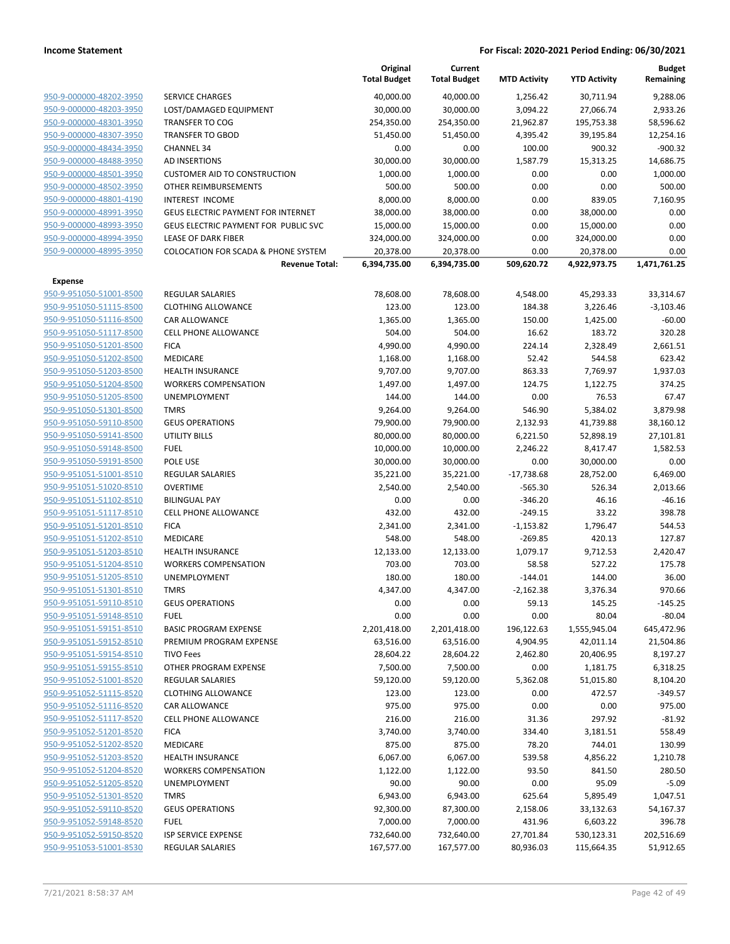|                                                    |                                                         | Original<br><b>Total Budget</b> | Current<br><b>Total Budget</b> | <b>MTD Activity</b>    | <b>YTD Activity</b>   | <b>Budget</b><br>Remaining |
|----------------------------------------------------|---------------------------------------------------------|---------------------------------|--------------------------------|------------------------|-----------------------|----------------------------|
| 950-9-000000-48202-3950                            | <b>SERVICE CHARGES</b>                                  | 40,000.00                       | 40,000.00                      | 1,256.42               | 30,711.94             | 9,288.06                   |
| 950-9-000000-48203-3950                            | LOST/DAMAGED EQUIPMENT                                  | 30,000.00                       | 30,000.00                      | 3,094.22               | 27,066.74             | 2,933.26                   |
| 950-9-000000-48301-3950                            | <b>TRANSFER TO COG</b>                                  | 254,350.00                      | 254,350.00                     | 21,962.87              | 195,753.38            | 58,596.62                  |
| 950-9-000000-48307-3950                            | <b>TRANSFER TO GBOD</b>                                 | 51,450.00                       | 51,450.00                      | 4,395.42               | 39,195.84             | 12,254.16                  |
| 950-9-000000-48434-3950                            | <b>CHANNEL 34</b>                                       | 0.00                            | 0.00                           | 100.00                 | 900.32                | $-900.32$                  |
| 950-9-000000-48488-3950                            | AD INSERTIONS                                           | 30,000.00                       | 30,000.00                      | 1,587.79               | 15,313.25             | 14,686.75                  |
| 950-9-000000-48501-3950                            | <b>CUSTOMER AID TO CONSTRUCTION</b>                     | 1,000.00                        | 1,000.00                       | 0.00                   | 0.00                  | 1,000.00                   |
| 950-9-000000-48502-3950                            | OTHER REIMBURSEMENTS                                    | 500.00                          | 500.00                         | 0.00                   | 0.00                  | 500.00                     |
| 950-9-000000-48801-4190                            | <b>INTEREST INCOME</b>                                  | 8,000.00                        | 8,000.00                       | 0.00                   | 839.05                | 7,160.95                   |
| 950-9-000000-48991-3950                            | <b>GEUS ELECTRIC PAYMENT FOR INTERNET</b>               | 38,000.00                       | 38,000.00                      | 0.00                   | 38,000.00             | 0.00                       |
| 950-9-000000-48993-3950                            | GEUS ELECTRIC PAYMENT FOR PUBLIC SVC                    | 15,000.00                       | 15,000.00                      | 0.00                   | 15,000.00             | 0.00                       |
| 950-9-000000-48994-3950                            | <b>LEASE OF DARK FIBER</b>                              | 324,000.00                      | 324,000.00                     | 0.00                   | 324,000.00            | 0.00                       |
| 950-9-000000-48995-3950                            | <b>COLOCATION FOR SCADA &amp; PHONE SYSTEM</b>          | 20,378.00                       | 20,378.00                      | 0.00                   | 20,378.00             | 0.00                       |
|                                                    | <b>Revenue Total:</b>                                   | 6,394,735.00                    | 6,394,735.00                   | 509,620.72             | 4,922,973.75          | 1,471,761.25               |
| Expense                                            |                                                         |                                 |                                |                        |                       |                            |
| 950-9-951050-51001-8500                            | <b>REGULAR SALARIES</b>                                 | 78,608.00                       | 78,608.00                      | 4,548.00               | 45,293.33             | 33,314.67                  |
| 950-9-951050-51115-8500                            | <b>CLOTHING ALLOWANCE</b>                               | 123.00                          | 123.00                         | 184.38                 | 3,226.46              | $-3,103.46$                |
| 950-9-951050-51116-8500                            | CAR ALLOWANCE                                           | 1,365.00                        | 1,365.00                       | 150.00                 | 1,425.00              | $-60.00$                   |
| 950-9-951050-51117-8500                            | <b>CELL PHONE ALLOWANCE</b>                             | 504.00                          | 504.00                         | 16.62                  | 183.72                | 320.28                     |
| 950-9-951050-51201-8500                            | <b>FICA</b>                                             | 4,990.00                        | 4,990.00                       | 224.14                 | 2,328.49              | 2,661.51                   |
| 950-9-951050-51202-8500                            | MEDICARE                                                | 1,168.00                        | 1,168.00                       | 52.42                  | 544.58                | 623.42                     |
| 950-9-951050-51203-8500                            | <b>HEALTH INSURANCE</b>                                 | 9,707.00                        | 9,707.00                       | 863.33                 | 7,769.97              | 1,937.03                   |
| 950-9-951050-51204-8500                            | <b>WORKERS COMPENSATION</b>                             | 1,497.00                        | 1,497.00                       | 124.75                 | 1,122.75              | 374.25                     |
| 950-9-951050-51205-8500                            | UNEMPLOYMENT                                            | 144.00                          | 144.00                         | 0.00                   | 76.53                 | 67.47                      |
| 950-9-951050-51301-8500                            | <b>TMRS</b>                                             | 9,264.00                        | 9,264.00                       | 546.90                 | 5,384.02              | 3,879.98                   |
| 950-9-951050-59110-8500                            | <b>GEUS OPERATIONS</b>                                  | 79,900.00                       | 79,900.00                      | 2,132.93               | 41,739.88             | 38,160.12                  |
| 950-9-951050-59141-8500                            | <b>UTILITY BILLS</b>                                    | 80,000.00                       | 80,000.00                      | 6,221.50               | 52,898.19             | 27,101.81                  |
| 950-9-951050-59148-8500                            | <b>FUEL</b>                                             | 10,000.00                       | 10,000.00                      | 2,246.22               | 8,417.47              | 1,582.53                   |
| 950-9-951050-59191-8500                            | POLE USE                                                | 30,000.00                       | 30,000.00                      | 0.00                   | 30,000.00             | 0.00                       |
| 950-9-951051-51001-8510                            | <b>REGULAR SALARIES</b>                                 | 35,221.00                       | 35,221.00                      | $-17,738.68$           | 28,752.00             | 6,469.00                   |
| 950-9-951051-51020-8510                            | <b>OVERTIME</b>                                         | 2,540.00                        | 2,540.00                       | $-565.30$              | 526.34                | 2,013.66                   |
| 950-9-951051-51102-8510                            | <b>BILINGUAL PAY</b>                                    | 0.00                            | 0.00                           | $-346.20$              | 46.16                 | $-46.16$                   |
| 950-9-951051-51117-8510                            | <b>CELL PHONE ALLOWANCE</b>                             | 432.00                          | 432.00                         | $-249.15$              | 33.22                 | 398.78                     |
| 950-9-951051-51201-8510                            | <b>FICA</b>                                             | 2,341.00                        | 2,341.00                       | $-1,153.82$            | 1,796.47              | 544.53                     |
| 950-9-951051-51202-8510                            | <b>MEDICARE</b>                                         | 548.00                          | 548.00                         | $-269.85$              | 420.13                | 127.87                     |
| 950-9-951051-51203-8510                            | <b>HEALTH INSURANCE</b>                                 | 12,133.00                       | 12,133.00                      | 1,079.17               | 9,712.53              | 2,420.47                   |
| 950-9-951051-51204-8510                            | <b>WORKERS COMPENSATION</b>                             | 703.00                          | 703.00                         | 58.58                  | 527.22                | 175.78                     |
| 950-9-951051-51205-8510                            | UNEMPLOYMENT                                            | 180.00                          | 180.00                         | $-144.01$              | 144.00                | 36.00                      |
| 950-9-951051-51301-8510                            | <b>TMRS</b>                                             | 4,347.00                        | 4,347.00                       | $-2,162.38$            | 3,376.34              | 970.66                     |
| 950-9-951051-59110-8510                            | <b>GEUS OPERATIONS</b>                                  | 0.00                            | 0.00                           | 59.13                  | 145.25                | $-145.25$                  |
| 950-9-951051-59148-8510<br>950-9-951051-59151-8510 | <b>FUEL</b>                                             | 0.00                            | 0.00                           | 0.00                   | 80.04<br>1,555,945.04 | $-80.04$                   |
| 950-9-951051-59152-8510                            | <b>BASIC PROGRAM EXPENSE</b><br>PREMIUM PROGRAM EXPENSE | 2,201,418.00<br>63,516.00       | 2,201,418.00<br>63,516.00      | 196,122.63<br>4,904.95 | 42,011.14             | 645,472.96<br>21,504.86    |
| 950-9-951051-59154-8510                            | <b>TIVO Fees</b>                                        | 28,604.22                       | 28,604.22                      | 2,462.80               | 20,406.95             | 8,197.27                   |
| 950-9-951051-59155-8510                            | OTHER PROGRAM EXPENSE                                   | 7,500.00                        | 7,500.00                       | 0.00                   | 1,181.75              | 6,318.25                   |
| 950-9-951052-51001-8520                            | <b>REGULAR SALARIES</b>                                 | 59,120.00                       | 59,120.00                      | 5,362.08               | 51,015.80             | 8,104.20                   |
| 950-9-951052-51115-8520                            | <b>CLOTHING ALLOWANCE</b>                               | 123.00                          | 123.00                         | 0.00                   | 472.57                | $-349.57$                  |
| 950-9-951052-51116-8520                            | CAR ALLOWANCE                                           | 975.00                          | 975.00                         | 0.00                   | 0.00                  | 975.00                     |
| 950-9-951052-51117-8520                            | <b>CELL PHONE ALLOWANCE</b>                             | 216.00                          | 216.00                         | 31.36                  | 297.92                | $-81.92$                   |
| 950-9-951052-51201-8520                            | <b>FICA</b>                                             | 3,740.00                        | 3,740.00                       | 334.40                 | 3,181.51              | 558.49                     |
| 950-9-951052-51202-8520                            | MEDICARE                                                | 875.00                          | 875.00                         | 78.20                  | 744.01                | 130.99                     |
| 950-9-951052-51203-8520                            | <b>HEALTH INSURANCE</b>                                 | 6,067.00                        | 6,067.00                       | 539.58                 | 4,856.22              | 1,210.78                   |
| 950-9-951052-51204-8520                            | <b>WORKERS COMPENSATION</b>                             | 1,122.00                        | 1,122.00                       | 93.50                  | 841.50                | 280.50                     |
| 950-9-951052-51205-8520                            | UNEMPLOYMENT                                            | 90.00                           | 90.00                          | 0.00                   | 95.09                 | $-5.09$                    |
| 950-9-951052-51301-8520                            | <b>TMRS</b>                                             | 6,943.00                        | 6,943.00                       | 625.64                 | 5,895.49              | 1,047.51                   |
| 950-9-951052-59110-8520                            | <b>GEUS OPERATIONS</b>                                  | 92,300.00                       | 87,300.00                      | 2,158.06               | 33,132.63             | 54,167.37                  |
| 950-9-951052-59148-8520                            | <b>FUEL</b>                                             | 7,000.00                        | 7,000.00                       | 431.96                 | 6,603.22              | 396.78                     |
| 950-9-951052-59150-8520                            | <b>ISP SERVICE EXPENSE</b>                              | 732,640.00                      | 732,640.00                     | 27,701.84              | 530,123.31            | 202,516.69                 |
| 950-9-951053-51001-8530                            | REGULAR SALARIES                                        | 167,577.00                      | 167,577.00                     | 80,936.03              | 115,664.35            | 51,912.65                  |
|                                                    |                                                         |                                 |                                |                        |                       |                            |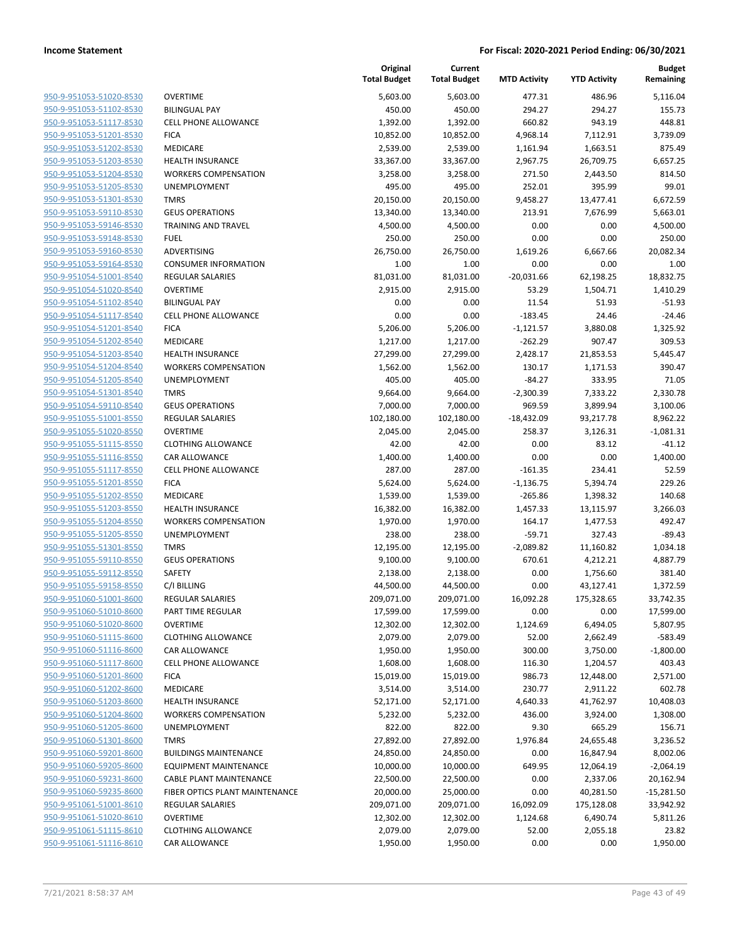| 950-9-951053-51020-8530        |
|--------------------------------|
| 950-9-951053-51102-8530        |
| 950-9-951053-51117-8530        |
| 950-9-951053-51201-8530        |
| 950-9-951053-51202-8530        |
| 950-9-951053-51203-8530        |
| 950-9-951053-51204-8530        |
| 950-9-951053-51205-8530        |
| <u>950-9-951053-51301-8530</u> |
| 950-9-951053-59110-8530        |
| 950-9-951053-59146-8530        |
| 950-9-951053-59148-8530        |
| 950-9-951053-59160-8530        |
| 950-9-951053-59164-8530        |
| 950-9-951054-51001-8540        |
| 950-9-951054-51020-8540        |
| 950-9-951054-51102-8540        |
| 950-9-951054-51117-8540        |
| 950-9-951054-51201-8540        |
| 950-9-951054-51202-8540        |
| 950-9-951054-51203-8540        |
| 950-9-951054-51204-8540        |
| <u>950-9-951054-51205-8540</u> |
| <u>950-9-951054-51301-8540</u> |
| 950-9-951054-59110-8540        |
| 950-9-951055-51001-8550        |
|                                |
| 950-9-951055-51020-8550        |
| 950-9-951055-51115-8550        |
| 950-9-951055-51116-8550        |
| 950-9-951055-51117-8550        |
| 950-9-951055-51201-8550        |
| 950-9-951055-51202-8550        |
| 950-9-951055-51203-8550        |
| 950-9-951055-51204-8550        |
| 950-9-951055-51205-8550        |
| 950-9-951055-51301-8550        |
| 950-9-951055-59110-8550        |
| 950-9-951055-59112-8550        |
| 950-9-951055-59158-8550        |
| 950-9-951060-51001-8600        |
| 950-9-951060-51010-8600        |
| 950-9-951060-51020-8600        |
| 950-9-951060-51115-8600        |
| 950-9-951060-51116-8600        |
| 950-9-951060-51117-8600        |
| 950-9-951060-51201-8600        |
| 950-9-951060-51202-8600        |
| 950-9-951060-51203-8600        |
| 950-9-951060-51204-8600        |
| 950-9-951060-51205-8600        |
| 950-9-951060-51301-8600        |
| 950-9-951060-59201-8600        |
| 950-9-951060-59205-8600        |
| 950-9-951060-59231-8600        |
| 950-9-951060-59235-8600        |
| 950-9-951061-51001-8610        |
| 950-9-951061-51020-8610        |
| 950-9-951061-51115-8610        |
| 950-9-951061-51116-8610        |
|                                |

|                                                    |                                                        | Original<br><b>Total Budget</b> | Current<br><b>Total Budget</b> | <b>MTD Activity</b> | <b>YTD Activity</b> | <b>Budget</b><br>Remaining |
|----------------------------------------------------|--------------------------------------------------------|---------------------------------|--------------------------------|---------------------|---------------------|----------------------------|
| 950-9-951053-51020-8530                            | <b>OVERTIME</b>                                        | 5,603.00                        | 5,603.00                       | 477.31              | 486.96              | 5,116.04                   |
| 950-9-951053-51102-8530                            | <b>BILINGUAL PAY</b>                                   | 450.00                          | 450.00                         | 294.27              | 294.27              | 155.73                     |
| 950-9-951053-51117-8530                            | <b>CELL PHONE ALLOWANCE</b>                            | 1,392.00                        | 1,392.00                       | 660.82              | 943.19              | 448.81                     |
| 950-9-951053-51201-8530                            | <b>FICA</b>                                            | 10,852.00                       | 10,852.00                      | 4,968.14            | 7,112.91            | 3,739.09                   |
| 950-9-951053-51202-8530                            | <b>MEDICARE</b>                                        | 2,539.00                        | 2,539.00                       | 1,161.94            | 1,663.51            | 875.49                     |
| 950-9-951053-51203-8530                            | <b>HEALTH INSURANCE</b>                                | 33,367.00                       | 33,367.00                      | 2,967.75            | 26,709.75           | 6,657.25                   |
| 950-9-951053-51204-8530                            | <b>WORKERS COMPENSATION</b>                            | 3,258.00                        | 3,258.00                       | 271.50              | 2,443.50            | 814.50                     |
| 950-9-951053-51205-8530                            | UNEMPLOYMENT                                           | 495.00                          | 495.00                         | 252.01              | 395.99              | 99.01                      |
| 950-9-951053-51301-8530                            | <b>TMRS</b>                                            | 20,150.00                       | 20,150.00                      | 9,458.27            | 13,477.41           | 6,672.59                   |
| 950-9-951053-59110-8530                            | <b>GEUS OPERATIONS</b>                                 | 13,340.00                       | 13,340.00                      | 213.91              | 7,676.99            | 5,663.01                   |
| 950-9-951053-59146-8530                            | <b>TRAINING AND TRAVEL</b>                             | 4,500.00                        | 4,500.00                       | 0.00                | 0.00                | 4,500.00                   |
| 950-9-951053-59148-8530                            | <b>FUEL</b>                                            | 250.00                          | 250.00                         | 0.00                | 0.00                | 250.00                     |
| 950-9-951053-59160-8530                            | ADVERTISING                                            | 26,750.00                       | 26,750.00                      | 1,619.26            | 6,667.66            | 20,082.34                  |
| 950-9-951053-59164-8530                            | <b>CONSUMER INFORMATION</b>                            | 1.00                            | 1.00                           | 0.00                | 0.00                | 1.00                       |
| 950-9-951054-51001-8540                            | <b>REGULAR SALARIES</b>                                | 81,031.00                       | 81,031.00                      | $-20,031.66$        | 62,198.25           | 18,832.75                  |
| 950-9-951054-51020-8540                            | <b>OVERTIME</b>                                        | 2,915.00                        | 2,915.00                       | 53.29               | 1,504.71            | 1,410.29                   |
| 950-9-951054-51102-8540                            | <b>BILINGUAL PAY</b>                                   | 0.00                            | 0.00                           | 11.54               | 51.93               | -51.93                     |
| 950-9-951054-51117-8540                            | <b>CELL PHONE ALLOWANCE</b>                            | 0.00                            | 0.00                           | $-183.45$           | 24.46               | -24.46                     |
| 950-9-951054-51201-8540                            | <b>FICA</b>                                            | 5,206.00                        | 5,206.00                       | $-1,121.57$         | 3,880.08            | 1,325.92                   |
| 950-9-951054-51202-8540                            | MEDICARE                                               | 1,217.00                        | 1,217.00                       | $-262.29$           | 907.47              | 309.53                     |
| 950-9-951054-51203-8540                            | <b>HEALTH INSURANCE</b>                                | 27,299.00                       | 27,299.00                      | 2,428.17            | 21,853.53           | 5,445.47                   |
| 950-9-951054-51204-8540                            | <b>WORKERS COMPENSATION</b>                            | 1,562.00                        | 1,562.00                       | 130.17              | 1,171.53            | 390.47                     |
| 950-9-951054-51205-8540                            | <b>UNEMPLOYMENT</b>                                    | 405.00                          | 405.00                         | $-84.27$            | 333.95              | 71.05                      |
| 950-9-951054-51301-8540                            | <b>TMRS</b>                                            | 9,664.00                        | 9,664.00                       | $-2,300.39$         | 7,333.22            | 2,330.78                   |
| 950-9-951054-59110-8540                            | <b>GEUS OPERATIONS</b>                                 | 7,000.00                        | 7,000.00                       | 969.59              | 3,899.94            | 3,100.06                   |
| 950-9-951055-51001-8550                            | <b>REGULAR SALARIES</b>                                | 102,180.00                      | 102,180.00                     | $-18,432.09$        | 93,217.78           | 8,962.22                   |
| 950-9-951055-51020-8550                            | <b>OVERTIME</b>                                        | 2,045.00                        | 2,045.00                       | 258.37              | 3,126.31            | $-1,081.31$                |
| 950-9-951055-51115-8550                            | <b>CLOTHING ALLOWANCE</b>                              | 42.00                           | 42.00                          | 0.00                | 83.12               | $-41.12$                   |
| 950-9-951055-51116-8550                            | <b>CAR ALLOWANCE</b>                                   | 1,400.00                        | 1,400.00                       | 0.00                | 0.00                | 1,400.00                   |
| 950-9-951055-51117-8550                            | <b>CELL PHONE ALLOWANCE</b>                            | 287.00                          | 287.00                         | $-161.35$           | 234.41              | 52.59                      |
| 950-9-951055-51201-8550                            | <b>FICA</b>                                            | 5,624.00                        | 5,624.00                       | $-1,136.75$         | 5,394.74            | 229.26                     |
| 950-9-951055-51202-8550                            | MEDICARE                                               | 1,539.00                        | 1,539.00                       | $-265.86$           | 1,398.32            | 140.68                     |
| 950-9-951055-51203-8550<br>950-9-951055-51204-8550 | <b>HEALTH INSURANCE</b><br><b>WORKERS COMPENSATION</b> | 16,382.00                       | 16,382.00                      | 1,457.33            | 13,115.97           | 3,266.03<br>492.47         |
| 950-9-951055-51205-8550                            | UNEMPLOYMENT                                           | 1,970.00<br>238.00              | 1,970.00<br>238.00             | 164.17<br>$-59.71$  | 1,477.53<br>327.43  | -89.43                     |
| 950-9-951055-51301-8550                            | <b>TMRS</b>                                            | 12,195.00                       | 12,195.00                      | $-2,089.82$         | 11,160.82           | 1,034.18                   |
| 950-9-951055-59110-8550                            | <b>GEUS OPERATIONS</b>                                 | 9,100.00                        | 9,100.00                       | 670.61              | 4,212.21            | 4,887.79                   |
| 950-9-951055-59112-8550                            | <b>SAFETY</b>                                          | 2,138.00                        | 2,138.00                       | 0.00                | 1,756.60            | 381.40                     |
| 950-9-951055-59158-8550                            | C/I BILLING                                            | 44,500.00                       | 44,500.00                      | 0.00                | 43,127.41           | 1,372.59                   |
| 950-9-951060-51001-8600                            | <b>REGULAR SALARIES</b>                                | 209,071.00                      | 209,071.00                     | 16,092.28           | 175,328.65          | 33,742.35                  |
| 950-9-951060-51010-8600                            | PART TIME REGULAR                                      | 17,599.00                       | 17,599.00                      | 0.00                | 0.00                | 17,599.00                  |
| 950-9-951060-51020-8600                            | <b>OVERTIME</b>                                        | 12,302.00                       | 12,302.00                      | 1,124.69            | 6,494.05            | 5,807.95                   |
| 950-9-951060-51115-8600                            | <b>CLOTHING ALLOWANCE</b>                              | 2,079.00                        | 2,079.00                       | 52.00               | 2,662.49            | $-583.49$                  |
| 950-9-951060-51116-8600                            | CAR ALLOWANCE                                          | 1,950.00                        | 1,950.00                       | 300.00              | 3,750.00            | $-1,800.00$                |
| 950-9-951060-51117-8600                            | <b>CELL PHONE ALLOWANCE</b>                            | 1,608.00                        | 1,608.00                       | 116.30              | 1,204.57            | 403.43                     |
| 950-9-951060-51201-8600                            | <b>FICA</b>                                            | 15,019.00                       | 15,019.00                      | 986.73              | 12,448.00           | 2,571.00                   |
| 950-9-951060-51202-8600                            | MEDICARE                                               | 3,514.00                        | 3,514.00                       | 230.77              | 2,911.22            | 602.78                     |
| 950-9-951060-51203-8600                            | <b>HEALTH INSURANCE</b>                                | 52,171.00                       | 52,171.00                      | 4,640.33            | 41,762.97           | 10,408.03                  |
| 950-9-951060-51204-8600                            | <b>WORKERS COMPENSATION</b>                            | 5,232.00                        | 5,232.00                       | 436.00              | 3,924.00            | 1,308.00                   |
| 950-9-951060-51205-8600                            | UNEMPLOYMENT                                           | 822.00                          | 822.00                         | 9.30                | 665.29              | 156.71                     |
| 950-9-951060-51301-8600                            | <b>TMRS</b>                                            | 27,892.00                       | 27,892.00                      | 1,976.84            | 24,655.48           | 3,236.52                   |
| 950-9-951060-59201-8600                            | <b>BUILDINGS MAINTENANCE</b>                           | 24,850.00                       | 24,850.00                      | 0.00                | 16,847.94           | 8,002.06                   |
| 950-9-951060-59205-8600                            | <b>EQUIPMENT MAINTENANCE</b>                           | 10,000.00                       | 10,000.00                      | 649.95              | 12,064.19           | $-2,064.19$                |
| 950-9-951060-59231-8600                            | CABLE PLANT MAINTENANCE                                | 22,500.00                       | 22,500.00                      | 0.00                | 2,337.06            | 20,162.94                  |
| 950-9-951060-59235-8600                            | FIBER OPTICS PLANT MAINTENANCE                         | 20,000.00                       | 25,000.00                      | 0.00                | 40,281.50           | $-15,281.50$               |
| 950-9-951061-51001-8610                            | <b>REGULAR SALARIES</b>                                | 209,071.00                      | 209,071.00                     | 16,092.09           | 175,128.08          | 33,942.92                  |
| 950-9-951061-51020-8610                            | <b>OVERTIME</b>                                        | 12,302.00                       | 12,302.00                      | 1,124.68            | 6,490.74            | 5,811.26                   |
| 950-9-951061-51115-8610                            | <b>CLOTHING ALLOWANCE</b>                              | 2,079.00                        | 2,079.00                       | 52.00               | 2,055.18            | 23.82                      |
| 950-9-951061-51116-8610                            | CAR ALLOWANCE                                          | 1,950.00                        | 1,950.00                       | 0.00                | 0.00                | 1,950.00                   |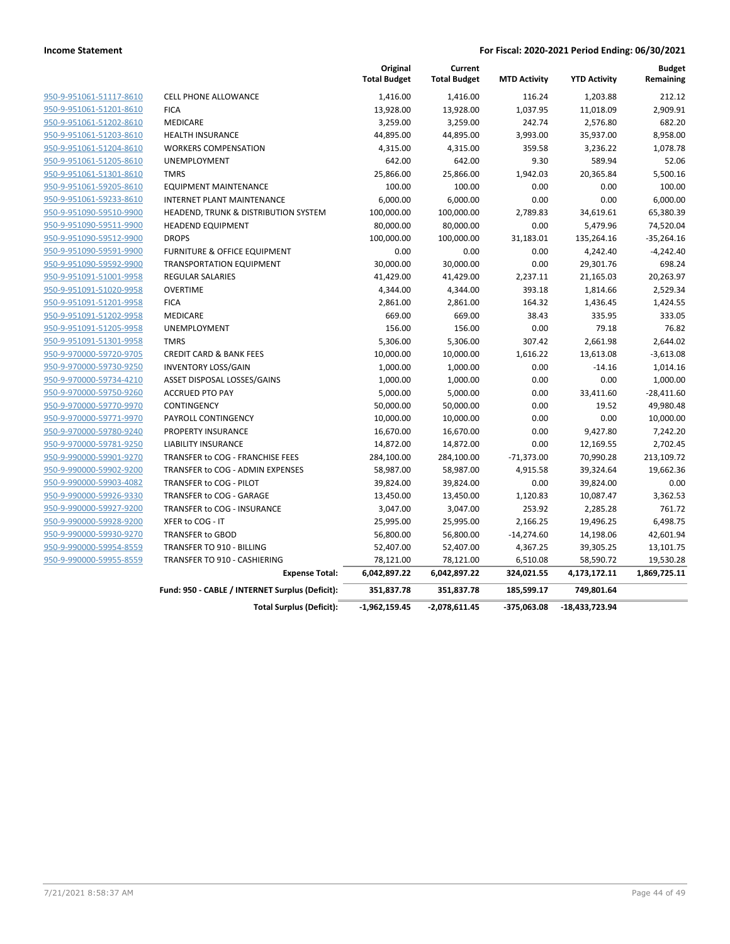|                         |                                                 | Original<br><b>Total Budget</b> | Current<br><b>Total Budget</b> | <b>MTD Activity</b> | <b>YTD Activity</b> | <b>Budget</b><br>Remaining |
|-------------------------|-------------------------------------------------|---------------------------------|--------------------------------|---------------------|---------------------|----------------------------|
| 950-9-951061-51117-8610 | <b>CELL PHONE ALLOWANCE</b>                     | 1,416.00                        | 1,416.00                       | 116.24              | 1,203.88            | 212.12                     |
| 950-9-951061-51201-8610 | <b>FICA</b>                                     | 13,928.00                       | 13,928.00                      | 1,037.95            | 11,018.09           | 2,909.91                   |
| 950-9-951061-51202-8610 | MEDICARE                                        | 3,259.00                        | 3,259.00                       | 242.74              | 2,576.80            | 682.20                     |
| 950-9-951061-51203-8610 | <b>HEALTH INSURANCE</b>                         | 44,895.00                       | 44,895.00                      | 3,993.00            | 35,937.00           | 8,958.00                   |
| 950-9-951061-51204-8610 | <b>WORKERS COMPENSATION</b>                     | 4,315.00                        | 4,315.00                       | 359.58              | 3,236.22            | 1,078.78                   |
| 950-9-951061-51205-8610 | <b>UNEMPLOYMENT</b>                             | 642.00                          | 642.00                         | 9.30                | 589.94              | 52.06                      |
| 950-9-951061-51301-8610 | <b>TMRS</b>                                     | 25,866.00                       | 25,866.00                      | 1,942.03            | 20,365.84           | 5,500.16                   |
| 950-9-951061-59205-8610 | <b>EQUIPMENT MAINTENANCE</b>                    | 100.00                          | 100.00                         | 0.00                | 0.00                | 100.00                     |
| 950-9-951061-59233-8610 | <b>INTERNET PLANT MAINTENANCE</b>               | 6,000.00                        | 6,000.00                       | 0.00                | 0.00                | 6,000.00                   |
| 950-9-951090-59510-9900 | HEADEND, TRUNK & DISTRIBUTION SYSTEM            | 100,000.00                      | 100,000.00                     | 2,789.83            | 34,619.61           | 65,380.39                  |
| 950-9-951090-59511-9900 | <b>HEADEND EQUIPMENT</b>                        | 80,000.00                       | 80,000.00                      | 0.00                | 5,479.96            | 74,520.04                  |
| 950-9-951090-59512-9900 | <b>DROPS</b>                                    | 100,000.00                      | 100,000.00                     | 31,183.01           | 135,264.16          | $-35,264.16$               |
| 950-9-951090-59591-9900 | FURNITURE & OFFICE EQUIPMENT                    | 0.00                            | 0.00                           | 0.00                | 4,242.40            | $-4,242.40$                |
| 950-9-951090-59592-9900 | <b>TRANSPORTATION EQUIPMENT</b>                 | 30,000.00                       | 30,000.00                      | 0.00                | 29,301.76           | 698.24                     |
| 950-9-951091-51001-9958 | <b>REGULAR SALARIES</b>                         | 41,429.00                       | 41,429.00                      | 2,237.11            | 21,165.03           | 20,263.97                  |
| 950-9-951091-51020-9958 | <b>OVERTIME</b>                                 | 4,344.00                        | 4,344.00                       | 393.18              | 1,814.66            | 2,529.34                   |
| 950-9-951091-51201-9958 | <b>FICA</b>                                     | 2,861.00                        | 2,861.00                       | 164.32              | 1,436.45            | 1,424.55                   |
| 950-9-951091-51202-9958 | <b>MEDICARE</b>                                 | 669.00                          | 669.00                         | 38.43               | 335.95              | 333.05                     |
| 950-9-951091-51205-9958 | <b>UNEMPLOYMENT</b>                             | 156.00                          | 156.00                         | 0.00                | 79.18               | 76.82                      |
| 950-9-951091-51301-9958 | <b>TMRS</b>                                     | 5,306.00                        | 5,306.00                       | 307.42              | 2,661.98            | 2,644.02                   |
| 950-9-970000-59720-9705 | <b>CREDIT CARD &amp; BANK FEES</b>              | 10,000.00                       | 10,000.00                      | 1,616.22            | 13,613.08           | $-3,613.08$                |
| 950-9-970000-59730-9250 | <b>INVENTORY LOSS/GAIN</b>                      | 1,000.00                        | 1,000.00                       | 0.00                | $-14.16$            | 1,014.16                   |
| 950-9-970000-59734-4210 | ASSET DISPOSAL LOSSES/GAINS                     | 1,000.00                        | 1,000.00                       | 0.00                | 0.00                | 1,000.00                   |
| 950-9-970000-59750-9260 | <b>ACCRUED PTO PAY</b>                          | 5,000.00                        | 5,000.00                       | 0.00                | 33,411.60           | $-28,411.60$               |
| 950-9-970000-59770-9970 | CONTINGENCY                                     | 50,000.00                       | 50,000.00                      | 0.00                | 19.52               | 49,980.48                  |
| 950-9-970000-59771-9970 | PAYROLL CONTINGENCY                             | 10,000.00                       | 10,000.00                      | 0.00                | 0.00                | 10,000.00                  |
| 950-9-970000-59780-9240 | PROPERTY INSURANCE                              | 16,670.00                       | 16,670.00                      | 0.00                | 9,427.80            | 7,242.20                   |
| 950-9-970000-59781-9250 | <b>LIABILITY INSURANCE</b>                      | 14,872.00                       | 14,872.00                      | 0.00                | 12,169.55           | 2,702.45                   |
| 950-9-990000-59901-9270 | TRANSFER to COG - FRANCHISE FEES                | 284,100.00                      | 284,100.00                     | $-71,373.00$        | 70,990.28           | 213,109.72                 |
| 950-9-990000-59902-9200 | TRANSFER to COG - ADMIN EXPENSES                | 58,987.00                       | 58,987.00                      | 4,915.58            | 39,324.64           | 19,662.36                  |
| 950-9-990000-59903-4082 | TRANSFER to COG - PILOT                         | 39,824.00                       | 39,824.00                      | 0.00                | 39,824.00           | 0.00                       |
| 950-9-990000-59926-9330 | TRANSFER to COG - GARAGE                        | 13,450.00                       | 13,450.00                      | 1,120.83            | 10,087.47           | 3,362.53                   |
| 950-9-990000-59927-9200 | TRANSFER to COG - INSURANCE                     | 3,047.00                        | 3,047.00                       | 253.92              | 2,285.28            | 761.72                     |
| 950-9-990000-59928-9200 | XFER to COG - IT                                | 25,995.00                       | 25,995.00                      | 2,166.25            | 19,496.25           | 6,498.75                   |
| 950-9-990000-59930-9270 | <b>TRANSFER to GBOD</b>                         | 56,800.00                       | 56,800.00                      | $-14,274.60$        | 14,198.06           | 42,601.94                  |
| 950-9-990000-59954-8559 | TRANSFER TO 910 - BILLING                       | 52,407.00                       | 52,407.00                      | 4,367.25            | 39,305.25           | 13,101.75                  |
| 950-9-990000-59955-8559 | TRANSFER TO 910 - CASHIERING                    | 78,121.00                       | 78,121.00                      | 6,510.08            | 58,590.72           | 19,530.28                  |
|                         | <b>Expense Total:</b>                           | 6,042,897.22                    | 6,042,897.22                   | 324,021.55          | 4,173,172.11        | 1,869,725.11               |
|                         | Fund: 950 - CABLE / INTERNET Surplus (Deficit): | 351,837.78                      | 351,837.78                     | 185,599.17          | 749,801.64          |                            |
|                         | <b>Total Surplus (Deficit):</b>                 | $-1,962,159.45$                 | -2,078,611.45                  | $-375,063.08$       | -18,433,723.94      |                            |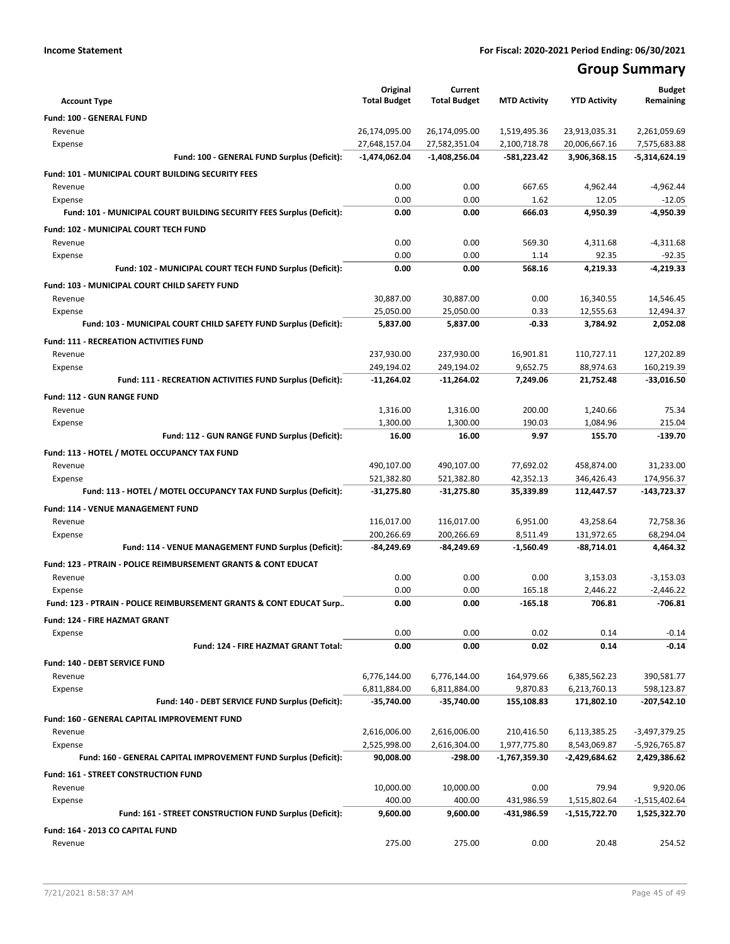# **Group Summary**

| <b>Account Type</b>                                                        | Original<br><b>Total Budget</b> | Current<br><b>Total Budget</b> | <b>MTD Activity</b>          | <b>YTD Activity</b>            | <b>Budget</b><br>Remaining      |
|----------------------------------------------------------------------------|---------------------------------|--------------------------------|------------------------------|--------------------------------|---------------------------------|
|                                                                            |                                 |                                |                              |                                |                                 |
| Fund: 100 - GENERAL FUND                                                   |                                 |                                |                              |                                |                                 |
| Revenue<br>Expense                                                         | 26,174,095.00<br>27,648,157.04  | 26,174,095.00<br>27,582,351.04 | 1,519,495.36<br>2,100,718.78 | 23,913,035.31<br>20,006,667.16 | 2,261,059.69<br>7,575,683.88    |
| Fund: 100 - GENERAL FUND Surplus (Deficit):                                | $-1,474,062.04$                 | $-1,408,256.04$                | $-581,223.42$                | 3,906,368.15                   | -5,314,624.19                   |
|                                                                            |                                 |                                |                              |                                |                                 |
| Fund: 101 - MUNICIPAL COURT BUILDING SECURITY FEES                         | 0.00                            | 0.00                           | 667.65                       |                                |                                 |
| Revenue<br>Expense                                                         | 0.00                            | 0.00                           | 1.62                         | 4,962.44<br>12.05              | -4,962.44<br>$-12.05$           |
| Fund: 101 - MUNICIPAL COURT BUILDING SECURITY FEES Surplus (Deficit):      | 0.00                            | 0.00                           | 666.03                       | 4,950.39                       | $-4,950.39$                     |
|                                                                            |                                 |                                |                              |                                |                                 |
| Fund: 102 - MUNICIPAL COURT TECH FUND                                      | 0.00                            | 0.00                           | 569.30                       |                                |                                 |
| Revenue<br>Expense                                                         | 0.00                            | 0.00                           | 1.14                         | 4,311.68<br>92.35              | $-4,311.68$<br>$-92.35$         |
| Fund: 102 - MUNICIPAL COURT TECH FUND Surplus (Deficit):                   | 0.00                            | 0.00                           | 568.16                       | 4,219.33                       | $-4,219.33$                     |
|                                                                            |                                 |                                |                              |                                |                                 |
| Fund: 103 - MUNICIPAL COURT CHILD SAFETY FUND<br>Revenue                   | 30,887.00                       | 30,887.00                      | 0.00                         | 16,340.55                      | 14,546.45                       |
| Expense                                                                    | 25,050.00                       | 25,050.00                      | 0.33                         | 12,555.63                      | 12,494.37                       |
| Fund: 103 - MUNICIPAL COURT CHILD SAFETY FUND Surplus (Deficit):           | 5,837.00                        | 5,837.00                       | $-0.33$                      | 3,784.92                       | 2,052.08                        |
|                                                                            |                                 |                                |                              |                                |                                 |
| <b>Fund: 111 - RECREATION ACTIVITIES FUND</b>                              |                                 |                                |                              |                                | 127,202.89                      |
| Revenue<br>Expense                                                         | 237,930.00<br>249,194.02        | 237,930.00<br>249,194.02       | 16,901.81<br>9,652.75        | 110,727.11<br>88,974.63        | 160,219.39                      |
| Fund: 111 - RECREATION ACTIVITIES FUND Surplus (Deficit):                  | -11,264.02                      | -11,264.02                     | 7,249.06                     | 21,752.48                      | $-33,016.50$                    |
|                                                                            |                                 |                                |                              |                                |                                 |
| <b>Fund: 112 - GUN RANGE FUND</b>                                          |                                 |                                |                              |                                |                                 |
| Revenue                                                                    | 1,316.00<br>1,300.00            | 1,316.00<br>1,300.00           | 200.00<br>190.03             | 1,240.66<br>1,084.96           | 75.34<br>215.04                 |
| Expense<br>Fund: 112 - GUN RANGE FUND Surplus (Deficit):                   | 16.00                           | 16.00                          | 9.97                         | 155.70                         | -139.70                         |
|                                                                            |                                 |                                |                              |                                |                                 |
| Fund: 113 - HOTEL / MOTEL OCCUPANCY TAX FUND                               |                                 |                                |                              |                                |                                 |
| Revenue                                                                    | 490,107.00                      | 490,107.00                     | 77,692.02                    | 458,874.00                     | 31,233.00                       |
| Expense<br>Fund: 113 - HOTEL / MOTEL OCCUPANCY TAX FUND Surplus (Deficit): | 521,382.80<br>-31,275.80        | 521,382.80<br>-31,275.80       | 42,352.13<br>35,339.89       | 346,426.43<br>112,447.57       | 174,956.37<br>-143,723.37       |
|                                                                            |                                 |                                |                              |                                |                                 |
| Fund: 114 - VENUE MANAGEMENT FUND                                          |                                 |                                |                              |                                |                                 |
| Revenue                                                                    | 116,017.00<br>200,266.69        | 116,017.00<br>200,266.69       | 6,951.00<br>8,511.49         | 43,258.64<br>131,972.65        | 72,758.36<br>68,294.04          |
| Expense<br>Fund: 114 - VENUE MANAGEMENT FUND Surplus (Deficit):            | -84,249.69                      | -84,249.69                     | $-1,560.49$                  | -88,714.01                     | 4,464.32                        |
|                                                                            |                                 |                                |                              |                                |                                 |
| Fund: 123 - PTRAIN - POLICE REIMBURSEMENT GRANTS & CONT EDUCAT             | 0.00                            | 0.00                           | 0.00                         |                                |                                 |
| Revenue<br>Expense                                                         | 0.00                            | 0.00                           | 165.18                       | 3,153.03<br>2,446.22           | $-3,153.03$<br>$-2,446.22$      |
| Fund: 123 - PTRAIN - POLICE REIMBURSEMENT GRANTS & CONT EDUCAT Surp        | 0.00                            | 0.00                           | $-165.18$                    | 706.81                         | $-706.81$                       |
|                                                                            |                                 |                                |                              |                                |                                 |
| Fund: 124 - FIRE HAZMAT GRANT                                              | 0.00                            | 0.00                           | 0.02                         | 0.14                           | $-0.14$                         |
| Expense<br>Fund: 124 - FIRE HAZMAT GRANT Total:                            | 0.00                            | 0.00                           | 0.02                         | 0.14                           | $-0.14$                         |
|                                                                            |                                 |                                |                              |                                |                                 |
| Fund: 140 - DEBT SERVICE FUND                                              |                                 |                                |                              |                                |                                 |
| Revenue                                                                    | 6,776,144.00<br>6,811,884.00    | 6,776,144.00                   | 164,979.66<br>9,870.83       | 6,385,562.23<br>6,213,760.13   | 390,581.77                      |
| Expense<br>Fund: 140 - DEBT SERVICE FUND Surplus (Deficit):                | -35,740.00                      | 6,811,884.00<br>-35,740.00     | 155,108.83                   | 171,802.10                     | 598,123.87<br>-207,542.10       |
|                                                                            |                                 |                                |                              |                                |                                 |
| Fund: 160 - GENERAL CAPITAL IMPROVEMENT FUND                               |                                 |                                |                              |                                |                                 |
| Revenue                                                                    | 2,616,006.00<br>2,525,998.00    | 2,616,006.00<br>2,616,304.00   | 210,416.50<br>1,977,775.80   | 6,113,385.25                   | -3,497,379.25                   |
| Expense<br>Fund: 160 - GENERAL CAPITAL IMPROVEMENT FUND Surplus (Deficit): | 90,008.00                       | -298.00                        | -1,767,359.30                | 8,543,069.87<br>-2,429,684.62  | -5,926,765.87<br>2,429,386.62   |
|                                                                            |                                 |                                |                              |                                |                                 |
| Fund: 161 - STREET CONSTRUCTION FUND                                       |                                 |                                |                              |                                |                                 |
| Revenue                                                                    | 10,000.00                       | 10,000.00                      | 0.00                         | 79.94                          | 9,920.06                        |
| Expense<br>Fund: 161 - STREET CONSTRUCTION FUND Surplus (Deficit):         | 400.00<br>9,600.00              | 400.00<br>9,600.00             | 431,986.59<br>-431,986.59    | 1,515,802.64<br>-1,515,722.70  | $-1,515,402.64$<br>1,525,322.70 |
|                                                                            |                                 |                                |                              |                                |                                 |
| Fund: 164 - 2013 CO CAPITAL FUND                                           |                                 |                                |                              |                                |                                 |
| Revenue                                                                    | 275.00                          | 275.00                         | 0.00                         | 20.48                          | 254.52                          |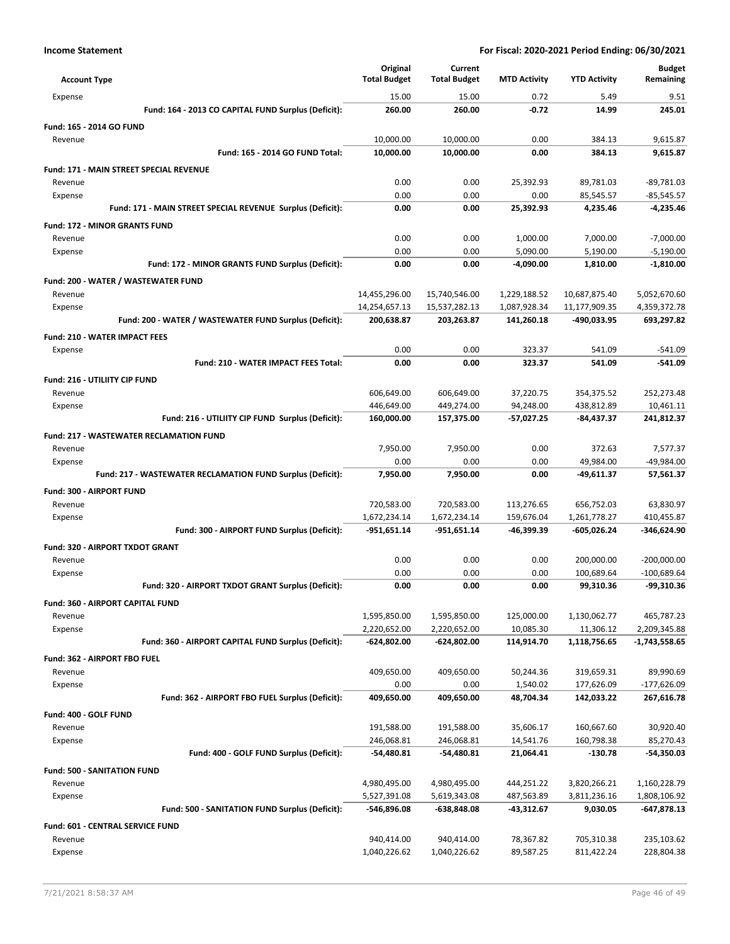| <b>Account Type</b>                                        | Original<br><b>Total Budget</b> | Current<br><b>Total Budget</b> | <b>MTD Activity</b> | <b>YTD Activity</b> | <b>Budget</b><br>Remaining |
|------------------------------------------------------------|---------------------------------|--------------------------------|---------------------|---------------------|----------------------------|
| Expense                                                    | 15.00                           | 15.00                          | 0.72                | 5.49                | 9.51                       |
| Fund: 164 - 2013 CO CAPITAL FUND Surplus (Deficit):        | 260.00                          | 260.00                         | -0.72               | 14.99               | 245.01                     |
| Fund: 165 - 2014 GO FUND                                   |                                 |                                |                     |                     |                            |
| Revenue                                                    | 10,000.00                       | 10,000.00                      | 0.00                | 384.13              | 9,615.87                   |
| Fund: 165 - 2014 GO FUND Total:                            | 10,000.00                       | 10,000.00                      | 0.00                | 384.13              | 9,615.87                   |
| <b>Fund: 171 - MAIN STREET SPECIAL REVENUE</b>             |                                 |                                |                     |                     |                            |
| Revenue                                                    | 0.00                            | 0.00                           | 25,392.93           | 89,781.03           | $-89,781.03$               |
| Expense                                                    | 0.00                            | 0.00                           | 0.00                | 85,545.57           | $-85,545.57$               |
| Fund: 171 - MAIN STREET SPECIAL REVENUE Surplus (Deficit): | 0.00                            | 0.00                           | 25,392.93           | 4.235.46            | $-4,235.46$                |
| <b>Fund: 172 - MINOR GRANTS FUND</b>                       |                                 |                                |                     |                     |                            |
| Revenue                                                    | 0.00                            | 0.00                           | 1,000.00            | 7,000.00            | $-7,000.00$                |
| Expense                                                    | 0.00                            | 0.00                           | 5,090.00            | 5,190.00            | $-5,190.00$                |
| Fund: 172 - MINOR GRANTS FUND Surplus (Deficit):           | 0.00                            | 0.00                           | -4,090.00           | 1,810.00            | -1,810.00                  |
| Fund: 200 - WATER / WASTEWATER FUND                        |                                 |                                |                     |                     |                            |
| Revenue                                                    | 14,455,296.00                   | 15,740,546.00                  | 1,229,188.52        | 10,687,875.40       | 5,052,670.60               |
| Expense                                                    | 14,254,657.13                   | 15,537,282.13                  | 1,087,928.34        | 11,177,909.35       | 4,359,372.78               |
| Fund: 200 - WATER / WASTEWATER FUND Surplus (Deficit):     | 200,638.87                      | 203,263.87                     | 141,260.18          | -490,033.95         | 693,297.82                 |
| <b>Fund: 210 - WATER IMPACT FEES</b>                       |                                 |                                |                     |                     |                            |
| Expense                                                    | 0.00                            | 0.00                           | 323.37              | 541.09              | $-541.09$                  |
| Fund: 210 - WATER IMPACT FEES Total:                       | 0.00                            | 0.00                           | 323.37              | 541.09              | $-541.09$                  |
| Fund: 216 - UTILIITY CIP FUND                              |                                 |                                |                     |                     |                            |
| Revenue                                                    | 606,649.00                      | 606,649.00                     | 37,220.75           | 354,375.52          | 252,273.48                 |
| Expense                                                    | 446,649.00                      | 449,274.00                     | 94,248.00           | 438,812.89          | 10,461.11                  |
| Fund: 216 - UTILIITY CIP FUND Surplus (Deficit):           | 160,000.00                      | 157,375.00                     | -57,027.25          | -84,437.37          | 241,812.37                 |
| <b>Fund: 217 - WASTEWATER RECLAMATION FUND</b>             |                                 |                                |                     |                     |                            |
| Revenue                                                    | 7,950.00                        | 7,950.00                       | 0.00                | 372.63              | 7,577.37                   |
| Expense                                                    | 0.00                            | 0.00                           | 0.00                | 49,984.00           | -49,984.00                 |
| Fund: 217 - WASTEWATER RECLAMATION FUND Surplus (Deficit): | 7,950.00                        | 7,950.00                       | 0.00                | -49,611.37          | 57,561.37                  |
| <b>Fund: 300 - AIRPORT FUND</b>                            |                                 |                                |                     |                     |                            |
| Revenue                                                    | 720,583.00                      | 720,583.00                     | 113,276.65          | 656,752.03          | 63,830.97                  |
| Expense                                                    | 1,672,234.14                    | 1,672,234.14                   | 159,676.04          | 1,261,778.27        | 410,455.87                 |
| Fund: 300 - AIRPORT FUND Surplus (Deficit):                | -951,651.14                     | -951,651.14                    | -46,399.39          | -605,026.24         | -346,624.90                |
| Fund: 320 - AIRPORT TXDOT GRANT                            |                                 |                                |                     |                     |                            |
| Revenue                                                    | 0.00                            | 0.00                           | 0.00                | 200,000.00          | $-200,000.00$              |
| Expense                                                    | 0.00                            | 0.00                           | 0.00                | 100,689.64          | $-100,689.64$              |
| Fund: 320 - AIRPORT TXDOT GRANT Surplus (Deficit):         | 0.00                            | 0.00                           | 0.00                | 99,310.36           | -99,310.36                 |
| <b>Fund: 360 - AIRPORT CAPITAL FUND</b>                    |                                 |                                |                     |                     |                            |
| Revenue                                                    | 1,595,850.00                    | 1,595,850.00                   | 125,000.00          | 1,130,062.77        | 465,787.23                 |
| Expense                                                    | 2,220,652.00                    | 2,220,652.00                   | 10,085.30           | 11,306.12           | 2,209,345.88               |
| Fund: 360 - AIRPORT CAPITAL FUND Surplus (Deficit):        | $-624,802.00$                   | -624,802.00                    | 114,914.70          | 1,118,756.65        | -1,743,558.65              |
| Fund: 362 - AIRPORT FBO FUEL                               |                                 |                                |                     |                     |                            |
| Revenue                                                    | 409,650.00                      | 409,650.00                     | 50,244.36           | 319,659.31          | 89,990.69                  |
| Expense                                                    | 0.00                            | 0.00                           | 1,540.02            | 177,626.09          | $-177,626.09$              |
| Fund: 362 - AIRPORT FBO FUEL Surplus (Deficit):            | 409,650.00                      | 409,650.00                     | 48,704.34           | 142,033.22          | 267,616.78                 |
| Fund: 400 - GOLF FUND                                      |                                 |                                |                     |                     |                            |
| Revenue                                                    | 191,588.00                      | 191,588.00                     | 35,606.17           | 160,667.60          | 30,920.40                  |
| Expense                                                    | 246,068.81                      | 246,068.81                     | 14,541.76           | 160,798.38          | 85,270.43                  |
| Fund: 400 - GOLF FUND Surplus (Deficit):                   | $-54,480.81$                    | -54,480.81                     | 21,064.41           | $-130.78$           | -54,350.03                 |
| <b>Fund: 500 - SANITATION FUND</b>                         |                                 |                                |                     |                     |                            |
| Revenue                                                    | 4,980,495.00                    | 4,980,495.00                   | 444,251.22          | 3,820,266.21        | 1,160,228.79               |
| Expense                                                    | 5,527,391.08                    | 5,619,343.08                   | 487,563.89          | 3,811,236.16        | 1,808,106.92               |
| Fund: 500 - SANITATION FUND Surplus (Deficit):             | -546,896.08                     | -638,848.08                    | -43,312.67          | 9,030.05            | $-647,878.13$              |
| Fund: 601 - CENTRAL SERVICE FUND                           |                                 |                                |                     |                     |                            |
| Revenue                                                    | 940,414.00                      | 940,414.00                     | 78,367.82           | 705,310.38          | 235,103.62                 |
| Expense                                                    | 1,040,226.62                    | 1,040,226.62                   | 89,587.25           | 811,422.24          | 228,804.38                 |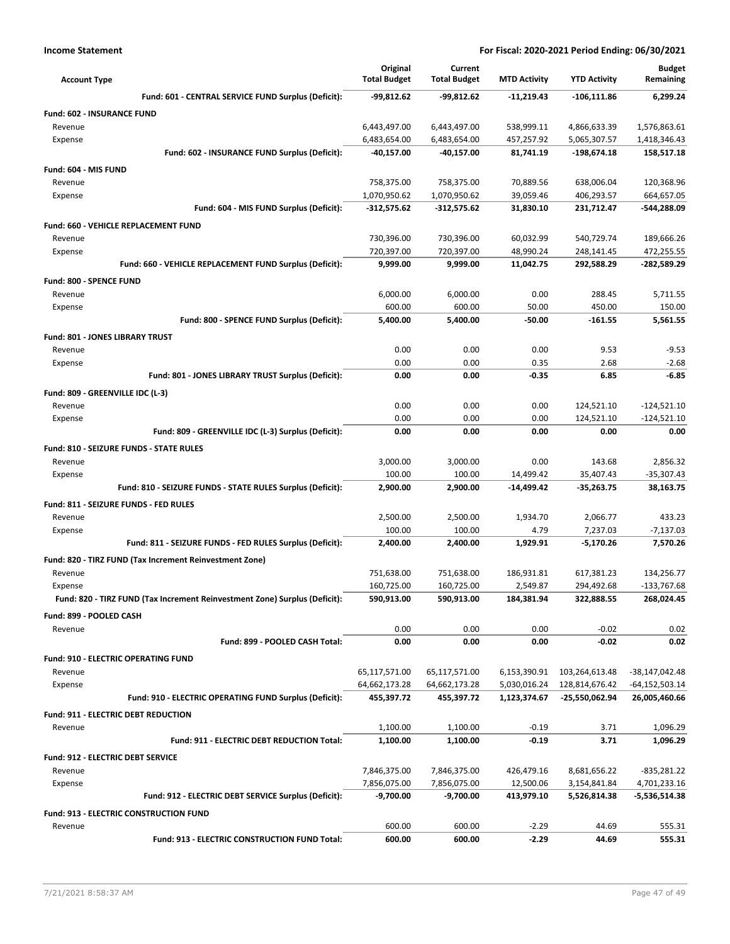| <b>Account Type</b>                                                                   | Original<br><b>Total Budget</b> | Current<br><b>Total Budget</b> | <b>MTD Activity</b>    | <b>YTD Activity</b>      | <b>Budget</b><br>Remaining  |
|---------------------------------------------------------------------------------------|---------------------------------|--------------------------------|------------------------|--------------------------|-----------------------------|
| Fund: 601 - CENTRAL SERVICE FUND Surplus (Deficit):                                   | -99,812.62                      | $-99,812.62$                   | $-11.219.43$           | $-106, 111.86$           | 6.299.24                    |
| <b>Fund: 602 - INSURANCE FUND</b>                                                     |                                 |                                |                        |                          |                             |
| Revenue                                                                               | 6,443,497.00                    | 6,443,497.00                   | 538,999.11             | 4,866,633.39             | 1,576,863.61                |
| Expense                                                                               | 6,483,654.00                    | 6,483,654.00                   | 457,257.92             | 5,065,307.57             | 1,418,346.43                |
| Fund: 602 - INSURANCE FUND Surplus (Deficit):                                         | -40,157.00                      | -40,157.00                     | 81,741.19              | -198,674.18              | 158,517.18                  |
| Fund: 604 - MIS FUND                                                                  |                                 |                                |                        |                          |                             |
| Revenue                                                                               | 758,375.00                      | 758,375.00                     | 70,889.56              | 638,006.04               | 120,368.96                  |
| Expense                                                                               | 1,070,950.62                    | 1,070,950.62                   | 39,059.46              | 406,293.57               | 664,657.05                  |
| Fund: 604 - MIS FUND Surplus (Deficit):                                               | -312,575.62                     | $-312,575.62$                  | 31,830.10              | 231,712.47               | -544,288.09                 |
| Fund: 660 - VEHICLE REPLACEMENT FUND                                                  |                                 |                                |                        |                          |                             |
| Revenue                                                                               | 730,396.00                      | 730,396.00                     | 60,032.99              | 540,729.74               | 189,666.26                  |
| Expense<br>Fund: 660 - VEHICLE REPLACEMENT FUND Surplus (Deficit):                    | 720,397.00<br>9,999.00          | 720,397.00<br>9,999.00         | 48,990.24<br>11,042.75 | 248,141.45<br>292,588.29 | 472,255.55<br>-282,589.29   |
|                                                                                       |                                 |                                |                        |                          |                             |
| Fund: 800 - SPENCE FUND<br>Revenue                                                    | 6,000.00                        | 6,000.00                       | 0.00                   | 288.45                   | 5,711.55                    |
| Expense                                                                               | 600.00                          | 600.00                         | 50.00                  | 450.00                   | 150.00                      |
| Fund: 800 - SPENCE FUND Surplus (Deficit):                                            | 5,400.00                        | 5,400.00                       | $-50.00$               | $-161.55$                | 5,561.55                    |
| <b>Fund: 801 - JONES LIBRARY TRUST</b>                                                |                                 |                                |                        |                          |                             |
| Revenue                                                                               | 0.00                            | 0.00                           | 0.00                   | 9.53                     | $-9.53$                     |
| Expense                                                                               | 0.00                            | 0.00                           | 0.35                   | 2.68                     | $-2.68$                     |
| Fund: 801 - JONES LIBRARY TRUST Surplus (Deficit):                                    | 0.00                            | 0.00                           | -0.35                  | 6.85                     | $-6.85$                     |
| Fund: 809 - GREENVILLE IDC (L-3)                                                      |                                 |                                |                        |                          |                             |
| Revenue                                                                               | 0.00                            | 0.00                           | 0.00                   | 124,521.10               | $-124,521.10$               |
| Expense                                                                               | 0.00                            | 0.00                           | 0.00                   | 124,521.10               | $-124,521.10$               |
| Fund: 809 - GREENVILLE IDC (L-3) Surplus (Deficit):                                   | 0.00                            | 0.00                           | 0.00                   | 0.00                     | 0.00                        |
| Fund: 810 - SEIZURE FUNDS - STATE RULES                                               |                                 |                                |                        |                          |                             |
| Revenue                                                                               | 3,000.00                        | 3,000.00                       | 0.00                   | 143.68                   | 2,856.32                    |
| Expense                                                                               | 100.00                          | 100.00                         | 14,499.42              | 35,407.43                | $-35,307.43$                |
| Fund: 810 - SEIZURE FUNDS - STATE RULES Surplus (Deficit):                            | 2,900.00                        | 2,900.00                       | -14,499.42             | $-35,263.75$             | 38,163.75                   |
| Fund: 811 - SEIZURE FUNDS - FED RULES                                                 |                                 |                                |                        |                          |                             |
| Revenue                                                                               | 2,500.00                        | 2,500.00                       | 1,934.70               | 2,066.77                 | 433.23                      |
| Expense                                                                               | 100.00                          | 100.00                         | 4.79                   | 7,237.03                 | $-7,137.03$                 |
| Fund: 811 - SEIZURE FUNDS - FED RULES Surplus (Deficit):                              | 2,400.00                        | 2,400.00                       | 1,929.91               | $-5,170.26$              | 7,570.26                    |
| Fund: 820 - TIRZ FUND (Tax Increment Reinvestment Zone)                               |                                 |                                |                        |                          |                             |
| Revenue                                                                               | 751,638.00<br>160,725.00        | 751,638.00<br>160,725.00       | 186,931.81<br>2,549.87 | 617,381.23<br>294,492.68 | 134,256.77<br>$-133,767.68$ |
| Expense<br>Fund: 820 - TIRZ FUND (Tax Increment Reinvestment Zone) Surplus (Deficit): | 590,913.00                      | 590,913.00                     | 184,381.94             | 322,888.55               | 268,024.45                  |
| Fund: 899 - POOLED CASH                                                               |                                 |                                |                        |                          |                             |
| Revenue                                                                               | 0.00                            | 0.00                           | 0.00                   | $-0.02$                  | 0.02                        |
| Fund: 899 - POOLED CASH Total:                                                        | 0.00                            | 0.00                           | 0.00                   | $-0.02$                  | 0.02                        |
| Fund: 910 - ELECTRIC OPERATING FUND                                                   |                                 |                                |                        |                          |                             |
| Revenue                                                                               | 65,117,571.00                   | 65,117,571.00                  | 6,153,390.91           | 103,264,613.48           | -38,147,042.48              |
| Expense                                                                               | 64,662,173.28                   | 64,662,173.28                  | 5,030,016.24           | 128,814,676.42           | -64,152,503.14              |
| Fund: 910 - ELECTRIC OPERATING FUND Surplus (Deficit):                                | 455,397.72                      | 455,397.72                     | 1,123,374.67           | -25,550,062.94           | 26,005,460.66               |
| Fund: 911 - ELECTRIC DEBT REDUCTION                                                   |                                 |                                |                        |                          |                             |
| Revenue                                                                               | 1,100.00                        | 1,100.00                       | $-0.19$                | 3.71                     | 1,096.29                    |
| Fund: 911 - ELECTRIC DEBT REDUCTION Total:                                            | 1,100.00                        | 1,100.00                       | $-0.19$                | 3.71                     | 1,096.29                    |
| Fund: 912 - ELECTRIC DEBT SERVICE                                                     |                                 |                                |                        |                          |                             |
| Revenue                                                                               | 7,846,375.00                    | 7,846,375.00                   | 426,479.16             | 8,681,656.22             | $-835,281.22$               |
| Expense                                                                               | 7,856,075.00                    | 7,856,075.00                   | 12,500.06              | 3,154,841.84             | 4,701,233.16                |
| Fund: 912 - ELECTRIC DEBT SERVICE Surplus (Deficit):                                  | -9,700.00                       | $-9,700.00$                    | 413,979.10             | 5,526,814.38             | -5,536,514.38               |
| Fund: 913 - ELECTRIC CONSTRUCTION FUND                                                |                                 |                                |                        |                          |                             |
| Revenue                                                                               | 600.00                          | 600.00                         | $-2.29$                | 44.69                    | 555.31                      |
| Fund: 913 - ELECTRIC CONSTRUCTION FUND Total:                                         | 600.00                          | 600.00                         | $-2.29$                | 44.69                    | 555.31                      |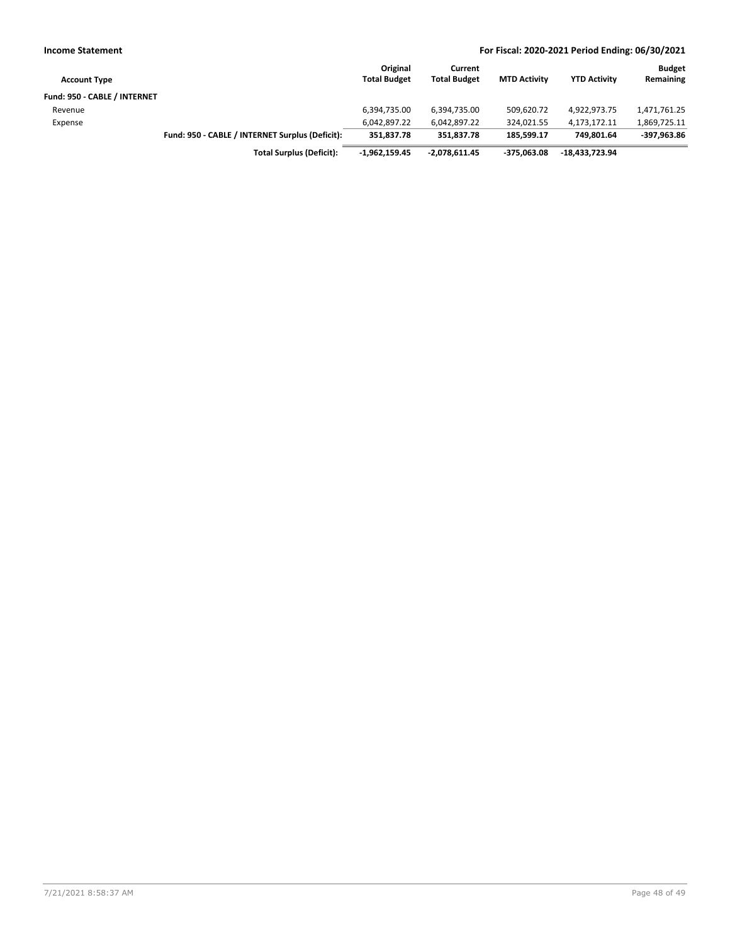| <b>Income Statement</b>      |                                                 |                                 |                                |                     | For Fiscal: 2020-2021 Period Ending: 06/30/2021 |                            |
|------------------------------|-------------------------------------------------|---------------------------------|--------------------------------|---------------------|-------------------------------------------------|----------------------------|
| <b>Account Type</b>          |                                                 | Original<br><b>Total Budget</b> | Current<br><b>Total Budget</b> | <b>MTD Activity</b> | <b>YTD Activity</b>                             | <b>Budget</b><br>Remaining |
| Fund: 950 - CABLE / INTERNET |                                                 |                                 |                                |                     |                                                 |                            |
| Revenue                      |                                                 | 6,394,735.00                    | 6,394,735.00                   | 509.620.72          | 4,922,973.75                                    | 1,471,761.25               |
| Expense                      |                                                 | 6,042,897.22                    | 6,042,897.22                   | 324,021.55          | 4,173,172.11                                    | 1,869,725.11               |
|                              | Fund: 950 - CABLE / INTERNET Surplus (Deficit): | 351.837.78                      | 351,837.78                     | 185,599.17          | 749.801.64                                      | -397,963.86                |
|                              | <b>Total Surplus (Deficit):</b>                 | $-1,962,159.45$                 | -2,078,611.45                  | $-375.063.08$       | -18.433.723.94                                  |                            |